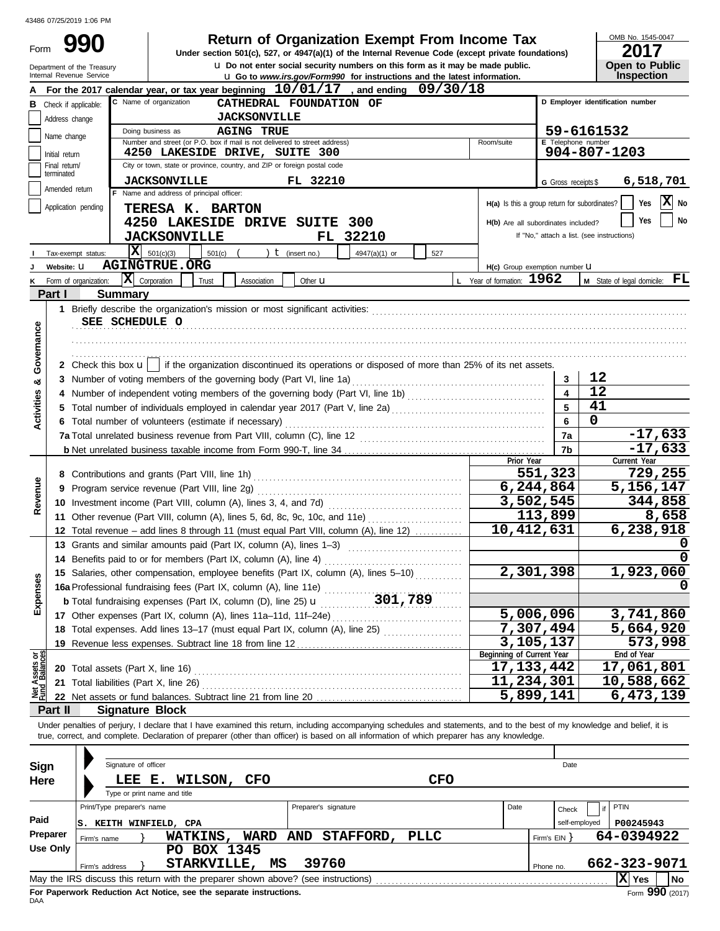### **Return of Organization Exempt From Income Tax**

OMB No. 1545-0047

| Form                           | YYU                                                    |                                                                             | Return of Organization Exempt From income Tax<br>Under section 501(c), 527, or 4947(a)(1) of the Internal Revenue Code (except private foundations)                        |                     | 2017                                       |
|--------------------------------|--------------------------------------------------------|-----------------------------------------------------------------------------|----------------------------------------------------------------------------------------------------------------------------------------------------------------------------|---------------------|--------------------------------------------|
|                                | Department of the Treasury<br>Internal Revenue Service |                                                                             | <b>u</b> Do not enter social security numbers on this form as it may be made public.<br><b>u</b> Go to www.irs.gov/Form990 for instructions and the latest information.    |                     | <b>Open to Public</b><br>Inspection        |
|                                |                                                        |                                                                             | For the 2017 calendar year, or tax year beginning $10/01/17$ , and ending 09/30/18                                                                                         |                     |                                            |
|                                | <b>B</b> Check if applicable:                          |                                                                             | C Name of organization<br>CATHEDRAL FOUNDATION OF                                                                                                                          |                     | D Employer identification number           |
|                                | Address change                                         |                                                                             | <b>JACKSONVILLE</b>                                                                                                                                                        |                     |                                            |
|                                | Name change                                            |                                                                             | Doing business as<br><b>AGING TRUE</b>                                                                                                                                     |                     | 59-6161532                                 |
|                                | Initial return                                         |                                                                             | Number and street (or P.O. box if mail is not delivered to street address)<br>Room/suite<br>4250 LAKESIDE DRIVE, SUITE 300                                                 | E Telephone number  | 904-807-1203                               |
|                                | Final return/                                          |                                                                             | City or town, state or province, country, and ZIP or foreign postal code                                                                                                   |                     |                                            |
|                                | terminated                                             |                                                                             | <b>JACKSONVILLE</b><br>FL 32210                                                                                                                                            | G Gross receipts \$ | 6,518,701                                  |
|                                | Amended return                                         |                                                                             | F Name and address of principal officer:                                                                                                                                   |                     |                                            |
|                                | Application pending                                    |                                                                             | H(a) Is this a group return for subordinates?<br>TERESA K. BARTON                                                                                                          |                     | X No<br>Yes                                |
|                                |                                                        |                                                                             | 4250 LAKESIDE DRIVE SUITE 300<br>H(b) Are all subordinates included?                                                                                                       |                     | No<br>Yes                                  |
|                                |                                                        |                                                                             | FL 32210<br><b>JACKSONVILLE</b>                                                                                                                                            |                     | If "No," attach a list. (see instructions) |
|                                | Tax-exempt status:                                     | X                                                                           | 501(c)(3)<br>) $t$ (insert no.)<br>501(c)<br>527<br>4947(a)(1) or                                                                                                          |                     |                                            |
|                                | Website: U                                             |                                                                             | <b>AGINGTRUE.ORG</b><br>H(c) Group exemption number LI                                                                                                                     |                     |                                            |
| ĸ                              | Form of organization:                                  | X                                                                           | L Year of formation: 1962<br>Corporation<br>Association<br>Trust<br>Other <b>u</b>                                                                                         |                     | M State of legal domicile: FL              |
|                                | Part I                                                 | <b>Summary</b>                                                              |                                                                                                                                                                            |                     |                                            |
|                                |                                                        |                                                                             |                                                                                                                                                                            |                     |                                            |
|                                |                                                        | <b>SEE SCHEDULE O</b>                                                       |                                                                                                                                                                            |                     |                                            |
|                                |                                                        |                                                                             |                                                                                                                                                                            |                     |                                            |
| Governance                     |                                                        |                                                                             |                                                                                                                                                                            |                     |                                            |
|                                |                                                        | 2 Check this box <b>u</b>                                                   | if the organization discontinued its operations or disposed of more than 25% of its net assets.                                                                            |                     | 12                                         |
| œ                              |                                                        |                                                                             | 3 Number of voting members of the governing body (Part VI, line 1a)                                                                                                        | 3<br>4              | 12                                         |
|                                |                                                        |                                                                             |                                                                                                                                                                            | 5                   | 41                                         |
| <b>Activities</b>              |                                                        |                                                                             |                                                                                                                                                                            | 6                   | 0                                          |
|                                |                                                        |                                                                             | 6 Total number of volunteers (estimate if necessary)                                                                                                                       | 7a                  | $-17,633$                                  |
|                                |                                                        |                                                                             | 7a Total unrelated business revenue from Part VIII, column (C), line 12                                                                                                    | 7b                  | $-17,633$                                  |
|                                |                                                        |                                                                             | Prior Year                                                                                                                                                                 |                     | Current Year                               |
|                                |                                                        |                                                                             |                                                                                                                                                                            | 551,323             | 729,255                                    |
|                                |                                                        |                                                                             | 6,244,864                                                                                                                                                                  |                     | 5,156,147                                  |
| Revenue                        |                                                        |                                                                             | 3,502,545                                                                                                                                                                  |                     | 344,858                                    |
|                                |                                                        |                                                                             | 11 Other revenue (Part VIII, column (A), lines 5, 6d, 8c, 9c, 10c, and 11e)                                                                                                | 113,899             | 8,658                                      |
|                                |                                                        |                                                                             | 10,412,631<br>12 Total revenue - add lines 8 through 11 (must equal Part VIII, column (A), line 12)                                                                        |                     | 6,238,918                                  |
|                                |                                                        |                                                                             | 13 Grants and similar amounts paid (Part IX, column (A), lines 1-3)                                                                                                        |                     | 0                                          |
|                                |                                                        |                                                                             | 14 Benefits paid to or for members (Part IX, column (A), line 4)                                                                                                           |                     | $\mathbf 0$                                |
|                                |                                                        |                                                                             | 2,301,398<br>15 Salaries, other compensation, employee benefits (Part IX, column (A), lines 5-10)                                                                          |                     | 1,923,060                                  |
| Expenses                       |                                                        |                                                                             | 16a Professional fundraising fees (Part IX, column (A), line 11e)                                                                                                          |                     |                                            |
|                                |                                                        |                                                                             | <b>b</b> Total fundraising expenses (Part IX, column (A), line 11e) $\ldots$ 301, 789                                                                                      |                     |                                            |
|                                |                                                        |                                                                             | 5,006,096<br>17 Other expenses (Part IX, column (A), lines 11a-11d, 11f-24e)                                                                                               |                     | 3,741,860                                  |
|                                |                                                        |                                                                             | 7,307,494<br>18 Total expenses. Add lines 13-17 (must equal Part IX, column (A), line 25) [                                                                                |                     | 5,664,920                                  |
|                                |                                                        |                                                                             | 3,105,137<br>19 Revenue less expenses. Subtract line 18 from line 12                                                                                                       |                     | 573,998                                    |
| Net Assets or<br>Fund Balances |                                                        |                                                                             | Beginning of Current Year<br>17, 133, 442                                                                                                                                  |                     | End of Year<br>17,061,801                  |
|                                |                                                        | 20 Total assets (Part X, line 16)<br>21 Total liabilities (Part X, line 26) | 11,234,301                                                                                                                                                                 |                     | 10,588,662                                 |
|                                |                                                        |                                                                             | 5,899,141<br>22 Net assets or fund balances. Subtract line 21 from line 20                                                                                                 |                     | 6,473,139                                  |
|                                | Part II                                                | <b>Signature Block</b>                                                      |                                                                                                                                                                            |                     |                                            |
|                                |                                                        |                                                                             | Under penalties of perjury, I declare that I have examined this return, including accompanying schedules and statements, and to the best of my knowledge and belief, it is |                     |                                            |
|                                |                                                        |                                                                             | true, correct, and complete. Declaration of preparer (other than officer) is based on all information of which preparer has any knowledge.                                 |                     |                                            |
|                                |                                                        |                                                                             |                                                                                                                                                                            |                     |                                            |
| Sign                           |                                                        | Signature of officer                                                        |                                                                                                                                                                            | Date                |                                            |
| Here                           |                                                        | LEE E.                                                                      | <b>CFO</b><br>WILSON, CFO                                                                                                                                                  |                     |                                            |
|                                |                                                        | Type or print name and title                                                |                                                                                                                                                                            |                     |                                            |
|                                |                                                        | Print/Type preparer's name                                                  | Preparer's signature<br>Date                                                                                                                                               | Check               | PTIN<br>if                                 |
| Paid                           |                                                        | <b>S. KEITH WINFIELD, CPA</b>                                               |                                                                                                                                                                            | self-employed       | P00245943                                  |
|                                | Preparer                                               | Firm's name                                                                 | WATKINS, WARD AND STAFFORD,<br>PLLC                                                                                                                                        | Firm's EIN }        | 64-0394922                                 |
|                                | <b>Use Only</b>                                        |                                                                             | PO BOX 1345                                                                                                                                                                |                     |                                            |
|                                |                                                        | Firm's address                                                              | 39760<br><b>STARKVILLE,</b><br>MS                                                                                                                                          | Phone no.           | 662-323-9071                               |
|                                |                                                        |                                                                             | May the IRS discuss this return with the preparer shown above? (see instructions)                                                                                          |                     | $\overline{\mathbf{X}}$ Yes<br>  No        |

| Sign     |     | Signature of officer         |    |                                                                                   |      |     |                      |             |  |              | Date          |              |                 |
|----------|-----|------------------------------|----|-----------------------------------------------------------------------------------|------|-----|----------------------|-------------|--|--------------|---------------|--------------|-----------------|
| Here     |     | LEE                          | Е. | <b>WILSON,</b>                                                                    | CFO  |     |                      | <b>CFO</b>  |  |              |               |              |                 |
|          |     | Type or print name and title |    |                                                                                   |      |     |                      |             |  |              |               |              |                 |
|          |     | Print/Type preparer's name   |    |                                                                                   |      |     | Preparer's signature | Date        |  | Check        | <b>PTIN</b>   |              |                 |
| Paid     | IS. | KEITH WINFIELD, CPA          |    |                                                                                   |      |     |                      |             |  |              | self-employed | P00245943    |                 |
| Preparer |     | Firm's name                  |    | <b>WATKINS,</b>                                                                   | WARD | AND | STAFFORD,            | <b>PLLC</b> |  | Firm's $EIN$ |               | 64-0394922   |                 |
| Use Only |     |                              |    | BOX 1345<br>PO.                                                                   |      |     |                      |             |  |              |               |              |                 |
|          |     | Firm's address               |    | <b>STARKVILLE,</b>                                                                | MS   |     | 39760                |             |  | Phone no.    |               | 662-323-9071 |                 |
|          |     |                              |    | May the IRS discuss this return with the preparer shown above? (see instructions) |      |     |                      |             |  |              |               | Yes          | l No            |
|          |     |                              |    | For Paperwork Reduction Act Notice, see the separate instructions.                |      |     |                      |             |  |              |               |              | Form 990 (2017) |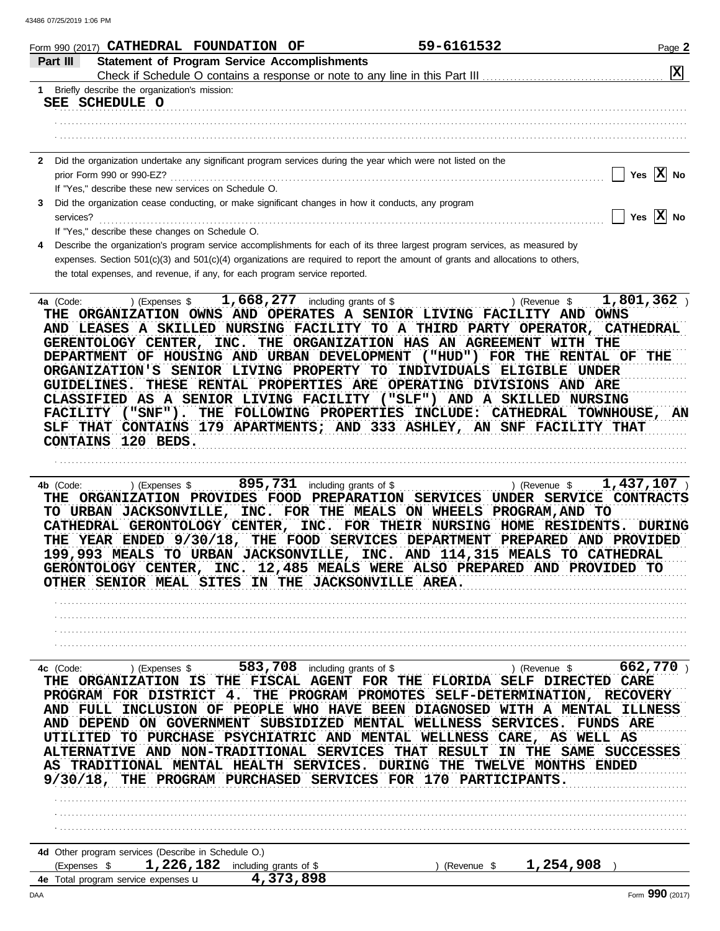|              | 59-6161532<br>Form 990 (2017) CATHEDRAL FOUNDATION<br>OF<br>Page 2                                                                                                            |
|--------------|-------------------------------------------------------------------------------------------------------------------------------------------------------------------------------|
|              | <b>Statement of Program Service Accomplishments</b><br>Part III                                                                                                               |
|              | $\mathbf{x}$                                                                                                                                                                  |
| $\mathbf{1}$ | Briefly describe the organization's mission:                                                                                                                                  |
|              | SEE SCHEDULE O                                                                                                                                                                |
|              |                                                                                                                                                                               |
|              |                                                                                                                                                                               |
| $\mathbf{2}$ | Did the organization undertake any significant program services during the year which were not listed on the                                                                  |
|              | Yes $\overline{X}$ No<br>prior Form 990 or 990-EZ?                                                                                                                            |
|              | If "Yes," describe these new services on Schedule O.                                                                                                                          |
|              | Did the organization cease conducting, or make significant changes in how it conducts, any program                                                                            |
|              | Yes $\overline{X}$ No<br>services?                                                                                                                                            |
|              | If "Yes," describe these changes on Schedule O.                                                                                                                               |
|              | Describe the organization's program service accomplishments for each of its three largest program services, as measured by                                                    |
|              | expenses. Section $501(c)(3)$ and $501(c)(4)$ organizations are required to report the amount of grants and allocations to others,                                            |
|              | the total expenses, and revenue, if any, for each program service reported.                                                                                                   |
|              |                                                                                                                                                                               |
|              | 1,801,362<br>$1,668,277$ including grants of \$<br>) (Expenses \$<br>) (Revenue \$<br>4a (Code:                                                                               |
|              | ORGANIZATION OWNS AND OPERATES A SENIOR LIVING FACILITY AND<br><b>OWNS</b><br>THE                                                                                             |
|              | AND LEASES A SKILLED NURSING FACILITY TO A THIRD PARTY OPERATOR, CATHEDRAL                                                                                                    |
|              | GERENTOLOGY CENTER, INC. THE ORGANIZATION<br>HAS AN AGREEMENT<br><b>WITH</b><br>THE                                                                                           |
|              | OF HOUSING AND URBAN DEVELOPMENT<br>( "HUD" )<br>FOR THE<br><b>DEPARTMENT</b><br>RENTAL OF<br>THE<br><b>ODCANTZATIONIS SENIO LIVING DOOFPTY TO INDIVIDUALS FLIGIRLE IMPRO</b> |

TO TUDIAIDOUTS RGANIZATION'S SENIOR LIVING PROPERTY **RTTGTRTE** GUIDELINES. THESE RENTAL PROPERTIES ARE OPERATING DIVISIONS AND ARE CLASSIFIED AS A SENIOR LIVING FACILITY ("SLF") AND A SKILLED NURSING FACILITY ("SNF"). THE FOLLOWING PROPERTIES INCLUDE: CATHEDRAL TOWNHOUSE, AN SLF THAT CONTAINS 179 APARTMENTS; AND 333 ASHLEY, AN SNF FACILITY THAT CONTAINS 120 BEDS. 

895,731 including grants of \$ ) (Revenue  $$1,437,107$  ) 4b (Code: ) (Expenses \$ THE ORGANIZATION PROVIDES FOOD PREPARATION SERVICES UNDER SERVICE CONTRACTS TO URBAN JACKSONVILLE, INC. FOR THE MEALS ON WHEELS PROGRAM, AND TO CATHEDRAL GERONTOLOGY CENTER, INC. FOR THEIR NURSING HOME RESIDENTS. DURING THE YEAR ENDED 9/30/18, THE FOOD SERVICES DEPARTMENT PREPARED AND PROVIDED 199,993 MEALS TO URBAN JACKSONVILLE, INC. AND 114,315 MEALS TO CATHEDRAL GERONTOLOGY CENTER, INC. 12,485 MEALS WERE ALSO PREPARED AND PROVIDED TO OTHER SENIOR MEAL SITES IN THE JACKSONVILLE AREA.

583,708 including grants of \$  $662,770$ 4c (Code: ) (Expenses \$ ) (Revenue \$ THE ORGANIZATION IS THE FISCAL AGENT FOR THE FLORIDA SELF DIRECTED CARE PROGRAM FOR DISTRICT 4. THE PROGRAM PROMOTES SELF-DETERMINATION, RECOVERY AND FULL INCLUSION OF PEOPLE WHO HAVE BEEN DIAGNOSED WITH A MENTAL ILLNESS AND DEPEND ON GOVERNMENT SUBSIDIZED MENTAL WELLNESS SERVICES. FUNDS ARE UTILITED TO PURCHASE PSYCHIATRIC AND MENTAL WELLNESS CARE, AS WELL AS ALTERNATIVE AND NON-TRADITIONAL SERVICES THAT RESULT IN THE SAME SUCCESSES AS TRADITIONAL MENTAL HEALTH SERVICES. DURING THE TWELVE MONTHS ENDED 9/30/18, THE PROGRAM PURCHASED SERVICES FOR 170 PARTICIPANTS.

4d Other program services (Describe in Schedule O.) (Expenses  $$1,226,182$  including grants of \$

) (Revenue  $$1,254,908$ )

4e Total program service expenses u 4,373,898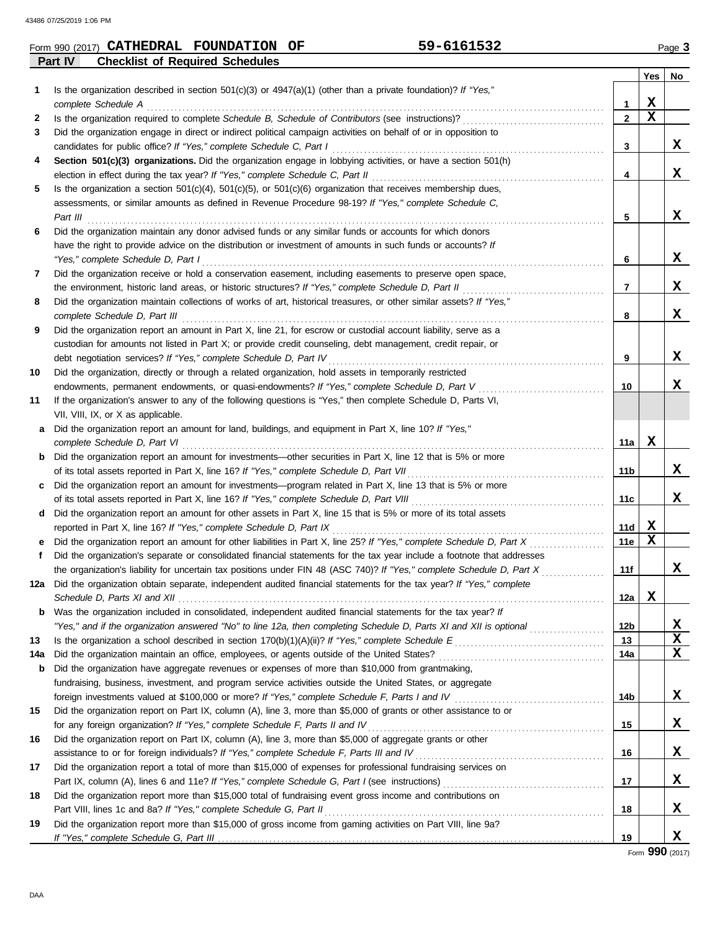|         | Form 990 (2017) CATHEDRAL FOUNDATION OF | 59-6161532 | $P$ aqe $\ddot{\phantom{2}}$ |
|---------|-----------------------------------------|------------|------------------------------|
| Part IV | <b>Checklist of Required Schedules</b>  |            |                              |

|     |                                                                                                                                                                                                                                |                 | Yes         | No          |
|-----|--------------------------------------------------------------------------------------------------------------------------------------------------------------------------------------------------------------------------------|-----------------|-------------|-------------|
| 1   | Is the organization described in section $501(c)(3)$ or $4947(a)(1)$ (other than a private foundation)? If "Yes,"                                                                                                              |                 |             |             |
|     | complete Schedule A example of the state of the state of the state of the state of the state of the state of the state of the state of the state of the state of the state of the state of the state of the state of the state | 1               | X           |             |
| 2   |                                                                                                                                                                                                                                | $\mathbf{2}$    | $\mathbf x$ |             |
| 3   | Did the organization engage in direct or indirect political campaign activities on behalf of or in opposition to                                                                                                               |                 |             |             |
|     |                                                                                                                                                                                                                                | 3               |             | X           |
| 4   | Section 501(c)(3) organizations. Did the organization engage in lobbying activities, or have a section 501(h)                                                                                                                  |                 |             |             |
|     |                                                                                                                                                                                                                                | 4               |             | X           |
| 5   | Is the organization a section $501(c)(4)$ , $501(c)(5)$ , or $501(c)(6)$ organization that receives membership dues,                                                                                                           |                 |             |             |
|     | assessments, or similar amounts as defined in Revenue Procedure 98-19? If "Yes," complete Schedule C,                                                                                                                          |                 |             |             |
|     | Part III                                                                                                                                                                                                                       | 5               |             | x           |
| 6   | Did the organization maintain any donor advised funds or any similar funds or accounts for which donors                                                                                                                        |                 |             |             |
|     | have the right to provide advice on the distribution or investment of amounts in such funds or accounts? If                                                                                                                    |                 |             |             |
|     |                                                                                                                                                                                                                                | 6               |             | X           |
| 7   | Did the organization receive or hold a conservation easement, including easements to preserve open space,                                                                                                                      |                 |             |             |
|     | the environment, historic land areas, or historic structures? If "Yes," complete Schedule D, Part II                                                                                                                           | 7               |             | X           |
| 8   | Did the organization maintain collections of works of art, historical treasures, or other similar assets? If "Yes,"                                                                                                            |                 |             |             |
|     |                                                                                                                                                                                                                                | 8               |             | X           |
| 9   | Did the organization report an amount in Part X, line 21, for escrow or custodial account liability, serve as a                                                                                                                |                 |             |             |
|     | custodian for amounts not listed in Part X; or provide credit counseling, debt management, credit repair, or                                                                                                                   |                 |             |             |
|     | debt negotiation services? If "Yes," complete Schedule D, Part IV                                                                                                                                                              | 9               |             | x           |
| 10  | Did the organization, directly or through a related organization, hold assets in temporarily restricted                                                                                                                        |                 |             |             |
|     | endowments, permanent endowments, or quasi-endowments? If "Yes," complete Schedule D, Part V                                                                                                                                   | 10              |             | x           |
| 11  | If the organization's answer to any of the following questions is "Yes," then complete Schedule D, Parts VI,                                                                                                                   |                 |             |             |
|     | VII, VIII, IX, or X as applicable.                                                                                                                                                                                             |                 |             |             |
| a   | Did the organization report an amount for land, buildings, and equipment in Part X, line 10? If "Yes,"                                                                                                                         |                 |             |             |
|     | complete Schedule D, Part VI                                                                                                                                                                                                   | 11a             | X           |             |
|     | <b>b</b> Did the organization report an amount for investments—other securities in Part X, line 12 that is 5% or more                                                                                                          |                 |             |             |
|     | of its total assets reported in Part X, line 16? If "Yes," complete Schedule D, Part VII                                                                                                                                       | 11b             |             | x           |
|     | c Did the organization report an amount for investments—program related in Part X, line 13 that is 5% or more                                                                                                                  |                 |             | x           |
|     |                                                                                                                                                                                                                                | 11c             |             |             |
|     | d Did the organization report an amount for other assets in Part X, line 15 that is 5% or more of its total assets                                                                                                             | 11d             | х           |             |
|     | reported in Part X, line 16? If "Yes," complete Schedule D, Part IX<br>e Did the organization report an amount for other liabilities in Part X, line 25? If "Yes," complete Schedule D, Part X                                 | 11e             | $\mathbf x$ |             |
| f   | Did the organization's separate or consolidated financial statements for the tax year include a footnote that addresses                                                                                                        |                 |             |             |
|     | the organization's liability for uncertain tax positions under FIN 48 (ASC 740)? If "Yes," complete Schedule D, Part X                                                                                                         | 11f             |             | X           |
|     | 12a Did the organization obtain separate, independent audited financial statements for the tax year? If "Yes," complete                                                                                                        |                 |             |             |
|     |                                                                                                                                                                                                                                | 12a             | X.          |             |
|     | <b>b</b> Was the organization included in consolidated, independent audited financial statements for the tax year? If                                                                                                          |                 |             |             |
|     | "Yes," and if the organization answered "No" to line 12a, then completing Schedule D, Parts XI and XII is optional                                                                                                             | 12 <sub>b</sub> |             | х           |
| 13  |                                                                                                                                                                                                                                | 13              |             | $\mathbf x$ |
| 14a |                                                                                                                                                                                                                                | 14a             |             | X           |
| b   | Did the organization have aggregate revenues or expenses of more than \$10,000 from grantmaking,                                                                                                                               |                 |             |             |
|     | fundraising, business, investment, and program service activities outside the United States, or aggregate                                                                                                                      |                 |             |             |
|     |                                                                                                                                                                                                                                | 14b             |             | х           |
| 15  | Did the organization report on Part IX, column (A), line 3, more than \$5,000 of grants or other assistance to or                                                                                                              |                 |             |             |
|     | for any foreign organization? If "Yes," complete Schedule F, Parts II and IV [[[[[[[[[[[[[[[[[[[[[[[[[[[[[[[[                                                                                                                  | 15              |             | х           |
| 16  | Did the organization report on Part IX, column (A), line 3, more than \$5,000 of aggregate grants or other                                                                                                                     |                 |             |             |
|     |                                                                                                                                                                                                                                | 16              |             | х           |
| 17  | Did the organization report a total of more than \$15,000 of expenses for professional fundraising services on                                                                                                                 |                 |             |             |
|     |                                                                                                                                                                                                                                | 17              |             | х           |
| 18  | Did the organization report more than \$15,000 total of fundraising event gross income and contributions on                                                                                                                    |                 |             |             |
|     |                                                                                                                                                                                                                                | 18              |             | x           |
| 19  | Did the organization report more than \$15,000 of gross income from gaming activities on Part VIII, line 9a?                                                                                                                   |                 |             |             |
|     |                                                                                                                                                                                                                                | 19              |             | X           |

Form **990** (2017)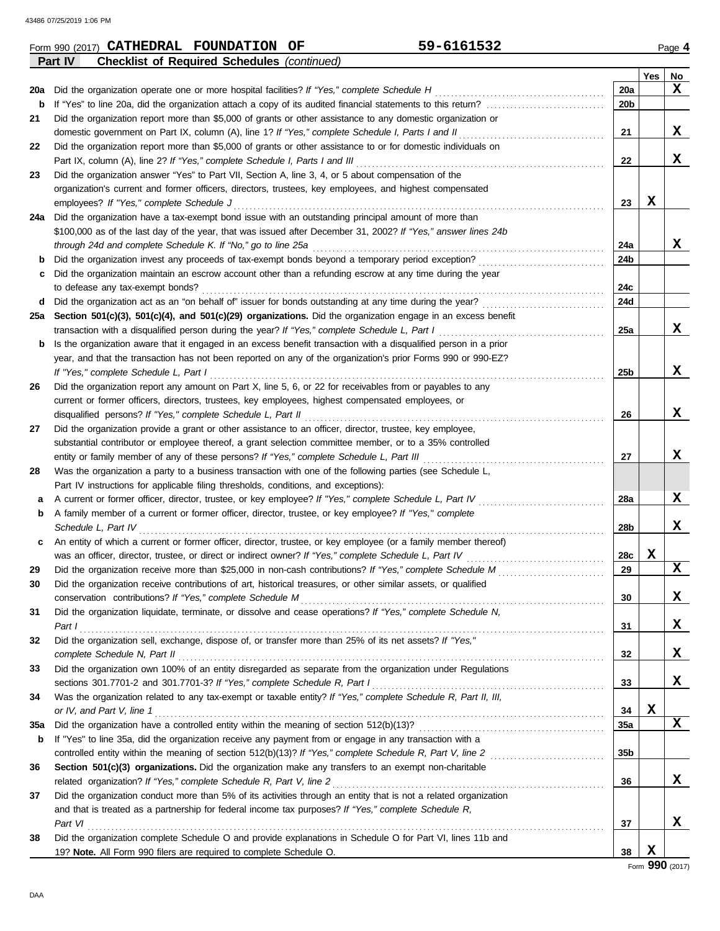|     | 59-6161532<br>Form 990 (2017) CATHEDRAL FOUNDATION OF                                                            |                 |     | Page 4 |
|-----|------------------------------------------------------------------------------------------------------------------|-----------------|-----|--------|
|     | Part IV<br><b>Checklist of Required Schedules (continued)</b>                                                    |                 |     |        |
|     |                                                                                                                  |                 | Yes | No     |
| 20a | Did the organization operate one or more hospital facilities? If "Yes," complete Schedule H                      | <b>20a</b>      |     | x      |
| b   |                                                                                                                  | 20b             |     |        |
| 21  | Did the organization report more than \$5,000 of grants or other assistance to any domestic organization or      |                 |     |        |
|     | domestic government on Part IX, column (A), line 1? If "Yes," complete Schedule I, Parts I and II                | 21              |     | X      |
| 22  | Did the organization report more than \$5,000 of grants or other assistance to or for domestic individuals on    |                 |     |        |
|     | Part IX, column (A), line 2? If "Yes," complete Schedule I, Parts I and III                                      | 22              |     | X      |
| 23  | Did the organization answer "Yes" to Part VII, Section A, line 3, 4, or 5 about compensation of the              |                 |     |        |
|     | organization's current and former officers, directors, trustees, key employees, and highest compensated          |                 |     |        |
|     | employees? If "Yes," complete Schedule J                                                                         | 23              | X   |        |
|     | 24a Did the organization have a tax-exempt bond issue with an outstanding principal amount of more than          |                 |     |        |
|     | \$100,000 as of the last day of the year, that was issued after December 31, 2002? If "Yes," answer lines 24b    |                 |     |        |
|     | through 24d and complete Schedule K. If "No," go to line 25a                                                     | 24a             |     | X      |
| b   | Did the organization invest any proceeds of tax-exempt bonds beyond a temporary period exception?                | 24b             |     |        |
| c   | Did the organization maintain an escrow account other than a refunding escrow at any time during the year        |                 |     |        |
|     | to defease any tax-exempt bonds?                                                                                 | 24c             |     |        |
| d   | Did the organization act as an "on behalf of" issuer for bonds outstanding at any time during the year?          | 24d             |     |        |
|     | 25a Section 501(c)(3), 501(c)(4), and 501(c)(29) organizations. Did the organization engage in an excess benefit |                 |     |        |
|     | transaction with a disqualified person during the year? If "Yes," complete Schedule L, Part I                    | 25a             |     | X      |
| b   | Is the organization aware that it engaged in an excess benefit transaction with a disqualified person in a prior |                 |     |        |
|     | year, and that the transaction has not been reported on any of the organization's prior Forms 990 or 990-EZ?     |                 |     |        |
|     | If "Yes," complete Schedule L, Part I                                                                            | 25 <sub>b</sub> |     | X      |
| 26  | Did the organization report any amount on Part X, line 5, 6, or 22 for receivables from or payables to any       |                 |     |        |
|     | current or former officers, directors, trustees, key employees, highest compensated employees, or                |                 |     |        |
|     | disqualified persons? If "Yes," complete Schedule L, Part II                                                     | 26              |     | X      |
| 27  | Did the organization provide a grant or other assistance to an officer, director, trustee, key employee,         |                 |     |        |
|     | substantial contributor or employee thereof, a grant selection committee member, or to a 35% controlled          |                 |     |        |
|     | entity or family member of any of these persons? If "Yes," complete Schedule L, Part III                         | 27              |     | X      |
| 28  | Was the organization a party to a business transaction with one of the following parties (see Schedule L,        |                 |     |        |
|     | Part IV instructions for applicable filing thresholds, conditions, and exceptions):                              |                 |     |        |
| а   | A current or former officer, director, trustee, or key employee? If "Yes," complete Schedule L, Part IV          | 28a             |     | X      |
| b   | A family member of a current or former officer, director, trustee, or key employee? If "Yes," complete           |                 |     |        |
|     | Schedule L, Part IV                                                                                              | 28b             |     | X      |
| C   | An entity of which a current or former officer, director, trustee, or key employee (or a family member thereof)  |                 |     |        |
|     | was an officer, director, trustee, or direct or indirect owner? If "Yes," complete Schedule L, Part IV           | 28c             | X   |        |
| 29  | Did the organization receive more than \$25,000 in non-cash contributions? If "Yes," complete Schedule M         | 29              |     | X      |
| 30  | Did the organization receive contributions of art, historical treasures, or other similar assets, or qualified   |                 |     |        |
|     | conservation contributions? If "Yes," complete Schedule M                                                        | 30              |     | X      |
| 31  | Did the organization liquidate, terminate, or dissolve and cease operations? If "Yes," complete Schedule N,      |                 |     |        |
|     | Part I                                                                                                           | 31              |     | X      |
| 32  | Did the organization sell, exchange, dispose of, or transfer more than 25% of its net assets? If "Yes,"          |                 |     |        |
|     | complete Schedule N, Part II                                                                                     | 32              |     | X      |
| 33  | Did the organization own 100% of an entity disregarded as separate from the organization under Regulations       |                 |     |        |
|     | sections 301.7701-2 and 301.7701-3? If "Yes," complete Schedule R, Part I                                        | 33              |     | X      |
| 34  | Was the organization related to any tax-exempt or taxable entity? If "Yes," complete Schedule R, Part II, III,   |                 |     |        |
|     | or IV, and Part V, line 1                                                                                        | 34              | X   |        |
| 35a | Did the organization have a controlled entity within the meaning of section 512(b)(13)?                          | 35a             |     | X      |
| b   | If "Yes" to line 35a, did the organization receive any payment from or engage in any transaction with a          |                 |     |        |
|     | controlled entity within the meaning of section 512(b)(13)? If "Yes," complete Schedule R, Part V, line 2        | 35 <sub>b</sub> |     |        |
| 36  | Section 501(c)(3) organizations. Did the organization make any transfers to an exempt non-charitable             |                 |     |        |
|     | related organization? If "Yes," complete Schedule R, Part V, line 2                                              | 36              |     | X      |
| 37  | Did the organization conduct more than 5% of its activities through an entity that is not a related organization |                 |     |        |
|     | and that is treated as a partnership for federal income tax purposes? If "Yes," complete Schedule R,             |                 |     |        |
|     | Part VI                                                                                                          | 37              |     | X      |
| 38  | Did the organization complete Schedule O and provide explanations in Schedule O for Part VI, lines 11b and       |                 |     |        |
|     | 19? Note. All Form 990 filers are required to complete Schedule O.                                               | 38              | X   |        |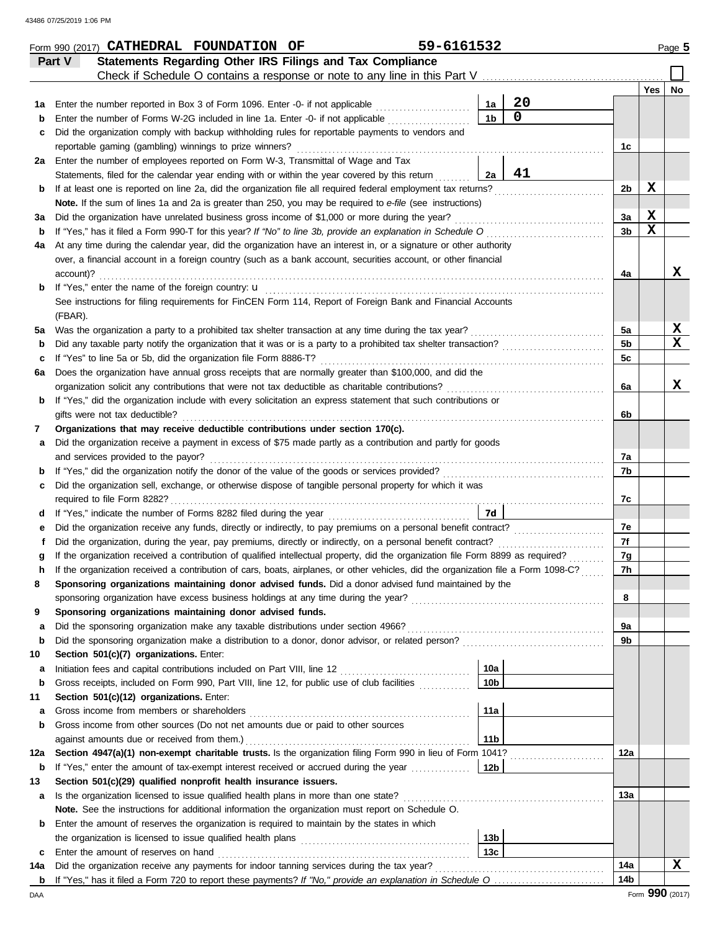|         | <b>Statements Regarding Other IRS Filings and Tax Compliance</b><br>Part V<br>Check if Schedule O contains a response or note to any line in this Part V                                                   |                 |             |                 |                  |                 |  |  |  |  |
|---------|------------------------------------------------------------------------------------------------------------------------------------------------------------------------------------------------------------|-----------------|-------------|-----------------|------------------|-----------------|--|--|--|--|
|         |                                                                                                                                                                                                            |                 |             |                 | Yes              | No              |  |  |  |  |
| 1а      | Enter the number reported in Box 3 of Form 1096. Enter -0- if not applicable                                                                                                                               | 1а              | 20          |                 |                  |                 |  |  |  |  |
| b       | Enter the number of Forms W-2G included in line 1a. Enter -0- if not applicable <i>minimum</i>                                                                                                             | 1 <sub>b</sub>  | $\mathbf 0$ |                 |                  |                 |  |  |  |  |
| c       | Did the organization comply with backup withholding rules for reportable payments to vendors and                                                                                                           |                 |             |                 |                  |                 |  |  |  |  |
|         | reportable gaming (gambling) winnings to prize winners?<br>.                                                                                                                                               |                 |             | 1c              |                  |                 |  |  |  |  |
| 2a      | Enter the number of employees reported on Form W-3, Transmittal of Wage and Tax                                                                                                                            |                 |             |                 |                  |                 |  |  |  |  |
|         | Statements, filed for the calendar year ending with or within the year covered by this return                                                                                                              | 2a              | 41          |                 |                  |                 |  |  |  |  |
| b       | If at least one is reported on line 2a, did the organization file all required federal employment tax returns?                                                                                             |                 |             | 2b              | X                |                 |  |  |  |  |
|         | Note. If the sum of lines 1a and 2a is greater than 250, you may be required to e-file (see instructions)<br>Did the organization have unrelated business gross income of \$1,000 or more during the year? |                 |             |                 |                  |                 |  |  |  |  |
| За<br>b | If "Yes," has it filed a Form 990-T for this year? If "No" to line 3b, provide an explanation in Schedule O                                                                                                |                 |             | За<br>3b        | X<br>$\mathbf x$ |                 |  |  |  |  |
| 4a      | At any time during the calendar year, did the organization have an interest in, or a signature or other authority                                                                                          |                 |             |                 |                  |                 |  |  |  |  |
|         | over, a financial account in a foreign country (such as a bank account, securities account, or other financial                                                                                             |                 |             |                 |                  |                 |  |  |  |  |
|         | account)?                                                                                                                                                                                                  |                 |             | 4a              |                  | x               |  |  |  |  |
| b       | If "Yes," enter the name of the foreign country: <b>u</b>                                                                                                                                                  |                 |             |                 |                  |                 |  |  |  |  |
|         | See instructions for filing requirements for FinCEN Form 114, Report of Foreign Bank and Financial Accounts                                                                                                |                 |             |                 |                  |                 |  |  |  |  |
|         | (FBAR).                                                                                                                                                                                                    |                 |             |                 |                  |                 |  |  |  |  |
| 5a      | Was the organization a party to a prohibited tax shelter transaction at any time during the tax year?                                                                                                      |                 |             | 5a              |                  | X               |  |  |  |  |
| b       | Did any taxable party notify the organization that it was or is a party to a prohibited tax shelter transaction?                                                                                           |                 |             | 5 <sub>b</sub>  |                  | $\mathbf{x}$    |  |  |  |  |
| c       | If "Yes" to line 5a or 5b, did the organization file Form 8886-T?                                                                                                                                          |                 |             | 5c              |                  |                 |  |  |  |  |
| 6а      | Does the organization have annual gross receipts that are normally greater than \$100,000, and did the                                                                                                     |                 |             |                 |                  |                 |  |  |  |  |
|         | organization solicit any contributions that were not tax deductible as charitable contributions?                                                                                                           |                 |             | 6a              |                  | x               |  |  |  |  |
| b       | If "Yes," did the organization include with every solicitation an express statement that such contributions or                                                                                             |                 |             |                 |                  |                 |  |  |  |  |
|         | gifts were not tax deductible?                                                                                                                                                                             |                 |             | 6b              |                  |                 |  |  |  |  |
| 7       | Organizations that may receive deductible contributions under section 170(c).                                                                                                                              |                 |             |                 |                  |                 |  |  |  |  |
| а       | Did the organization receive a payment in excess of \$75 made partly as a contribution and partly for goods                                                                                                |                 |             |                 |                  |                 |  |  |  |  |
|         | and services provided to the payor?                                                                                                                                                                        |                 |             | 7a              |                  |                 |  |  |  |  |
| b       | If "Yes," did the organization notify the donor of the value of the goods or services provided?                                                                                                            |                 |             | 7b              |                  |                 |  |  |  |  |
| c       | Did the organization sell, exchange, or otherwise dispose of tangible personal property for which it was                                                                                                   |                 |             |                 |                  |                 |  |  |  |  |
|         | required to file Form 8282?                                                                                                                                                                                |                 |             | 7c              |                  |                 |  |  |  |  |
| d       |                                                                                                                                                                                                            | 7d              |             |                 |                  |                 |  |  |  |  |
| е       | Did the organization receive any funds, directly or indirectly, to pay premiums on a personal benefit contract?                                                                                            |                 |             | 7e              |                  |                 |  |  |  |  |
| f       | Did the organization, during the year, pay premiums, directly or indirectly, on a personal benefit contract?                                                                                               |                 |             | 7f              |                  |                 |  |  |  |  |
| g       | If the organization received a contribution of qualified intellectual property, did the organization file Form 8899 as required?                                                                           |                 |             | 7g              |                  |                 |  |  |  |  |
| h       | If the organization received a contribution of cars, boats, airplanes, or other vehicles, did the organization file a Form 1098-C?                                                                         |                 |             | 7h              |                  |                 |  |  |  |  |
|         | Sponsoring organizations maintaining donor advised funds. Did a donor advised fund maintained by the                                                                                                       |                 |             |                 |                  |                 |  |  |  |  |
|         |                                                                                                                                                                                                            |                 |             | 8               |                  |                 |  |  |  |  |
| 9       | Sponsoring organizations maintaining donor advised funds.                                                                                                                                                  |                 |             |                 |                  |                 |  |  |  |  |
| a       |                                                                                                                                                                                                            |                 |             | 9a              |                  |                 |  |  |  |  |
| b       | Did the sponsoring organization make a distribution to a donor, donor advisor, or related person?                                                                                                          |                 |             | 9b              |                  |                 |  |  |  |  |
| 10      | Section 501(c)(7) organizations. Enter:                                                                                                                                                                    | 10a             |             |                 |                  |                 |  |  |  |  |
| а       | Gross receipts, included on Form 990, Part VIII, line 12, for public use of club facilities                                                                                                                | 10 <sub>b</sub> |             |                 |                  |                 |  |  |  |  |
| b<br>11 | Section 501(c)(12) organizations. Enter:                                                                                                                                                                   |                 |             |                 |                  |                 |  |  |  |  |
|         |                                                                                                                                                                                                            | 11a             |             |                 |                  |                 |  |  |  |  |
| а<br>b  | Gross income from other sources (Do not net amounts due or paid to other sources                                                                                                                           |                 |             |                 |                  |                 |  |  |  |  |
|         | against amounts due or received from them.)                                                                                                                                                                | 11 <sub>b</sub> |             |                 |                  |                 |  |  |  |  |
| 12a     | Section 4947(a)(1) non-exempt charitable trusts. Is the organization filing Form 990 in lieu of Form 1041?                                                                                                 |                 |             | 12a             |                  |                 |  |  |  |  |
| b       | If "Yes," enter the amount of tax-exempt interest received or accrued during the year manufacture.                                                                                                         | 12 <sub>b</sub> |             |                 |                  |                 |  |  |  |  |
| 13      | Section 501(c)(29) qualified nonprofit health insurance issuers.                                                                                                                                           |                 |             |                 |                  |                 |  |  |  |  |
| а       | Is the organization licensed to issue qualified health plans in more than one state?                                                                                                                       |                 |             | 13а             |                  |                 |  |  |  |  |
|         | Note. See the instructions for additional information the organization must report on Schedule O.                                                                                                          |                 |             |                 |                  |                 |  |  |  |  |
| b       | Enter the amount of reserves the organization is required to maintain by the states in which                                                                                                               |                 |             |                 |                  |                 |  |  |  |  |
|         |                                                                                                                                                                                                            | 13 <sub>b</sub> |             |                 |                  |                 |  |  |  |  |
| c       | Enter the amount of reserves on hand                                                                                                                                                                       | 13 <sub>c</sub> |             |                 |                  |                 |  |  |  |  |
| 14a     | Did the organization receive any payments for indoor tanning services during the tax year?                                                                                                                 |                 |             | 14a             |                  | x               |  |  |  |  |
| b       |                                                                                                                                                                                                            |                 |             | 14 <sub>b</sub> |                  |                 |  |  |  |  |
| DAA     |                                                                                                                                                                                                            |                 |             |                 |                  | Form 990 (2017) |  |  |  |  |

|  |  |  | Form 990 (2017) <b>CATHEDRAL</b> | <b>FOUNDATION</b> | OF | 59-6161532 | Page 5 |
|--|--|--|----------------------------------|-------------------|----|------------|--------|
|--|--|--|----------------------------------|-------------------|----|------------|--------|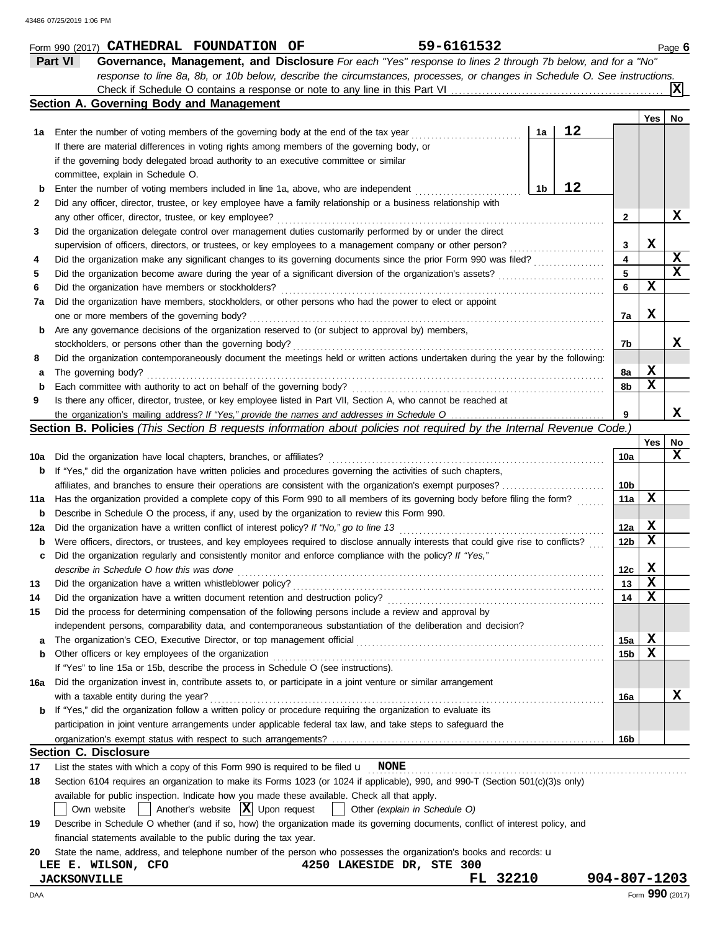|     | Form 990 (2017) CATHEDRAL FOUNDATION OF                                                                                                                                                                                                                                                                                                                                                                                                                                                                                                                                                                                                                                                                                                                                                                                                                                                                                                                                                                                                                                                                                                                                                                                                                                                                                                                                                                                                                                                                                                                                                                                                                                                                                                                                                                                                                                                                                                                                                                                                                                                                                                                                                                                                                                                                                                                                                                                                                                                                                                                                                                                                                                                                                                                                                                                                                                                                                                                                                                                                                                                                                                                                                                                                                                                                                                                                                                                                                                                                                                                                                                                               |                 |             | Page 6          |
|-----|---------------------------------------------------------------------------------------------------------------------------------------------------------------------------------------------------------------------------------------------------------------------------------------------------------------------------------------------------------------------------------------------------------------------------------------------------------------------------------------------------------------------------------------------------------------------------------------------------------------------------------------------------------------------------------------------------------------------------------------------------------------------------------------------------------------------------------------------------------------------------------------------------------------------------------------------------------------------------------------------------------------------------------------------------------------------------------------------------------------------------------------------------------------------------------------------------------------------------------------------------------------------------------------------------------------------------------------------------------------------------------------------------------------------------------------------------------------------------------------------------------------------------------------------------------------------------------------------------------------------------------------------------------------------------------------------------------------------------------------------------------------------------------------------------------------------------------------------------------------------------------------------------------------------------------------------------------------------------------------------------------------------------------------------------------------------------------------------------------------------------------------------------------------------------------------------------------------------------------------------------------------------------------------------------------------------------------------------------------------------------------------------------------------------------------------------------------------------------------------------------------------------------------------------------------------------------------------------------------------------------------------------------------------------------------------------------------------------------------------------------------------------------------------------------------------------------------------------------------------------------------------------------------------------------------------------------------------------------------------------------------------------------------------------------------------------------------------------------------------------------------------------------------------------------------------------------------------------------------------------------------------------------------------------------------------------------------------------------------------------------------------------------------------------------------------------------------------------------------------------------------------------------------------------------------------------------------------------------------------------------------------|-----------------|-------------|-----------------|
|     | Part VI                                                                                                                                                                                                                                                                                                                                                                                                                                                                                                                                                                                                                                                                                                                                                                                                                                                                                                                                                                                                                                                                                                                                                                                                                                                                                                                                                                                                                                                                                                                                                                                                                                                                                                                                                                                                                                                                                                                                                                                                                                                                                                                                                                                                                                                                                                                                                                                                                                                                                                                                                                                                                                                                                                                                                                                                                                                                                                                                                                                                                                                                                                                                                                                                                                                                                                                                                                                                                                                                                                                                                                                                                               |                 |             |                 |
|     |                                                                                                                                                                                                                                                                                                                                                                                                                                                                                                                                                                                                                                                                                                                                                                                                                                                                                                                                                                                                                                                                                                                                                                                                                                                                                                                                                                                                                                                                                                                                                                                                                                                                                                                                                                                                                                                                                                                                                                                                                                                                                                                                                                                                                                                                                                                                                                                                                                                                                                                                                                                                                                                                                                                                                                                                                                                                                                                                                                                                                                                                                                                                                                                                                                                                                                                                                                                                                                                                                                                                                                                                                                       |                 |             |                 |
|     |                                                                                                                                                                                                                                                                                                                                                                                                                                                                                                                                                                                                                                                                                                                                                                                                                                                                                                                                                                                                                                                                                                                                                                                                                                                                                                                                                                                                                                                                                                                                                                                                                                                                                                                                                                                                                                                                                                                                                                                                                                                                                                                                                                                                                                                                                                                                                                                                                                                                                                                                                                                                                                                                                                                                                                                                                                                                                                                                                                                                                                                                                                                                                                                                                                                                                                                                                                                                                                                                                                                                                                                                                                       |                 |             | ΙXΙ             |
|     |                                                                                                                                                                                                                                                                                                                                                                                                                                                                                                                                                                                                                                                                                                                                                                                                                                                                                                                                                                                                                                                                                                                                                                                                                                                                                                                                                                                                                                                                                                                                                                                                                                                                                                                                                                                                                                                                                                                                                                                                                                                                                                                                                                                                                                                                                                                                                                                                                                                                                                                                                                                                                                                                                                                                                                                                                                                                                                                                                                                                                                                                                                                                                                                                                                                                                                                                                                                                                                                                                                                                                                                                                                       |                 |             |                 |
|     |                                                                                                                                                                                                                                                                                                                                                                                                                                                                                                                                                                                                                                                                                                                                                                                                                                                                                                                                                                                                                                                                                                                                                                                                                                                                                                                                                                                                                                                                                                                                                                                                                                                                                                                                                                                                                                                                                                                                                                                                                                                                                                                                                                                                                                                                                                                                                                                                                                                                                                                                                                                                                                                                                                                                                                                                                                                                                                                                                                                                                                                                                                                                                                                                                                                                                                                                                                                                                                                                                                                                                                                                                                       |                 | Yes         | No              |
| 1a  |                                                                                                                                                                                                                                                                                                                                                                                                                                                                                                                                                                                                                                                                                                                                                                                                                                                                                                                                                                                                                                                                                                                                                                                                                                                                                                                                                                                                                                                                                                                                                                                                                                                                                                                                                                                                                                                                                                                                                                                                                                                                                                                                                                                                                                                                                                                                                                                                                                                                                                                                                                                                                                                                                                                                                                                                                                                                                                                                                                                                                                                                                                                                                                                                                                                                                                                                                                                                                                                                                                                                                                                                                                       |                 |             |                 |
|     |                                                                                                                                                                                                                                                                                                                                                                                                                                                                                                                                                                                                                                                                                                                                                                                                                                                                                                                                                                                                                                                                                                                                                                                                                                                                                                                                                                                                                                                                                                                                                                                                                                                                                                                                                                                                                                                                                                                                                                                                                                                                                                                                                                                                                                                                                                                                                                                                                                                                                                                                                                                                                                                                                                                                                                                                                                                                                                                                                                                                                                                                                                                                                                                                                                                                                                                                                                                                                                                                                                                                                                                                                                       |                 |             |                 |
|     |                                                                                                                                                                                                                                                                                                                                                                                                                                                                                                                                                                                                                                                                                                                                                                                                                                                                                                                                                                                                                                                                                                                                                                                                                                                                                                                                                                                                                                                                                                                                                                                                                                                                                                                                                                                                                                                                                                                                                                                                                                                                                                                                                                                                                                                                                                                                                                                                                                                                                                                                                                                                                                                                                                                                                                                                                                                                                                                                                                                                                                                                                                                                                                                                                                                                                                                                                                                                                                                                                                                                                                                                                                       |                 |             |                 |
|     |                                                                                                                                                                                                                                                                                                                                                                                                                                                                                                                                                                                                                                                                                                                                                                                                                                                                                                                                                                                                                                                                                                                                                                                                                                                                                                                                                                                                                                                                                                                                                                                                                                                                                                                                                                                                                                                                                                                                                                                                                                                                                                                                                                                                                                                                                                                                                                                                                                                                                                                                                                                                                                                                                                                                                                                                                                                                                                                                                                                                                                                                                                                                                                                                                                                                                                                                                                                                                                                                                                                                                                                                                                       |                 |             |                 |
| b   |                                                                                                                                                                                                                                                                                                                                                                                                                                                                                                                                                                                                                                                                                                                                                                                                                                                                                                                                                                                                                                                                                                                                                                                                                                                                                                                                                                                                                                                                                                                                                                                                                                                                                                                                                                                                                                                                                                                                                                                                                                                                                                                                                                                                                                                                                                                                                                                                                                                                                                                                                                                                                                                                                                                                                                                                                                                                                                                                                                                                                                                                                                                                                                                                                                                                                                                                                                                                                                                                                                                                                                                                                                       |                 |             |                 |
| 2   |                                                                                                                                                                                                                                                                                                                                                                                                                                                                                                                                                                                                                                                                                                                                                                                                                                                                                                                                                                                                                                                                                                                                                                                                                                                                                                                                                                                                                                                                                                                                                                                                                                                                                                                                                                                                                                                                                                                                                                                                                                                                                                                                                                                                                                                                                                                                                                                                                                                                                                                                                                                                                                                                                                                                                                                                                                                                                                                                                                                                                                                                                                                                                                                                                                                                                                                                                                                                                                                                                                                                                                                                                                       |                 |             |                 |
|     | 59-6161532<br>Governance, Management, and Disclosure For each "Yes" response to lines 2 through 7b below, and for a "No"<br>response to line 8a, 8b, or 10b below, describe the circumstances, processes, or changes in Schedule O. See instructions.<br>Section A. Governing Body and Management<br>12<br>1a<br>Enter the number of voting members of the governing body at the end of the tax year<br>If there are material differences in voting rights among members of the governing body, or<br>if the governing body delegated broad authority to an executive committee or similar<br>committee, explain in Schedule O.<br>12<br>1 <sub>b</sub><br>Enter the number of voting members included in line 1a, above, who are independent<br>Did any officer, director, trustee, or key employee have a family relationship or a business relationship with<br>any other officer, director, trustee, or key employee?<br>2<br>Did the organization delegate control over management duties customarily performed by or under the direct<br>supervision of officers, directors, or trustees, or key employees to a management company or other person?<br>3<br>4<br>Did the organization make any significant changes to its governing documents since the prior Form 990 was filed?<br>5<br>Did the organization become aware during the year of a significant diversion of the organization's assets?<br>6<br>Did the organization have members or stockholders?<br>Did the organization have members, stockholders, or other persons who had the power to elect or appoint<br>one or more members of the governing body?<br>7a<br>Are any governance decisions of the organization reserved to (or subject to approval by) members,<br>stockholders, or persons other than the governing body?<br>7b<br>Did the organization contemporaneously document the meetings held or written actions undertaken during the year by the following:<br>The governing body?<br>8a<br>Each committee with authority to act on behalf of the governing body?<br>8b<br>Is there any officer, director, trustee, or key employee listed in Part VII, Section A, who cannot be reached at<br>9<br>Section B. Policies (This Section B requests information about policies not required by the Internal Revenue Code.)<br>Did the organization have local chapters, branches, or affiliates?<br>If "Yes," did the organization have written policies and procedures governing the activities of such chapters,<br>affiliates, and branches to ensure their operations are consistent with the organization's exempt purposes?<br>Has the organization provided a complete copy of this Form 990 to all members of its governing body before filing the form?<br>Describe in Schedule O the process, if any, used by the organization to review this Form 990.<br>Did the organization have a written conflict of interest policy? If "No," go to line 13<br>Were officers, directors, or trustees, and key employees required to disclose annually interests that could give rise to conflicts?<br>describe in Schedule O how this was done<br>Did the organization have a written document retention and destruction policy?<br>Did the process for determining compensation of the following persons include a review and approval by<br>Another's website $ \mathbf{X} $ Upon request<br>Other (explain in Schedule O)<br>Own website<br>Describe in Schedule O whether (and if so, how) the organization made its governing documents, conflict of interest policy, and<br>financial statements available to the public during the tax year. |                 |             | X               |
| 3   |                                                                                                                                                                                                                                                                                                                                                                                                                                                                                                                                                                                                                                                                                                                                                                                                                                                                                                                                                                                                                                                                                                                                                                                                                                                                                                                                                                                                                                                                                                                                                                                                                                                                                                                                                                                                                                                                                                                                                                                                                                                                                                                                                                                                                                                                                                                                                                                                                                                                                                                                                                                                                                                                                                                                                                                                                                                                                                                                                                                                                                                                                                                                                                                                                                                                                                                                                                                                                                                                                                                                                                                                                                       |                 |             |                 |
|     |                                                                                                                                                                                                                                                                                                                                                                                                                                                                                                                                                                                                                                                                                                                                                                                                                                                                                                                                                                                                                                                                                                                                                                                                                                                                                                                                                                                                                                                                                                                                                                                                                                                                                                                                                                                                                                                                                                                                                                                                                                                                                                                                                                                                                                                                                                                                                                                                                                                                                                                                                                                                                                                                                                                                                                                                                                                                                                                                                                                                                                                                                                                                                                                                                                                                                                                                                                                                                                                                                                                                                                                                                                       |                 | X           |                 |
| 4   |                                                                                                                                                                                                                                                                                                                                                                                                                                                                                                                                                                                                                                                                                                                                                                                                                                                                                                                                                                                                                                                                                                                                                                                                                                                                                                                                                                                                                                                                                                                                                                                                                                                                                                                                                                                                                                                                                                                                                                                                                                                                                                                                                                                                                                                                                                                                                                                                                                                                                                                                                                                                                                                                                                                                                                                                                                                                                                                                                                                                                                                                                                                                                                                                                                                                                                                                                                                                                                                                                                                                                                                                                                       |                 |             | $\mathbf x$     |
| 5   |                                                                                                                                                                                                                                                                                                                                                                                                                                                                                                                                                                                                                                                                                                                                                                                                                                                                                                                                                                                                                                                                                                                                                                                                                                                                                                                                                                                                                                                                                                                                                                                                                                                                                                                                                                                                                                                                                                                                                                                                                                                                                                                                                                                                                                                                                                                                                                                                                                                                                                                                                                                                                                                                                                                                                                                                                                                                                                                                                                                                                                                                                                                                                                                                                                                                                                                                                                                                                                                                                                                                                                                                                                       |                 |             | $\mathbf x$     |
| 6   |                                                                                                                                                                                                                                                                                                                                                                                                                                                                                                                                                                                                                                                                                                                                                                                                                                                                                                                                                                                                                                                                                                                                                                                                                                                                                                                                                                                                                                                                                                                                                                                                                                                                                                                                                                                                                                                                                                                                                                                                                                                                                                                                                                                                                                                                                                                                                                                                                                                                                                                                                                                                                                                                                                                                                                                                                                                                                                                                                                                                                                                                                                                                                                                                                                                                                                                                                                                                                                                                                                                                                                                                                                       |                 | X           |                 |
|     |                                                                                                                                                                                                                                                                                                                                                                                                                                                                                                                                                                                                                                                                                                                                                                                                                                                                                                                                                                                                                                                                                                                                                                                                                                                                                                                                                                                                                                                                                                                                                                                                                                                                                                                                                                                                                                                                                                                                                                                                                                                                                                                                                                                                                                                                                                                                                                                                                                                                                                                                                                                                                                                                                                                                                                                                                                                                                                                                                                                                                                                                                                                                                                                                                                                                                                                                                                                                                                                                                                                                                                                                                                       |                 |             |                 |
| 7a  |                                                                                                                                                                                                                                                                                                                                                                                                                                                                                                                                                                                                                                                                                                                                                                                                                                                                                                                                                                                                                                                                                                                                                                                                                                                                                                                                                                                                                                                                                                                                                                                                                                                                                                                                                                                                                                                                                                                                                                                                                                                                                                                                                                                                                                                                                                                                                                                                                                                                                                                                                                                                                                                                                                                                                                                                                                                                                                                                                                                                                                                                                                                                                                                                                                                                                                                                                                                                                                                                                                                                                                                                                                       |                 | X           |                 |
|     |                                                                                                                                                                                                                                                                                                                                                                                                                                                                                                                                                                                                                                                                                                                                                                                                                                                                                                                                                                                                                                                                                                                                                                                                                                                                                                                                                                                                                                                                                                                                                                                                                                                                                                                                                                                                                                                                                                                                                                                                                                                                                                                                                                                                                                                                                                                                                                                                                                                                                                                                                                                                                                                                                                                                                                                                                                                                                                                                                                                                                                                                                                                                                                                                                                                                                                                                                                                                                                                                                                                                                                                                                                       |                 |             |                 |
| b   |                                                                                                                                                                                                                                                                                                                                                                                                                                                                                                                                                                                                                                                                                                                                                                                                                                                                                                                                                                                                                                                                                                                                                                                                                                                                                                                                                                                                                                                                                                                                                                                                                                                                                                                                                                                                                                                                                                                                                                                                                                                                                                                                                                                                                                                                                                                                                                                                                                                                                                                                                                                                                                                                                                                                                                                                                                                                                                                                                                                                                                                                                                                                                                                                                                                                                                                                                                                                                                                                                                                                                                                                                                       |                 |             |                 |
|     |                                                                                                                                                                                                                                                                                                                                                                                                                                                                                                                                                                                                                                                                                                                                                                                                                                                                                                                                                                                                                                                                                                                                                                                                                                                                                                                                                                                                                                                                                                                                                                                                                                                                                                                                                                                                                                                                                                                                                                                                                                                                                                                                                                                                                                                                                                                                                                                                                                                                                                                                                                                                                                                                                                                                                                                                                                                                                                                                                                                                                                                                                                                                                                                                                                                                                                                                                                                                                                                                                                                                                                                                                                       |                 |             | x               |
| 8   |                                                                                                                                                                                                                                                                                                                                                                                                                                                                                                                                                                                                                                                                                                                                                                                                                                                                                                                                                                                                                                                                                                                                                                                                                                                                                                                                                                                                                                                                                                                                                                                                                                                                                                                                                                                                                                                                                                                                                                                                                                                                                                                                                                                                                                                                                                                                                                                                                                                                                                                                                                                                                                                                                                                                                                                                                                                                                                                                                                                                                                                                                                                                                                                                                                                                                                                                                                                                                                                                                                                                                                                                                                       |                 |             |                 |
| а   |                                                                                                                                                                                                                                                                                                                                                                                                                                                                                                                                                                                                                                                                                                                                                                                                                                                                                                                                                                                                                                                                                                                                                                                                                                                                                                                                                                                                                                                                                                                                                                                                                                                                                                                                                                                                                                                                                                                                                                                                                                                                                                                                                                                                                                                                                                                                                                                                                                                                                                                                                                                                                                                                                                                                                                                                                                                                                                                                                                                                                                                                                                                                                                                                                                                                                                                                                                                                                                                                                                                                                                                                                                       |                 | X           |                 |
| b   |                                                                                                                                                                                                                                                                                                                                                                                                                                                                                                                                                                                                                                                                                                                                                                                                                                                                                                                                                                                                                                                                                                                                                                                                                                                                                                                                                                                                                                                                                                                                                                                                                                                                                                                                                                                                                                                                                                                                                                                                                                                                                                                                                                                                                                                                                                                                                                                                                                                                                                                                                                                                                                                                                                                                                                                                                                                                                                                                                                                                                                                                                                                                                                                                                                                                                                                                                                                                                                                                                                                                                                                                                                       |                 | X           |                 |
| 9   |                                                                                                                                                                                                                                                                                                                                                                                                                                                                                                                                                                                                                                                                                                                                                                                                                                                                                                                                                                                                                                                                                                                                                                                                                                                                                                                                                                                                                                                                                                                                                                                                                                                                                                                                                                                                                                                                                                                                                                                                                                                                                                                                                                                                                                                                                                                                                                                                                                                                                                                                                                                                                                                                                                                                                                                                                                                                                                                                                                                                                                                                                                                                                                                                                                                                                                                                                                                                                                                                                                                                                                                                                                       |                 |             |                 |
|     |                                                                                                                                                                                                                                                                                                                                                                                                                                                                                                                                                                                                                                                                                                                                                                                                                                                                                                                                                                                                                                                                                                                                                                                                                                                                                                                                                                                                                                                                                                                                                                                                                                                                                                                                                                                                                                                                                                                                                                                                                                                                                                                                                                                                                                                                                                                                                                                                                                                                                                                                                                                                                                                                                                                                                                                                                                                                                                                                                                                                                                                                                                                                                                                                                                                                                                                                                                                                                                                                                                                                                                                                                                       |                 |             | x               |
|     |                                                                                                                                                                                                                                                                                                                                                                                                                                                                                                                                                                                                                                                                                                                                                                                                                                                                                                                                                                                                                                                                                                                                                                                                                                                                                                                                                                                                                                                                                                                                                                                                                                                                                                                                                                                                                                                                                                                                                                                                                                                                                                                                                                                                                                                                                                                                                                                                                                                                                                                                                                                                                                                                                                                                                                                                                                                                                                                                                                                                                                                                                                                                                                                                                                                                                                                                                                                                                                                                                                                                                                                                                                       |                 |             |                 |
|     |                                                                                                                                                                                                                                                                                                                                                                                                                                                                                                                                                                                                                                                                                                                                                                                                                                                                                                                                                                                                                                                                                                                                                                                                                                                                                                                                                                                                                                                                                                                                                                                                                                                                                                                                                                                                                                                                                                                                                                                                                                                                                                                                                                                                                                                                                                                                                                                                                                                                                                                                                                                                                                                                                                                                                                                                                                                                                                                                                                                                                                                                                                                                                                                                                                                                                                                                                                                                                                                                                                                                                                                                                                       |                 | Yes         | No              |
| 10a |                                                                                                                                                                                                                                                                                                                                                                                                                                                                                                                                                                                                                                                                                                                                                                                                                                                                                                                                                                                                                                                                                                                                                                                                                                                                                                                                                                                                                                                                                                                                                                                                                                                                                                                                                                                                                                                                                                                                                                                                                                                                                                                                                                                                                                                                                                                                                                                                                                                                                                                                                                                                                                                                                                                                                                                                                                                                                                                                                                                                                                                                                                                                                                                                                                                                                                                                                                                                                                                                                                                                                                                                                                       | 10a             |             | x               |
| b   |                                                                                                                                                                                                                                                                                                                                                                                                                                                                                                                                                                                                                                                                                                                                                                                                                                                                                                                                                                                                                                                                                                                                                                                                                                                                                                                                                                                                                                                                                                                                                                                                                                                                                                                                                                                                                                                                                                                                                                                                                                                                                                                                                                                                                                                                                                                                                                                                                                                                                                                                                                                                                                                                                                                                                                                                                                                                                                                                                                                                                                                                                                                                                                                                                                                                                                                                                                                                                                                                                                                                                                                                                                       |                 |             |                 |
|     |                                                                                                                                                                                                                                                                                                                                                                                                                                                                                                                                                                                                                                                                                                                                                                                                                                                                                                                                                                                                                                                                                                                                                                                                                                                                                                                                                                                                                                                                                                                                                                                                                                                                                                                                                                                                                                                                                                                                                                                                                                                                                                                                                                                                                                                                                                                                                                                                                                                                                                                                                                                                                                                                                                                                                                                                                                                                                                                                                                                                                                                                                                                                                                                                                                                                                                                                                                                                                                                                                                                                                                                                                                       | 10b             |             |                 |
| 11a |                                                                                                                                                                                                                                                                                                                                                                                                                                                                                                                                                                                                                                                                                                                                                                                                                                                                                                                                                                                                                                                                                                                                                                                                                                                                                                                                                                                                                                                                                                                                                                                                                                                                                                                                                                                                                                                                                                                                                                                                                                                                                                                                                                                                                                                                                                                                                                                                                                                                                                                                                                                                                                                                                                                                                                                                                                                                                                                                                                                                                                                                                                                                                                                                                                                                                                                                                                                                                                                                                                                                                                                                                                       | 11a             | X           |                 |
| b   |                                                                                                                                                                                                                                                                                                                                                                                                                                                                                                                                                                                                                                                                                                                                                                                                                                                                                                                                                                                                                                                                                                                                                                                                                                                                                                                                                                                                                                                                                                                                                                                                                                                                                                                                                                                                                                                                                                                                                                                                                                                                                                                                                                                                                                                                                                                                                                                                                                                                                                                                                                                                                                                                                                                                                                                                                                                                                                                                                                                                                                                                                                                                                                                                                                                                                                                                                                                                                                                                                                                                                                                                                                       |                 |             |                 |
| 12a |                                                                                                                                                                                                                                                                                                                                                                                                                                                                                                                                                                                                                                                                                                                                                                                                                                                                                                                                                                                                                                                                                                                                                                                                                                                                                                                                                                                                                                                                                                                                                                                                                                                                                                                                                                                                                                                                                                                                                                                                                                                                                                                                                                                                                                                                                                                                                                                                                                                                                                                                                                                                                                                                                                                                                                                                                                                                                                                                                                                                                                                                                                                                                                                                                                                                                                                                                                                                                                                                                                                                                                                                                                       | 12a             | X           |                 |
| b   |                                                                                                                                                                                                                                                                                                                                                                                                                                                                                                                                                                                                                                                                                                                                                                                                                                                                                                                                                                                                                                                                                                                                                                                                                                                                                                                                                                                                                                                                                                                                                                                                                                                                                                                                                                                                                                                                                                                                                                                                                                                                                                                                                                                                                                                                                                                                                                                                                                                                                                                                                                                                                                                                                                                                                                                                                                                                                                                                                                                                                                                                                                                                                                                                                                                                                                                                                                                                                                                                                                                                                                                                                                       | 12b             | X           |                 |
| c   | Did the organization regularly and consistently monitor and enforce compliance with the policy? If "Yes,"                                                                                                                                                                                                                                                                                                                                                                                                                                                                                                                                                                                                                                                                                                                                                                                                                                                                                                                                                                                                                                                                                                                                                                                                                                                                                                                                                                                                                                                                                                                                                                                                                                                                                                                                                                                                                                                                                                                                                                                                                                                                                                                                                                                                                                                                                                                                                                                                                                                                                                                                                                                                                                                                                                                                                                                                                                                                                                                                                                                                                                                                                                                                                                                                                                                                                                                                                                                                                                                                                                                             |                 |             |                 |
|     |                                                                                                                                                                                                                                                                                                                                                                                                                                                                                                                                                                                                                                                                                                                                                                                                                                                                                                                                                                                                                                                                                                                                                                                                                                                                                                                                                                                                                                                                                                                                                                                                                                                                                                                                                                                                                                                                                                                                                                                                                                                                                                                                                                                                                                                                                                                                                                                                                                                                                                                                                                                                                                                                                                                                                                                                                                                                                                                                                                                                                                                                                                                                                                                                                                                                                                                                                                                                                                                                                                                                                                                                                                       | 12c             | $\mathbf x$ |                 |
| 13  | Did the organization have a written whistleblower policy?                                                                                                                                                                                                                                                                                                                                                                                                                                                                                                                                                                                                                                                                                                                                                                                                                                                                                                                                                                                                                                                                                                                                                                                                                                                                                                                                                                                                                                                                                                                                                                                                                                                                                                                                                                                                                                                                                                                                                                                                                                                                                                                                                                                                                                                                                                                                                                                                                                                                                                                                                                                                                                                                                                                                                                                                                                                                                                                                                                                                                                                                                                                                                                                                                                                                                                                                                                                                                                                                                                                                                                             | 13              | X           |                 |
| 14  |                                                                                                                                                                                                                                                                                                                                                                                                                                                                                                                                                                                                                                                                                                                                                                                                                                                                                                                                                                                                                                                                                                                                                                                                                                                                                                                                                                                                                                                                                                                                                                                                                                                                                                                                                                                                                                                                                                                                                                                                                                                                                                                                                                                                                                                                                                                                                                                                                                                                                                                                                                                                                                                                                                                                                                                                                                                                                                                                                                                                                                                                                                                                                                                                                                                                                                                                                                                                                                                                                                                                                                                                                                       | 14              | х           |                 |
| 15  |                                                                                                                                                                                                                                                                                                                                                                                                                                                                                                                                                                                                                                                                                                                                                                                                                                                                                                                                                                                                                                                                                                                                                                                                                                                                                                                                                                                                                                                                                                                                                                                                                                                                                                                                                                                                                                                                                                                                                                                                                                                                                                                                                                                                                                                                                                                                                                                                                                                                                                                                                                                                                                                                                                                                                                                                                                                                                                                                                                                                                                                                                                                                                                                                                                                                                                                                                                                                                                                                                                                                                                                                                                       |                 |             |                 |
|     | independent persons, comparability data, and contemporaneous substantiation of the deliberation and decision?                                                                                                                                                                                                                                                                                                                                                                                                                                                                                                                                                                                                                                                                                                                                                                                                                                                                                                                                                                                                                                                                                                                                                                                                                                                                                                                                                                                                                                                                                                                                                                                                                                                                                                                                                                                                                                                                                                                                                                                                                                                                                                                                                                                                                                                                                                                                                                                                                                                                                                                                                                                                                                                                                                                                                                                                                                                                                                                                                                                                                                                                                                                                                                                                                                                                                                                                                                                                                                                                                                                         |                 |             |                 |
| а   | The organization's CEO, Executive Director, or top management official                                                                                                                                                                                                                                                                                                                                                                                                                                                                                                                                                                                                                                                                                                                                                                                                                                                                                                                                                                                                                                                                                                                                                                                                                                                                                                                                                                                                                                                                                                                                                                                                                                                                                                                                                                                                                                                                                                                                                                                                                                                                                                                                                                                                                                                                                                                                                                                                                                                                                                                                                                                                                                                                                                                                                                                                                                                                                                                                                                                                                                                                                                                                                                                                                                                                                                                                                                                                                                                                                                                                                                | 15a             | X           |                 |
| b   | Other officers or key employees of the organization                                                                                                                                                                                                                                                                                                                                                                                                                                                                                                                                                                                                                                                                                                                                                                                                                                                                                                                                                                                                                                                                                                                                                                                                                                                                                                                                                                                                                                                                                                                                                                                                                                                                                                                                                                                                                                                                                                                                                                                                                                                                                                                                                                                                                                                                                                                                                                                                                                                                                                                                                                                                                                                                                                                                                                                                                                                                                                                                                                                                                                                                                                                                                                                                                                                                                                                                                                                                                                                                                                                                                                                   | 15b             | х           |                 |
|     | If "Yes" to line 15a or 15b, describe the process in Schedule O (see instructions).                                                                                                                                                                                                                                                                                                                                                                                                                                                                                                                                                                                                                                                                                                                                                                                                                                                                                                                                                                                                                                                                                                                                                                                                                                                                                                                                                                                                                                                                                                                                                                                                                                                                                                                                                                                                                                                                                                                                                                                                                                                                                                                                                                                                                                                                                                                                                                                                                                                                                                                                                                                                                                                                                                                                                                                                                                                                                                                                                                                                                                                                                                                                                                                                                                                                                                                                                                                                                                                                                                                                                   |                 |             |                 |
| 16a | Did the organization invest in, contribute assets to, or participate in a joint venture or similar arrangement                                                                                                                                                                                                                                                                                                                                                                                                                                                                                                                                                                                                                                                                                                                                                                                                                                                                                                                                                                                                                                                                                                                                                                                                                                                                                                                                                                                                                                                                                                                                                                                                                                                                                                                                                                                                                                                                                                                                                                                                                                                                                                                                                                                                                                                                                                                                                                                                                                                                                                                                                                                                                                                                                                                                                                                                                                                                                                                                                                                                                                                                                                                                                                                                                                                                                                                                                                                                                                                                                                                        |                 |             |                 |
|     | with a taxable entity during the year?                                                                                                                                                                                                                                                                                                                                                                                                                                                                                                                                                                                                                                                                                                                                                                                                                                                                                                                                                                                                                                                                                                                                                                                                                                                                                                                                                                                                                                                                                                                                                                                                                                                                                                                                                                                                                                                                                                                                                                                                                                                                                                                                                                                                                                                                                                                                                                                                                                                                                                                                                                                                                                                                                                                                                                                                                                                                                                                                                                                                                                                                                                                                                                                                                                                                                                                                                                                                                                                                                                                                                                                                | 16a             |             | х               |
| b   | If "Yes," did the organization follow a written policy or procedure requiring the organization to evaluate its                                                                                                                                                                                                                                                                                                                                                                                                                                                                                                                                                                                                                                                                                                                                                                                                                                                                                                                                                                                                                                                                                                                                                                                                                                                                                                                                                                                                                                                                                                                                                                                                                                                                                                                                                                                                                                                                                                                                                                                                                                                                                                                                                                                                                                                                                                                                                                                                                                                                                                                                                                                                                                                                                                                                                                                                                                                                                                                                                                                                                                                                                                                                                                                                                                                                                                                                                                                                                                                                                                                        |                 |             |                 |
|     | participation in joint venture arrangements under applicable federal tax law, and take steps to safeguard the                                                                                                                                                                                                                                                                                                                                                                                                                                                                                                                                                                                                                                                                                                                                                                                                                                                                                                                                                                                                                                                                                                                                                                                                                                                                                                                                                                                                                                                                                                                                                                                                                                                                                                                                                                                                                                                                                                                                                                                                                                                                                                                                                                                                                                                                                                                                                                                                                                                                                                                                                                                                                                                                                                                                                                                                                                                                                                                                                                                                                                                                                                                                                                                                                                                                                                                                                                                                                                                                                                                         |                 |             |                 |
|     |                                                                                                                                                                                                                                                                                                                                                                                                                                                                                                                                                                                                                                                                                                                                                                                                                                                                                                                                                                                                                                                                                                                                                                                                                                                                                                                                                                                                                                                                                                                                                                                                                                                                                                                                                                                                                                                                                                                                                                                                                                                                                                                                                                                                                                                                                                                                                                                                                                                                                                                                                                                                                                                                                                                                                                                                                                                                                                                                                                                                                                                                                                                                                                                                                                                                                                                                                                                                                                                                                                                                                                                                                                       | 16 <sub>b</sub> |             |                 |
|     | <b>Section C. Disclosure</b>                                                                                                                                                                                                                                                                                                                                                                                                                                                                                                                                                                                                                                                                                                                                                                                                                                                                                                                                                                                                                                                                                                                                                                                                                                                                                                                                                                                                                                                                                                                                                                                                                                                                                                                                                                                                                                                                                                                                                                                                                                                                                                                                                                                                                                                                                                                                                                                                                                                                                                                                                                                                                                                                                                                                                                                                                                                                                                                                                                                                                                                                                                                                                                                                                                                                                                                                                                                                                                                                                                                                                                                                          |                 |             |                 |
| 17  | List the states with which a copy of this Form 990 is required to be filed $\mathbf u$ NONE                                                                                                                                                                                                                                                                                                                                                                                                                                                                                                                                                                                                                                                                                                                                                                                                                                                                                                                                                                                                                                                                                                                                                                                                                                                                                                                                                                                                                                                                                                                                                                                                                                                                                                                                                                                                                                                                                                                                                                                                                                                                                                                                                                                                                                                                                                                                                                                                                                                                                                                                                                                                                                                                                                                                                                                                                                                                                                                                                                                                                                                                                                                                                                                                                                                                                                                                                                                                                                                                                                                                           |                 |             |                 |
| 18  | Section 6104 requires an organization to make its Forms 1023 (or 1024 if applicable), 990, and 990-T (Section 501(c)(3)s only)                                                                                                                                                                                                                                                                                                                                                                                                                                                                                                                                                                                                                                                                                                                                                                                                                                                                                                                                                                                                                                                                                                                                                                                                                                                                                                                                                                                                                                                                                                                                                                                                                                                                                                                                                                                                                                                                                                                                                                                                                                                                                                                                                                                                                                                                                                                                                                                                                                                                                                                                                                                                                                                                                                                                                                                                                                                                                                                                                                                                                                                                                                                                                                                                                                                                                                                                                                                                                                                                                                        |                 |             |                 |
|     | available for public inspection. Indicate how you made these available. Check all that apply.                                                                                                                                                                                                                                                                                                                                                                                                                                                                                                                                                                                                                                                                                                                                                                                                                                                                                                                                                                                                                                                                                                                                                                                                                                                                                                                                                                                                                                                                                                                                                                                                                                                                                                                                                                                                                                                                                                                                                                                                                                                                                                                                                                                                                                                                                                                                                                                                                                                                                                                                                                                                                                                                                                                                                                                                                                                                                                                                                                                                                                                                                                                                                                                                                                                                                                                                                                                                                                                                                                                                         |                 |             |                 |
|     |                                                                                                                                                                                                                                                                                                                                                                                                                                                                                                                                                                                                                                                                                                                                                                                                                                                                                                                                                                                                                                                                                                                                                                                                                                                                                                                                                                                                                                                                                                                                                                                                                                                                                                                                                                                                                                                                                                                                                                                                                                                                                                                                                                                                                                                                                                                                                                                                                                                                                                                                                                                                                                                                                                                                                                                                                                                                                                                                                                                                                                                                                                                                                                                                                                                                                                                                                                                                                                                                                                                                                                                                                                       |                 |             |                 |
| 19  |                                                                                                                                                                                                                                                                                                                                                                                                                                                                                                                                                                                                                                                                                                                                                                                                                                                                                                                                                                                                                                                                                                                                                                                                                                                                                                                                                                                                                                                                                                                                                                                                                                                                                                                                                                                                                                                                                                                                                                                                                                                                                                                                                                                                                                                                                                                                                                                                                                                                                                                                                                                                                                                                                                                                                                                                                                                                                                                                                                                                                                                                                                                                                                                                                                                                                                                                                                                                                                                                                                                                                                                                                                       |                 |             |                 |
|     |                                                                                                                                                                                                                                                                                                                                                                                                                                                                                                                                                                                                                                                                                                                                                                                                                                                                                                                                                                                                                                                                                                                                                                                                                                                                                                                                                                                                                                                                                                                                                                                                                                                                                                                                                                                                                                                                                                                                                                                                                                                                                                                                                                                                                                                                                                                                                                                                                                                                                                                                                                                                                                                                                                                                                                                                                                                                                                                                                                                                                                                                                                                                                                                                                                                                                                                                                                                                                                                                                                                                                                                                                                       |                 |             |                 |
| 20  | State the name, address, and telephone number of the person who possesses the organization's books and records: u                                                                                                                                                                                                                                                                                                                                                                                                                                                                                                                                                                                                                                                                                                                                                                                                                                                                                                                                                                                                                                                                                                                                                                                                                                                                                                                                                                                                                                                                                                                                                                                                                                                                                                                                                                                                                                                                                                                                                                                                                                                                                                                                                                                                                                                                                                                                                                                                                                                                                                                                                                                                                                                                                                                                                                                                                                                                                                                                                                                                                                                                                                                                                                                                                                                                                                                                                                                                                                                                                                                     |                 |             |                 |
|     | 4250 LAKESIDE DR, STE 300<br>LEE E. WILSON, CFO                                                                                                                                                                                                                                                                                                                                                                                                                                                                                                                                                                                                                                                                                                                                                                                                                                                                                                                                                                                                                                                                                                                                                                                                                                                                                                                                                                                                                                                                                                                                                                                                                                                                                                                                                                                                                                                                                                                                                                                                                                                                                                                                                                                                                                                                                                                                                                                                                                                                                                                                                                                                                                                                                                                                                                                                                                                                                                                                                                                                                                                                                                                                                                                                                                                                                                                                                                                                                                                                                                                                                                                       |                 |             |                 |
|     | 32210<br><b>JACKSONVILLE</b><br>FL.                                                                                                                                                                                                                                                                                                                                                                                                                                                                                                                                                                                                                                                                                                                                                                                                                                                                                                                                                                                                                                                                                                                                                                                                                                                                                                                                                                                                                                                                                                                                                                                                                                                                                                                                                                                                                                                                                                                                                                                                                                                                                                                                                                                                                                                                                                                                                                                                                                                                                                                                                                                                                                                                                                                                                                                                                                                                                                                                                                                                                                                                                                                                                                                                                                                                                                                                                                                                                                                                                                                                                                                                   | 904-807-1203    |             |                 |
| DAA |                                                                                                                                                                                                                                                                                                                                                                                                                                                                                                                                                                                                                                                                                                                                                                                                                                                                                                                                                                                                                                                                                                                                                                                                                                                                                                                                                                                                                                                                                                                                                                                                                                                                                                                                                                                                                                                                                                                                                                                                                                                                                                                                                                                                                                                                                                                                                                                                                                                                                                                                                                                                                                                                                                                                                                                                                                                                                                                                                                                                                                                                                                                                                                                                                                                                                                                                                                                                                                                                                                                                                                                                                                       |                 |             | Form 990 (2017) |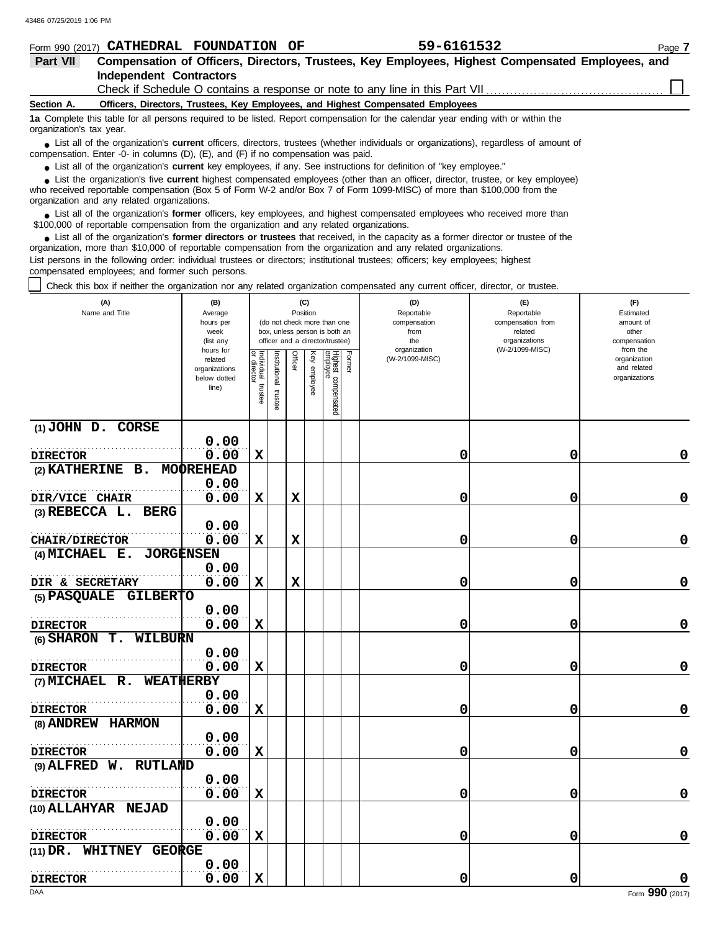|            | Form 990 (2017) CATHEDRAL FOUNDATION OF                                                                                                                         | 59-6161532                                                                                                                             | Page 7 |  |  |  |  |  |  |  |
|------------|-----------------------------------------------------------------------------------------------------------------------------------------------------------------|----------------------------------------------------------------------------------------------------------------------------------------|--------|--|--|--|--|--|--|--|
| Part VII   |                                                                                                                                                                 | Compensation of Officers, Directors, Trustees, Key Employees, Highest Compensated Employees, and                                       |        |  |  |  |  |  |  |  |
|            | <b>Independent Contractors</b>                                                                                                                                  |                                                                                                                                        |        |  |  |  |  |  |  |  |
|            | Check if Schedule O contains a response or note to any line in this Part VII<br>Officers, Directors, Trustees, Key Employees, and Highest Compensated Employees |                                                                                                                                        |        |  |  |  |  |  |  |  |
| Section A. |                                                                                                                                                                 |                                                                                                                                        |        |  |  |  |  |  |  |  |
|            | 1a Complete this table for all persons required to be listed. Report compensation for the calendar year ending with or within the<br>organization's tax year.   |                                                                                                                                        |        |  |  |  |  |  |  |  |
|            | compensation. Enter -0- in columns $(D)$ , $(E)$ , and $(F)$ if no compensation was paid.                                                                       | • List all of the organization's current officers, directors, trustees (whether individuals or organizations), regardless of amount of |        |  |  |  |  |  |  |  |
|            | • List all of the organization's current key employees, if any. See instructions for definition of "key employee."                                              |                                                                                                                                        |        |  |  |  |  |  |  |  |

who received reportable compensation (Box 5 of Form W-2 and/or Box 7 of Form 1099-MISC) of more than \$100,000 from the organization and any related organizations. **•** List all of the organization's **current** key employees, if any. See instructions for definition of "key employee."<br>• List the organization's five **current** highest compensated employees (other than an officer, director **•**

■ List all of the organization's **former** officers, key employees, and highest compensated employees who received more than<br> **•** 00,000 of reportable compensation from the ergonization and any related ergonizations \$100,000 of reportable compensation from the organization and any related organizations.

■ List all of the organization's **former directors or trustees** that received, in the capacity as a former director or trustee of the<br>paization, more than \$10,000 of reportable compensation from the organization and any r organization, more than \$10,000 of reportable compensation from the organization and any related organizations. List persons in the following order: individual trustees or directors; institutional trustees; officers; key employees; highest compensated employees; and former such persons.

Check this box if neither the organization nor any related organization compensated any current officer, director, or trustee.

| (A)<br>Name and Title                | (B)<br>Average<br>hours per<br>week<br>(list any               |                                      |                          | Position    | (C)          | (do not check more than one<br>box, unless person is both an<br>officer and a director/trustee) | (D)<br>Reportable<br>compensation<br>from<br>the | (E)<br>Reportable<br>compensation from<br>related<br>organizations | (F)<br>Estimated<br>amount of<br>other<br>compensation   |
|--------------------------------------|----------------------------------------------------------------|--------------------------------------|--------------------------|-------------|--------------|-------------------------------------------------------------------------------------------------|--------------------------------------------------|--------------------------------------------------------------------|----------------------------------------------------------|
|                                      | hours for<br>related<br>organizations<br>below dotted<br>line) | Individual<br>or director<br>trustee | Institutional<br>trustee | Officer     | Key employee | Former<br>Highest compensated<br>employee                                                       | organization<br>(W-2/1099-MISC)                  | (W-2/1099-MISC)                                                    | from the<br>organization<br>and related<br>organizations |
| $(1)$ JOHN D. CORSE                  |                                                                |                                      |                          |             |              |                                                                                                 |                                                  |                                                                    |                                                          |
|                                      | 0.00                                                           |                                      |                          |             |              |                                                                                                 |                                                  |                                                                    |                                                          |
| <b>DIRECTOR</b>                      | 0.00                                                           | $\mathbf x$                          |                          |             |              |                                                                                                 | 0                                                | 0                                                                  | 0                                                        |
| $(2)$ KATHERINE $B$ .                | <b>MOOREHEAD</b>                                               |                                      |                          |             |              |                                                                                                 |                                                  |                                                                    |                                                          |
|                                      | 0.00                                                           |                                      |                          |             |              |                                                                                                 |                                                  |                                                                    |                                                          |
| DIR/VICE CHAIR                       | 0.00                                                           | X                                    |                          | $\mathbf x$ |              |                                                                                                 | 0                                                | 0                                                                  | 0                                                        |
| (3) REBECCA L.<br><b>BERG</b>        |                                                                |                                      |                          |             |              |                                                                                                 |                                                  |                                                                    |                                                          |
|                                      | 0.00                                                           |                                      |                          |             |              |                                                                                                 |                                                  |                                                                    |                                                          |
| <b>CHAIR/DIRECTOR</b>                | 0.00                                                           | $\mathbf x$                          |                          | $\mathbf x$ |              |                                                                                                 | 0                                                | 0                                                                  | 0                                                        |
| <b>JORGENSEN</b><br>$(4)$ MICHAEL E. |                                                                |                                      |                          |             |              |                                                                                                 |                                                  |                                                                    |                                                          |
|                                      | 0.00                                                           |                                      |                          |             |              |                                                                                                 |                                                  |                                                                    |                                                          |
| DIR & SECRETARY                      | 0.00                                                           | $\mathbf x$                          |                          | $\mathbf x$ |              |                                                                                                 | 0                                                | 0                                                                  | 0                                                        |
| (5) PASQUALE GILBERTO                |                                                                |                                      |                          |             |              |                                                                                                 |                                                  |                                                                    |                                                          |
|                                      | 0.00                                                           |                                      |                          |             |              |                                                                                                 |                                                  |                                                                    |                                                          |
| <b>DIRECTOR</b>                      | 0.00                                                           | $\mathbf x$                          |                          |             |              |                                                                                                 | 0                                                | 0                                                                  | 0                                                        |
| (6) SHARON T. WILBURN                |                                                                |                                      |                          |             |              |                                                                                                 |                                                  |                                                                    |                                                          |
|                                      | 0.00                                                           |                                      |                          |             |              |                                                                                                 |                                                  |                                                                    |                                                          |
| <b>DIRECTOR</b>                      | 0.00                                                           | $\mathbf x$                          |                          |             |              |                                                                                                 | 0                                                | 0                                                                  | $\mathbf 0$                                              |
| (7) MICHAEL R. WEATHERBY             |                                                                |                                      |                          |             |              |                                                                                                 |                                                  |                                                                    |                                                          |
|                                      | 0.00                                                           |                                      |                          |             |              |                                                                                                 |                                                  |                                                                    |                                                          |
| <b>DIRECTOR</b>                      | 0.00                                                           | $\mathbf x$                          |                          |             |              |                                                                                                 | 0                                                | 0                                                                  | 0                                                        |
| (8) ANDREW HARMON                    |                                                                |                                      |                          |             |              |                                                                                                 |                                                  |                                                                    |                                                          |
|                                      | 0.00                                                           |                                      |                          |             |              |                                                                                                 |                                                  |                                                                    |                                                          |
| <b>DIRECTOR</b>                      | 0.00                                                           | $\mathbf x$                          |                          |             |              |                                                                                                 | 0                                                | 0                                                                  | 0                                                        |
| (9) ALFRED W. RUTLAND                |                                                                |                                      |                          |             |              |                                                                                                 |                                                  |                                                                    |                                                          |
|                                      | 0.00                                                           |                                      |                          |             |              |                                                                                                 |                                                  |                                                                    | 0                                                        |
| <b>DIRECTOR</b>                      | 0.00                                                           | X                                    |                          |             |              |                                                                                                 | 0                                                | 0                                                                  |                                                          |
| (10) ALLAHYAR NEJAD                  | 0.00                                                           |                                      |                          |             |              |                                                                                                 |                                                  |                                                                    |                                                          |
| <b>DIRECTOR</b>                      | 0.00                                                           | $\mathbf x$                          |                          |             |              |                                                                                                 | 0                                                | 0                                                                  | 0                                                        |
| <b>WHITNEY GEORGE</b><br>$(11)$ DR.  |                                                                |                                      |                          |             |              |                                                                                                 |                                                  |                                                                    |                                                          |
|                                      | 0.00                                                           |                                      |                          |             |              |                                                                                                 |                                                  |                                                                    |                                                          |
| <b>DIRECTOR</b>                      | 0.00                                                           | $\mathbf x$                          |                          |             |              |                                                                                                 | 0                                                | 0                                                                  | 0                                                        |
|                                      |                                                                |                                      |                          |             |              |                                                                                                 |                                                  |                                                                    |                                                          |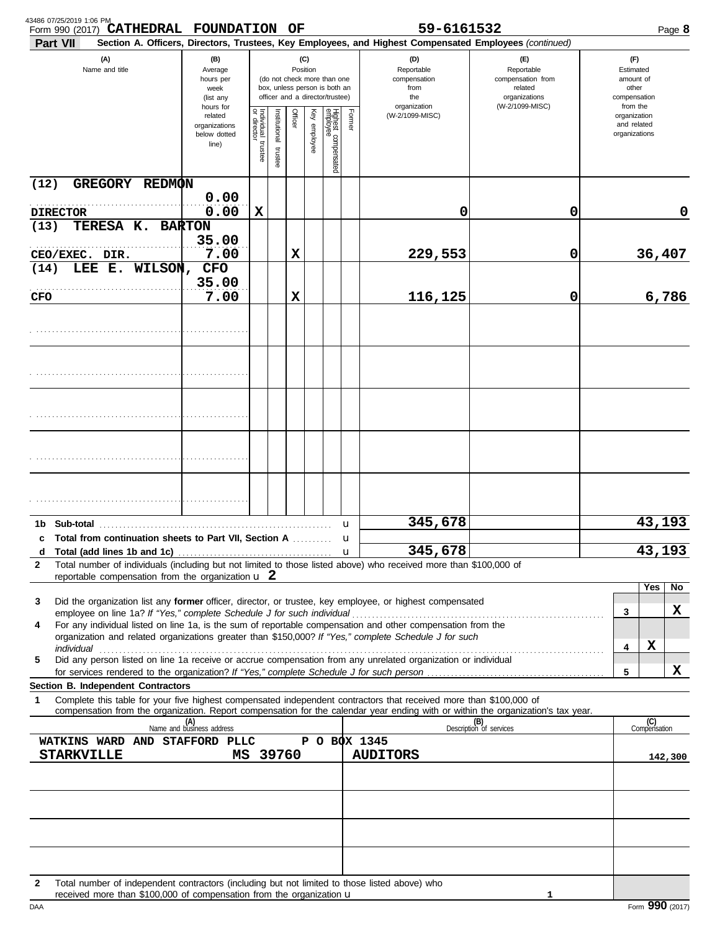| 43486 07/25/2019 1:06 PM<br><b>Part VII</b> | Form 990 (2017) CATHEDRAL FOUNDATION OF                                                                                                                                |                                                                |                         |                      |         |              |                                                  |                  | 59-6161532<br>Section A. Officers, Directors, Trustees, Key Employees, and Highest Compensated Employees (continued)                                                                                                 |                                                        |  |                                                          |                     | Page 8      |
|---------------------------------------------|------------------------------------------------------------------------------------------------------------------------------------------------------------------------|----------------------------------------------------------------|-------------------------|----------------------|---------|--------------|--------------------------------------------------|------------------|----------------------------------------------------------------------------------------------------------------------------------------------------------------------------------------------------------------------|--------------------------------------------------------|--|----------------------------------------------------------|---------------------|-------------|
| Name and title                              | (C)<br>(B)<br>Position<br>Average<br>hours per<br>(do not check more than one<br>box, unless person is both an<br>week<br>officer and a director/trustee)<br>(list any |                                                                |                         |                      |         |              | (D)<br>Reportable<br>compensation<br>from<br>the |                  | (E)<br>Reportable<br>compensation from<br>related<br>organizations                                                                                                                                                   | (F)<br>Estimated<br>amount of<br>other<br>compensation |  |                                                          |                     |             |
|                                             |                                                                                                                                                                        | hours for<br>related<br>organizations<br>below dotted<br>line) | Individual 1<br>trustee | nstitutional trustee | Officer | Key employee | Highest compensated<br>employee                  | Former           | organization<br>(W-2/1099-MISC)                                                                                                                                                                                      | (W-2/1099-MISC)                                        |  | from the<br>organization<br>and related<br>organizations |                     |             |
| (12)                                        | GREGORY REDMON                                                                                                                                                         |                                                                |                         |                      |         |              |                                                  |                  |                                                                                                                                                                                                                      |                                                        |  |                                                          |                     |             |
| <b>DIRECTOR</b>                             |                                                                                                                                                                        | 0.00<br>0.00                                                   | X                       |                      |         |              |                                                  |                  | 0                                                                                                                                                                                                                    | 0                                                      |  |                                                          |                     | $\mathbf 0$ |
| (13)                                        | TERESA K. BARTON                                                                                                                                                       | 35.00                                                          |                         |                      |         |              |                                                  |                  |                                                                                                                                                                                                                      |                                                        |  |                                                          |                     |             |
| CEO/EXEC. DIR.                              |                                                                                                                                                                        | 7.00                                                           |                         |                      | X       |              |                                                  |                  | 229,553                                                                                                                                                                                                              | 0                                                      |  |                                                          | 36,407              |             |
| (14)                                        | LEE E. WILSON,                                                                                                                                                         | <b>CFO</b><br>35.00                                            |                         |                      |         |              |                                                  |                  |                                                                                                                                                                                                                      |                                                        |  |                                                          |                     |             |
| CFO                                         |                                                                                                                                                                        | 7.00                                                           |                         |                      | X       |              |                                                  |                  | 116,125                                                                                                                                                                                                              | 0                                                      |  |                                                          |                     | 6,786       |
|                                             |                                                                                                                                                                        |                                                                |                         |                      |         |              |                                                  |                  |                                                                                                                                                                                                                      |                                                        |  |                                                          |                     |             |
|                                             |                                                                                                                                                                        |                                                                |                         |                      |         |              |                                                  |                  |                                                                                                                                                                                                                      |                                                        |  |                                                          |                     |             |
|                                             |                                                                                                                                                                        |                                                                |                         |                      |         |              |                                                  |                  |                                                                                                                                                                                                                      |                                                        |  |                                                          |                     |             |
|                                             |                                                                                                                                                                        |                                                                |                         |                      |         |              |                                                  |                  |                                                                                                                                                                                                                      |                                                        |  |                                                          |                     |             |
|                                             |                                                                                                                                                                        |                                                                |                         |                      |         |              |                                                  |                  |                                                                                                                                                                                                                      |                                                        |  |                                                          |                     |             |
|                                             |                                                                                                                                                                        |                                                                |                         |                      |         |              |                                                  |                  |                                                                                                                                                                                                                      |                                                        |  |                                                          |                     |             |
| 1b Sub-total                                |                                                                                                                                                                        |                                                                |                         |                      |         |              |                                                  | u                | 345,678                                                                                                                                                                                                              |                                                        |  |                                                          | 43,193              |             |
|                                             | Total from continuation sheets to Part VII, Section A                                                                                                                  |                                                                |                         |                      |         |              |                                                  | u<br>$\mathbf u$ | 345,678                                                                                                                                                                                                              |                                                        |  |                                                          | 43,193              |             |
| 2                                           | reportable compensation from the organization $\bf{u}$ 2                                                                                                               |                                                                |                         |                      |         |              |                                                  |                  | Total number of individuals (including but not limited to those listed above) who received more than \$100,000 of                                                                                                    |                                                        |  |                                                          |                     |             |
|                                             |                                                                                                                                                                        |                                                                |                         |                      |         |              |                                                  |                  |                                                                                                                                                                                                                      |                                                        |  |                                                          | Yes                 | No          |
| 3                                           |                                                                                                                                                                        |                                                                |                         |                      |         |              |                                                  |                  | Did the organization list any former officer, director, or trustee, key employee, or highest compensated                                                                                                             |                                                        |  | 3                                                        |                     | x           |
| 4                                           |                                                                                                                                                                        |                                                                |                         |                      |         |              |                                                  |                  | For any individual listed on line 1a, is the sum of reportable compensation and other compensation from the<br>organization and related organizations greater than \$150,000? If "Yes," complete Schedule J for such |                                                        |  |                                                          |                     |             |
| 5                                           |                                                                                                                                                                        |                                                                |                         |                      |         |              |                                                  |                  | Did any person listed on line 1a receive or accrue compensation from any unrelated organization or individual                                                                                                        |                                                        |  | 4                                                        | X                   |             |
|                                             | Section B. Independent Contractors                                                                                                                                     |                                                                |                         |                      |         |              |                                                  |                  |                                                                                                                                                                                                                      |                                                        |  | 5                                                        |                     | X           |
| 1                                           |                                                                                                                                                                        |                                                                |                         |                      |         |              |                                                  |                  | Complete this table for your five highest compensated independent contractors that received more than \$100,000 of                                                                                                   |                                                        |  |                                                          |                     |             |
|                                             |                                                                                                                                                                        | (A)<br>Name and business address                               |                         |                      |         |              |                                                  |                  | compensation from the organization. Report compensation for the calendar year ending with or within the organization's tax year.                                                                                     | (B)<br>Description of services                         |  |                                                          | (C)<br>Compensation |             |
| <b>STARKVILLE</b>                           | WATKINS WARD AND STAFFORD PLLC                                                                                                                                         | MS 39760                                                       |                         |                      |         |              |                                                  |                  | P O BOX 1345<br><b>AUDITORS</b>                                                                                                                                                                                      |                                                        |  |                                                          |                     |             |
|                                             |                                                                                                                                                                        |                                                                |                         |                      |         |              |                                                  |                  |                                                                                                                                                                                                                      |                                                        |  |                                                          |                     | 142,300     |
|                                             |                                                                                                                                                                        |                                                                |                         |                      |         |              |                                                  |                  |                                                                                                                                                                                                                      |                                                        |  |                                                          |                     |             |
|                                             |                                                                                                                                                                        |                                                                |                         |                      |         |              |                                                  |                  |                                                                                                                                                                                                                      |                                                        |  |                                                          |                     |             |
|                                             |                                                                                                                                                                        |                                                                |                         |                      |         |              |                                                  |                  |                                                                                                                                                                                                                      |                                                        |  |                                                          |                     |             |
| 2                                           | Total number of independent contractors (including but not limited to those listed above) who<br>received more than \$100,000 of compensation from the organization u  |                                                                |                         |                      |         |              |                                                  |                  |                                                                                                                                                                                                                      | 1                                                      |  |                                                          |                     |             |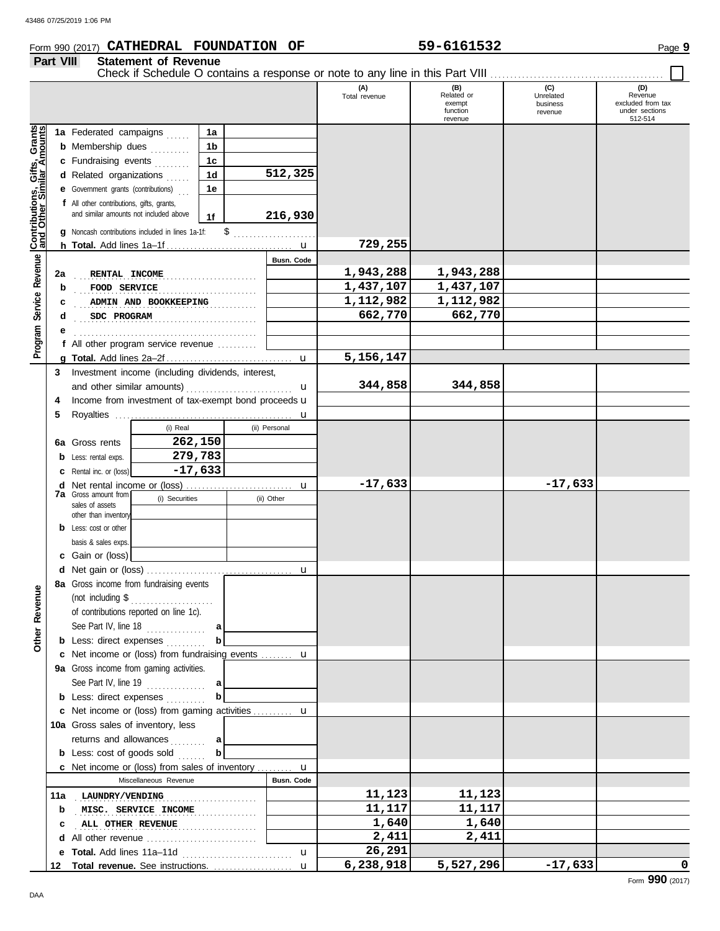#### Form 990 (2017) Page **9 CATHEDRAL FOUNDATION OF 59-6161532**

#### **Part VIII Statement of Revenue**

|  | . .<br>$-$ |  |
|--|------------|--|
|  |            |  |

|                                                             |    |                                                                                     |                |    |                   | (A)<br>Total revenue | (B)<br>Related or<br>exempt<br>function | (C)<br>Unrelated<br>business<br>revenue | (D)<br>Revenue<br>excluded from tax<br>under sections |
|-------------------------------------------------------------|----|-------------------------------------------------------------------------------------|----------------|----|-------------------|----------------------|-----------------------------------------|-----------------------------------------|-------------------------------------------------------|
|                                                             |    |                                                                                     |                |    |                   |                      | revenue                                 |                                         | 512-514                                               |
|                                                             |    | 1a Federated campaigns                                                              | 1a             |    |                   |                      |                                         |                                         |                                                       |
|                                                             |    | <b>b</b> Membership dues                                                            | 1b             |    |                   |                      |                                         |                                         |                                                       |
|                                                             |    | c Fundraising events                                                                | 1 <sub>c</sub> |    |                   |                      |                                         |                                         |                                                       |
|                                                             |    | d Related organizations                                                             | 1 <sub>d</sub> |    | 512,325           |                      |                                         |                                         |                                                       |
|                                                             |    | e Government grants (contributions)                                                 | 1e             |    |                   |                      |                                         |                                         |                                                       |
|                                                             |    | f All other contributions, gifts, grants,                                           |                |    |                   |                      |                                         |                                         |                                                       |
|                                                             |    | and similar amounts not included above                                              | 1f             |    | 216,930           |                      |                                         |                                         |                                                       |
|                                                             | a  | Noncash contributions included in lines 1a-1f:                                      |                | \$ |                   |                      |                                         |                                         |                                                       |
|                                                             |    |                                                                                     |                |    |                   | 729,255              |                                         |                                         |                                                       |
|                                                             |    |                                                                                     |                |    | <b>Busn. Code</b> |                      |                                         |                                         |                                                       |
|                                                             | 2a | RENTAL INCOME                                                                       |                |    |                   | 1,943,288            | 1,943,288                               |                                         |                                                       |
|                                                             | b  | FOOD SERVICE                                                                        |                |    |                   | 1,437,107            | 1,437,107                               |                                         |                                                       |
|                                                             | с  | ADMIN AND BOOKKEEPING                                                               |                |    |                   | 1,112,982            | 1,112,982                               |                                         |                                                       |
|                                                             | d  | SDC PROGRAM                                                                         |                |    |                   | 662,770              | 662,770                                 |                                         |                                                       |
|                                                             |    |                                                                                     |                |    |                   |                      |                                         |                                         |                                                       |
| Program Service Revenue <b>Contributions, Gifts, Grants</b> |    | f All other program service revenue $\ldots$                                        |                |    |                   | 5, 156, 147          |                                         |                                         |                                                       |
|                                                             | 3  | Investment income (including dividends, interest,                                   |                |    |                   |                      |                                         |                                         |                                                       |
|                                                             |    | and other similar amounts)                                                          |                |    | u                 | 344,858              | 344,858                                 |                                         |                                                       |
|                                                             | 4  | Income from investment of tax-exempt bond proceeds <b>u</b>                         |                | .  |                   |                      |                                         |                                         |                                                       |
|                                                             | 5  |                                                                                     |                |    | u                 |                      |                                         |                                         |                                                       |
|                                                             |    | (i) Real                                                                            |                |    | (ii) Personal     |                      |                                         |                                         |                                                       |
|                                                             | 6а | 262,150<br>Gross rents                                                              |                |    |                   |                      |                                         |                                         |                                                       |
|                                                             | b  | 279,783<br>Less: rental exps.                                                       |                |    |                   |                      |                                         |                                         |                                                       |
|                                                             | с  | $-17,633$<br>Rental inc. or (loss)                                                  |                |    |                   |                      |                                         |                                         |                                                       |
|                                                             | d  |                                                                                     |                |    | u                 | $-17,633$            |                                         | $-17,633$                               |                                                       |
|                                                             |    | <b>7a</b> Gross amount from<br>(i) Securities<br>sales of assets                    |                |    | (ii) Other        |                      |                                         |                                         |                                                       |
|                                                             |    | other than inventory                                                                |                |    |                   |                      |                                         |                                         |                                                       |
|                                                             | b  | Less: cost or other                                                                 |                |    |                   |                      |                                         |                                         |                                                       |
|                                                             |    | basis & sales exps.                                                                 |                |    |                   |                      |                                         |                                         |                                                       |
|                                                             |    | c Gain or (loss)                                                                    |                |    |                   |                      |                                         |                                         |                                                       |
|                                                             |    |                                                                                     |                |    | $\mathbf u$       |                      |                                         |                                         |                                                       |
| ۹C                                                          |    | 8a Gross income from fundraising events                                             |                |    |                   |                      |                                         |                                         |                                                       |
|                                                             |    |                                                                                     |                |    |                   |                      |                                         |                                         |                                                       |
| Other Reven                                                 |    | of contributions reported on line 1c).                                              | a              |    |                   |                      |                                         |                                         |                                                       |
|                                                             |    | See Part IV, line $18$                                                              | b              |    |                   |                      |                                         |                                         |                                                       |
|                                                             |    | <b>b</b> Less: direct expenses<br>c Net income or (loss) from fundraising events  u |                |    |                   |                      |                                         |                                         |                                                       |
|                                                             |    | 9a Gross income from gaming activities.                                             |                |    |                   |                      |                                         |                                         |                                                       |
|                                                             |    | See Part IV, line 19 $\ldots$                                                       | a              |    |                   |                      |                                         |                                         |                                                       |
|                                                             |    | <b>b</b> Less: direct expenses                                                      | b              |    |                   |                      |                                         |                                         |                                                       |
|                                                             |    | c Net income or (loss) from gaming activities  u                                    |                |    |                   |                      |                                         |                                         |                                                       |
|                                                             |    | 10a Gross sales of inventory, less                                                  |                |    |                   |                      |                                         |                                         |                                                       |
|                                                             |    | returns and allowances                                                              | a              |    |                   |                      |                                         |                                         |                                                       |
|                                                             |    | <b>b</b> Less: cost of goods sold                                                   | b              |    |                   |                      |                                         |                                         |                                                       |
|                                                             |    | <b>c</b> Net income or (loss) from sales of inventory $\mathbf{u}$                  |                |    |                   |                      |                                         |                                         |                                                       |
|                                                             |    | Miscellaneous Revenue                                                               |                |    | Busn. Code        |                      |                                         |                                         |                                                       |
|                                                             |    | 11a LAUNDRY/VENDING                                                                 |                |    |                   | 11,123               | 11,123                                  |                                         |                                                       |
|                                                             | b  | MISC. SERVICE INCOME                                                                |                |    |                   | 11,117               | 11,117                                  |                                         |                                                       |
|                                                             | c  | ALL OTHER REVENUE                                                                   |                | .  |                   | 1,640                | 1,640                                   |                                         |                                                       |
|                                                             | d  |                                                                                     |                |    |                   | 2,411<br>26,291      | 2,411                                   |                                         |                                                       |
|                                                             |    | Total. Add lines 11a-11d                                                            |                | .  | u                 |                      |                                         |                                         |                                                       |

u **6,238,918 5,527,296 -17,633 0**

**Total revenue.** See instructions. . . . . . . . . . . . . . . . . . . . . **12**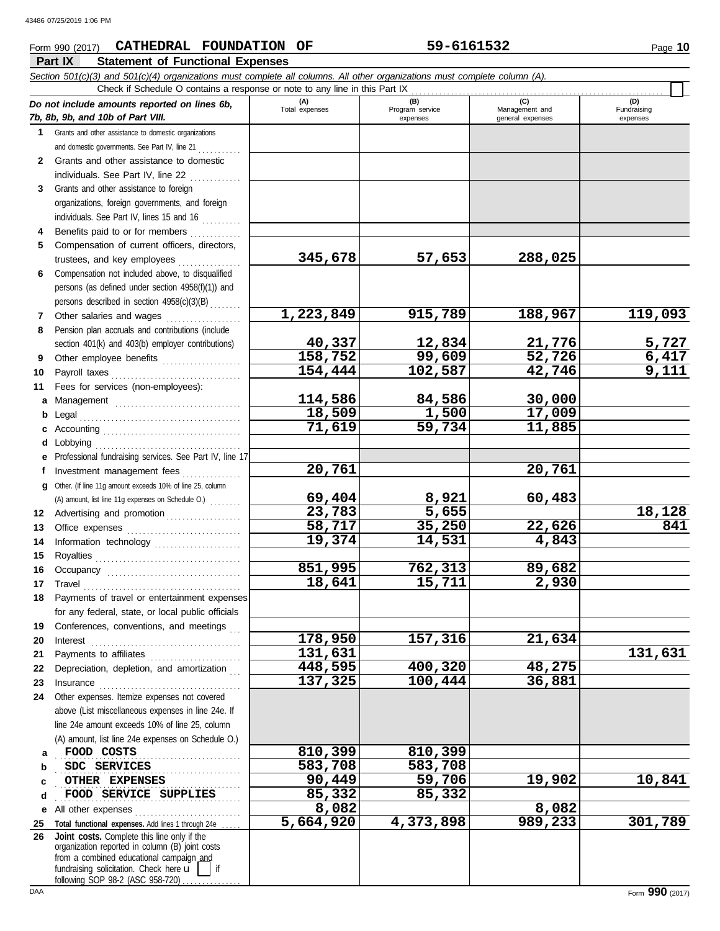# **Part IX Statement of Functional Expenses Form 990 (2017) CATHEDRAL FOUNDATION OF 59-6161532** Page 10

|              | Section 501(c)(3) and 501(c)(4) organizations must complete all columns. All other organizations must complete column (A).<br>Check if Schedule O contains a response or note to any line in this Part IX                           |                       |                             |                                    |                         |
|--------------|-------------------------------------------------------------------------------------------------------------------------------------------------------------------------------------------------------------------------------------|-----------------------|-----------------------------|------------------------------------|-------------------------|
|              | Do not include amounts reported on lines 6b,                                                                                                                                                                                        | (A)<br>Total expenses | (B)<br>Program service      | (C)                                | (D)                     |
|              | 7b, 8b, 9b, and 10b of Part VIII.                                                                                                                                                                                                   |                       | expenses                    | Management and<br>general expenses | Fundraising<br>expenses |
| $\mathbf 1$  | Grants and other assistance to domestic organizations                                                                                                                                                                               |                       |                             |                                    |                         |
|              | and domestic governments. See Part IV, line 21                                                                                                                                                                                      |                       |                             |                                    |                         |
| $\mathbf{2}$ | Grants and other assistance to domestic                                                                                                                                                                                             |                       |                             |                                    |                         |
|              | individuals. See Part IV, line 22                                                                                                                                                                                                   |                       |                             |                                    |                         |
| 3            | Grants and other assistance to foreign                                                                                                                                                                                              |                       |                             |                                    |                         |
|              | organizations, foreign governments, and foreign                                                                                                                                                                                     |                       |                             |                                    |                         |
|              | individuals. See Part IV, lines 15 and 16                                                                                                                                                                                           |                       |                             |                                    |                         |
| 4            | Benefits paid to or for members                                                                                                                                                                                                     |                       |                             |                                    |                         |
| 5            | Compensation of current officers, directors,                                                                                                                                                                                        |                       |                             |                                    |                         |
|              | trustees, and key employees                                                                                                                                                                                                         | 345,678               | 57,653                      | 288,025                            |                         |
| 6            | Compensation not included above, to disqualified                                                                                                                                                                                    |                       |                             |                                    |                         |
|              | persons (as defined under section 4958(f)(1)) and                                                                                                                                                                                   |                       |                             |                                    |                         |
|              | persons described in section 4958(c)(3)(B)                                                                                                                                                                                          |                       |                             |                                    |                         |
| 7            | Other salaries and wages                                                                                                                                                                                                            | 1,223,849             | 915,789                     | 188,967                            | 119,093                 |
| 8            | Pension plan accruals and contributions (include                                                                                                                                                                                    |                       |                             |                                    |                         |
|              | section 401(k) and 403(b) employer contributions)                                                                                                                                                                                   | 40,337                | 12,834                      | 21,776                             | $\frac{5,727}{6,417}$   |
| 9            | Other employee benefits                                                                                                                                                                                                             | 158,752               | 99,609                      | 52,726                             |                         |
| 10           | Payroll taxes                                                                                                                                                                                                                       | 154,444               | 102,587                     | 42,746                             | 9,111                   |
| 11           | Fees for services (non-employees):                                                                                                                                                                                                  |                       |                             |                                    |                         |
| а            | Management                                                                                                                                                                                                                          | 114,586               | 84,586                      | 30,000                             |                         |
| b            | Legal                                                                                                                                                                                                                               | 18,509                | 1,500                       | 17,009                             |                         |
| c            |                                                                                                                                                                                                                                     | 71,619                | 59,734                      | 11,885                             |                         |
| d            | Lobbying                                                                                                                                                                                                                            |                       |                             |                                    |                         |
| е            | Professional fundraising services. See Part IV, line 17                                                                                                                                                                             |                       |                             |                                    |                         |
| f            | Investment management fees<br>. <b>.</b>                                                                                                                                                                                            | 20,761                |                             | 20,761                             |                         |
| a            | Other. (If line 11g amount exceeds 10% of line 25, column                                                                                                                                                                           |                       |                             |                                    |                         |
|              | (A) amount, list line 11g expenses on Schedule O.)                                                                                                                                                                                  | 69,404<br>23,783      | 8,921<br>$\overline{5,655}$ | 60,483                             |                         |
| 12           | Advertising and promotion                                                                                                                                                                                                           | 58,717                | 35,250                      |                                    | <u>18,128</u><br>841    |
| 13           |                                                                                                                                                                                                                                     | 19,374                | 14,531                      | 22,626<br>4,843                    |                         |
| 14           | Information technology                                                                                                                                                                                                              |                       |                             |                                    |                         |
| 15           | Royalties                                                                                                                                                                                                                           | 851,995               | 762,313                     | 89,682                             |                         |
| 16           |                                                                                                                                                                                                                                     | 18,641                | 15,711                      | 2,930                              |                         |
| 17           | Travel<br>Payments of travel or entertainment expenses                                                                                                                                                                              |                       |                             |                                    |                         |
| 18           |                                                                                                                                                                                                                                     |                       |                             |                                    |                         |
| 19           | for any federal, state, or local public officials<br>Conferences, conventions, and meetings                                                                                                                                         |                       |                             |                                    |                         |
|              |                                                                                                                                                                                                                                     | 178,950               | 157,316                     | 21,634                             |                         |
| 20<br>21     | Interest<br>Payments to affiliates                                                                                                                                                                                                  | 131,631               |                             |                                    | 131,631                 |
| 22           | Depreciation, depletion, and amortization                                                                                                                                                                                           | 448,595               | 400,320                     | 48,275                             |                         |
| 23           | Insurance <b>continuous</b> contains a series of the series of the series of the series of the series of the series of the series of the series of the series of the series of the series of the series of the series of the series | 137,325               | 100,444                     | 36,881                             |                         |
| 24           | Other expenses. Itemize expenses not covered                                                                                                                                                                                        |                       |                             |                                    |                         |
|              | above (List miscellaneous expenses in line 24e. If                                                                                                                                                                                  |                       |                             |                                    |                         |
|              | line 24e amount exceeds 10% of line 25, column                                                                                                                                                                                      |                       |                             |                                    |                         |
|              | (A) amount, list line 24e expenses on Schedule O.)                                                                                                                                                                                  |                       |                             |                                    |                         |
| a            | FOOD COSTS                                                                                                                                                                                                                          | 810,399               | 810,399                     |                                    |                         |
| b            | SDC SERVICES                                                                                                                                                                                                                        | 583,708               | 583,708                     |                                    |                         |
| c            | OTHER EXPENSES                                                                                                                                                                                                                      | 90,449                | 59,706                      | 19,902                             | 10,841                  |
| d            | FOOD SERVICE SUPPLIES                                                                                                                                                                                                               | 85,332                | 85,332                      |                                    |                         |
| е            | All other expenses                                                                                                                                                                                                                  | 8,082                 |                             | 8,082                              |                         |
| 25           | Total functional expenses. Add lines 1 through 24e                                                                                                                                                                                  | 5,664,920             | 4,373,898                   | 989,233                            | 301,789                 |
| 26           | Joint costs. Complete this line only if the                                                                                                                                                                                         |                       |                             |                                    |                         |
|              | organization reported in column (B) joint costs                                                                                                                                                                                     |                       |                             |                                    |                         |
|              | from a combined educational campaign and<br>fundraising solicitation. Check here $\mathbf{u}$  <br>if                                                                                                                               |                       |                             |                                    |                         |
|              | following SOP 98-2 (ASC 958-720)                                                                                                                                                                                                    |                       |                             |                                    |                         |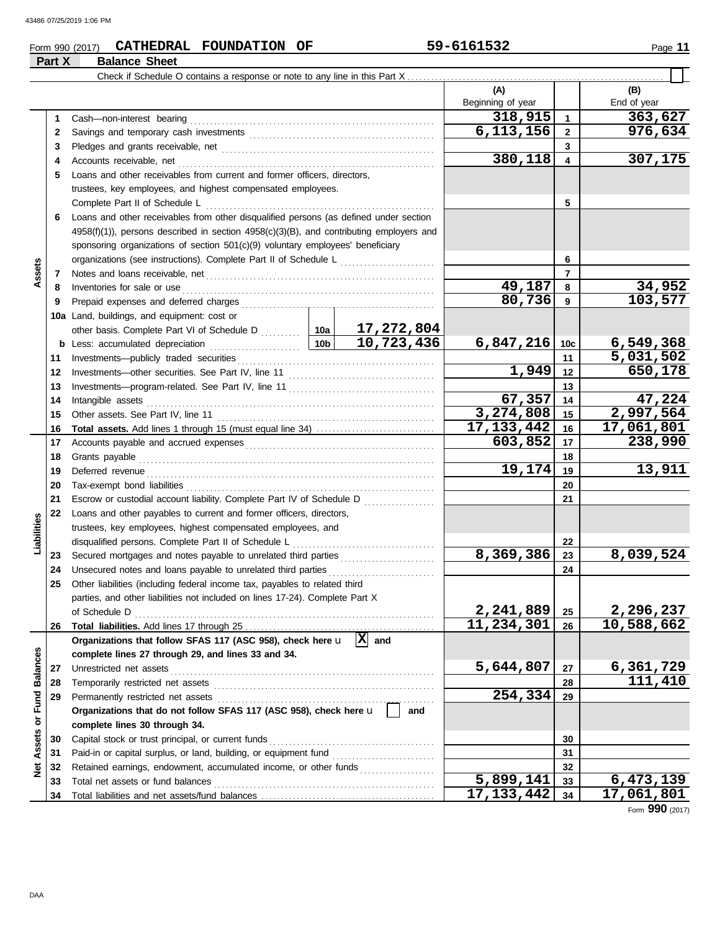**Part X Balance Sheet**

## **Form 990 (2017) CATHEDRAL FOUNDATION OF 59-6161532** Page 11

|                 |    | Check if Schedule O contains a response or note to any line in this Part X                                                                                                                                                          |         |            |                   |                 |             |
|-----------------|----|-------------------------------------------------------------------------------------------------------------------------------------------------------------------------------------------------------------------------------------|---------|------------|-------------------|-----------------|-------------|
|                 |    |                                                                                                                                                                                                                                     |         |            | (A)               |                 | (B)         |
|                 |    |                                                                                                                                                                                                                                     |         |            | Beginning of year |                 | End of year |
|                 | 1  |                                                                                                                                                                                                                                     |         |            | 318,915           | $\mathbf{1}$    | 363,627     |
|                 | 2  |                                                                                                                                                                                                                                     |         |            | 6,113,156         | $\mathbf{2}$    | 976,634     |
|                 | 3  |                                                                                                                                                                                                                                     |         |            | 3                 |                 |             |
|                 | 4  |                                                                                                                                                                                                                                     | 380,118 | 4          | 307,175           |                 |             |
|                 | 5  | Loans and other receivables from current and former officers, directors,                                                                                                                                                            |         |            |                   |                 |             |
|                 |    | trustees, key employees, and highest compensated employees.                                                                                                                                                                         |         |            |                   |                 |             |
|                 |    |                                                                                                                                                                                                                                     |         |            |                   | 5               |             |
|                 | 6  | Loans and other receivables from other disqualified persons (as defined under section                                                                                                                                               |         |            |                   |                 |             |
|                 |    | $4958(f)(1)$ ), persons described in section $4958(c)(3)(B)$ , and contributing employers and                                                                                                                                       |         |            |                   |                 |             |
|                 |    | sponsoring organizations of section 501(c)(9) voluntary employees' beneficiary                                                                                                                                                      |         |            |                   |                 |             |
|                 |    | organizations (see instructions). Complete Part II of Schedule L                                                                                                                                                                    |         |            |                   | 6               |             |
| Assets          | 7  |                                                                                                                                                                                                                                     |         |            |                   | 7               |             |
|                 | 8  | Inventories for sale or use <i>communication</i> and the state or use of the contract of the state or use of the state or the state or the state or the state or the state or the state of the state or the state or the state or t |         |            | 49,187            | 8               | 34,952      |
|                 | 9  |                                                                                                                                                                                                                                     |         |            | 80,736            | 9               | 103,577     |
|                 |    | 10a Land, buildings, and equipment: cost or                                                                                                                                                                                         |         |            |                   |                 |             |
|                 |    |                                                                                                                                                                                                                                     |         | 17,272,804 |                   |                 |             |
|                 |    | <b>b</b> Less: accumulated depreciation $\begin{array}{ c c c c c c }\n\hline\n\end{array}$ 10b $\begin{array}{ c c c c c }\n\hline\n\end{array}$ 10,723,436                                                                        |         |            | 6,847,216         | 10 <sub>c</sub> | 6,549,368   |
|                 | 11 |                                                                                                                                                                                                                                     |         |            |                   | 11              | 5,031,502   |
|                 | 12 |                                                                                                                                                                                                                                     |         |            | 1,949             | 12              | 650,178     |
|                 | 13 |                                                                                                                                                                                                                                     |         |            |                   | 13              |             |
|                 | 14 | Intangible assets                                                                                                                                                                                                                   |         |            | 67,357            | 14              | 47,224      |
|                 | 15 |                                                                                                                                                                                                                                     |         |            | 3,274,808         | 15              | 2,997,564   |
|                 | 16 |                                                                                                                                                                                                                                     |         |            | 17, 133, 442      | 16              | 17,061,801  |
|                 | 17 |                                                                                                                                                                                                                                     |         |            | 603,852           | 17              | 238,990     |
|                 | 18 |                                                                                                                                                                                                                                     |         |            |                   | 18              |             |
|                 | 19 | Deferred revenue                                                                                                                                                                                                                    |         |            | 19,174            | 19              | 13,911      |
|                 | 20 |                                                                                                                                                                                                                                     |         |            |                   | 20              |             |
|                 | 21 | Escrow or custodial account liability. Complete Part IV of Schedule D                                                                                                                                                               |         |            |                   | 21              |             |
|                 | 22 | Loans and other payables to current and former officers, directors,                                                                                                                                                                 |         |            |                   |                 |             |
| Liabilities     |    | trustees, key employees, highest compensated employees, and                                                                                                                                                                         |         |            |                   |                 |             |
|                 |    | disqualified persons. Complete Part II of Schedule L                                                                                                                                                                                |         |            |                   | 22              |             |
|                 | 23 | Secured mortgages and notes payable to unrelated third parties                                                                                                                                                                      |         |            | 8,369,386         | 23              | 8,039,524   |
|                 | 24 |                                                                                                                                                                                                                                     |         |            |                   | 24              |             |
|                 | 25 | Other liabilities (including federal income tax, payables to related third                                                                                                                                                          |         |            |                   |                 |             |
|                 |    | parties, and other liabilities not included on lines 17-24). Complete Part X                                                                                                                                                        |         |            |                   |                 |             |
|                 |    | of Schedule D                                                                                                                                                                                                                       |         |            | 2,241,889         | 25              | 2,296,237   |
|                 | 26 |                                                                                                                                                                                                                                     |         |            | 11,234,301        | 26              | 10,588,662  |
|                 |    | Organizations that follow SFAS 117 (ASC 958), check here $\mathbf{u}$   $\overline{\mathbf{X}}$ and                                                                                                                                 |         |            |                   |                 |             |
| <b>Balances</b> |    | complete lines 27 through 29, and lines 33 and 34.                                                                                                                                                                                  |         |            |                   |                 |             |
|                 | 27 | Unrestricted net assets                                                                                                                                                                                                             |         |            | 5,644,807         | 27              | 6,361,729   |
|                 | 28 |                                                                                                                                                                                                                                     |         |            |                   | 28              | 111,410     |
| or Fund         | 29 | Permanently restricted net assets                                                                                                                                                                                                   |         |            | 254,334           | 29              |             |
|                 |    | Organizations that do not follow SFAS 117 (ASC 958), check here u                                                                                                                                                                   |         | and        |                   |                 |             |
|                 |    | complete lines 30 through 34.                                                                                                                                                                                                       |         |            |                   |                 |             |
| Assets          | 30 | Capital stock or trust principal, or current funds                                                                                                                                                                                  |         |            |                   | 30              |             |
|                 | 31 |                                                                                                                                                                                                                                     |         |            |                   | 31              |             |
| ğ               | 32 | Retained earnings, endowment, accumulated income, or other funds                                                                                                                                                                    |         |            |                   | 32              |             |
|                 | 33 | Total net assets or fund balances                                                                                                                                                                                                   |         |            | 5,899,141         | 33              | 6,473,139   |
|                 | 34 |                                                                                                                                                                                                                                     |         |            | 17, 133, 442      | 34              | 17,061,801  |

Form **990** (2017)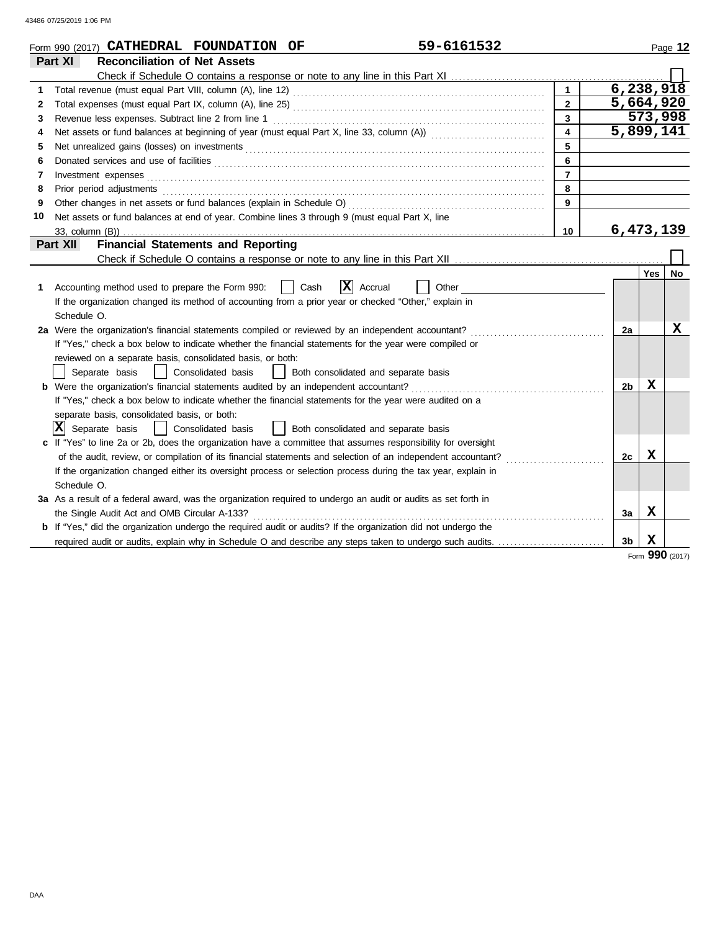|    | 59-6161532<br>Form 990 (2017) CATHEDRAL FOUNDATION OF                                                                                                                                                                               |                |                        | Page 12 |
|----|-------------------------------------------------------------------------------------------------------------------------------------------------------------------------------------------------------------------------------------|----------------|------------------------|---------|
|    | <b>Reconciliation of Net Assets</b><br>Part XI                                                                                                                                                                                      |                |                        |         |
|    |                                                                                                                                                                                                                                     |                |                        |         |
| 1  | $\mathbf{1}$                                                                                                                                                                                                                        |                | 6,238,918              |         |
| 2  | $\mathbf{2}$                                                                                                                                                                                                                        |                | 5,664,920              |         |
| 3  | $\overline{3}$<br>Revenue less expenses. Subtract line 2 from line 1                                                                                                                                                                |                | 573,998                |         |
| 4  | $\overline{\mathbf{4}}$<br>Net assets or fund balances at beginning of year (must equal Part X, line 33, column (A)) [[[[[[[[[[[[[[[[[[[                                                                                            |                | $\overline{5,899,141}$ |         |
| 5  | 5                                                                                                                                                                                                                                   |                |                        |         |
| 6  | 6<br>Donated services and use of facilities <b>constructs</b> and the service of the service of the services and use of facilities                                                                                                  |                |                        |         |
| 7  | $\overline{7}$<br>Investment expenses <b>contract and the expenses contract and the expenses of the expenses contract and the expenses</b>                                                                                          |                |                        |         |
| 8  | 8<br>Prior period adjustments entertainments and adjustments and account of the contract of the contract of the contract of the contract of the contract of the contract of the contract of the contract of the contract of the con |                |                        |         |
| 9  | 9                                                                                                                                                                                                                                   |                |                        |         |
| 10 | Net assets or fund balances at end of year. Combine lines 3 through 9 (must equal Part X, line                                                                                                                                      |                |                        |         |
|    | 10                                                                                                                                                                                                                                  |                | 6,473,139              |         |
|    | <b>Financial Statements and Reporting</b><br>Part XII                                                                                                                                                                               |                |                        |         |
|    |                                                                                                                                                                                                                                     |                |                        |         |
|    |                                                                                                                                                                                                                                     |                | Yes                    | No      |
| 1  | $ \mathbf{X} $ Accrual<br>Cash<br>Accounting method used to prepare the Form 990:<br>Other                                                                                                                                          |                |                        |         |
|    | If the organization changed its method of accounting from a prior year or checked "Other," explain in                                                                                                                               |                |                        |         |
|    | Schedule O.                                                                                                                                                                                                                         |                |                        |         |
|    | 2a Were the organization's financial statements compiled or reviewed by an independent accountant?                                                                                                                                  | 2a             |                        | x       |
|    | If "Yes," check a box below to indicate whether the financial statements for the year were compiled or                                                                                                                              |                |                        |         |
|    | reviewed on a separate basis, consolidated basis, or both:                                                                                                                                                                          |                |                        |         |
|    | Separate basis<br>Consolidated basis<br>  Both consolidated and separate basis                                                                                                                                                      |                |                        |         |
|    | <b>b</b> Were the organization's financial statements audited by an independent accountant?                                                                                                                                         | 2b             | X                      |         |
|    | If "Yes," check a box below to indicate whether the financial statements for the year were audited on a                                                                                                                             |                |                        |         |
|    | separate basis, consolidated basis, or both:                                                                                                                                                                                        |                |                        |         |
|    | $ \mathbf{X} $ Separate basis<br>$\perp$<br>Consolidated basis<br>  Both consolidated and separate basis                                                                                                                            |                |                        |         |
|    | c If "Yes" to line 2a or 2b, does the organization have a committee that assumes responsibility for oversight                                                                                                                       |                |                        |         |
|    | of the audit, review, or compilation of its financial statements and selection of an independent accountant?                                                                                                                        | 2c             | x                      |         |
|    | If the organization changed either its oversight process or selection process during the tax year, explain in                                                                                                                       |                |                        |         |
|    | Schedule O.                                                                                                                                                                                                                         |                |                        |         |
|    | 3a As a result of a federal award, was the organization required to undergo an audit or audits as set forth in                                                                                                                      |                |                        |         |
|    |                                                                                                                                                                                                                                     | За             | X                      |         |
|    | <b>b</b> If "Yes," did the organization undergo the required audit or audits? If the organization did not undergo the                                                                                                               |                |                        |         |
|    |                                                                                                                                                                                                                                     | 3 <sub>b</sub> | X                      |         |

Form **990** (2017)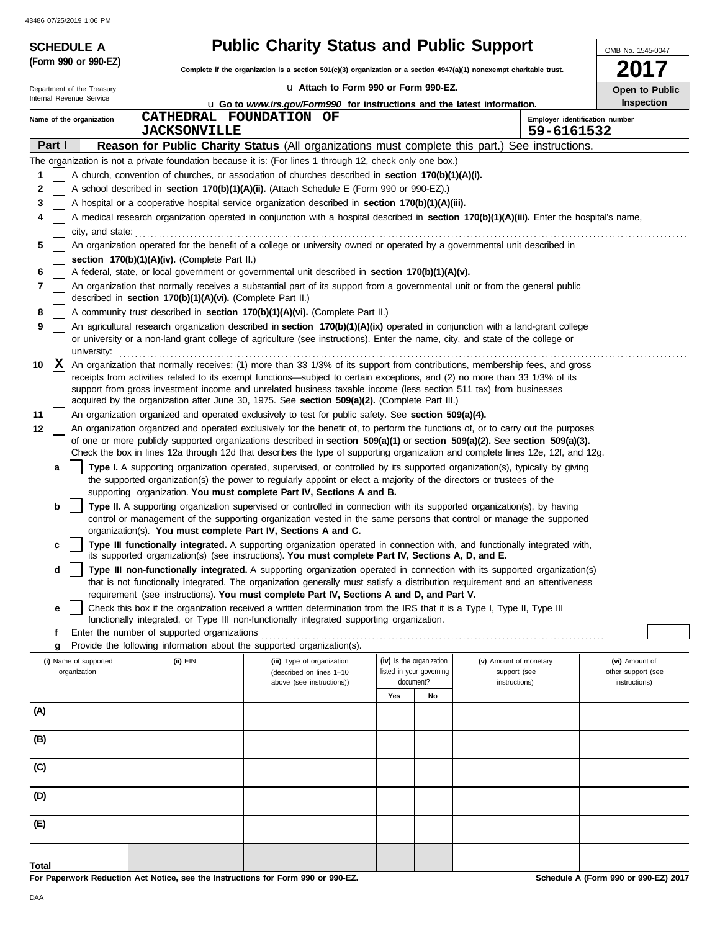|                                                                                                                    | <b>SCHEDULE A</b>          |                                                            | <b>Public Charity Status and Public Support</b>                                                                                                                                                                                                                |                                       |    |                               | OMB No. 1545-0047                   |
|--------------------------------------------------------------------------------------------------------------------|----------------------------|------------------------------------------------------------|----------------------------------------------------------------------------------------------------------------------------------------------------------------------------------------------------------------------------------------------------------------|---------------------------------------|----|-------------------------------|-------------------------------------|
|                                                                                                                    | (Form 990 or 990-EZ)       |                                                            | Complete if the organization is a section $501(c)(3)$ organization or a section $4947(a)(1)$ nonexempt charitable trust.                                                                                                                                       |                                       |    |                               | 2017                                |
|                                                                                                                    | Department of the Treasury |                                                            | La Attach to Form 990 or Form 990-EZ.                                                                                                                                                                                                                          |                                       |    |                               | Open to Public                      |
| Internal Revenue Service<br><b>u</b> Go to <i>www.irs.gov/Form990</i> for instructions and the latest information. |                            |                                                            |                                                                                                                                                                                                                                                                |                                       |    | Inspection                    |                                     |
|                                                                                                                    | Name of the organization   | CATHEDRAL FOUNDATION OF                                    |                                                                                                                                                                                                                                                                |                                       |    |                               | Employer identification number      |
|                                                                                                                    | Part I                     | <b>JACKSONVILLE</b>                                        |                                                                                                                                                                                                                                                                |                                       |    | 59-6161532                    |                                     |
|                                                                                                                    |                            |                                                            | Reason for Public Charity Status (All organizations must complete this part.) See instructions.<br>The organization is not a private foundation because it is: (For lines 1 through 12, check only one box.)                                                   |                                       |    |                               |                                     |
| 1                                                                                                                  |                            |                                                            | A church, convention of churches, or association of churches described in section 170(b)(1)(A)(i).                                                                                                                                                             |                                       |    |                               |                                     |
| 2                                                                                                                  |                            |                                                            | A school described in section 170(b)(1)(A)(ii). (Attach Schedule E (Form 990 or 990-EZ).)                                                                                                                                                                      |                                       |    |                               |                                     |
| 3                                                                                                                  |                            |                                                            | A hospital or a cooperative hospital service organization described in section 170(b)(1)(A)(iii).                                                                                                                                                              |                                       |    |                               |                                     |
| 4                                                                                                                  |                            |                                                            | A medical research organization operated in conjunction with a hospital described in section 170(b)(1)(A)(iii). Enter the hospital's name,                                                                                                                     |                                       |    |                               |                                     |
|                                                                                                                    | city, and state:           |                                                            |                                                                                                                                                                                                                                                                |                                       |    |                               |                                     |
| 5                                                                                                                  |                            | section 170(b)(1)(A)(iv). (Complete Part II.)              | An organization operated for the benefit of a college or university owned or operated by a governmental unit described in                                                                                                                                      |                                       |    |                               |                                     |
| 6                                                                                                                  |                            |                                                            | A federal, state, or local government or governmental unit described in section 170(b)(1)(A)(v).                                                                                                                                                               |                                       |    |                               |                                     |
| 7                                                                                                                  |                            |                                                            | An organization that normally receives a substantial part of its support from a governmental unit or from the general public                                                                                                                                   |                                       |    |                               |                                     |
| 8                                                                                                                  |                            | described in section 170(b)(1)(A)(vi). (Complete Part II.) | A community trust described in section 170(b)(1)(A)(vi). (Complete Part II.)                                                                                                                                                                                   |                                       |    |                               |                                     |
| 9                                                                                                                  |                            |                                                            | An agricultural research organization described in section 170(b)(1)(A)(ix) operated in conjunction with a land-grant college                                                                                                                                  |                                       |    |                               |                                     |
|                                                                                                                    | university:                |                                                            | or university or a non-land grant college of agriculture (see instructions). Enter the name, city, and state of the college or                                                                                                                                 |                                       |    |                               |                                     |
| 10                                                                                                                 | $ {\bf x} $                |                                                            | An organization that normally receives: (1) more than 33 1/3% of its support from contributions, membership fees, and gross                                                                                                                                    |                                       |    |                               |                                     |
|                                                                                                                    |                            |                                                            | receipts from activities related to its exempt functions—subject to certain exceptions, and (2) no more than 33 1/3% of its                                                                                                                                    |                                       |    |                               |                                     |
|                                                                                                                    |                            |                                                            | support from gross investment income and unrelated business taxable income (less section 511 tax) from businesses<br>acquired by the organization after June 30, 1975. See section 509(a)(2). (Complete Part III.)                                             |                                       |    |                               |                                     |
| 11                                                                                                                 |                            |                                                            | An organization organized and operated exclusively to test for public safety. See section 509(a)(4).                                                                                                                                                           |                                       |    |                               |                                     |
| 12                                                                                                                 |                            |                                                            | An organization organized and operated exclusively for the benefit of, to perform the functions of, or to carry out the purposes                                                                                                                               |                                       |    |                               |                                     |
|                                                                                                                    |                            |                                                            | of one or more publicly supported organizations described in section 509(a)(1) or section 509(a)(2). See section 509(a)(3).<br>Check the box in lines 12a through 12d that describes the type of supporting organization and complete lines 12e, 12f, and 12g. |                                       |    |                               |                                     |
|                                                                                                                    | a                          |                                                            | Type I. A supporting organization operated, supervised, or controlled by its supported organization(s), typically by giving<br>the supported organization(s) the power to regularly appoint or elect a majority of the directors or trustees of the            |                                       |    |                               |                                     |
|                                                                                                                    |                            |                                                            | supporting organization. You must complete Part IV, Sections A and B.                                                                                                                                                                                          |                                       |    |                               |                                     |
|                                                                                                                    | b                          |                                                            | Type II. A supporting organization supervised or controlled in connection with its supported organization(s), by having                                                                                                                                        |                                       |    |                               |                                     |
|                                                                                                                    |                            |                                                            | control or management of the supporting organization vested in the same persons that control or manage the supported<br>organization(s). You must complete Part IV, Sections A and C.                                                                          |                                       |    |                               |                                     |
|                                                                                                                    | c                          |                                                            | Type III functionally integrated. A supporting organization operated in connection with, and functionally integrated with,                                                                                                                                     |                                       |    |                               |                                     |
|                                                                                                                    |                            |                                                            | its supported organization(s) (see instructions). You must complete Part IV, Sections A, D, and E.                                                                                                                                                             |                                       |    |                               |                                     |
|                                                                                                                    | d                          |                                                            | Type III non-functionally integrated. A supporting organization operated in connection with its supported organization(s)<br>that is not functionally integrated. The organization generally must satisfy a distribution requirement and an attentiveness      |                                       |    |                               |                                     |
|                                                                                                                    |                            |                                                            | requirement (see instructions). You must complete Part IV, Sections A and D, and Part V.                                                                                                                                                                       |                                       |    |                               |                                     |
|                                                                                                                    | е                          |                                                            | Check this box if the organization received a written determination from the IRS that it is a Type I, Type II, Type III                                                                                                                                        |                                       |    |                               |                                     |
|                                                                                                                    | f                          | Enter the number of supported organizations                | functionally integrated, or Type III non-functionally integrated supporting organization.                                                                                                                                                                      |                                       |    |                               |                                     |
|                                                                                                                    | g                          |                                                            | Provide the following information about the supported organization(s).                                                                                                                                                                                         |                                       |    |                               |                                     |
|                                                                                                                    | (i) Name of supported      | (ii) EIN                                                   | (iii) Type of organization                                                                                                                                                                                                                                     | (iv) Is the organization              |    | (v) Amount of monetary        | (vi) Amount of                      |
|                                                                                                                    | organization               |                                                            | (described on lines 1-10<br>above (see instructions))                                                                                                                                                                                                          | listed in your governing<br>document? |    | support (see<br>instructions) | other support (see<br>instructions) |
|                                                                                                                    |                            |                                                            |                                                                                                                                                                                                                                                                | Yes                                   | No |                               |                                     |
| (A)                                                                                                                |                            |                                                            |                                                                                                                                                                                                                                                                |                                       |    |                               |                                     |
| (B)                                                                                                                |                            |                                                            |                                                                                                                                                                                                                                                                |                                       |    |                               |                                     |
|                                                                                                                    |                            |                                                            |                                                                                                                                                                                                                                                                |                                       |    |                               |                                     |
| (C)                                                                                                                |                            |                                                            |                                                                                                                                                                                                                                                                |                                       |    |                               |                                     |
| (D)                                                                                                                |                            |                                                            |                                                                                                                                                                                                                                                                |                                       |    |                               |                                     |
| (E)                                                                                                                |                            |                                                            |                                                                                                                                                                                                                                                                |                                       |    |                               |                                     |
|                                                                                                                    |                            |                                                            |                                                                                                                                                                                                                                                                |                                       |    |                               |                                     |
| Total                                                                                                              |                            |                                                            |                                                                                                                                                                                                                                                                |                                       |    |                               |                                     |

**For Paperwork Reduction Act Notice, see the Instructions for Form 990 or 990-EZ.**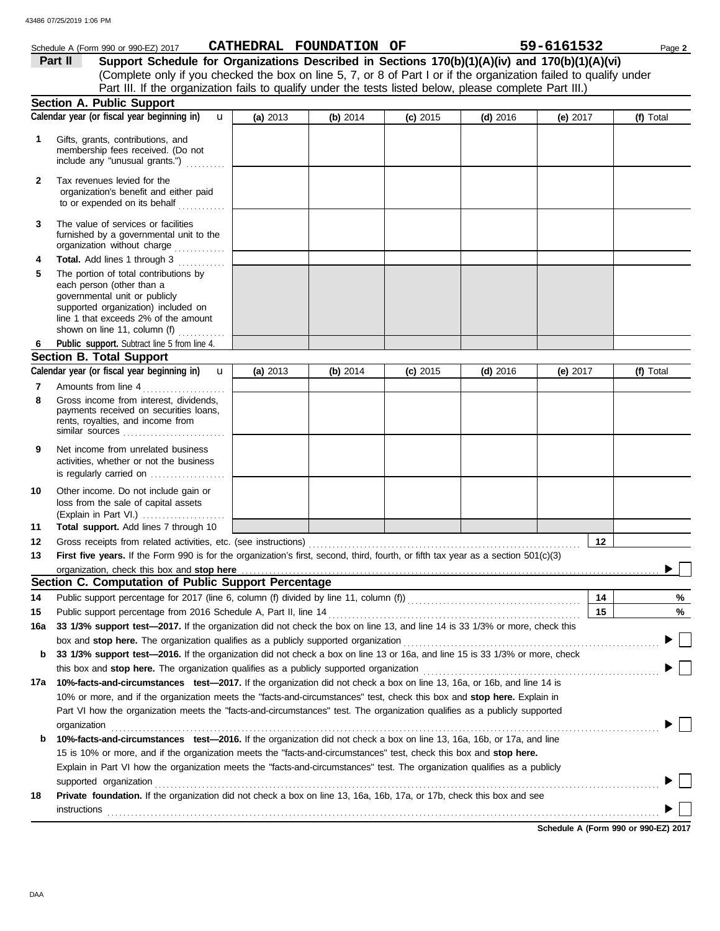|          | Schedule A (Form 990 or 990-EZ) 2017                                                                                                                                                                               |          | CATHEDRAL FOUNDATION OF |            |            | 59-6161532 | Page 2    |
|----------|--------------------------------------------------------------------------------------------------------------------------------------------------------------------------------------------------------------------|----------|-------------------------|------------|------------|------------|-----------|
|          | Support Schedule for Organizations Described in Sections 170(b)(1)(A)(iv) and 170(b)(1)(A)(vi)<br>Part II                                                                                                          |          |                         |            |            |            |           |
|          | (Complete only if you checked the box on line 5, 7, or 8 of Part I or if the organization failed to qualify under                                                                                                  |          |                         |            |            |            |           |
|          | Part III. If the organization fails to qualify under the tests listed below, please complete Part III.)                                                                                                            |          |                         |            |            |            |           |
|          | <b>Section A. Public Support</b>                                                                                                                                                                                   |          |                         |            |            |            |           |
|          | Calendar year (or fiscal year beginning in)<br>$\mathbf{u}$                                                                                                                                                        | (a) 2013 | (b) 2014                | $(c)$ 2015 | $(d)$ 2016 | (e) $2017$ | (f) Total |
| 1        | Gifts, grants, contributions, and<br>membership fees received. (Do not<br>include any "unusual grants.")                                                                                                           |          |                         |            |            |            |           |
| 2        | Tax revenues levied for the<br>organization's benefit and either paid<br>to or expended on its behalf                                                                                                              |          |                         |            |            |            |           |
| 3        | The value of services or facilities<br>furnished by a governmental unit to the<br>organization without charge                                                                                                      |          |                         |            |            |            |           |
| 4        | Total. Add lines 1 through 3<br>.                                                                                                                                                                                  |          |                         |            |            |            |           |
| 5        | The portion of total contributions by<br>each person (other than a<br>governmental unit or publicly<br>supported organization) included on<br>line 1 that exceeds 2% of the amount<br>shown on line 11, column (f) |          |                         |            |            |            |           |
| 6        | Public support. Subtract line 5 from line 4.                                                                                                                                                                       |          |                         |            |            |            |           |
|          | <b>Section B. Total Support</b>                                                                                                                                                                                    |          |                         |            |            |            |           |
|          | Calendar year (or fiscal year beginning in)<br>$\mathbf{u}$                                                                                                                                                        | (a) 2013 | (b) 2014                | $(c)$ 2015 | $(d)$ 2016 | (e) 2017   | (f) Total |
| 7<br>8   | Amounts from line 4<br>Gross income from interest, dividends,<br>payments received on securities loans,<br>rents, royalties, and income from<br>similar sources                                                    |          |                         |            |            |            |           |
| 9        | Net income from unrelated business<br>activities, whether or not the business<br>is regularly carried on $\ldots$ , $\ldots$ , $\ldots$                                                                            |          |                         |            |            |            |           |
| 10<br>11 | Other income. Do not include gain or<br>loss from the sale of capital assets<br>(Explain in Part VI.)<br>Total support. Add lines 7 through 10                                                                     |          |                         |            |            |            |           |
| 12       | Gross receipts from related activities, etc. (see instructions)                                                                                                                                                    |          |                         |            |            | 12         |           |
| 13       | First five years. If the Form 990 is for the organization's first, second, third, fourth, or fifth tax year as a section 501(c)(3)                                                                                 |          |                         |            |            |            |           |
|          |                                                                                                                                                                                                                    |          |                         |            |            |            |           |
|          | Section C. Computation of Public Support Percentage                                                                                                                                                                |          |                         |            |            |            |           |
| 14       |                                                                                                                                                                                                                    |          |                         |            |            | 14         | %         |
| 15       | Public support percentage from 2016 Schedule A, Part II, line 14                                                                                                                                                   |          |                         |            |            | 15         | %         |
| 16a      | 33 1/3% support test-2017. If the organization did not check the box on line 13, and line 14 is 33 1/3% or more, check this                                                                                        |          |                         |            |            |            |           |
|          | box and stop here. The organization qualifies as a publicly supported organization                                                                                                                                 |          |                         |            |            |            |           |
| b        | 33 1/3% support test-2016. If the organization did not check a box on line 13 or 16a, and line 15 is 33 1/3% or more, check                                                                                        |          |                         |            |            |            |           |
|          | this box and stop here. The organization qualifies as a publicly supported organization                                                                                                                            |          |                         |            |            |            |           |
|          | 17a 10%-facts-and-circumstances test-2017. If the organization did not check a box on line 13, 16a, or 16b, and line 14 is                                                                                         |          |                         |            |            |            |           |
|          | 10% or more, and if the organization meets the "facts-and-circumstances" test, check this box and stop here. Explain in                                                                                            |          |                         |            |            |            |           |
|          | Part VI how the organization meets the "facts-and-circumstances" test. The organization qualifies as a publicly supported                                                                                          |          |                         |            |            |            |           |
| b        | organization<br>10%-facts-and-circumstances test-2016. If the organization did not check a box on line 13, 16a, 16b, or 17a, and line                                                                              |          |                         |            |            |            |           |
|          | 15 is 10% or more, and if the organization meets the "facts-and-circumstances" test, check this box and stop here.                                                                                                 |          |                         |            |            |            |           |
|          | Explain in Part VI how the organization meets the "facts-and-circumstances" test. The organization qualifies as a publicly                                                                                         |          |                         |            |            |            |           |
|          | supported organization                                                                                                                                                                                             |          |                         |            |            |            |           |
| 18       | Private foundation. If the organization did not check a box on line 13, 16a, 16b, 17a, or 17b, check this box and see<br>instructions                                                                              |          |                         |            |            |            |           |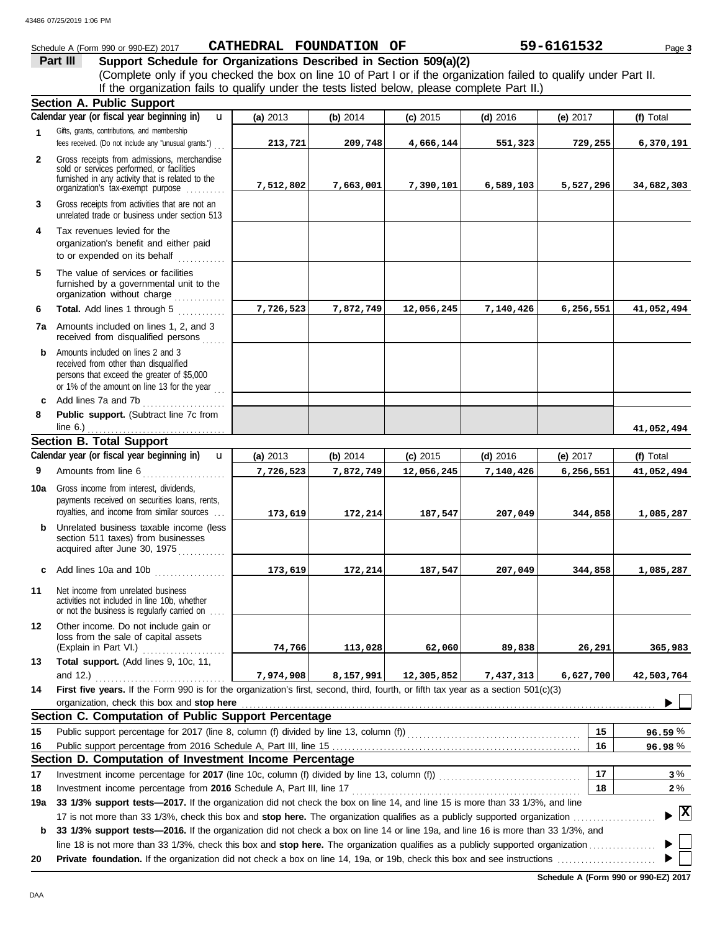## **Schedule A (Form 990 or 990-EZ) 2017 CATHEDRAL FOUNDATION OF** 59-6161532 Page 3

**Part III** Support Schedule for Organizations Described in Section 509(a)(2) (Complete only if you checked the box on line 10 of Part I or if the organization failed to qualify under Part II. If the organization fails to qualify under the tests listed below, please complete Part II.)

|              | <b>Section A. Public Support</b>                                                                                                                                                                                                                                     |           |           |            |            |            |              |
|--------------|----------------------------------------------------------------------------------------------------------------------------------------------------------------------------------------------------------------------------------------------------------------------|-----------|-----------|------------|------------|------------|--------------|
|              | Calendar year (or fiscal year beginning in)<br>$\mathbf{u}$                                                                                                                                                                                                          | (a) 2013  | (b) 2014  | $(c)$ 2015 | $(d)$ 2016 | (e) $2017$ | (f) Total    |
| 1            | Gifts, grants, contributions, and membership<br>fees received. (Do not include any "unusual grants.")                                                                                                                                                                | 213,721   | 209,748   | 4,666,144  | 551,323    | 729,255    | 6,370,191    |
| $\mathbf{2}$ | Gross receipts from admissions, merchandise<br>sold or services performed, or facilities<br>furnished in any activity that is related to the<br>organization's tax-exempt purpose                                                                                    | 7,512,802 | 7,663,001 | 7,390,101  | 6,589,103  | 5,527,296  | 34,682,303   |
| 3            | Gross receipts from activities that are not an<br>unrelated trade or business under section 513                                                                                                                                                                      |           |           |            |            |            |              |
| 4            | Tax revenues levied for the<br>organization's benefit and either paid<br>to or expended on its behalf<br>.                                                                                                                                                           |           |           |            |            |            |              |
| 5            | The value of services or facilities<br>furnished by a governmental unit to the<br>organization without charge                                                                                                                                                        |           |           |            |            |            |              |
| 6            | Total. Add lines 1 through 5<br>.                                                                                                                                                                                                                                    | 7,726,523 | 7,872,749 | 12,056,245 | 7,140,426  | 6,256,551  | 41,052,494   |
| 7a           | Amounts included on lines 1, 2, and 3<br>received from disqualified persons<br>.                                                                                                                                                                                     |           |           |            |            |            |              |
| b            | Amounts included on lines 2 and 3<br>received from other than disqualified<br>persons that exceed the greater of \$5,000<br>or 1% of the amount on line 13 for the year                                                                                              |           |           |            |            |            |              |
| c            | Add lines 7a and 7b<br>.                                                                                                                                                                                                                                             |           |           |            |            |            |              |
| 8            | Public support. (Subtract line 7c from                                                                                                                                                                                                                               |           |           |            |            |            |              |
|              | line $6.$ )                                                                                                                                                                                                                                                          |           |           |            |            |            | 41,052,494   |
|              | <b>Section B. Total Support</b><br>Calendar year (or fiscal year beginning in)                                                                                                                                                                                       |           |           |            |            |            |              |
|              | $\mathbf{u}$                                                                                                                                                                                                                                                         | (a) 2013  | (b) 2014  | $(c)$ 2015 | $(d)$ 2016 | (e) $2017$ | (f) Total    |
| 9            | Amounts from line 6<br>.                                                                                                                                                                                                                                             | 7,726,523 | 7,872,749 | 12,056,245 | 7,140,426  | 6,256,551  | 41,052,494   |
| 10a          | Gross income from interest, dividends,<br>payments received on securities loans, rents,<br>royalties, and income from similar sources                                                                                                                                | 173,619   | 172,214   | 187,547    | 207,049    | 344,858    | 1,085,287    |
| b            | Unrelated business taxable income (less<br>section 511 taxes) from businesses<br>acquired after June 30, 1975                                                                                                                                                        |           |           |            |            |            |              |
| c            | Add lines 10a and 10b                                                                                                                                                                                                                                                | 173,619   | 172,214   | 187,547    | 207,049    | 344,858    | 1,085,287    |
| 11           | Net income from unrelated business<br>activities not included in line 10b, whether<br>or not the business is regularly carried on                                                                                                                                    |           |           |            |            |            |              |
| 12           | Other income. Do not include gain or<br>loss from the sale of capital assets<br>(Explain in Part VI.)                                                                                                                                                                | 74,766    | 113,028   | 62,060     | 89,838     | 26,291     | 365,983      |
| 13           | Total support. (Add lines 9, 10c, 11,<br>and 12.)                                                                                                                                                                                                                    | 7,974,908 | 8,157,991 | 12,305,852 | 7,437,313  | 6,627,700  | 42,503,764   |
| 14           | First five years. If the Form 990 is for the organization's first, second, third, fourth, or fifth tax year as a section 501(c)(3)                                                                                                                                   |           |           |            |            |            |              |
|              | organization, check this box and stop here                                                                                                                                                                                                                           |           |           |            |            |            |              |
|              | Section C. Computation of Public Support Percentage                                                                                                                                                                                                                  |           |           |            |            |            |              |
| 15           | Public support percentage for 2017 (line 8, column (f) divided by line 13, column (f)) [[[[[[[[[[[[[[[[[[[[[[                                                                                                                                                        |           |           |            |            | 15         | 96.59%       |
| 16           | Public support percentage from 2016 Schedule A, Part III, line 15                                                                                                                                                                                                    |           |           |            |            | 16         | 96.98%       |
|              | Section D. Computation of Investment Income Percentage                                                                                                                                                                                                               |           |           |            |            |            |              |
| 17           |                                                                                                                                                                                                                                                                      |           |           |            |            | 17         | 3 %          |
| 18           | Investment income percentage from 2016 Schedule A, Part III, line 17                                                                                                                                                                                                 |           |           |            |            | 18         | $2\%$        |
| 19a          | 33 1/3% support tests-2017. If the organization did not check the box on line 14, and line 15 is more than 33 1/3%, and line                                                                                                                                         |           |           |            |            |            | $\mathbf{x}$ |
|              | 17 is not more than 33 1/3%, check this box and stop here. The organization qualifies as a publicly supported organization                                                                                                                                           |           |           |            |            |            |              |
| b            | 33 1/3% support tests-2016. If the organization did not check a box on line 14 or line 19a, and line 16 is more than 33 1/3%, and<br>line 18 is not more than 33 1/3%, check this box and stop here. The organization qualifies as a publicly supported organization |           |           |            |            |            |              |
| 20           |                                                                                                                                                                                                                                                                      |           |           |            |            |            |              |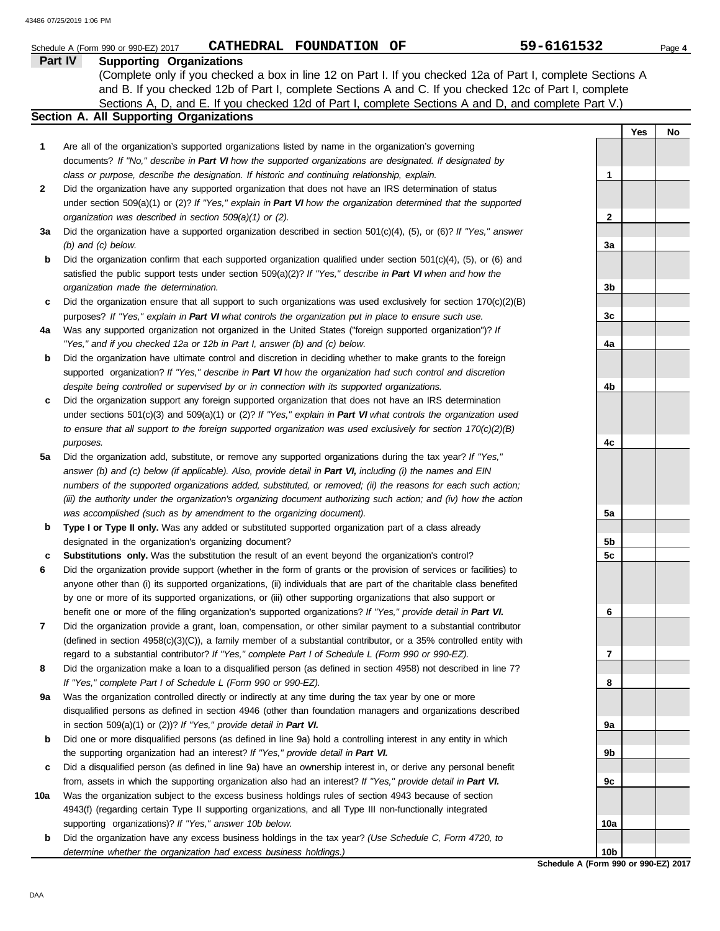|     | CATHEDRAL FOUNDATION OF<br>Schedule A (Form 990 or 990-EZ) 2017<br>Part IV<br><b>Supporting Organizations</b>                                                                                                            | 59-6161532      |     | Page 4 |
|-----|--------------------------------------------------------------------------------------------------------------------------------------------------------------------------------------------------------------------------|-----------------|-----|--------|
|     | (Complete only if you checked a box in line 12 on Part I. If you checked 12a of Part I, complete Sections A                                                                                                              |                 |     |        |
|     | and B. If you checked 12b of Part I, complete Sections A and C. If you checked 12c of Part I, complete                                                                                                                   |                 |     |        |
|     | Sections A, D, and E. If you checked 12d of Part I, complete Sections A and D, and complete Part V.)                                                                                                                     |                 |     |        |
|     | Section A. All Supporting Organizations                                                                                                                                                                                  |                 |     |        |
|     |                                                                                                                                                                                                                          |                 | Yes | No     |
| 1   | Are all of the organization's supported organizations listed by name in the organization's governing                                                                                                                     |                 |     |        |
|     | documents? If "No," describe in Part VI how the supported organizations are designated. If designated by                                                                                                                 |                 |     |        |
|     | class or purpose, describe the designation. If historic and continuing relationship, explain.                                                                                                                            | 1               |     |        |
| 2   | Did the organization have any supported organization that does not have an IRS determination of status                                                                                                                   |                 |     |        |
|     | under section 509(a)(1) or (2)? If "Yes," explain in Part VI how the organization determined that the supported                                                                                                          |                 |     |        |
|     | organization was described in section 509(a)(1) or (2).                                                                                                                                                                  | 2               |     |        |
| За  | Did the organization have a supported organization described in section $501(c)(4)$ , (5), or (6)? If "Yes," answer<br>$(b)$ and $(c)$ below.                                                                            | 3a              |     |        |
| b   | Did the organization confirm that each supported organization qualified under section $501(c)(4)$ , $(5)$ , or $(6)$ and                                                                                                 |                 |     |        |
|     | satisfied the public support tests under section 509(a)(2)? If "Yes," describe in Part VI when and how the                                                                                                               |                 |     |        |
|     | organization made the determination.                                                                                                                                                                                     | 3b              |     |        |
| c   | Did the organization ensure that all support to such organizations was used exclusively for section $170(c)(2)(B)$                                                                                                       |                 |     |        |
|     | purposes? If "Yes," explain in Part VI what controls the organization put in place to ensure such use.                                                                                                                   | 3c              |     |        |
| 4a  | Was any supported organization not organized in the United States ("foreign supported organization")? If                                                                                                                 |                 |     |        |
|     | "Yes," and if you checked 12a or 12b in Part I, answer (b) and (c) below.                                                                                                                                                | 4a              |     |        |
| b   | Did the organization have ultimate control and discretion in deciding whether to make grants to the foreign                                                                                                              |                 |     |        |
|     | supported organization? If "Yes," describe in Part VI how the organization had such control and discretion                                                                                                               |                 |     |        |
|     | despite being controlled or supervised by or in connection with its supported organizations.                                                                                                                             | 4b              |     |        |
| c   | Did the organization support any foreign supported organization that does not have an IRS determination                                                                                                                  |                 |     |        |
|     | under sections $501(c)(3)$ and $509(a)(1)$ or (2)? If "Yes," explain in Part VI what controls the organization used                                                                                                      |                 |     |        |
|     | to ensure that all support to the foreign supported organization was used exclusively for section $170(c)(2)(B)$                                                                                                         |                 |     |        |
|     | purposes.                                                                                                                                                                                                                | 4c              |     |        |
| 5a  | Did the organization add, substitute, or remove any supported organizations during the tax year? If "Yes,"<br>answer (b) and (c) below (if applicable). Also, provide detail in Part VI, including (i) the names and EIN |                 |     |        |
|     | numbers of the supported organizations added, substituted, or removed; (ii) the reasons for each such action;                                                                                                            |                 |     |        |
|     | (iii) the authority under the organization's organizing document authorizing such action; and (iv) how the action                                                                                                        |                 |     |        |
|     | was accomplished (such as by amendment to the organizing document).                                                                                                                                                      | 5a              |     |        |
| b   | Type I or Type II only. Was any added or substituted supported organization part of a class already                                                                                                                      |                 |     |        |
|     | designated in the organization's organizing document?                                                                                                                                                                    | 5 <sub>b</sub>  |     |        |
|     | <b>Substitutions only.</b> Was the substitution the result of an event beyond the organization's control?                                                                                                                | 5c              |     |        |
| 6   | Did the organization provide support (whether in the form of grants or the provision of services or facilities) to                                                                                                       |                 |     |        |
|     | anyone other than (i) its supported organizations, (ii) individuals that are part of the charitable class benefited                                                                                                      |                 |     |        |
|     | by one or more of its supported organizations, or (iii) other supporting organizations that also support or                                                                                                              |                 |     |        |
|     | benefit one or more of the filing organization's supported organizations? If "Yes," provide detail in Part VI.                                                                                                           | 6               |     |        |
| 7   | Did the organization provide a grant, loan, compensation, or other similar payment to a substantial contributor                                                                                                          |                 |     |        |
|     | (defined in section $4958(c)(3)(C)$ ), a family member of a substantial contributor, or a 35% controlled entity with                                                                                                     |                 |     |        |
| 8   | regard to a substantial contributor? If "Yes," complete Part I of Schedule L (Form 990 or 990-EZ).                                                                                                                       | 7               |     |        |
|     | Did the organization make a loan to a disqualified person (as defined in section 4958) not described in line 7?<br>If "Yes," complete Part I of Schedule L (Form 990 or 990-EZ).                                         | 8               |     |        |
| 9а  | Was the organization controlled directly or indirectly at any time during the tax year by one or more                                                                                                                    |                 |     |        |
|     | disqualified persons as defined in section 4946 (other than foundation managers and organizations described                                                                                                              |                 |     |        |
|     | in section 509(a)(1) or (2))? If "Yes," provide detail in Part VI.                                                                                                                                                       | 9a              |     |        |
| b   | Did one or more disqualified persons (as defined in line 9a) hold a controlling interest in any entity in which                                                                                                          |                 |     |        |
|     | the supporting organization had an interest? If "Yes," provide detail in Part VI.                                                                                                                                        | 9b              |     |        |
| c   | Did a disqualified person (as defined in line 9a) have an ownership interest in, or derive any personal benefit                                                                                                          |                 |     |        |
|     | from, assets in which the supporting organization also had an interest? If "Yes," provide detail in Part VI.                                                                                                             | 9c              |     |        |
| 10a | Was the organization subject to the excess business holdings rules of section 4943 because of section                                                                                                                    |                 |     |        |
|     | 4943(f) (regarding certain Type II supporting organizations, and all Type III non-functionally integrated                                                                                                                |                 |     |        |
|     | supporting organizations)? If "Yes," answer 10b below.                                                                                                                                                                   | 10a             |     |        |
| b   | Did the organization have any excess business holdings in the tax year? (Use Schedule C, Form 4720, to                                                                                                                   |                 |     |        |
|     | determine whether the organization had excess business holdings.)                                                                                                                                                        | 10 <sub>b</sub> |     |        |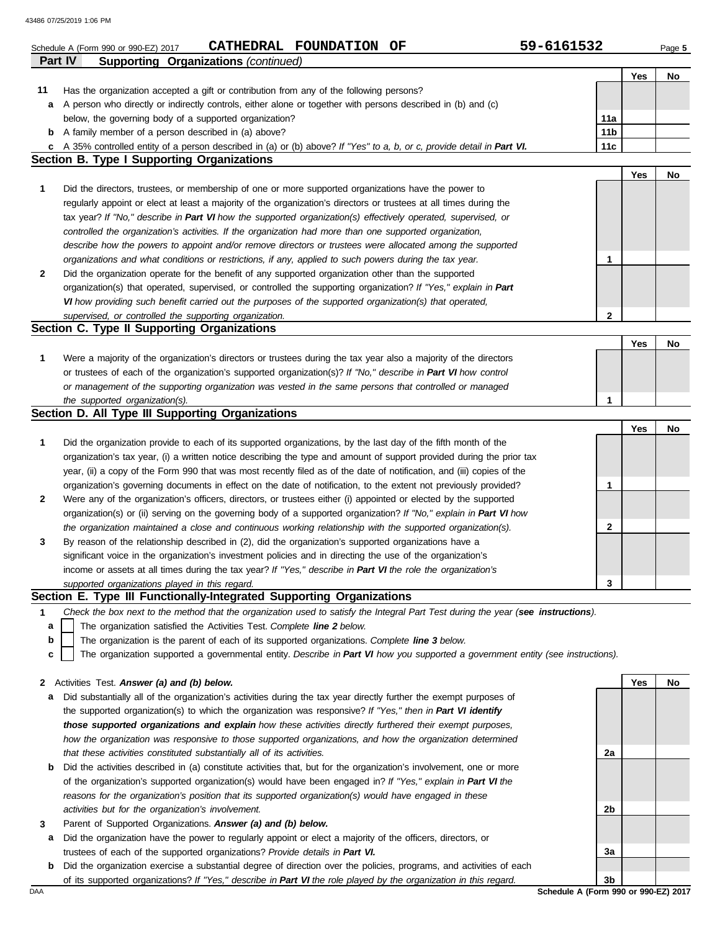|         | CATHEDRAL FOUNDATION OF<br>Schedule A (Form 990 or 990-EZ) 2017                                                                                                                                             | 59-6161532                           |     | Page 5 |
|---------|-------------------------------------------------------------------------------------------------------------------------------------------------------------------------------------------------------------|--------------------------------------|-----|--------|
| Part IV | <b>Supporting Organizations (continued)</b>                                                                                                                                                                 |                                      |     |        |
|         |                                                                                                                                                                                                             |                                      | Yes | No     |
| 11      | Has the organization accepted a gift or contribution from any of the following persons?                                                                                                                     |                                      |     |        |
| а       | A person who directly or indirectly controls, either alone or together with persons described in (b) and (c)                                                                                                |                                      |     |        |
|         | below, the governing body of a supported organization?                                                                                                                                                      | 11a                                  |     |        |
|         | <b>b</b> A family member of a person described in (a) above?                                                                                                                                                | 11 <sub>b</sub>                      |     |        |
|         | c A 35% controlled entity of a person described in (a) or (b) above? If "Yes" to a, b, or c, provide detail in Part VI.                                                                                     | 11c                                  |     |        |
|         | Section B. Type I Supporting Organizations                                                                                                                                                                  |                                      |     |        |
|         |                                                                                                                                                                                                             |                                      | Yes | No     |
| 1       | Did the directors, trustees, or membership of one or more supported organizations have the power to                                                                                                         |                                      |     |        |
|         | regularly appoint or elect at least a majority of the organization's directors or trustees at all times during the                                                                                          |                                      |     |        |
|         | tax year? If "No," describe in Part VI how the supported organization(s) effectively operated, supervised, or                                                                                               |                                      |     |        |
|         | controlled the organization's activities. If the organization had more than one supported organization,                                                                                                     |                                      |     |        |
|         | describe how the powers to appoint and/or remove directors or trustees were allocated among the supported                                                                                                   |                                      |     |        |
|         | organizations and what conditions or restrictions, if any, applied to such powers during the tax year.                                                                                                      | 1                                    |     |        |
| 2       | Did the organization operate for the benefit of any supported organization other than the supported                                                                                                         |                                      |     |        |
|         | organization(s) that operated, supervised, or controlled the supporting organization? If "Yes," explain in Part                                                                                             |                                      |     |        |
|         | VI how providing such benefit carried out the purposes of the supported organization(s) that operated,                                                                                                      |                                      |     |        |
|         | supervised, or controlled the supporting organization.                                                                                                                                                      | $\mathbf 2$                          |     |        |
|         | Section C. Type II Supporting Organizations                                                                                                                                                                 |                                      |     |        |
|         |                                                                                                                                                                                                             |                                      | Yes | No     |
| 1       | Were a majority of the organization's directors or trustees during the tax year also a majority of the directors                                                                                            |                                      |     |        |
|         | or trustees of each of the organization's supported organization(s)? If "No," describe in Part VI how control                                                                                               |                                      |     |        |
|         | or management of the supporting organization was vested in the same persons that controlled or managed                                                                                                      |                                      |     |        |
|         | the supported organization(s).                                                                                                                                                                              | 1                                    |     |        |
|         | Section D. All Type III Supporting Organizations                                                                                                                                                            |                                      |     |        |
|         |                                                                                                                                                                                                             |                                      | Yes | No     |
| 1       | Did the organization provide to each of its supported organizations, by the last day of the fifth month of the                                                                                              |                                      |     |        |
|         | organization's tax year, (i) a written notice describing the type and amount of support provided during the prior tax                                                                                       |                                      |     |        |
|         | year, (ii) a copy of the Form 990 that was most recently filed as of the date of notification, and (iii) copies of the                                                                                      |                                      |     |        |
|         | organization's governing documents in effect on the date of notification, to the extent not previously provided?                                                                                            | $\mathbf{1}$                         |     |        |
| 2       | Were any of the organization's officers, directors, or trustees either (i) appointed or elected by the supported                                                                                            |                                      |     |        |
|         | organization(s) or (ii) serving on the governing body of a supported organization? If "No," explain in Part VI how                                                                                          |                                      |     |        |
|         | the organization maintained a close and continuous working relationship with the supported organization(s).                                                                                                 | $\mathbf{2}$                         |     |        |
| 3       | By reason of the relationship described in (2), did the organization's supported organizations have a                                                                                                       |                                      |     |        |
|         | significant voice in the organization's investment policies and in directing the use of the organization's                                                                                                  |                                      |     |        |
|         | income or assets at all times during the tax year? If "Yes," describe in Part VI the role the organization's                                                                                                |                                      |     |        |
|         | supported organizations played in this regard.                                                                                                                                                              | 3                                    |     |        |
|         | Section E. Type III Functionally-Integrated Supporting Organizations                                                                                                                                        |                                      |     |        |
| 1       | Check the box next to the method that the organization used to satisfy the Integral Part Test during the year (see instructions).<br>The organization satisfied the Activities Test. Complete line 2 below. |                                      |     |        |
| a<br>b  | The organization is the parent of each of its supported organizations. Complete line 3 below.                                                                                                               |                                      |     |        |
| с       | The organization supported a governmental entity. Describe in Part VI how you supported a government entity (see instructions).                                                                             |                                      |     |        |
|         |                                                                                                                                                                                                             |                                      |     |        |
| 2       | Activities Test. Answer (a) and (b) below.                                                                                                                                                                  |                                      | Yes | No     |
| а       | Did substantially all of the organization's activities during the tax year directly further the exempt purposes of                                                                                          |                                      |     |        |
|         | the supported organization(s) to which the organization was responsive? If "Yes," then in Part VI identify                                                                                                  |                                      |     |        |
|         | those supported organizations and explain how these activities directly furthered their exempt purposes,                                                                                                    |                                      |     |        |
|         | how the organization was responsive to those supported organizations, and how the organization determined                                                                                                   |                                      |     |        |
|         | that these activities constituted substantially all of its activities.                                                                                                                                      | 2a                                   |     |        |
| b       | Did the activities described in (a) constitute activities that, but for the organization's involvement, one or more                                                                                         |                                      |     |        |
|         | of the organization's supported organization(s) would have been engaged in? If "Yes," explain in Part VI the                                                                                                |                                      |     |        |
|         | reasons for the organization's position that its supported organization(s) would have engaged in these                                                                                                      |                                      |     |        |
|         | activities but for the organization's involvement.                                                                                                                                                          | 2b                                   |     |        |
| 3       | Parent of Supported Organizations. Answer (a) and (b) below.                                                                                                                                                |                                      |     |        |
| а       | Did the organization have the power to regularly appoint or elect a majority of the officers, directors, or                                                                                                 |                                      |     |        |
|         | trustees of each of the supported organizations? Provide details in Part VI.                                                                                                                                | За                                   |     |        |
| b       | Did the organization exercise a substantial degree of direction over the policies, programs, and activities of each                                                                                         |                                      |     |        |
|         | of its supported organizations? If "Yes," describe in Part VI the role played by the organization in this regard.                                                                                           | 3b                                   |     |        |
| DAA     |                                                                                                                                                                                                             | Schedule A (Form 990 or 990-EZ) 2017 |     |        |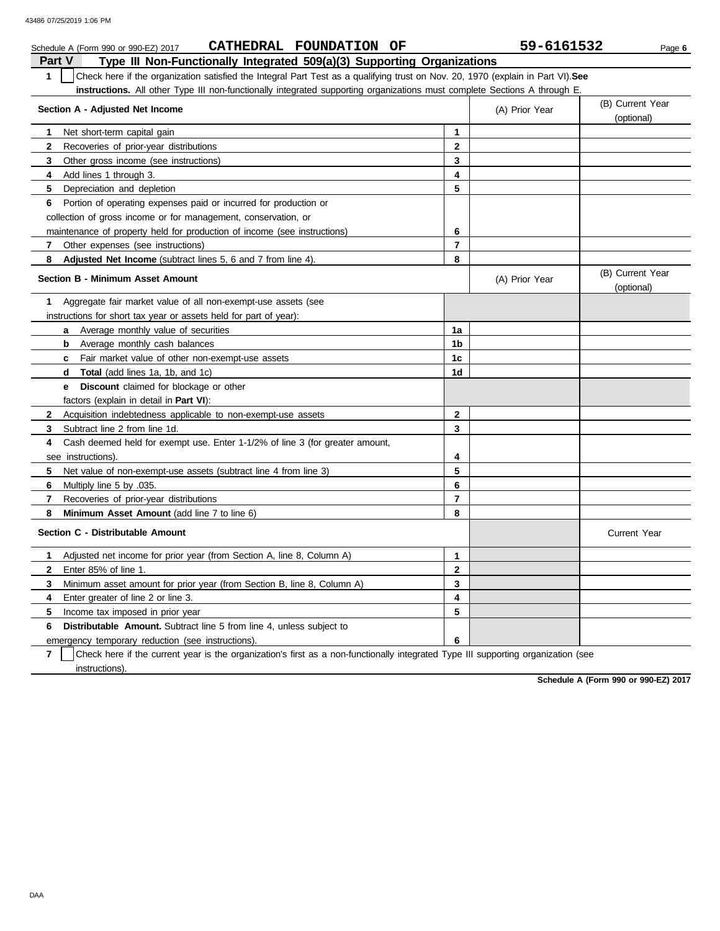| CATHEDRAL FOUNDATION OF<br>Schedule A (Form 990 or 990-EZ) 2017                                                                                  |                | 59-6161532     | Page 6                         |
|--------------------------------------------------------------------------------------------------------------------------------------------------|----------------|----------------|--------------------------------|
| Part V<br>Type III Non-Functionally Integrated 509(a)(3) Supporting Organizations                                                                |                |                |                                |
| $\mathbf{1}$<br>Check here if the organization satisfied the Integral Part Test as a qualifying trust on Nov. 20, 1970 (explain in Part VI). See |                |                |                                |
| instructions. All other Type III non-functionally integrated supporting organizations must complete Sections A through E.                        |                |                |                                |
| Section A - Adjusted Net Income                                                                                                                  |                | (A) Prior Year | (B) Current Year<br>(optional) |
| Net short-term capital gain<br>1                                                                                                                 | $\mathbf{1}$   |                |                                |
| $\mathbf{2}$<br>Recoveries of prior-year distributions                                                                                           | $\mathbf{2}$   |                |                                |
| 3<br>Other gross income (see instructions)                                                                                                       | 3              |                |                                |
| Add lines 1 through 3.<br>4                                                                                                                      | 4              |                |                                |
| 5<br>Depreciation and depletion                                                                                                                  | 5              |                |                                |
| Portion of operating expenses paid or incurred for production or<br>6                                                                            |                |                |                                |
| collection of gross income or for management, conservation, or                                                                                   |                |                |                                |
| maintenance of property held for production of income (see instructions)                                                                         | 6              |                |                                |
| 7<br>Other expenses (see instructions)                                                                                                           | $\overline{7}$ |                |                                |
| 8<br>Adjusted Net Income (subtract lines 5, 6 and 7 from line 4).                                                                                | 8              |                |                                |
| <b>Section B - Minimum Asset Amount</b>                                                                                                          |                | (A) Prior Year | (B) Current Year<br>(optional) |
| Aggregate fair market value of all non-exempt-use assets (see<br>1                                                                               |                |                |                                |
| instructions for short tax year or assets held for part of year):                                                                                |                |                |                                |
| <b>a</b> Average monthly value of securities                                                                                                     | 1a             |                |                                |
| <b>b</b> Average monthly cash balances                                                                                                           | 1b             |                |                                |
| Fair market value of other non-exempt-use assets<br>C                                                                                            | 1c             |                |                                |
| <b>Total</b> (add lines 1a, 1b, and 1c)<br>d                                                                                                     | 1d             |                |                                |
| <b>Discount</b> claimed for blockage or other<br>е                                                                                               |                |                |                                |
| factors (explain in detail in <b>Part VI</b> ):                                                                                                  |                |                |                                |
| $\mathbf{2}$<br>Acquisition indebtedness applicable to non-exempt-use assets                                                                     | $\mathbf{2}$   |                |                                |
| 3<br>Subtract line 2 from line 1d.                                                                                                               | 3              |                |                                |
| Cash deemed held for exempt use. Enter 1-1/2% of line 3 (for greater amount,<br>4                                                                |                |                |                                |
| see instructions).                                                                                                                               | 4              |                |                                |
| 5<br>Net value of non-exempt-use assets (subtract line 4 from line 3)                                                                            | 5              |                |                                |
| 6<br>Multiply line 5 by .035.                                                                                                                    | 6              |                |                                |
| 7<br>Recoveries of prior-year distributions                                                                                                      | $\overline{7}$ |                |                                |
| 8<br>Minimum Asset Amount (add line 7 to line 6)                                                                                                 | 8              |                |                                |
| Section C - Distributable Amount                                                                                                                 |                |                | <b>Current Year</b>            |
| Adjusted net income for prior year (from Section A, line 8, Column A)<br>1                                                                       | $\mathbf{1}$   |                |                                |
| $\mathbf{2}$<br>Enter 85% of line 1.                                                                                                             | $\mathbf 2$    |                |                                |
| 3<br>Minimum asset amount for prior year (from Section B, line 8, Column A)                                                                      | 3              |                |                                |
| Enter greater of line 2 or line 3.<br>4                                                                                                          | 4              |                |                                |
| 5<br>Income tax imposed in prior year                                                                                                            | 5              |                |                                |
| <b>Distributable Amount.</b> Subtract line 5 from line 4, unless subject to<br>6                                                                 |                |                |                                |
| emergency temporary reduction (see instructions).                                                                                                | 6              |                |                                |

**7** | Check here if the current year is the organization's first as a non-functionally integrated Type III supporting organization (see instructions).

**Schedule A (Form 990 or 990-EZ) 2017**

DAA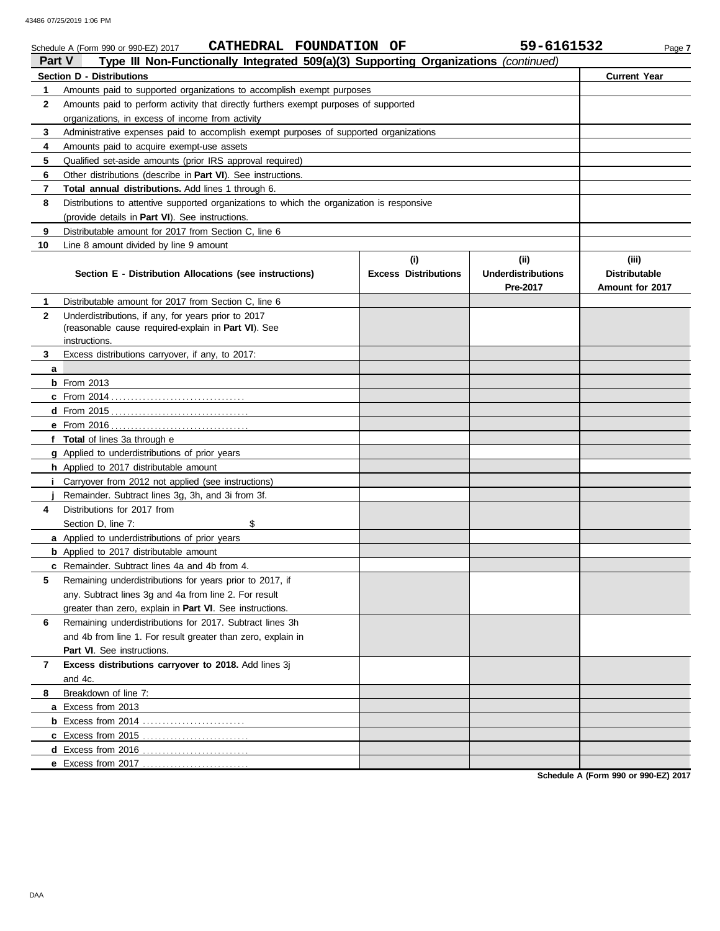| Part V         | CATHEDRAL FOUNDATION OF<br>Schedule A (Form 990 or 990-EZ) 2017<br>Type III Non-Functionally Integrated 509(a)(3) Supporting Organizations (continued) |                                    | 59-6161532                                    | Page 7                        |
|----------------|--------------------------------------------------------------------------------------------------------------------------------------------------------|------------------------------------|-----------------------------------------------|-------------------------------|
|                | <b>Section D - Distributions</b>                                                                                                                       |                                    |                                               | <b>Current Year</b>           |
| 1              | Amounts paid to supported organizations to accomplish exempt purposes                                                                                  |                                    |                                               |                               |
| $\mathbf{2}$   | Amounts paid to perform activity that directly furthers exempt purposes of supported                                                                   |                                    |                                               |                               |
|                | organizations, in excess of income from activity                                                                                                       |                                    |                                               |                               |
| 3              | Administrative expenses paid to accomplish exempt purposes of supported organizations                                                                  |                                    |                                               |                               |
| 4              | Amounts paid to acquire exempt-use assets                                                                                                              |                                    |                                               |                               |
| 5              | Qualified set-aside amounts (prior IRS approval required)                                                                                              |                                    |                                               |                               |
| 6              | Other distributions (describe in Part VI). See instructions.                                                                                           |                                    |                                               |                               |
| $\overline{7}$ | Total annual distributions. Add lines 1 through 6.                                                                                                     |                                    |                                               |                               |
| 8              | Distributions to attentive supported organizations to which the organization is responsive                                                             |                                    |                                               |                               |
|                | (provide details in Part VI). See instructions.                                                                                                        |                                    |                                               |                               |
| 9              | Distributable amount for 2017 from Section C, line 6                                                                                                   |                                    |                                               |                               |
| 10             | Line 8 amount divided by line 9 amount                                                                                                                 |                                    |                                               |                               |
|                | Section E - Distribution Allocations (see instructions)                                                                                                | (i)<br><b>Excess Distributions</b> | (ii)<br><b>Underdistributions</b><br>Pre-2017 | (iii)<br><b>Distributable</b> |
| 1              | Distributable amount for 2017 from Section C, line 6                                                                                                   |                                    |                                               | Amount for 2017               |
| $\mathbf{2}$   | Underdistributions, if any, for years prior to 2017                                                                                                    |                                    |                                               |                               |
|                | (reasonable cause required-explain in Part VI). See<br>instructions.                                                                                   |                                    |                                               |                               |
| 3              | Excess distributions carryover, if any, to 2017:                                                                                                       |                                    |                                               |                               |
| a              |                                                                                                                                                        |                                    |                                               |                               |
|                | $b$ From 2013                                                                                                                                          |                                    |                                               |                               |
|                |                                                                                                                                                        |                                    |                                               |                               |
|                |                                                                                                                                                        |                                    |                                               |                               |
|                |                                                                                                                                                        |                                    |                                               |                               |
|                | f Total of lines 3a through e                                                                                                                          |                                    |                                               |                               |
|                | g Applied to underdistributions of prior years                                                                                                         |                                    |                                               |                               |
|                | h Applied to 2017 distributable amount                                                                                                                 |                                    |                                               |                               |
|                | Carryover from 2012 not applied (see instructions)                                                                                                     |                                    |                                               |                               |
|                | Remainder. Subtract lines 3g, 3h, and 3i from 3f.                                                                                                      |                                    |                                               |                               |
| 4              | Distributions for 2017 from                                                                                                                            |                                    |                                               |                               |
|                | Section D, line 7:<br>\$                                                                                                                               |                                    |                                               |                               |
|                | a Applied to underdistributions of prior years                                                                                                         |                                    |                                               |                               |
|                | <b>b</b> Applied to 2017 distributable amount                                                                                                          |                                    |                                               |                               |
|                | c Remainder. Subtract lines 4a and 4b from 4.                                                                                                          |                                    |                                               |                               |
| 5              | Remaining underdistributions for years prior to 2017, if                                                                                               |                                    |                                               |                               |
|                | any. Subtract lines 3g and 4a from line 2. For result                                                                                                  |                                    |                                               |                               |
|                | greater than zero, explain in Part VI. See instructions.                                                                                               |                                    |                                               |                               |
| 6              | Remaining underdistributions for 2017. Subtract lines 3h                                                                                               |                                    |                                               |                               |
|                | and 4b from line 1. For result greater than zero, explain in                                                                                           |                                    |                                               |                               |
|                | Part VI. See instructions.                                                                                                                             |                                    |                                               |                               |
| 7              | Excess distributions carryover to 2018. Add lines 3j<br>and 4c.                                                                                        |                                    |                                               |                               |
| 8              | Breakdown of line 7:                                                                                                                                   |                                    |                                               |                               |
|                | a Excess from 2013                                                                                                                                     |                                    |                                               |                               |
|                |                                                                                                                                                        |                                    |                                               |                               |
|                | c Excess from 2015                                                                                                                                     |                                    |                                               |                               |
|                |                                                                                                                                                        |                                    |                                               |                               |
|                |                                                                                                                                                        |                                    |                                               |                               |
|                |                                                                                                                                                        |                                    |                                               |                               |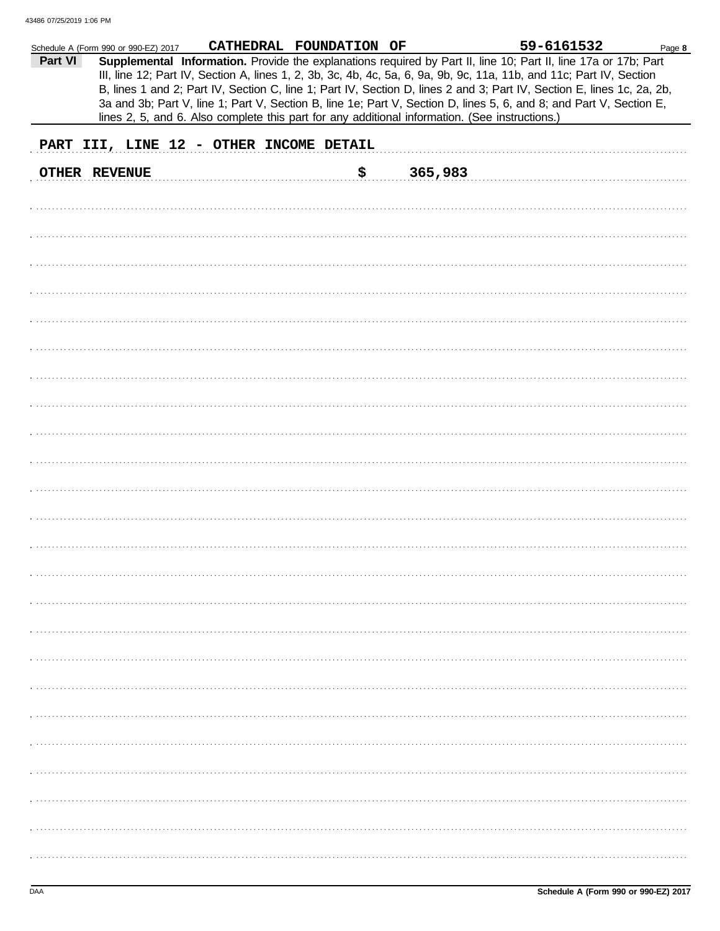|         | Schedule A (Form 990 or 990-EZ) 2017 |                                         | CATHEDRAL FOUNDATION OF |                                                                                                | 59-6161532                                                                                                                                                                                                                                                                                                                                                        | Page 8 |
|---------|--------------------------------------|-----------------------------------------|-------------------------|------------------------------------------------------------------------------------------------|-------------------------------------------------------------------------------------------------------------------------------------------------------------------------------------------------------------------------------------------------------------------------------------------------------------------------------------------------------------------|--------|
| Part VI |                                      |                                         |                         |                                                                                                | Supplemental Information. Provide the explanations required by Part II, line 10; Part II, line 17a or 17b; Part<br>III, line 12; Part IV, Section A, lines 1, 2, 3b, 3c, 4b, 4c, 5a, 6, 9a, 9b, 9c, 11a, 11b, and 11c; Part IV, Section<br>B, lines 1 and 2; Part IV, Section C, line 1; Part IV, Section D, lines 2 and 3; Part IV, Section E, lines 1c, 2a, 2b, |        |
|         |                                      |                                         |                         | lines 2, 5, and 6. Also complete this part for any additional information. (See instructions.) | 3a and 3b; Part V, line 1; Part V, Section B, line 1e; Part V, Section D, lines 5, 6, and 8; and Part V, Section E,                                                                                                                                                                                                                                               |        |
|         |                                      | PART III, LINE 12 - OTHER INCOME DETAIL |                         |                                                                                                |                                                                                                                                                                                                                                                                                                                                                                   |        |
|         |                                      |                                         |                         |                                                                                                |                                                                                                                                                                                                                                                                                                                                                                   |        |
|         | OTHER REVENUE                        |                                         | \$                      | 365,983                                                                                        |                                                                                                                                                                                                                                                                                                                                                                   |        |
|         |                                      |                                         |                         |                                                                                                |                                                                                                                                                                                                                                                                                                                                                                   |        |
|         |                                      |                                         |                         |                                                                                                |                                                                                                                                                                                                                                                                                                                                                                   |        |
|         |                                      |                                         |                         |                                                                                                |                                                                                                                                                                                                                                                                                                                                                                   |        |
|         |                                      |                                         |                         |                                                                                                |                                                                                                                                                                                                                                                                                                                                                                   |        |
|         |                                      |                                         |                         |                                                                                                |                                                                                                                                                                                                                                                                                                                                                                   |        |
|         |                                      |                                         |                         |                                                                                                |                                                                                                                                                                                                                                                                                                                                                                   |        |
|         |                                      |                                         |                         |                                                                                                |                                                                                                                                                                                                                                                                                                                                                                   |        |
|         |                                      |                                         |                         |                                                                                                |                                                                                                                                                                                                                                                                                                                                                                   |        |
|         |                                      |                                         |                         |                                                                                                |                                                                                                                                                                                                                                                                                                                                                                   |        |
|         |                                      |                                         |                         |                                                                                                |                                                                                                                                                                                                                                                                                                                                                                   |        |
|         |                                      |                                         |                         |                                                                                                |                                                                                                                                                                                                                                                                                                                                                                   |        |
|         |                                      |                                         |                         |                                                                                                |                                                                                                                                                                                                                                                                                                                                                                   |        |
|         |                                      |                                         |                         |                                                                                                |                                                                                                                                                                                                                                                                                                                                                                   |        |
|         |                                      |                                         |                         |                                                                                                |                                                                                                                                                                                                                                                                                                                                                                   |        |
|         |                                      |                                         |                         |                                                                                                |                                                                                                                                                                                                                                                                                                                                                                   |        |
|         |                                      |                                         |                         |                                                                                                |                                                                                                                                                                                                                                                                                                                                                                   |        |
|         |                                      |                                         |                         |                                                                                                |                                                                                                                                                                                                                                                                                                                                                                   |        |
|         |                                      |                                         |                         |                                                                                                |                                                                                                                                                                                                                                                                                                                                                                   |        |
|         |                                      |                                         |                         |                                                                                                |                                                                                                                                                                                                                                                                                                                                                                   |        |
|         |                                      |                                         |                         |                                                                                                |                                                                                                                                                                                                                                                                                                                                                                   |        |
|         |                                      |                                         |                         |                                                                                                |                                                                                                                                                                                                                                                                                                                                                                   |        |
|         |                                      |                                         |                         |                                                                                                |                                                                                                                                                                                                                                                                                                                                                                   |        |
|         |                                      |                                         |                         |                                                                                                |                                                                                                                                                                                                                                                                                                                                                                   |        |
|         |                                      |                                         |                         |                                                                                                |                                                                                                                                                                                                                                                                                                                                                                   |        |
|         |                                      |                                         |                         |                                                                                                |                                                                                                                                                                                                                                                                                                                                                                   |        |
|         |                                      |                                         |                         |                                                                                                |                                                                                                                                                                                                                                                                                                                                                                   |        |
|         |                                      |                                         |                         |                                                                                                |                                                                                                                                                                                                                                                                                                                                                                   |        |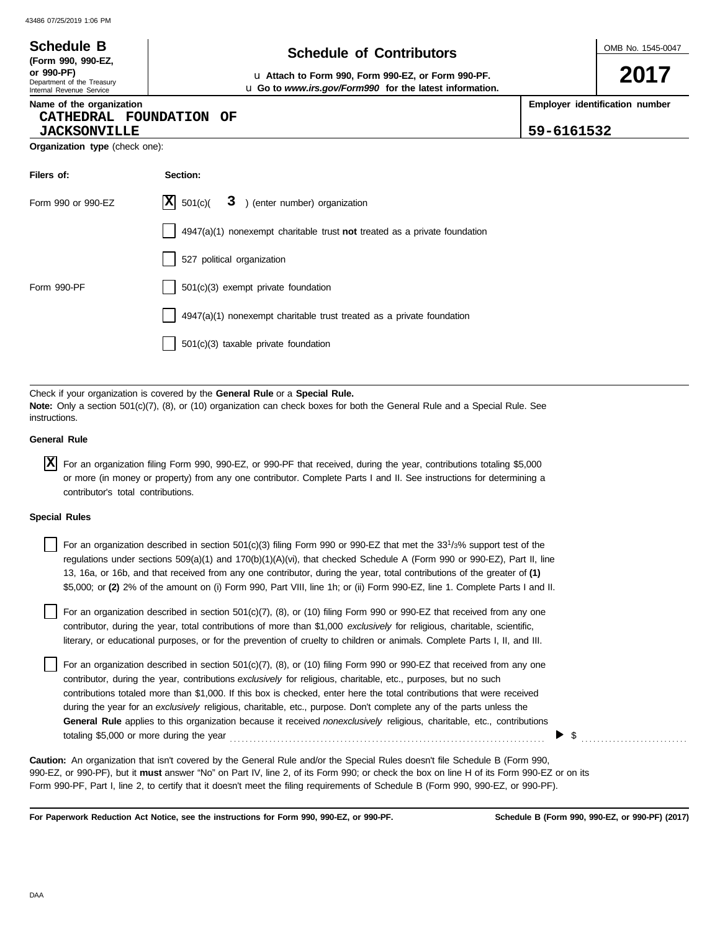| <b>Schedule B</b><br>(Form 990, 990-EZ,                              | <b>Schedule of Contributors</b>                                                                                | OMB No. 1545-0047 |                                |
|----------------------------------------------------------------------|----------------------------------------------------------------------------------------------------------------|-------------------|--------------------------------|
| or 990-PF)<br>Department of the Treasury<br>Internal Revenue Service | La Attach to Form 990, Form 990-EZ, or Form 990-PF.<br>u Go to www.irs.gov/Form990 for the latest information. |                   | 2017                           |
| Name of the organization<br>CATHEDRAL FOUNDATION OF                  |                                                                                                                |                   | Employer identification number |
| <b>JACKSONVILLE</b>                                                  |                                                                                                                | 59-6161532        |                                |
| <b>Organization type</b> (check one):                                |                                                                                                                |                   |                                |
| Filers of:                                                           | Section:                                                                                                       |                   |                                |
| Form 990 or 990-EZ                                                   | $ \mathbf{X} $ 501(c)(<br>3 ) (enter number) organization                                                      |                   |                                |
|                                                                      | 4947(a)(1) nonexempt charitable trust not treated as a private foundation                                      |                   |                                |
|                                                                      | 527 political organization                                                                                     |                   |                                |
| Form 990-PF                                                          | 501(c)(3) exempt private foundation                                                                            |                   |                                |
|                                                                      | 4947(a)(1) nonexempt charitable trust treated as a private foundation                                          |                   |                                |
|                                                                      | 501(c)(3) taxable private foundation                                                                           |                   |                                |
|                                                                      |                                                                                                                |                   |                                |

Check if your organization is covered by the **General Rule** or a **Special Rule. Note:** Only a section 501(c)(7), (8), or (10) organization can check boxes for both the General Rule and a Special Rule. See instructions.

#### **General Rule**

For an organization filing Form 990, 990-EZ, or 990-PF that received, during the year, contributions totaling \$5,000 **X** or more (in money or property) from any one contributor. Complete Parts I and II. See instructions for determining a contributor's total contributions.

#### **Special Rules**

| For an organization described in section 501(c)(3) filing Form 990 or 990-EZ that met the 33 <sup>1</sup> /3% support test of the |
|-----------------------------------------------------------------------------------------------------------------------------------|
| regulations under sections 509(a)(1) and 170(b)(1)(A)(vi), that checked Schedule A (Form 990 or 990-EZ), Part II, line            |
| 13, 16a, or 16b, and that received from any one contributor, during the year, total contributions of the greater of (1)           |
| \$5,000; or (2) 2% of the amount on (i) Form 990, Part VIII, line 1h; or (ii) Form 990-EZ, line 1. Complete Parts I and II.       |

literary, or educational purposes, or for the prevention of cruelty to children or animals. Complete Parts I, II, and III. For an organization described in section 501(c)(7), (8), or (10) filing Form 990 or 990-EZ that received from any one contributor, during the year, total contributions of more than \$1,000 *exclusively* for religious, charitable, scientific,

For an organization described in section 501(c)(7), (8), or (10) filing Form 990 or 990-EZ that received from any one contributor, during the year, contributions *exclusively* for religious, charitable, etc., purposes, but no such contributions totaled more than \$1,000. If this box is checked, enter here the total contributions that were received during the year for an *exclusively* religious, charitable, etc., purpose. Don't complete any of the parts unless the **General Rule** applies to this organization because it received *nonexclusively* religious, charitable, etc., contributions totaling \$5,000 or more during the year . . . . . . . . . . . . . . . . . . . . . . . . . . . . . . . . . . . . . . . . . . . . . . . . . . . . . . . . . . . . . . . . . . . . . . . . . . . . . . . .

990-EZ, or 990-PF), but it **must** answer "No" on Part IV, line 2, of its Form 990; or check the box on line H of its Form 990-EZ or on its Form 990-PF, Part I, line 2, to certify that it doesn't meet the filing requirements of Schedule B (Form 990, 990-EZ, or 990-PF). **Caution:** An organization that isn't covered by the General Rule and/or the Special Rules doesn't file Schedule B (Form 990,

**For Paperwork Reduction Act Notice, see the instructions for Form 990, 990-EZ, or 990-PF.**

\$ . . . . . . . . . . . . . . . . . . . . . . . . . . .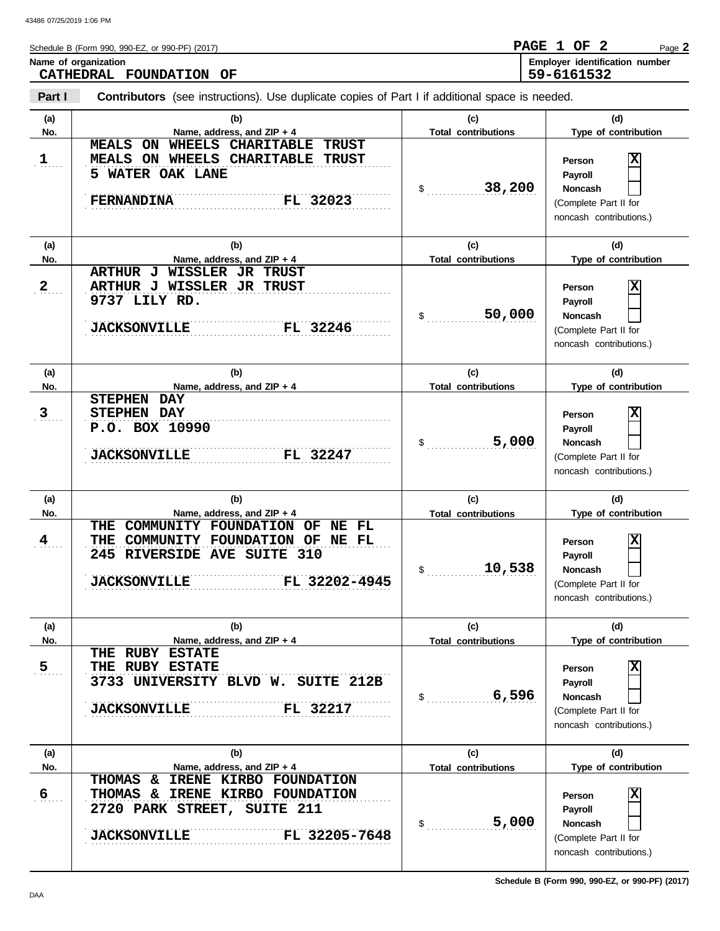**Part I**

Schedule B (Form 990, 990-EZ, or 990-PF) (2017) **Name of organization Employer identification number Employer identification number** Page **2 CATHEDRAL FOUNDATION OF PAGE 1 OF 2 59-6161532**

**Contributors** (see instructions). Use duplicate copies of Part I if additional space is needed.

**Type of contribution Person Payroll Noncash (a) (b) (c) (d) No. Name, address, and ZIP + 4 Type of contribution Person Payroll Noncash (a) (b) (c) (d) No. Name, address, and ZIP + 4 Type of contribution Person Payroll Noncash (a) (b) (c) (d)** No. Name, address, and ZIP + 4 **Total contributions** Type of contribution **Person Payroll Noncash** \$ . . . . . . . . . . . . . . . . . . . . . . . . . . . . **38,200** (Complete Part II for noncash contributions.) \$ . . . . . . . . . . . . . . . . . . . . . . . . . . . . **50,000** (Complete Part II for noncash contributions.) \$ . . . . . . . . . . . . . . . . . . . . . . . . . . . . **5,000** (Complete Part II for noncash contributions.) \$ . . . . . . . . . . . . . . . . . . . . . . . . . . . . **10,538** (Complete Part II for noncash contributions.) \$ . . . . . . . . . . . . . . . . . . . . . . . . . . . . **6,596** (Complete Part II for noncash contributions.)  $\frac{1}{2}$ (Complete Part II for noncash contributions.) **(a) (b) (c) (d) No. Name, address, and ZIP + 4 Total contributions Type of contribution Person Payroll Noncash (a) (b) (c) (d) No. Name, address, and ZIP + 4 Type of contribution Person Payroll Noncash (a) (b) (c) (d) No. Name, address, and ZIP + 4** . . . . . . . **1** . **2** . . . . . . . **3** . 4 . . . . . . . **5** . 6<sub>. . . .</sub> . . . . . . . . . . . . . . . . . . . . . . . . . . . . . . . . . . . . . . . . . . . . . . . . . . . . . . . . . . . . . . . . . . . . . . . . . . . . . . . . . . . . . . . . . . . . . . . . . . . . . . . . . . . . . . . . . . . . . . . . . . . . . . . . . . . . . . . . . . . . . . . . . . . . . . . . . . **JACKSONVILLE FL 32205-7648 THOMAS & IRENE KIRBO FOUNDATION** . . . . . . . . . . . . . . . . . . . . . . . . . . . . . . . . . . . . . . . . . . . . . . . . . . . . . . . . . . . . . . . . . . . . . . . . . . . . . **THE RUBY ESTATE** . . . . . . . . . . . . . . . . . . . . . . . . . . . . . . . . . . . . . . . . . . . . . . . . . . . . . . . . . . . . . . . . . . . . . . . . . . . . . FL 32217 . . . . . . . . . . . . . . . . . . . . . . . . . . . . . . . . . . . . . . . . . . . . . . . . . . . . . . . . . . . . . . . . . . . . . . . . . . . . . . . . . . . . . . . . . . . . . . . . . . . . . . . . . . . . . . . . . . . . . . . . . . . . . . . . . . . . . . . . . . . . . . . . . . . . . . . . . . **JACKSONVILLE FL 32202-4945** THE COMMUNITY FOUNDATION OF NE FL . . . . . . . . . . . . . . . . . . . . . . . . . . . . . . . . . . . . . . . . . . . . . . . . . . . . . . . . . . . . . . . . . . . . . . . . . . . . . **STEPHEN DAY** . . . . . . . . . . . . . . . . . . . . . . . . . . . . . . . . . . . . . . . . . . . . . . . . . . . . . . . . . . . . . . . . . . . . . . . . . . . . . . . . . . . . . . . . . . . . . . . . . . . . . . . . . . . . . . . . . . . . . . . . . . . . . . . . . . . . . . . . . . . . . . . . . . . . . . . . . . **JACKSONVILLE FL 32247** . . . . . . . . . . . . . . . . . . . . . . . . . . . . . . . . . . . . . . . . . . . . . . . . . . . . . . . . . . . . . . . . . . . . . . . . . . . . . . . . . . . . . . . . . . . . . . . . . . . . . . . . . . . . . . . . . . . . . . . . . . . . . . . . . . . . . . . . . . . . . . . . . . . . . . . . . . **ARTHUR J WISSLER JR TRUST MEALS ON WHEELS CHARITABLE TRUST** . . . . . . . . . . . . . . . . . . . . . . . . . . . . . . . . . . . . . . . . . . . . . . . . . . . . . . . . . . . . . . . . . . . . . . . . . . . . . . . . . . . . . . . . . . . . . . . . . . . . . . . . . . . . . . . . . . . . . . . . . . . . . . . . . . . . . . . . . . . . . . . . . . . . . . . . . . **FERNANDINA FL 32023 Total contributions Total contributions Total contributions Total contributions Total contributions MEALS ON WHEELS CHARITABLE TRUST 5 WATER OAK LANE X ARTHUR J WISSLER JR TRUST 9737 LILY RD. JACKSONVILLE FL 32246 X STEPHEN DAY P.O. BOX 10990 X THE COMMUNITY FOUNDATION OF NE FL 245 RIVERSIDE AVE SUITE 310 X THE RUBY ESTATE 3733 UNIVERSITY BLVD W. SUITE 212B JACKSONVILLE FL 32217 X THOMAS & IRENE KIRBO FOUNDATION 2720 PARK STREET, SUITE 211 5,000 X**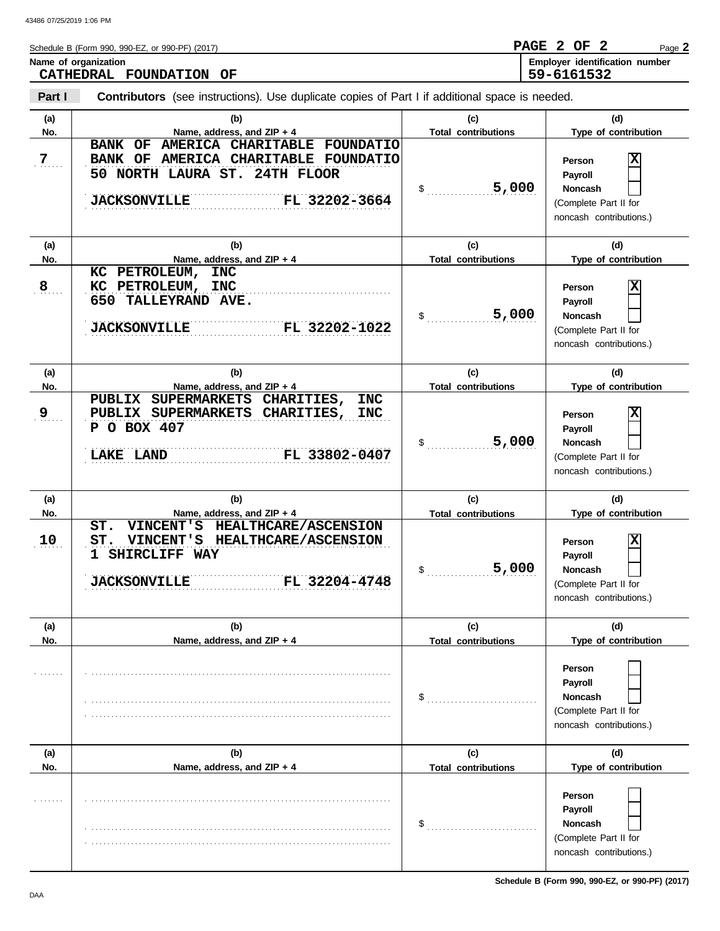Schedule B (Form 990, 990-EZ, or 990-PF) (2017) **Name of organization** 

| PAGE 2 OF 2 |  |                                | Page 2 |
|-------------|--|--------------------------------|--------|
|             |  | Employer identification number |        |

**59-6161532**

**CATHEDRAL FOUNDATION OF**

**Part I Contributors** (see instructions). Use duplicate copies of Part I if additional space is needed.

| (a)<br>No.     | (b)<br>Name, address, and ZIP + 4                                                                                                                                                   | (c)<br><b>Total contributions</b>         | (d)<br>Type of contribution                                                                                   |
|----------------|-------------------------------------------------------------------------------------------------------------------------------------------------------------------------------------|-------------------------------------------|---------------------------------------------------------------------------------------------------------------|
| $\overline{7}$ | <b>FOUNDATIO</b><br><b>BANK OF</b><br>AMERICA CHARITABLE<br><b>BANK OF</b><br>AMERICA CHARITABLE FOUNDATIO<br>50 NORTH LAURA ST. 24TH FLOOR<br>FL 32202-3664<br><b>JACKSONVILLE</b> | 5,000<br>\$                               | х<br>Person<br>Payroll<br>Noncash<br>(Complete Part II for<br>noncash contributions.)                         |
| (a)            | (b)                                                                                                                                                                                 | (c)                                       | (d)                                                                                                           |
| No.<br>8       | Name, address, and ZIP + 4<br>KC PETROLEUM,<br><b>INC</b><br>KC PETROLEUM,<br><b>INC</b><br>650 TALLEYRAND AVE.<br>FL 32202-1022<br><b>JACKSONVILLE</b>                             | <b>Total contributions</b><br>5,000<br>\$ | Type of contribution<br>X<br>Person<br>Payroll<br>Noncash<br>(Complete Part II for<br>noncash contributions.) |
| (a)            | (b)                                                                                                                                                                                 | (c)                                       | (d)                                                                                                           |
| No.            | Name, address, and ZIP + 4                                                                                                                                                          | <b>Total contributions</b>                | Type of contribution                                                                                          |
| 9              | PUBLIX SUPERMARKETS CHARITIES,<br><b>INC</b><br>PUBLIX SUPERMARKETS CHARITIES,<br><b>INC</b><br>P O BOX 407<br>FL 33802-0407<br><b>LAKE LAND</b>                                    | 5,000<br>\$                               | х<br>Person<br>Payroll<br><b>Noncash</b><br>(Complete Part II for<br>noncash contributions.)                  |
| (a)            | (b)                                                                                                                                                                                 | (c)                                       | (d)                                                                                                           |
| No.            | Name, address, and ZIP + 4                                                                                                                                                          | <b>Total contributions</b>                | Type of contribution                                                                                          |
| 10             | VINCENT'S HEALTHCARE/ASCENSION<br>ST.<br>ST.<br>VINCENT'S HEALTHCARE/ASCENSION<br>SHIRCLIFF WAY<br>ı<br>FL 32204-4748<br><b>JACKSONVILLE</b>                                        | 5,000<br>\$                               | X<br>Person<br>Payroll<br><b>Noncash</b><br>(Complete Part II for<br>noncash contributions.)                  |
| (a)            | (b)                                                                                                                                                                                 | (c)                                       | (d)                                                                                                           |
| No.            | Name, address, and ZIP + 4                                                                                                                                                          | <b>Total contributions</b>                | Type of contribution                                                                                          |
|                |                                                                                                                                                                                     | \$                                        | Person<br>Payroll<br><b>Noncash</b><br>(Complete Part II for<br>noncash contributions.)                       |
| (a)            | (b)                                                                                                                                                                                 | (c)                                       | (d)                                                                                                           |
| No.            | Name, address, and ZIP + 4                                                                                                                                                          | <b>Total contributions</b>                | Type of contribution                                                                                          |
|                |                                                                                                                                                                                     | \$                                        | Person<br>Payroll<br>Noncash                                                                                  |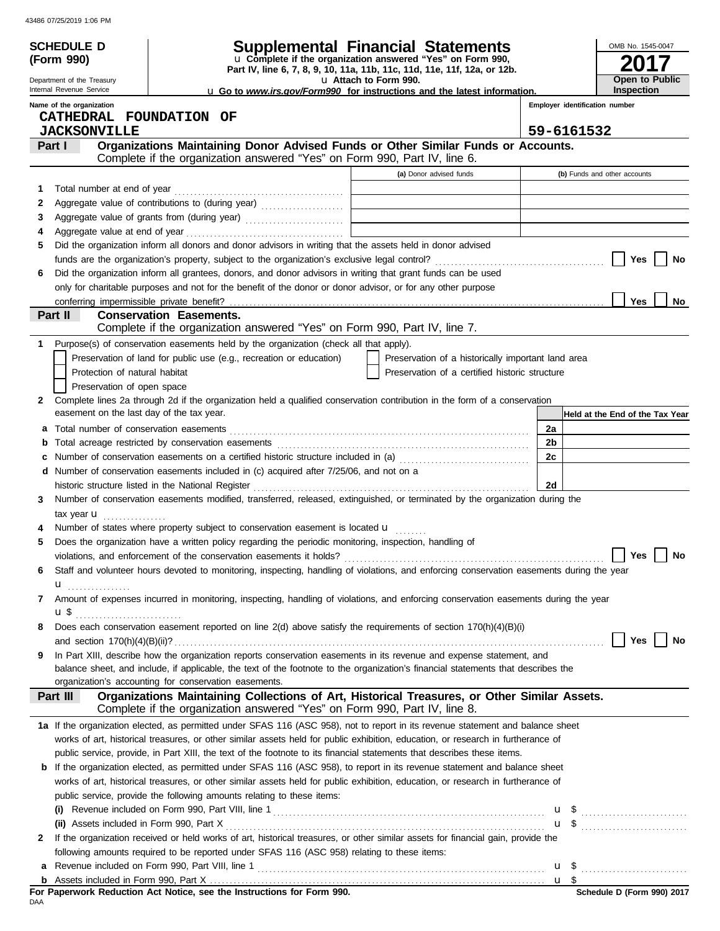|   | SCHEDULE D                                          |                                                                                                                                                                                                                                | <b>Supplemental Financial Statements</b><br>u Complete if the organization answered "Yes" on Form 990, |                                | OMB No. 1545-0047               |
|---|-----------------------------------------------------|--------------------------------------------------------------------------------------------------------------------------------------------------------------------------------------------------------------------------------|--------------------------------------------------------------------------------------------------------|--------------------------------|---------------------------------|
|   | (Form 990)                                          |                                                                                                                                                                                                                                | Part IV, line 6, 7, 8, 9, 10, 11a, 11b, 11c, 11d, 11e, 11f, 12a, or 12b.                               |                                |                                 |
|   | Department of the Treasury                          |                                                                                                                                                                                                                                | La Attach to Form 990.                                                                                 |                                | Open to Public                  |
|   | Internal Revenue Service                            |                                                                                                                                                                                                                                | <b>u</b> Go to www.irs.gov/Form990 for instructions and the latest information.                        |                                | <b>Inspection</b>               |
|   | Name of the organization<br>CATHEDRAL FOUNDATION OF |                                                                                                                                                                                                                                |                                                                                                        | Employer identification number |                                 |
|   | <b>JACKSONVILLE</b>                                 |                                                                                                                                                                                                                                |                                                                                                        | 59-6161532                     |                                 |
|   | Part I                                              | Organizations Maintaining Donor Advised Funds or Other Similar Funds or Accounts.                                                                                                                                              |                                                                                                        |                                |                                 |
|   |                                                     | Complete if the organization answered "Yes" on Form 990, Part IV, line 6.                                                                                                                                                      |                                                                                                        |                                |                                 |
|   |                                                     |                                                                                                                                                                                                                                | (a) Donor advised funds                                                                                |                                | (b) Funds and other accounts    |
| 1 |                                                     |                                                                                                                                                                                                                                |                                                                                                        |                                |                                 |
| 2 |                                                     |                                                                                                                                                                                                                                | the control of the control of the control of the control of the control of the control of              |                                |                                 |
| 3 |                                                     |                                                                                                                                                                                                                                |                                                                                                        |                                |                                 |
| 4 |                                                     |                                                                                                                                                                                                                                |                                                                                                        |                                |                                 |
| 5 |                                                     | Did the organization inform all donors and donor advisors in writing that the assets held in donor advised                                                                                                                     |                                                                                                        |                                |                                 |
|   |                                                     |                                                                                                                                                                                                                                |                                                                                                        |                                | Yes<br>No                       |
| 6 |                                                     | Did the organization inform all grantees, donors, and donor advisors in writing that grant funds can be used                                                                                                                   |                                                                                                        |                                |                                 |
|   |                                                     | only for charitable purposes and not for the benefit of the donor or donor advisor, or for any other purpose                                                                                                                   |                                                                                                        |                                |                                 |
|   |                                                     |                                                                                                                                                                                                                                |                                                                                                        |                                | Yes<br>No.                      |
|   | Part II                                             | <b>Conservation Easements.</b>                                                                                                                                                                                                 |                                                                                                        |                                |                                 |
|   |                                                     | Complete if the organization answered "Yes" on Form 990, Part IV, line 7.                                                                                                                                                      |                                                                                                        |                                |                                 |
|   |                                                     | Purpose(s) of conservation easements held by the organization (check all that apply).                                                                                                                                          |                                                                                                        |                                |                                 |
|   |                                                     | Preservation of land for public use (e.g., recreation or education)                                                                                                                                                            | Preservation of a historically important land area                                                     |                                |                                 |
|   | Protection of natural habitat                       |                                                                                                                                                                                                                                | Preservation of a certified historic structure                                                         |                                |                                 |
|   | Preservation of open space                          |                                                                                                                                                                                                                                |                                                                                                        |                                |                                 |
| 2 |                                                     | Complete lines 2a through 2d if the organization held a qualified conservation contribution in the form of a conservation                                                                                                      |                                                                                                        |                                |                                 |
|   | easement on the last day of the tax year.           |                                                                                                                                                                                                                                |                                                                                                        |                                | Held at the End of the Tax Year |
| a |                                                     |                                                                                                                                                                                                                                |                                                                                                        | 2a                             |                                 |
|   |                                                     | b Total acreage restricted by conservation easements [11] conservation conservation of the Total acreage restricted by conservation easements [11] conservation of the Total acreage restricted by conservation easements [11] |                                                                                                        | 2b                             |                                 |
|   |                                                     | Number of conservation easements on a certified historic structure included in (a) [11] [21] Number of conservation easements on a certified historic field in (a)                                                             |                                                                                                        | 2c                             |                                 |
|   |                                                     | d Number of conservation easements included in (c) acquired after 7/25/06, and not on a                                                                                                                                        |                                                                                                        | 2d                             |                                 |
|   |                                                     | Number of conservation easements modified, transferred, released, extinguished, or terminated by the organization during the                                                                                                   |                                                                                                        |                                |                                 |
| 3 |                                                     |                                                                                                                                                                                                                                |                                                                                                        |                                |                                 |
|   | tax year $\mathbf{u}$                               | Number of states where property subject to conservation easement is located u                                                                                                                                                  |                                                                                                        |                                |                                 |
| 5 |                                                     | Does the organization have a written policy regarding the periodic monitoring, inspection, handling of                                                                                                                         |                                                                                                        |                                |                                 |
|   |                                                     |                                                                                                                                                                                                                                |                                                                                                        |                                | Yes<br>No                       |
| 6 |                                                     | Staff and volunteer hours devoted to monitoring, inspecting, handling of violations, and enforcing conservation easements during the year                                                                                      |                                                                                                        |                                |                                 |
|   | $\mathbf{u}$ <sub></sub>                            |                                                                                                                                                                                                                                |                                                                                                        |                                |                                 |
| 7 |                                                     | Amount of expenses incurred in monitoring, inspecting, handling of violations, and enforcing conservation easements during the year                                                                                            |                                                                                                        |                                |                                 |
|   |                                                     |                                                                                                                                                                                                                                |                                                                                                        |                                |                                 |
| 8 |                                                     | Does each conservation easement reported on line 2(d) above satisfy the requirements of section 170(h)(4)(B)(i)                                                                                                                |                                                                                                        |                                |                                 |
|   |                                                     |                                                                                                                                                                                                                                |                                                                                                        |                                | Yes<br>No                       |
| 9 |                                                     | In Part XIII, describe how the organization reports conservation easements in its revenue and expense statement, and                                                                                                           |                                                                                                        |                                |                                 |
|   |                                                     | balance sheet, and include, if applicable, the text of the footnote to the organization's financial statements that describes the                                                                                              |                                                                                                        |                                |                                 |
|   |                                                     | organization's accounting for conservation easements.                                                                                                                                                                          |                                                                                                        |                                |                                 |
|   | Part III                                            | Organizations Maintaining Collections of Art, Historical Treasures, or Other Similar Assets.                                                                                                                                   |                                                                                                        |                                |                                 |
|   |                                                     | Complete if the organization answered "Yes" on Form 990, Part IV, line 8.                                                                                                                                                      |                                                                                                        |                                |                                 |
|   |                                                     | 1a If the organization elected, as permitted under SFAS 116 (ASC 958), not to report in its revenue statement and balance sheet                                                                                                |                                                                                                        |                                |                                 |
|   |                                                     | works of art, historical treasures, or other similar assets held for public exhibition, education, or research in furtherance of                                                                                               |                                                                                                        |                                |                                 |
|   |                                                     | public service, provide, in Part XIII, the text of the footnote to its financial statements that describes these items.                                                                                                        |                                                                                                        |                                |                                 |
|   |                                                     | <b>b</b> If the organization elected, as permitted under SFAS 116 (ASC 958), to report in its revenue statement and balance sheet                                                                                              |                                                                                                        |                                |                                 |
|   |                                                     | works of art, historical treasures, or other similar assets held for public exhibition, education, or research in furtherance of                                                                                               |                                                                                                        |                                |                                 |
|   |                                                     | public service, provide the following amounts relating to these items:                                                                                                                                                         |                                                                                                        |                                |                                 |
|   |                                                     |                                                                                                                                                                                                                                |                                                                                                        |                                | $\mathbf{u}$ \$                 |
| 2 |                                                     | If the organization received or held works of art, historical treasures, or other similar assets for financial gain, provide the                                                                                               |                                                                                                        |                                |                                 |
|   |                                                     | following amounts required to be reported under SFAS 116 (ASC 958) relating to these items:                                                                                                                                    |                                                                                                        |                                |                                 |
| а |                                                     |                                                                                                                                                                                                                                |                                                                                                        |                                |                                 |
|   |                                                     |                                                                                                                                                                                                                                |                                                                                                        |                                |                                 |

**For Paperwork Reduction Act Notice, see the Instructions for Form 990.**<br><sub>DAA</sub>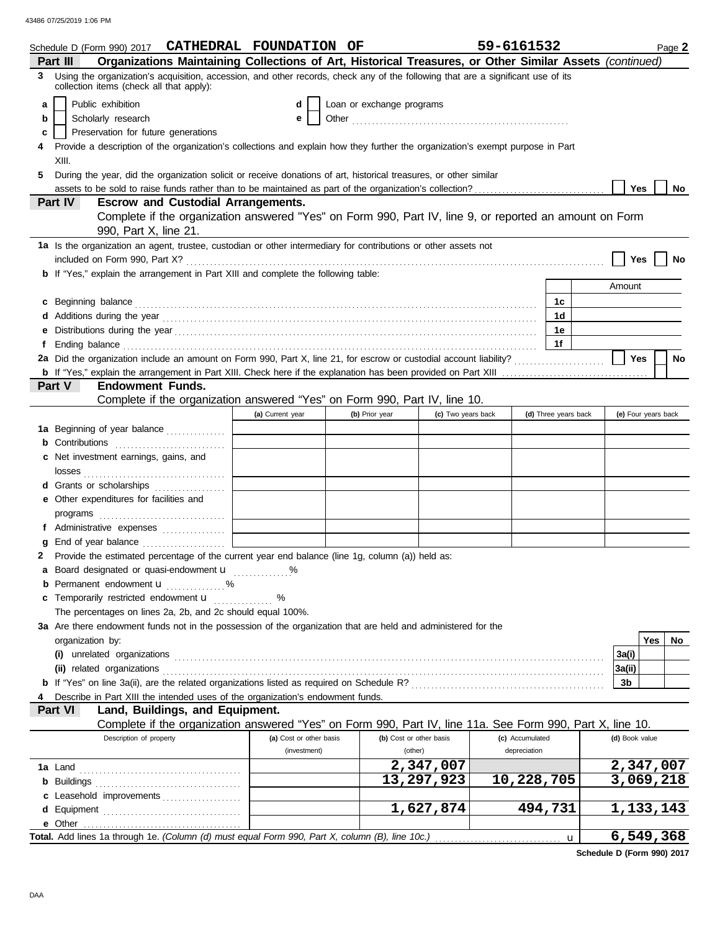| Organizations Maintaining Collections of Art, Historical Treasures, or Other Similar Assets (continued)<br>Part III<br>Using the organization's acquisition, accession, and other records, check any of the following that are a significant use of its<br>3<br>collection items (check all that apply):<br>Public exhibition<br>Loan or exchange programs<br>a<br>d<br>Scholarly research<br>b<br>е<br>Preservation for future generations<br>c<br>Provide a description of the organization's collections and explain how they further the organization's exempt purpose in Part<br>XIII.<br>During the year, did the organization solicit or receive donations of art, historical treasures, or other similar<br>5.<br>Yes<br><b>No</b><br>Part IV<br><b>Escrow and Custodial Arrangements.</b><br>Complete if the organization answered "Yes" on Form 990, Part IV, line 9, or reported an amount on Form<br>990, Part X, line 21.<br>1a Is the organization an agent, trustee, custodian or other intermediary for contributions or other assets not<br>Yes<br>No<br><b>b</b> If "Yes," explain the arrangement in Part XIII and complete the following table:<br>Amount<br>c Beginning balance <b>contract to the contract of the contract of the contract of the contract of the contract of the contract of the contract of the contract of the contract of the contract of the contract of the contract </b><br>1c<br>1d<br>1e<br>1f<br>Ending balance <i>communically contained a contained a contained a contained a contained a contained a contained a</i><br>f<br>2a Did the organization include an amount on Form 990, Part X, line 21, for escrow or custodial account liability?<br>Yes<br>No<br>Part V<br><b>Endowment Funds.</b><br>Complete if the organization answered "Yes" on Form 990, Part IV, line 10.<br>(a) Current year<br>(d) Three years back<br>(e) Four years back<br>(b) Prior year<br>(c) Two years back<br>1a Beginning of year balance<br><b>b</b> Contributions <b>contributions</b><br>c Net investment earnings, gains, and<br>d Grants or scholarships<br>e Other expenditures for facilities and<br>f Administrative expenses<br>g<br>2 Provide the estimated percentage of the current year end balance (line 1g, column (a)) held as:<br>a Board designated or quasi-endowment u |
|--------------------------------------------------------------------------------------------------------------------------------------------------------------------------------------------------------------------------------------------------------------------------------------------------------------------------------------------------------------------------------------------------------------------------------------------------------------------------------------------------------------------------------------------------------------------------------------------------------------------------------------------------------------------------------------------------------------------------------------------------------------------------------------------------------------------------------------------------------------------------------------------------------------------------------------------------------------------------------------------------------------------------------------------------------------------------------------------------------------------------------------------------------------------------------------------------------------------------------------------------------------------------------------------------------------------------------------------------------------------------------------------------------------------------------------------------------------------------------------------------------------------------------------------------------------------------------------------------------------------------------------------------------------------------------------------------------------------------------------------------------------------------------------------------------------------------------------------------------------------------------------------------------------------------------------------------------------------------------------------------------------------------------------------------------------------------------------------------------------------------------------------------------------------------------------------------------------------------------------------------------------------------------------------------------------------------------|
|                                                                                                                                                                                                                                                                                                                                                                                                                                                                                                                                                                                                                                                                                                                                                                                                                                                                                                                                                                                                                                                                                                                                                                                                                                                                                                                                                                                                                                                                                                                                                                                                                                                                                                                                                                                                                                                                                                                                                                                                                                                                                                                                                                                                                                                                                                                                |
|                                                                                                                                                                                                                                                                                                                                                                                                                                                                                                                                                                                                                                                                                                                                                                                                                                                                                                                                                                                                                                                                                                                                                                                                                                                                                                                                                                                                                                                                                                                                                                                                                                                                                                                                                                                                                                                                                                                                                                                                                                                                                                                                                                                                                                                                                                                                |
|                                                                                                                                                                                                                                                                                                                                                                                                                                                                                                                                                                                                                                                                                                                                                                                                                                                                                                                                                                                                                                                                                                                                                                                                                                                                                                                                                                                                                                                                                                                                                                                                                                                                                                                                                                                                                                                                                                                                                                                                                                                                                                                                                                                                                                                                                                                                |
|                                                                                                                                                                                                                                                                                                                                                                                                                                                                                                                                                                                                                                                                                                                                                                                                                                                                                                                                                                                                                                                                                                                                                                                                                                                                                                                                                                                                                                                                                                                                                                                                                                                                                                                                                                                                                                                                                                                                                                                                                                                                                                                                                                                                                                                                                                                                |
|                                                                                                                                                                                                                                                                                                                                                                                                                                                                                                                                                                                                                                                                                                                                                                                                                                                                                                                                                                                                                                                                                                                                                                                                                                                                                                                                                                                                                                                                                                                                                                                                                                                                                                                                                                                                                                                                                                                                                                                                                                                                                                                                                                                                                                                                                                                                |
|                                                                                                                                                                                                                                                                                                                                                                                                                                                                                                                                                                                                                                                                                                                                                                                                                                                                                                                                                                                                                                                                                                                                                                                                                                                                                                                                                                                                                                                                                                                                                                                                                                                                                                                                                                                                                                                                                                                                                                                                                                                                                                                                                                                                                                                                                                                                |
|                                                                                                                                                                                                                                                                                                                                                                                                                                                                                                                                                                                                                                                                                                                                                                                                                                                                                                                                                                                                                                                                                                                                                                                                                                                                                                                                                                                                                                                                                                                                                                                                                                                                                                                                                                                                                                                                                                                                                                                                                                                                                                                                                                                                                                                                                                                                |
|                                                                                                                                                                                                                                                                                                                                                                                                                                                                                                                                                                                                                                                                                                                                                                                                                                                                                                                                                                                                                                                                                                                                                                                                                                                                                                                                                                                                                                                                                                                                                                                                                                                                                                                                                                                                                                                                                                                                                                                                                                                                                                                                                                                                                                                                                                                                |
|                                                                                                                                                                                                                                                                                                                                                                                                                                                                                                                                                                                                                                                                                                                                                                                                                                                                                                                                                                                                                                                                                                                                                                                                                                                                                                                                                                                                                                                                                                                                                                                                                                                                                                                                                                                                                                                                                                                                                                                                                                                                                                                                                                                                                                                                                                                                |
|                                                                                                                                                                                                                                                                                                                                                                                                                                                                                                                                                                                                                                                                                                                                                                                                                                                                                                                                                                                                                                                                                                                                                                                                                                                                                                                                                                                                                                                                                                                                                                                                                                                                                                                                                                                                                                                                                                                                                                                                                                                                                                                                                                                                                                                                                                                                |
|                                                                                                                                                                                                                                                                                                                                                                                                                                                                                                                                                                                                                                                                                                                                                                                                                                                                                                                                                                                                                                                                                                                                                                                                                                                                                                                                                                                                                                                                                                                                                                                                                                                                                                                                                                                                                                                                                                                                                                                                                                                                                                                                                                                                                                                                                                                                |
|                                                                                                                                                                                                                                                                                                                                                                                                                                                                                                                                                                                                                                                                                                                                                                                                                                                                                                                                                                                                                                                                                                                                                                                                                                                                                                                                                                                                                                                                                                                                                                                                                                                                                                                                                                                                                                                                                                                                                                                                                                                                                                                                                                                                                                                                                                                                |
|                                                                                                                                                                                                                                                                                                                                                                                                                                                                                                                                                                                                                                                                                                                                                                                                                                                                                                                                                                                                                                                                                                                                                                                                                                                                                                                                                                                                                                                                                                                                                                                                                                                                                                                                                                                                                                                                                                                                                                                                                                                                                                                                                                                                                                                                                                                                |
|                                                                                                                                                                                                                                                                                                                                                                                                                                                                                                                                                                                                                                                                                                                                                                                                                                                                                                                                                                                                                                                                                                                                                                                                                                                                                                                                                                                                                                                                                                                                                                                                                                                                                                                                                                                                                                                                                                                                                                                                                                                                                                                                                                                                                                                                                                                                |
|                                                                                                                                                                                                                                                                                                                                                                                                                                                                                                                                                                                                                                                                                                                                                                                                                                                                                                                                                                                                                                                                                                                                                                                                                                                                                                                                                                                                                                                                                                                                                                                                                                                                                                                                                                                                                                                                                                                                                                                                                                                                                                                                                                                                                                                                                                                                |
|                                                                                                                                                                                                                                                                                                                                                                                                                                                                                                                                                                                                                                                                                                                                                                                                                                                                                                                                                                                                                                                                                                                                                                                                                                                                                                                                                                                                                                                                                                                                                                                                                                                                                                                                                                                                                                                                                                                                                                                                                                                                                                                                                                                                                                                                                                                                |
|                                                                                                                                                                                                                                                                                                                                                                                                                                                                                                                                                                                                                                                                                                                                                                                                                                                                                                                                                                                                                                                                                                                                                                                                                                                                                                                                                                                                                                                                                                                                                                                                                                                                                                                                                                                                                                                                                                                                                                                                                                                                                                                                                                                                                                                                                                                                |
|                                                                                                                                                                                                                                                                                                                                                                                                                                                                                                                                                                                                                                                                                                                                                                                                                                                                                                                                                                                                                                                                                                                                                                                                                                                                                                                                                                                                                                                                                                                                                                                                                                                                                                                                                                                                                                                                                                                                                                                                                                                                                                                                                                                                                                                                                                                                |
|                                                                                                                                                                                                                                                                                                                                                                                                                                                                                                                                                                                                                                                                                                                                                                                                                                                                                                                                                                                                                                                                                                                                                                                                                                                                                                                                                                                                                                                                                                                                                                                                                                                                                                                                                                                                                                                                                                                                                                                                                                                                                                                                                                                                                                                                                                                                |
|                                                                                                                                                                                                                                                                                                                                                                                                                                                                                                                                                                                                                                                                                                                                                                                                                                                                                                                                                                                                                                                                                                                                                                                                                                                                                                                                                                                                                                                                                                                                                                                                                                                                                                                                                                                                                                                                                                                                                                                                                                                                                                                                                                                                                                                                                                                                |
|                                                                                                                                                                                                                                                                                                                                                                                                                                                                                                                                                                                                                                                                                                                                                                                                                                                                                                                                                                                                                                                                                                                                                                                                                                                                                                                                                                                                                                                                                                                                                                                                                                                                                                                                                                                                                                                                                                                                                                                                                                                                                                                                                                                                                                                                                                                                |
|                                                                                                                                                                                                                                                                                                                                                                                                                                                                                                                                                                                                                                                                                                                                                                                                                                                                                                                                                                                                                                                                                                                                                                                                                                                                                                                                                                                                                                                                                                                                                                                                                                                                                                                                                                                                                                                                                                                                                                                                                                                                                                                                                                                                                                                                                                                                |
|                                                                                                                                                                                                                                                                                                                                                                                                                                                                                                                                                                                                                                                                                                                                                                                                                                                                                                                                                                                                                                                                                                                                                                                                                                                                                                                                                                                                                                                                                                                                                                                                                                                                                                                                                                                                                                                                                                                                                                                                                                                                                                                                                                                                                                                                                                                                |
|                                                                                                                                                                                                                                                                                                                                                                                                                                                                                                                                                                                                                                                                                                                                                                                                                                                                                                                                                                                                                                                                                                                                                                                                                                                                                                                                                                                                                                                                                                                                                                                                                                                                                                                                                                                                                                                                                                                                                                                                                                                                                                                                                                                                                                                                                                                                |
|                                                                                                                                                                                                                                                                                                                                                                                                                                                                                                                                                                                                                                                                                                                                                                                                                                                                                                                                                                                                                                                                                                                                                                                                                                                                                                                                                                                                                                                                                                                                                                                                                                                                                                                                                                                                                                                                                                                                                                                                                                                                                                                                                                                                                                                                                                                                |
|                                                                                                                                                                                                                                                                                                                                                                                                                                                                                                                                                                                                                                                                                                                                                                                                                                                                                                                                                                                                                                                                                                                                                                                                                                                                                                                                                                                                                                                                                                                                                                                                                                                                                                                                                                                                                                                                                                                                                                                                                                                                                                                                                                                                                                                                                                                                |
|                                                                                                                                                                                                                                                                                                                                                                                                                                                                                                                                                                                                                                                                                                                                                                                                                                                                                                                                                                                                                                                                                                                                                                                                                                                                                                                                                                                                                                                                                                                                                                                                                                                                                                                                                                                                                                                                                                                                                                                                                                                                                                                                                                                                                                                                                                                                |
|                                                                                                                                                                                                                                                                                                                                                                                                                                                                                                                                                                                                                                                                                                                                                                                                                                                                                                                                                                                                                                                                                                                                                                                                                                                                                                                                                                                                                                                                                                                                                                                                                                                                                                                                                                                                                                                                                                                                                                                                                                                                                                                                                                                                                                                                                                                                |
|                                                                                                                                                                                                                                                                                                                                                                                                                                                                                                                                                                                                                                                                                                                                                                                                                                                                                                                                                                                                                                                                                                                                                                                                                                                                                                                                                                                                                                                                                                                                                                                                                                                                                                                                                                                                                                                                                                                                                                                                                                                                                                                                                                                                                                                                                                                                |
|                                                                                                                                                                                                                                                                                                                                                                                                                                                                                                                                                                                                                                                                                                                                                                                                                                                                                                                                                                                                                                                                                                                                                                                                                                                                                                                                                                                                                                                                                                                                                                                                                                                                                                                                                                                                                                                                                                                                                                                                                                                                                                                                                                                                                                                                                                                                |
|                                                                                                                                                                                                                                                                                                                                                                                                                                                                                                                                                                                                                                                                                                                                                                                                                                                                                                                                                                                                                                                                                                                                                                                                                                                                                                                                                                                                                                                                                                                                                                                                                                                                                                                                                                                                                                                                                                                                                                                                                                                                                                                                                                                                                                                                                                                                |
|                                                                                                                                                                                                                                                                                                                                                                                                                                                                                                                                                                                                                                                                                                                                                                                                                                                                                                                                                                                                                                                                                                                                                                                                                                                                                                                                                                                                                                                                                                                                                                                                                                                                                                                                                                                                                                                                                                                                                                                                                                                                                                                                                                                                                                                                                                                                |
|                                                                                                                                                                                                                                                                                                                                                                                                                                                                                                                                                                                                                                                                                                                                                                                                                                                                                                                                                                                                                                                                                                                                                                                                                                                                                                                                                                                                                                                                                                                                                                                                                                                                                                                                                                                                                                                                                                                                                                                                                                                                                                                                                                                                                                                                                                                                |
|                                                                                                                                                                                                                                                                                                                                                                                                                                                                                                                                                                                                                                                                                                                                                                                                                                                                                                                                                                                                                                                                                                                                                                                                                                                                                                                                                                                                                                                                                                                                                                                                                                                                                                                                                                                                                                                                                                                                                                                                                                                                                                                                                                                                                                                                                                                                |
| Permanent endowment <b>u</b> %                                                                                                                                                                                                                                                                                                                                                                                                                                                                                                                                                                                                                                                                                                                                                                                                                                                                                                                                                                                                                                                                                                                                                                                                                                                                                                                                                                                                                                                                                                                                                                                                                                                                                                                                                                                                                                                                                                                                                                                                                                                                                                                                                                                                                                                                                                 |
| c Temporarily restricted endowment <b>u</b> %                                                                                                                                                                                                                                                                                                                                                                                                                                                                                                                                                                                                                                                                                                                                                                                                                                                                                                                                                                                                                                                                                                                                                                                                                                                                                                                                                                                                                                                                                                                                                                                                                                                                                                                                                                                                                                                                                                                                                                                                                                                                                                                                                                                                                                                                                  |
| The percentages on lines 2a, 2b, and 2c should equal 100%.                                                                                                                                                                                                                                                                                                                                                                                                                                                                                                                                                                                                                                                                                                                                                                                                                                                                                                                                                                                                                                                                                                                                                                                                                                                                                                                                                                                                                                                                                                                                                                                                                                                                                                                                                                                                                                                                                                                                                                                                                                                                                                                                                                                                                                                                     |
| 3a Are there endowment funds not in the possession of the organization that are held and administered for the                                                                                                                                                                                                                                                                                                                                                                                                                                                                                                                                                                                                                                                                                                                                                                                                                                                                                                                                                                                                                                                                                                                                                                                                                                                                                                                                                                                                                                                                                                                                                                                                                                                                                                                                                                                                                                                                                                                                                                                                                                                                                                                                                                                                                  |
| Yes<br>No<br>organization by:                                                                                                                                                                                                                                                                                                                                                                                                                                                                                                                                                                                                                                                                                                                                                                                                                                                                                                                                                                                                                                                                                                                                                                                                                                                                                                                                                                                                                                                                                                                                                                                                                                                                                                                                                                                                                                                                                                                                                                                                                                                                                                                                                                                                                                                                                                  |
| 3a(i)                                                                                                                                                                                                                                                                                                                                                                                                                                                                                                                                                                                                                                                                                                                                                                                                                                                                                                                                                                                                                                                                                                                                                                                                                                                                                                                                                                                                                                                                                                                                                                                                                                                                                                                                                                                                                                                                                                                                                                                                                                                                                                                                                                                                                                                                                                                          |
| (ii) related organizations<br>3a(ii)                                                                                                                                                                                                                                                                                                                                                                                                                                                                                                                                                                                                                                                                                                                                                                                                                                                                                                                                                                                                                                                                                                                                                                                                                                                                                                                                                                                                                                                                                                                                                                                                                                                                                                                                                                                                                                                                                                                                                                                                                                                                                                                                                                                                                                                                                           |
| 3b                                                                                                                                                                                                                                                                                                                                                                                                                                                                                                                                                                                                                                                                                                                                                                                                                                                                                                                                                                                                                                                                                                                                                                                                                                                                                                                                                                                                                                                                                                                                                                                                                                                                                                                                                                                                                                                                                                                                                                                                                                                                                                                                                                                                                                                                                                                             |
| Describe in Part XIII the intended uses of the organization's endowment funds.                                                                                                                                                                                                                                                                                                                                                                                                                                                                                                                                                                                                                                                                                                                                                                                                                                                                                                                                                                                                                                                                                                                                                                                                                                                                                                                                                                                                                                                                                                                                                                                                                                                                                                                                                                                                                                                                                                                                                                                                                                                                                                                                                                                                                                                 |
| Part VI<br>Land, Buildings, and Equipment.                                                                                                                                                                                                                                                                                                                                                                                                                                                                                                                                                                                                                                                                                                                                                                                                                                                                                                                                                                                                                                                                                                                                                                                                                                                                                                                                                                                                                                                                                                                                                                                                                                                                                                                                                                                                                                                                                                                                                                                                                                                                                                                                                                                                                                                                                     |
| Complete if the organization answered "Yes" on Form 990, Part IV, line 11a. See Form 990, Part X, line 10.<br>Description of property<br>(b) Cost or other basis<br>(d) Book value<br>(a) Cost or other basis<br>(c) Accumulated                                                                                                                                                                                                                                                                                                                                                                                                                                                                                                                                                                                                                                                                                                                                                                                                                                                                                                                                                                                                                                                                                                                                                                                                                                                                                                                                                                                                                                                                                                                                                                                                                                                                                                                                                                                                                                                                                                                                                                                                                                                                                               |
| depreciation<br>(investment)<br>(other)                                                                                                                                                                                                                                                                                                                                                                                                                                                                                                                                                                                                                                                                                                                                                                                                                                                                                                                                                                                                                                                                                                                                                                                                                                                                                                                                                                                                                                                                                                                                                                                                                                                                                                                                                                                                                                                                                                                                                                                                                                                                                                                                                                                                                                                                                        |
| 2,347,007<br>2,347,007                                                                                                                                                                                                                                                                                                                                                                                                                                                                                                                                                                                                                                                                                                                                                                                                                                                                                                                                                                                                                                                                                                                                                                                                                                                                                                                                                                                                                                                                                                                                                                                                                                                                                                                                                                                                                                                                                                                                                                                                                                                                                                                                                                                                                                                                                                         |
| 3,069,218<br>13,297,923<br>10,228,705                                                                                                                                                                                                                                                                                                                                                                                                                                                                                                                                                                                                                                                                                                                                                                                                                                                                                                                                                                                                                                                                                                                                                                                                                                                                                                                                                                                                                                                                                                                                                                                                                                                                                                                                                                                                                                                                                                                                                                                                                                                                                                                                                                                                                                                                                          |
| c Leasehold improvements                                                                                                                                                                                                                                                                                                                                                                                                                                                                                                                                                                                                                                                                                                                                                                                                                                                                                                                                                                                                                                                                                                                                                                                                                                                                                                                                                                                                                                                                                                                                                                                                                                                                                                                                                                                                                                                                                                                                                                                                                                                                                                                                                                                                                                                                                                       |
| 1,627,874<br>1,133,143<br>494,731                                                                                                                                                                                                                                                                                                                                                                                                                                                                                                                                                                                                                                                                                                                                                                                                                                                                                                                                                                                                                                                                                                                                                                                                                                                                                                                                                                                                                                                                                                                                                                                                                                                                                                                                                                                                                                                                                                                                                                                                                                                                                                                                                                                                                                                                                              |
|                                                                                                                                                                                                                                                                                                                                                                                                                                                                                                                                                                                                                                                                                                                                                                                                                                                                                                                                                                                                                                                                                                                                                                                                                                                                                                                                                                                                                                                                                                                                                                                                                                                                                                                                                                                                                                                                                                                                                                                                                                                                                                                                                                                                                                                                                                                                |
| 6,549,368<br>Total. Add lines 1a through 1e. (Column (d) must equal Form 990, Part X, column (B), line 10c.)<br>u                                                                                                                                                                                                                                                                                                                                                                                                                                                                                                                                                                                                                                                                                                                                                                                                                                                                                                                                                                                                                                                                                                                                                                                                                                                                                                                                                                                                                                                                                                                                                                                                                                                                                                                                                                                                                                                                                                                                                                                                                                                                                                                                                                                                              |

**Schedule D (Form 990) 2017**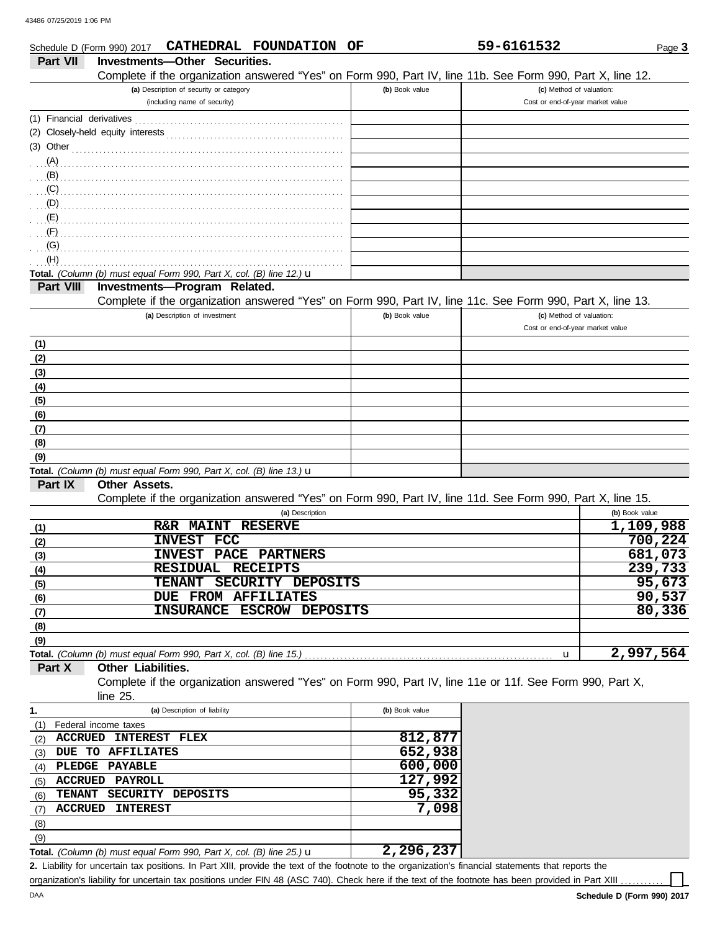|                           | Schedule D (Form 990) 2017 CATHEDRAL FOUNDATION OF                                                         |                | 59-6161532                       | Page 3            |
|---------------------------|------------------------------------------------------------------------------------------------------------|----------------|----------------------------------|-------------------|
| Part VII                  | Investments-Other Securities.                                                                              |                |                                  |                   |
|                           | Complete if the organization answered "Yes" on Form 990, Part IV, line 11b. See Form 990, Part X, line 12. |                |                                  |                   |
|                           | (a) Description of security or category                                                                    | (b) Book value | (c) Method of valuation:         |                   |
|                           | (including name of security)                                                                               |                | Cost or end-of-year market value |                   |
| (1) Financial derivatives |                                                                                                            |                |                                  |                   |
|                           |                                                                                                            |                |                                  |                   |
|                           | $(3)$ Other                                                                                                |                |                                  |                   |
| (A)                       |                                                                                                            |                |                                  |                   |
| (B)                       |                                                                                                            |                |                                  |                   |
| (C)                       |                                                                                                            |                |                                  |                   |
| (D)                       |                                                                                                            |                |                                  |                   |
| (E)                       |                                                                                                            |                |                                  |                   |
| $(\mathsf{F})$            |                                                                                                            |                |                                  |                   |
| (G)<br>(H)                |                                                                                                            |                |                                  |                   |
|                           | Total. (Column (b) must equal Form 990, Part X, col. (B) line 12.) u                                       |                |                                  |                   |
| Part VIII                 | Investments-Program Related.                                                                               |                |                                  |                   |
|                           | Complete if the organization answered "Yes" on Form 990, Part IV, line 11c. See Form 990, Part X, line 13. |                |                                  |                   |
|                           | (a) Description of investment                                                                              | (b) Book value | (c) Method of valuation:         |                   |
|                           |                                                                                                            |                | Cost or end-of-year market value |                   |
| (1)                       |                                                                                                            |                |                                  |                   |
| (2)                       |                                                                                                            |                |                                  |                   |
| (3)                       |                                                                                                            |                |                                  |                   |
| (4)                       |                                                                                                            |                |                                  |                   |
| (5)                       |                                                                                                            |                |                                  |                   |
| (6)                       |                                                                                                            |                |                                  |                   |
| (7)                       |                                                                                                            |                |                                  |                   |
| (8)                       |                                                                                                            |                |                                  |                   |
| (9)                       |                                                                                                            |                |                                  |                   |
|                           | Total. (Column (b) must equal Form 990, Part X, col. (B) line 13.) $\mathbf u$                             |                |                                  |                   |
| Part IX                   | <b>Other Assets.</b>                                                                                       |                |                                  |                   |
|                           | Complete if the organization answered "Yes" on Form 990, Part IV, line 11d. See Form 990, Part X, line 15. |                |                                  |                   |
|                           | (a) Description                                                                                            |                |                                  | (b) Book value    |
| (1)                       | <b>RESERVE</b><br>R&R MAINT<br><b>INVEST FCC</b>                                                           |                |                                  | 1,109,988         |
| (2)                       |                                                                                                            |                |                                  | 700, 224          |
| (3)                       | <b>INVEST PACE PARTNERS</b><br>RESIDUAL RECEIPTS                                                           |                |                                  | 681,073           |
| (4)                       | SECURITY DEPOSITS<br><b>TENANT</b>                                                                         |                |                                  | 239,733<br>95,673 |
| (5)                       | DUE FROM AFFILIATES                                                                                        |                |                                  | 90,537            |
| (6)                       | INSURANCE ESCROW DEPOSITS                                                                                  |                |                                  | 80,336            |
| (7)                       |                                                                                                            |                |                                  |                   |
| (8)<br>(9)                |                                                                                                            |                |                                  |                   |
|                           | Total. (Column (b) must equal Form 990, Part X, col. (B) line 15.)                                         |                | u                                | 2,997,564         |
| Part X                    | Other Liabilities.                                                                                         |                |                                  |                   |
|                           | Complete if the organization answered "Yes" on Form 990, Part IV, line 11e or 11f. See Form 990, Part X,   |                |                                  |                   |
|                           | line $25$ .                                                                                                |                |                                  |                   |
| 1.                        | (a) Description of liability                                                                               | (b) Book value |                                  |                   |
| (1)                       | Federal income taxes                                                                                       |                |                                  |                   |
| (2)                       | ACCRUED INTEREST FLEX                                                                                      | 812,877        |                                  |                   |
| (3)                       | DUE TO AFFILIATES                                                                                          | 652,938        |                                  |                   |
| (4)                       | PLEDGE PAYABLE                                                                                             | 600,000        |                                  |                   |
| (5)                       | <b>ACCRUED PAYROLL</b>                                                                                     | 127,992        |                                  |                   |
| (6)                       | TENANT SECURITY DEPOSITS                                                                                   | 95,332         |                                  |                   |
| ACCRUED<br>(7)            | <b>INTEREST</b>                                                                                            | 7,098          |                                  |                   |
| (8)                       |                                                                                                            |                |                                  |                   |
| (9)                       |                                                                                                            |                |                                  |                   |
|                           | Total. (Column (b) must equal Form 990, Part X, col. (B) line 25.) $\mathbf u$                             | 2,296,237      |                                  |                   |

Liability for uncertain tax positions. In Part XIII, provide the text of the footnote to the organization's financial statements that reports the **2.** organization's liability for uncertain tax positions under FIN 48 (ASC 740). Check here if the text of the footnote has been provided in Part XIII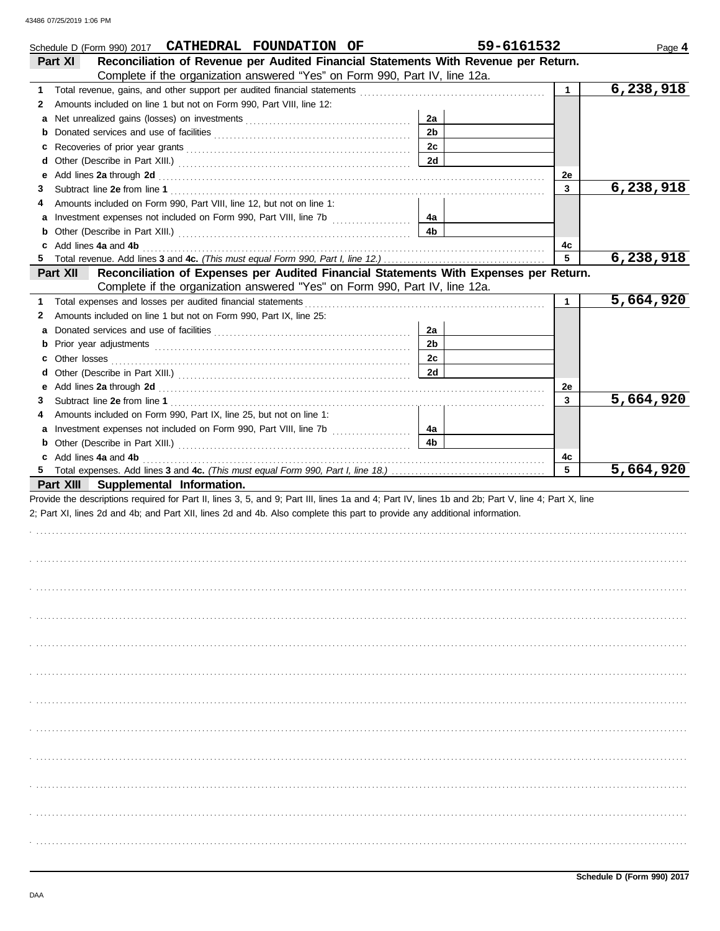|   | Schedule D (Form 990) 2017 CATHEDRAL FOUNDATION OF                                                                                                                                                                             |                | 59-6161532 |             | Page 4 |
|---|--------------------------------------------------------------------------------------------------------------------------------------------------------------------------------------------------------------------------------|----------------|------------|-------------|--------|
|   | Reconciliation of Revenue per Audited Financial Statements With Revenue per Return.<br>Part XI                                                                                                                                 |                |            |             |        |
|   | Complete if the organization answered "Yes" on Form 990, Part IV, line 12a.                                                                                                                                                    |                |            |             |        |
| 1 | Total revenue, gains, and other support per audited financial statements                                                                                                                                                       |                | 1          | 6, 238, 918 |        |
| 2 | Amounts included on line 1 but not on Form 990, Part VIII, line 12:                                                                                                                                                            |                |            |             |        |
| а |                                                                                                                                                                                                                                | 2a             |            |             |        |
| b |                                                                                                                                                                                                                                | 2 <sub>b</sub> |            |             |        |
| c |                                                                                                                                                                                                                                | 2c             |            |             |        |
| d |                                                                                                                                                                                                                                | 2d             |            |             |        |
| е | Add lines 2a through 2d [11] March 20 [11] March 20 [11] March 20 [11] March 20 [11] March 20 [11] March 20 [11] March 20 [11] March 20 [11] March 20 [11] March 20 [11] March 20 [11] March 20 [11] March 20 [11] March 20 [1 |                | 2e         |             |        |
| З |                                                                                                                                                                                                                                |                | 3          | 6,238,918   |        |
| 4 | Amounts included on Form 990, Part VIII, line 12, but not on line 1:                                                                                                                                                           |                |            |             |        |
|   |                                                                                                                                                                                                                                | 4а             |            |             |        |
| b |                                                                                                                                                                                                                                | 4b             |            |             |        |
|   | c Add lines 4a and 4b                                                                                                                                                                                                          |                | 4с         |             |        |
| 5 |                                                                                                                                                                                                                                |                | 5          | 6,238,918   |        |
|   | Reconciliation of Expenses per Audited Financial Statements With Expenses per Return.<br>Part XII                                                                                                                              |                |            |             |        |
|   | Complete if the organization answered "Yes" on Form 990, Part IV, line 12a.                                                                                                                                                    |                |            |             |        |
| 1 | Total expenses and losses per audited financial statements                                                                                                                                                                     |                | 1          | 5,664,920   |        |
| 2 | Amounts included on line 1 but not on Form 990, Part IX, line 25:                                                                                                                                                              |                |            |             |        |
| а |                                                                                                                                                                                                                                | 2a             |            |             |        |
|   |                                                                                                                                                                                                                                | 2 <sub>b</sub> |            |             |        |
| c | Other losses                                                                                                                                                                                                                   | 2c             |            |             |        |
| d |                                                                                                                                                                                                                                | 2d             |            |             |        |
| е |                                                                                                                                                                                                                                |                | 2e         |             |        |
| 3 |                                                                                                                                                                                                                                |                | 3          | 5,664,920   |        |
| 4 | Amounts included on Form 990, Part IX, line 25, but not on line 1:                                                                                                                                                             |                |            |             |        |
|   |                                                                                                                                                                                                                                | 4а             |            |             |        |
|   |                                                                                                                                                                                                                                | 4 <sub>b</sub> |            |             |        |
|   | c Add lines 4a and 4b                                                                                                                                                                                                          |                | 4c         |             |        |
|   |                                                                                                                                                                                                                                |                | 5          | 5,664,920   |        |
|   | Part XIII Supplemental Information.                                                                                                                                                                                            |                |            |             |        |
|   | Provide the descriptions required for Part II, lines 3, 5, and 9; Part III, lines 1a and 4; Part IV, lines 1b and 2b; Part V, line 4; Part X, line                                                                             |                |            |             |        |
|   | 2; Part XI, lines 2d and 4b; and Part XII, lines 2d and 4b. Also complete this part to provide any additional information.                                                                                                     |                |            |             |        |
|   |                                                                                                                                                                                                                                |                |            |             |        |
|   |                                                                                                                                                                                                                                |                |            |             |        |
|   |                                                                                                                                                                                                                                |                |            |             |        |
|   |                                                                                                                                                                                                                                |                |            |             |        |
|   |                                                                                                                                                                                                                                |                |            |             |        |
|   |                                                                                                                                                                                                                                |                |            |             |        |
|   |                                                                                                                                                                                                                                |                |            |             |        |
|   |                                                                                                                                                                                                                                |                |            |             |        |
|   |                                                                                                                                                                                                                                |                |            |             |        |
|   |                                                                                                                                                                                                                                |                |            |             |        |
|   |                                                                                                                                                                                                                                |                |            |             |        |
|   |                                                                                                                                                                                                                                |                |            |             |        |
|   |                                                                                                                                                                                                                                |                |            |             |        |
|   |                                                                                                                                                                                                                                |                |            |             |        |
|   |                                                                                                                                                                                                                                |                |            |             |        |
|   |                                                                                                                                                                                                                                |                |            |             |        |
|   |                                                                                                                                                                                                                                |                |            |             |        |
|   |                                                                                                                                                                                                                                |                |            |             |        |
|   |                                                                                                                                                                                                                                |                |            |             |        |
|   |                                                                                                                                                                                                                                |                |            |             |        |
|   |                                                                                                                                                                                                                                |                |            |             |        |
|   |                                                                                                                                                                                                                                |                |            |             |        |
|   |                                                                                                                                                                                                                                |                |            |             |        |
|   |                                                                                                                                                                                                                                |                |            |             |        |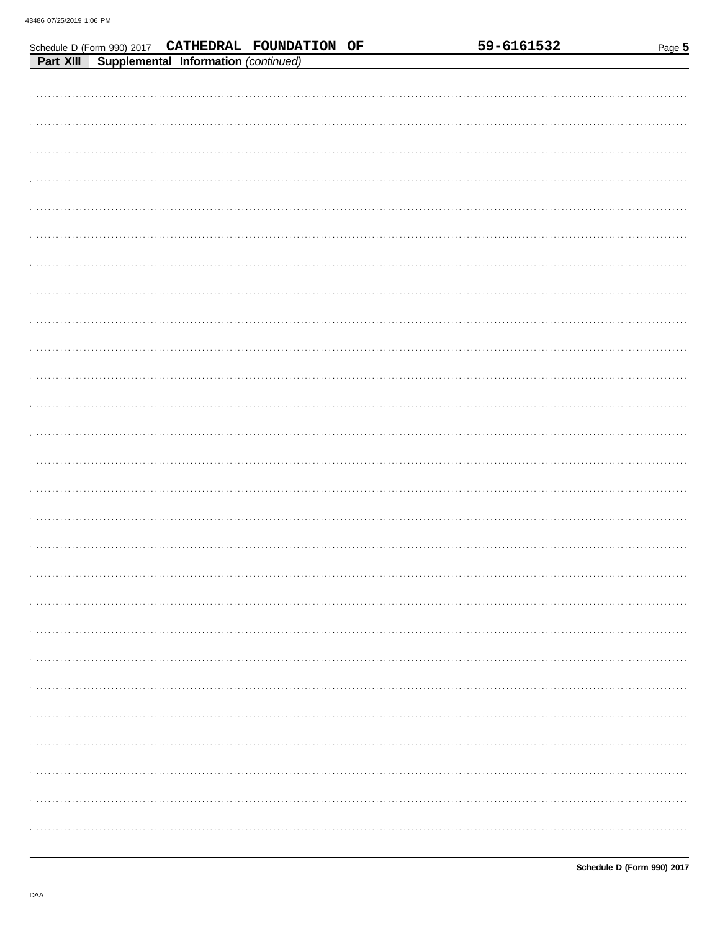|  |                                                | Schedule D (Form 990) 2017 CATHEDRAL FOUNDATION OF | 59-6161532 | Page 5 |
|--|------------------------------------------------|----------------------------------------------------|------------|--------|
|  | Part XIII Supplemental Information (continued) |                                                    |            |        |
|  |                                                |                                                    |            |        |
|  |                                                |                                                    |            |        |
|  |                                                |                                                    |            |        |
|  |                                                |                                                    |            |        |
|  |                                                |                                                    |            |        |
|  |                                                |                                                    |            |        |
|  |                                                |                                                    |            |        |
|  |                                                |                                                    |            |        |
|  |                                                |                                                    |            |        |
|  |                                                |                                                    |            |        |
|  |                                                |                                                    |            |        |
|  |                                                |                                                    |            |        |
|  |                                                |                                                    |            |        |
|  |                                                |                                                    |            |        |
|  |                                                |                                                    |            |        |
|  |                                                |                                                    |            |        |
|  |                                                |                                                    |            |        |
|  |                                                |                                                    |            |        |
|  |                                                |                                                    |            |        |
|  |                                                |                                                    |            |        |
|  |                                                |                                                    |            |        |
|  |                                                |                                                    |            |        |
|  |                                                |                                                    |            |        |
|  |                                                |                                                    |            |        |
|  |                                                |                                                    |            |        |
|  |                                                |                                                    |            |        |
|  |                                                |                                                    |            |        |
|  |                                                |                                                    |            |        |
|  |                                                |                                                    |            |        |
|  |                                                |                                                    |            |        |
|  |                                                |                                                    |            |        |
|  |                                                |                                                    |            |        |
|  |                                                |                                                    |            |        |
|  |                                                |                                                    |            |        |
|  |                                                |                                                    |            |        |
|  |                                                |                                                    |            |        |
|  |                                                |                                                    |            |        |
|  |                                                |                                                    |            |        |
|  |                                                |                                                    |            |        |
|  |                                                |                                                    |            |        |
|  |                                                |                                                    |            |        |
|  |                                                |                                                    |            |        |
|  |                                                |                                                    |            |        |
|  |                                                |                                                    |            |        |
|  |                                                |                                                    |            |        |
|  |                                                |                                                    |            |        |
|  |                                                |                                                    |            |        |
|  |                                                |                                                    |            |        |
|  |                                                |                                                    |            |        |
|  |                                                |                                                    |            |        |
|  |                                                |                                                    |            |        |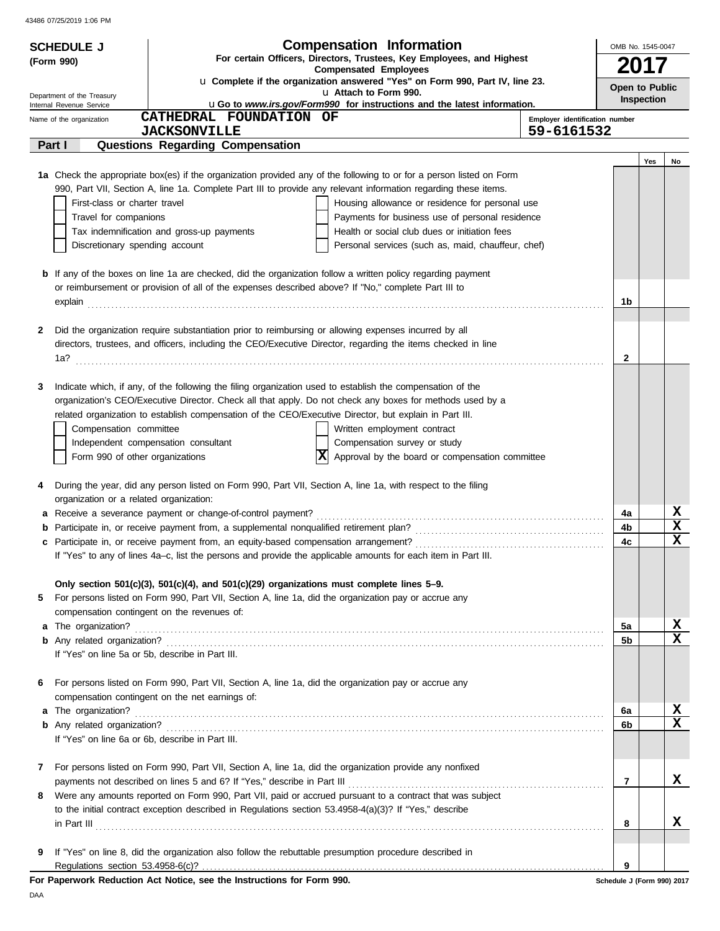|   | <b>SCHEDULE J</b>                                                                                                   |                                                                                                            | <b>Compensation Information</b>                                                                                                                                                                                               |                                | OMB No. 1545-0047          |                |                         |
|---|---------------------------------------------------------------------------------------------------------------------|------------------------------------------------------------------------------------------------------------|-------------------------------------------------------------------------------------------------------------------------------------------------------------------------------------------------------------------------------|--------------------------------|----------------------------|----------------|-------------------------|
|   | For certain Officers, Directors, Trustees, Key Employees, and Highest<br>(Form 990)<br><b>Compensated Employees</b> |                                                                                                            |                                                                                                                                                                                                                               |                                |                            |                |                         |
|   |                                                                                                                     |                                                                                                            | u Complete if the organization answered "Yes" on Form 990, Part IV, line 23.                                                                                                                                                  |                                |                            | Open to Public |                         |
|   | Department of the Treasury<br>Internal Revenue Service                                                              |                                                                                                            | u Attach to Form 990.<br>uGo to www.irs.gov/Form990 for instructions and the latest information.                                                                                                                              |                                |                            | Inspection     |                         |
|   | Name of the organization                                                                                            | CATHEDRAL FOUNDATION OF                                                                                    |                                                                                                                                                                                                                               | Employer identification number |                            |                |                         |
|   |                                                                                                                     | <b>JACKSONVILLE</b>                                                                                        |                                                                                                                                                                                                                               | 59-6161532                     |                            |                |                         |
|   | Part I                                                                                                              | Questions Regarding Compensation                                                                           |                                                                                                                                                                                                                               |                                |                            |                |                         |
|   |                                                                                                                     |                                                                                                            | 1a Check the appropriate box(es) if the organization provided any of the following to or for a person listed on Form                                                                                                          |                                |                            | Yes            | No                      |
|   |                                                                                                                     |                                                                                                            | 990, Part VII, Section A, line 1a. Complete Part III to provide any relevant information regarding these items.                                                                                                               |                                |                            |                |                         |
|   | First-class or charter travel                                                                                       |                                                                                                            | Housing allowance or residence for personal use                                                                                                                                                                               |                                |                            |                |                         |
|   | Travel for companions                                                                                               |                                                                                                            | Payments for business use of personal residence                                                                                                                                                                               |                                |                            |                |                         |
|   |                                                                                                                     | Tax indemnification and gross-up payments                                                                  | Health or social club dues or initiation fees                                                                                                                                                                                 |                                |                            |                |                         |
|   | Discretionary spending account                                                                                      |                                                                                                            | Personal services (such as, maid, chauffeur, chef)                                                                                                                                                                            |                                |                            |                |                         |
|   |                                                                                                                     |                                                                                                            | <b>b</b> If any of the boxes on line 1a are checked, did the organization follow a written policy regarding payment                                                                                                           |                                |                            |                |                         |
|   |                                                                                                                     | or reimbursement or provision of all of the expenses described above? If "No," complete Part III to        |                                                                                                                                                                                                                               |                                |                            |                |                         |
|   |                                                                                                                     |                                                                                                            | explain explain explaintenance and the set of the set of the set of the set of the set of the set of the set of the set of the set of the set of the set of the set of the set of the set of the set of the set of the set of |                                | 1b                         |                |                         |
|   |                                                                                                                     |                                                                                                            |                                                                                                                                                                                                                               |                                |                            |                |                         |
| 2 |                                                                                                                     | Did the organization require substantiation prior to reimbursing or allowing expenses incurred by all      |                                                                                                                                                                                                                               |                                |                            |                |                         |
|   |                                                                                                                     |                                                                                                            | directors, trustees, and officers, including the CEO/Executive Director, regarding the items checked in line                                                                                                                  |                                |                            |                |                         |
|   | 1a?                                                                                                                 |                                                                                                            |                                                                                                                                                                                                                               |                                | 2                          |                |                         |
| 3 |                                                                                                                     | Indicate which, if any, of the following the filing organization used to establish the compensation of the |                                                                                                                                                                                                                               |                                |                            |                |                         |
|   |                                                                                                                     |                                                                                                            | organization's CEO/Executive Director. Check all that apply. Do not check any boxes for methods used by a                                                                                                                     |                                |                            |                |                         |
|   |                                                                                                                     | related organization to establish compensation of the CEO/Executive Director, but explain in Part III.     |                                                                                                                                                                                                                               |                                |                            |                |                         |
|   | Compensation committee                                                                                              |                                                                                                            | Written employment contract                                                                                                                                                                                                   |                                |                            |                |                         |
|   |                                                                                                                     | Independent compensation consultant                                                                        | Compensation survey or study                                                                                                                                                                                                  |                                |                            |                |                         |
|   | Form 990 of other organizations                                                                                     |                                                                                                            | X<br>Approval by the board or compensation committee                                                                                                                                                                          |                                |                            |                |                         |
| 4 |                                                                                                                     |                                                                                                            | During the year, did any person listed on Form 990, Part VII, Section A, line 1a, with respect to the filing                                                                                                                  |                                |                            |                |                         |
|   | organization or a related organization:                                                                             |                                                                                                            |                                                                                                                                                                                                                               |                                |                            |                |                         |
|   |                                                                                                                     |                                                                                                            |                                                                                                                                                                                                                               |                                | 4a                         |                | х                       |
| b |                                                                                                                     |                                                                                                            |                                                                                                                                                                                                                               |                                | 4b                         |                | $\mathbf x$             |
|   |                                                                                                                     |                                                                                                            |                                                                                                                                                                                                                               |                                | 4c                         |                | $\mathbf x$             |
|   |                                                                                                                     |                                                                                                            | If "Yes" to any of lines 4a-c, list the persons and provide the applicable amounts for each item in Part III.                                                                                                                 |                                |                            |                |                         |
|   |                                                                                                                     | Only section $501(c)(3)$ , $501(c)(4)$ , and $501(c)(29)$ organizations must complete lines $5-9$ .        |                                                                                                                                                                                                                               |                                |                            |                |                         |
| 5 |                                                                                                                     | For persons listed on Form 990, Part VII, Section A, line 1a, did the organization pay or accrue any       |                                                                                                                                                                                                                               |                                |                            |                |                         |
|   |                                                                                                                     | compensation contingent on the revenues of:                                                                |                                                                                                                                                                                                                               |                                |                            |                |                         |
|   |                                                                                                                     |                                                                                                            |                                                                                                                                                                                                                               |                                | 5a                         |                | X                       |
|   |                                                                                                                     |                                                                                                            |                                                                                                                                                                                                                               |                                | 5b                         |                | $\overline{\mathbf{x}}$ |
|   | If "Yes" on line 5a or 5b, describe in Part III.                                                                    |                                                                                                            |                                                                                                                                                                                                                               |                                |                            |                |                         |
| 6 |                                                                                                                     | For persons listed on Form 990, Part VII, Section A, line 1a, did the organization pay or accrue any       |                                                                                                                                                                                                                               |                                |                            |                |                         |
|   |                                                                                                                     | compensation contingent on the net earnings of:                                                            |                                                                                                                                                                                                                               |                                |                            |                |                         |
|   |                                                                                                                     |                                                                                                            |                                                                                                                                                                                                                               |                                | 6a                         |                | х                       |
|   |                                                                                                                     |                                                                                                            |                                                                                                                                                                                                                               |                                | 6b                         |                | $\mathbf x$             |
|   | If "Yes" on line 6a or 6b, describe in Part III.                                                                    |                                                                                                            |                                                                                                                                                                                                                               |                                |                            |                |                         |
| 7 |                                                                                                                     | For persons listed on Form 990, Part VII, Section A, line 1a, did the organization provide any nonfixed    |                                                                                                                                                                                                                               |                                |                            |                |                         |
|   |                                                                                                                     |                                                                                                            |                                                                                                                                                                                                                               |                                | 7                          |                | x                       |
| 8 |                                                                                                                     |                                                                                                            | Were any amounts reported on Form 990, Part VII, paid or accrued pursuant to a contract that was subject                                                                                                                      |                                |                            |                |                         |
|   |                                                                                                                     | to the initial contract exception described in Regulations section 53.4958-4(a)(3)? If "Yes," describe     |                                                                                                                                                                                                                               |                                |                            |                |                         |
|   |                                                                                                                     |                                                                                                            | $\ $ n Part III $\ $                                                                                                                                                                                                          |                                | 8                          |                | х                       |
|   |                                                                                                                     |                                                                                                            |                                                                                                                                                                                                                               |                                |                            |                |                         |
| 9 | Regulations section 53.4958-6(c)?                                                                                   | If "Yes" on line 8, did the organization also follow the rebuttable presumption procedure described in     |                                                                                                                                                                                                                               |                                | 9                          |                |                         |
|   |                                                                                                                     | For Paperwork Reduction Act Notice, see the Instructions for Form 990.                                     |                                                                                                                                                                                                                               |                                | Schedule J (Form 990) 2017 |                |                         |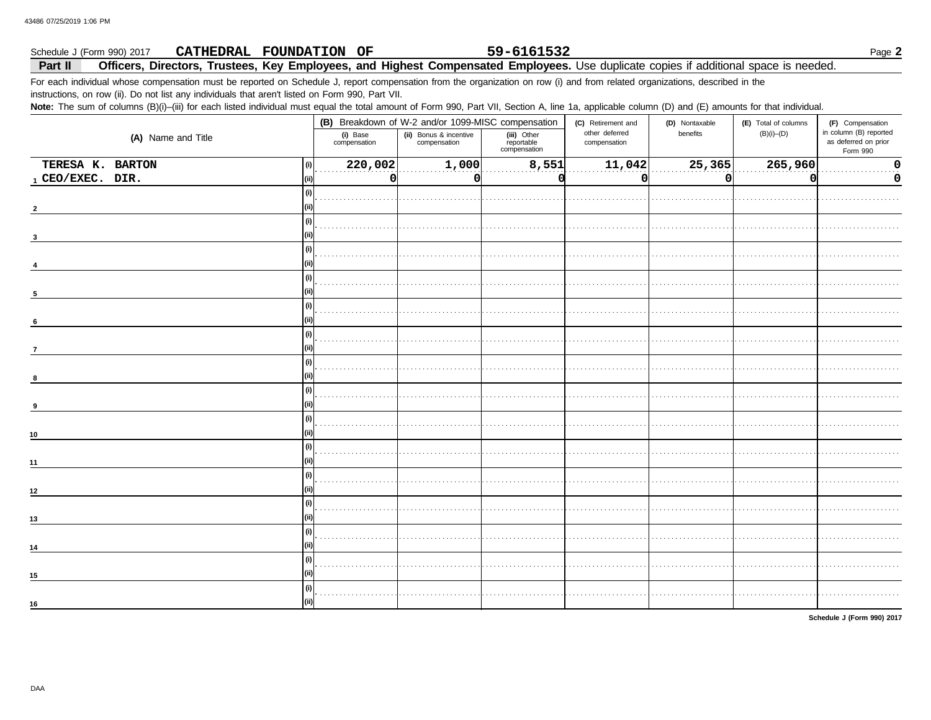#### 59-6161532 Schedule J (Form 990) 2017 CATHEDRAL FOUNDATION OF Part II Officers, Directors, Trustees, Key Employees, and Highest Compensated Employees. Use duplicate copies if additional space is needed.

For each individual whose compensation must be reported on Schedule J, report compensation from the organization on row (i) and from related organizations, described in the instructions, on row (ii). Do not list any individuals that aren't listed on Form 990, Part VII.

Note: The sum of columns (B)(i)-(iii) for each listed individual must equal the total amount of Form 990, Part VII, Section A, line 1a, applicable column (D) and (E) amounts for that individual.

|                         | (B) Breakdown of W-2 and/or 1099-MISC compensation |                                        |                                           | (C) Retirement and<br>(D) Nontaxable |                  | (E) Total of columns | (F) Compensation                                           |  |
|-------------------------|----------------------------------------------------|----------------------------------------|-------------------------------------------|--------------------------------------|------------------|----------------------|------------------------------------------------------------|--|
| (A) Name and Title      | (i) Base<br>compensation                           | (ii) Bonus & incentive<br>compensation | (iii) Other<br>reportable<br>compensation | other deferred<br>compensation       | benefits         | $(B)(i)$ - $(D)$     | in column (B) reported<br>as deferred on prior<br>Form 990 |  |
| TERESA K. BARTON<br>(i) | 220,002                                            | 1,000                                  | 8,551                                     | 11,042                               | $\boxed{25,365}$ | 265,960              | 0                                                          |  |
| $_1$ CEO/EXEC. DIR.     | 0                                                  | n                                      |                                           | O                                    | O                |                      | 0                                                          |  |
| (i)                     |                                                    |                                        |                                           |                                      |                  |                      |                                                            |  |
|                         |                                                    |                                        |                                           |                                      |                  |                      |                                                            |  |
| (i)                     |                                                    |                                        |                                           |                                      |                  |                      |                                                            |  |
|                         |                                                    |                                        |                                           |                                      |                  |                      |                                                            |  |
|                         |                                                    |                                        |                                           |                                      |                  |                      |                                                            |  |
|                         |                                                    |                                        |                                           |                                      |                  |                      |                                                            |  |
| (i)                     |                                                    |                                        |                                           |                                      |                  |                      |                                                            |  |
| 5                       |                                                    |                                        |                                           |                                      |                  |                      |                                                            |  |
| (i)                     |                                                    |                                        |                                           |                                      |                  |                      |                                                            |  |
| 6                       |                                                    |                                        |                                           |                                      |                  |                      |                                                            |  |
| (i)                     |                                                    |                                        |                                           |                                      |                  |                      |                                                            |  |
| $\overline{7}$          |                                                    |                                        |                                           |                                      |                  |                      |                                                            |  |
|                         |                                                    |                                        |                                           |                                      |                  |                      |                                                            |  |
|                         |                                                    |                                        |                                           |                                      |                  |                      |                                                            |  |
|                         |                                                    |                                        |                                           |                                      |                  |                      |                                                            |  |
|                         |                                                    |                                        |                                           |                                      |                  |                      |                                                            |  |
| (i)                     |                                                    |                                        |                                           |                                      |                  |                      |                                                            |  |
| 10                      |                                                    |                                        |                                           |                                      |                  |                      |                                                            |  |
|                         |                                                    |                                        |                                           |                                      |                  |                      |                                                            |  |
| 11                      |                                                    |                                        |                                           |                                      |                  |                      |                                                            |  |
|                         |                                                    |                                        |                                           |                                      |                  |                      |                                                            |  |
| 12                      |                                                    |                                        |                                           |                                      |                  |                      |                                                            |  |
| (i)                     |                                                    |                                        |                                           |                                      |                  |                      |                                                            |  |
| 13                      |                                                    |                                        |                                           |                                      |                  |                      |                                                            |  |
| $\left( i \right)$      |                                                    |                                        |                                           |                                      |                  |                      |                                                            |  |
| 14                      |                                                    |                                        |                                           |                                      |                  |                      |                                                            |  |
|                         |                                                    |                                        |                                           |                                      |                  |                      |                                                            |  |
| 15                      |                                                    |                                        |                                           |                                      |                  |                      |                                                            |  |
|                         |                                                    |                                        |                                           |                                      |                  |                      |                                                            |  |
| 16                      |                                                    |                                        |                                           |                                      |                  |                      |                                                            |  |

Schedule J (Form 990) 2017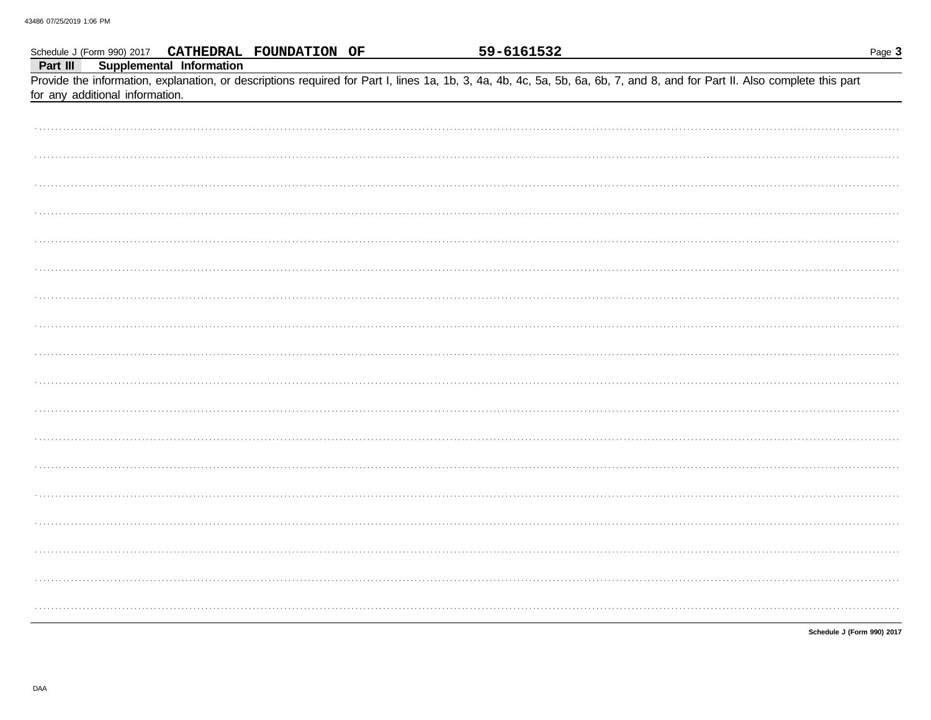|          |                                 |                          | Schedule J (Form 990) 2017 CATHEDRAL FOUNDATION OF |  | 59-6161532 |                                                                                                                                                                            | Page 3                     |
|----------|---------------------------------|--------------------------|----------------------------------------------------|--|------------|----------------------------------------------------------------------------------------------------------------------------------------------------------------------------|----------------------------|
| Part III | for any additional information. | Supplemental Information |                                                    |  |            | Provide the information, explanation, or descriptions required for Part I, lines 1a, 1b, 3, 4a, 4b, 4c, 5a, 5b, 6a, 6b, 7, and 8, and for Part II. Also complete this part |                            |
|          |                                 |                          |                                                    |  |            |                                                                                                                                                                            |                            |
|          |                                 |                          |                                                    |  |            |                                                                                                                                                                            |                            |
|          |                                 |                          |                                                    |  |            |                                                                                                                                                                            |                            |
|          |                                 |                          |                                                    |  |            |                                                                                                                                                                            |                            |
|          |                                 |                          |                                                    |  |            |                                                                                                                                                                            |                            |
|          |                                 |                          |                                                    |  |            |                                                                                                                                                                            |                            |
|          |                                 |                          |                                                    |  |            |                                                                                                                                                                            |                            |
|          |                                 |                          |                                                    |  |            |                                                                                                                                                                            |                            |
|          |                                 |                          |                                                    |  |            |                                                                                                                                                                            |                            |
|          |                                 |                          |                                                    |  |            |                                                                                                                                                                            |                            |
|          |                                 |                          |                                                    |  |            |                                                                                                                                                                            |                            |
|          |                                 |                          |                                                    |  |            |                                                                                                                                                                            |                            |
|          |                                 |                          |                                                    |  |            |                                                                                                                                                                            |                            |
|          |                                 |                          |                                                    |  |            |                                                                                                                                                                            |                            |
|          |                                 |                          |                                                    |  |            |                                                                                                                                                                            |                            |
|          |                                 |                          |                                                    |  |            |                                                                                                                                                                            |                            |
|          |                                 |                          |                                                    |  |            |                                                                                                                                                                            |                            |
|          |                                 |                          |                                                    |  |            |                                                                                                                                                                            |                            |
|          |                                 |                          |                                                    |  |            |                                                                                                                                                                            |                            |
|          |                                 |                          |                                                    |  |            |                                                                                                                                                                            | Schedule J (Form 990) 2017 |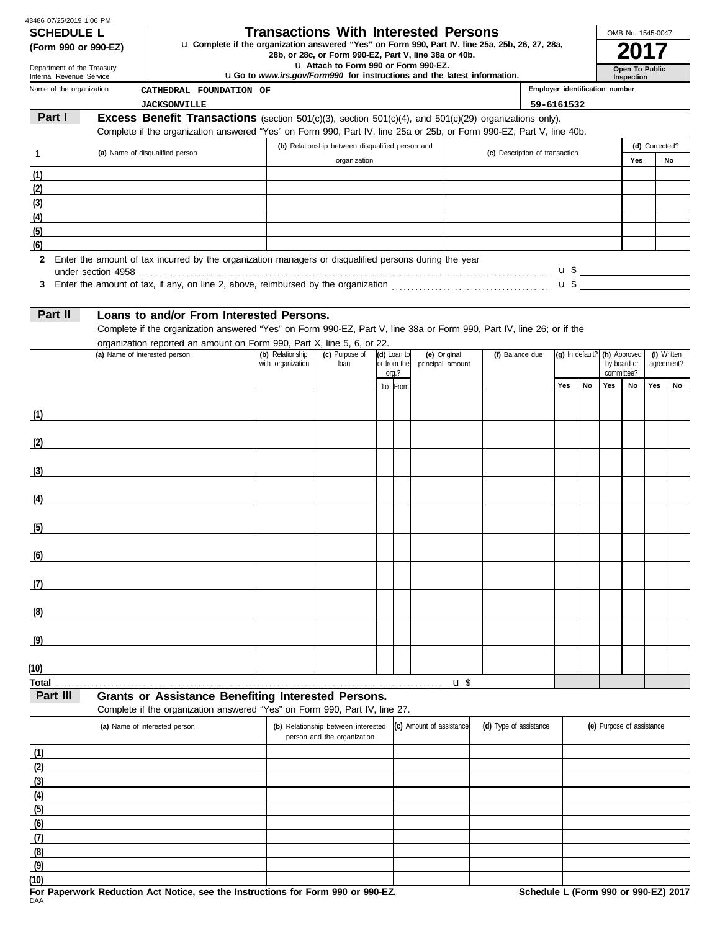| 43486 07/25/2019 1:06 PM |  |
|--------------------------|--|
| SCHEDIJI E I             |  |

# **SCHEDULE L Transactions With Interested Persons**

**(Form 990 or 990-EZ)** u Complete if the organization answered "Yes" on Form 990, Part IV, line 25a, 25b, 26, 27, 28a,<br>28b, or 28c, or Form 990-EZ, Part V, line 38a or 40b.<br>**2017** 

| 28b, or 28c, or Form 990-EZ, Part V, line 38a or 40b. |  |
|-------------------------------------------------------|--|
| La Attach to Form 990 or Form 990-EZ.                 |  |

| OMB No. 1545-0047 |
|-------------------|
|                   |

| La Attach to Form 990 or Form 990-EZ.<br>Department of the Treasury<br><b>uGo to www.irs.gov/Form990 for instructions and the latest information.</b><br>Internal Revenue Service |                    |                                          |                                                                                                                                                                                        |                                |                                | Open To Public<br>Inspection |    |  |
|-----------------------------------------------------------------------------------------------------------------------------------------------------------------------------------|--------------------|------------------------------------------|----------------------------------------------------------------------------------------------------------------------------------------------------------------------------------------|--------------------------------|--------------------------------|------------------------------|----|--|
| Name of the organization                                                                                                                                                          |                    | CATHEDRAL FOUNDATION OF                  |                                                                                                                                                                                        |                                | Employer identification number |                              |    |  |
|                                                                                                                                                                                   |                    | <b>JACKSONVILLE</b>                      |                                                                                                                                                                                        |                                | 59-6161532                     |                              |    |  |
| Part I                                                                                                                                                                            |                    |                                          | <b>Excess Benefit Transactions</b> (section $501(c)(3)$ , section $501(c)(4)$ , and $501(c)(29)$ organizations only).                                                                  |                                |                                |                              |    |  |
|                                                                                                                                                                                   |                    |                                          | Complete if the organization answered "Yes" on Form 990, Part IV, line 25a or 25b, or Form 990-EZ, Part V, line 40b.                                                                   |                                |                                |                              |    |  |
|                                                                                                                                                                                   |                    |                                          | (b) Relationship between disqualified person and                                                                                                                                       | (c) Description of transaction |                                | (d) Corrected?               |    |  |
|                                                                                                                                                                                   |                    | (a) Name of disqualified person          | organization                                                                                                                                                                           |                                |                                | Yes                          | No |  |
| (1)                                                                                                                                                                               |                    |                                          |                                                                                                                                                                                        |                                |                                |                              |    |  |
| (2)                                                                                                                                                                               |                    |                                          |                                                                                                                                                                                        |                                |                                |                              |    |  |
| (3)                                                                                                                                                                               |                    |                                          |                                                                                                                                                                                        |                                |                                |                              |    |  |
| (4)                                                                                                                                                                               |                    |                                          |                                                                                                                                                                                        |                                |                                |                              |    |  |
| (5)                                                                                                                                                                               |                    |                                          |                                                                                                                                                                                        |                                |                                |                              |    |  |
| (6)                                                                                                                                                                               |                    |                                          |                                                                                                                                                                                        |                                |                                |                              |    |  |
| 2                                                                                                                                                                                 | under section 4958 |                                          | Enter the amount of tax incurred by the organization managers or disqualified persons during the year                                                                                  |                                | $u \$ $\qquad$                 |                              |    |  |
| З.                                                                                                                                                                                |                    |                                          | Enter the amount of tax, if any, on line 2, above, reimbursed by the organization <i>maturemanances</i> in the system of tax, if any, on line 2, above, reimbursed by the organization |                                | u \$                           |                              |    |  |
| Part II                                                                                                                                                                           |                    | Loans to and/or From Interested Persons. | Complete if the organization answered "Yes" on Form 990-F7 Part V line 38a or Form 990 Part IV line 26; or if the                                                                      |                                |                                |                              |    |  |

ation answered "Yes" on Form 990-EZ, Part V, line 38a or Form 990, Part IV, line 26; or if the

| organization reported an amount on Form 990, Part X, line 5, 6, or 22. |                           |  |  |
|------------------------------------------------------------------------|---------------------------|--|--|
| .                                                                      | ta en un tanto e la total |  |  |

| (a) Name of interested person | (b) Relationship  | (c) Purpose of | (d) Loan to |                      | (e) Original     | (f) Balance due | (g) In default? (h) Approved |    |     |                           | (i) Written |            |
|-------------------------------|-------------------|----------------|-------------|----------------------|------------------|-----------------|------------------------------|----|-----|---------------------------|-------------|------------|
|                               | with organization | loan           |             | or from the<br>org.? | principal amount |                 |                              |    |     | by board or<br>committee? |             | agreement? |
|                               |                   |                |             |                      |                  |                 |                              |    |     |                           |             |            |
|                               |                   |                |             | To From              |                  |                 | Yes                          | No | Yes | No                        | Yes         | No         |
|                               |                   |                |             |                      |                  |                 |                              |    |     |                           |             |            |
| (1)                           |                   |                |             |                      |                  |                 |                              |    |     |                           |             |            |
|                               |                   |                |             |                      |                  |                 |                              |    |     |                           |             |            |
| (2)                           |                   |                |             |                      |                  |                 |                              |    |     |                           |             |            |
|                               |                   |                |             |                      |                  |                 |                              |    |     |                           |             |            |
|                               |                   |                |             |                      |                  |                 |                              |    |     |                           |             |            |
| (3)                           |                   |                |             |                      |                  |                 |                              |    |     |                           |             |            |
|                               |                   |                |             |                      |                  |                 |                              |    |     |                           |             |            |
| (4)                           |                   |                |             |                      |                  |                 |                              |    |     |                           |             |            |
|                               |                   |                |             |                      |                  |                 |                              |    |     |                           |             |            |
| (5)                           |                   |                |             |                      |                  |                 |                              |    |     |                           |             |            |
|                               |                   |                |             |                      |                  |                 |                              |    |     |                           |             |            |
|                               |                   |                |             |                      |                  |                 |                              |    |     |                           |             |            |
| (6)                           |                   |                |             |                      |                  |                 |                              |    |     |                           |             |            |
|                               |                   |                |             |                      |                  |                 |                              |    |     |                           |             |            |
| (7)                           |                   |                |             |                      |                  |                 |                              |    |     |                           |             |            |
|                               |                   |                |             |                      |                  |                 |                              |    |     |                           |             |            |
| (8)                           |                   |                |             |                      |                  |                 |                              |    |     |                           |             |            |
|                               |                   |                |             |                      |                  |                 |                              |    |     |                           |             |            |
|                               |                   |                |             |                      |                  |                 |                              |    |     |                           |             |            |
| (9)                           |                   |                |             |                      |                  |                 |                              |    |     |                           |             |            |
|                               |                   |                |             |                      |                  |                 |                              |    |     |                           |             |            |
| (10)                          |                   |                |             |                      |                  |                 |                              |    |     |                           |             |            |
| <b>Total</b>                  |                   |                |             |                      | $u$ \$           |                 |                              |    |     |                           |             |            |

**Part III Grants or Assistance Benefiting Interested Persons.** Complete if the organization answered "Yes" on Form 990, Part IV, line 27.

|                  | (a) Name of interested person | (b) Relationship between interested (c) Amount of assistance<br>person and the organization | (d) Type of assistance | (e) Purpose of assistance |
|------------------|-------------------------------|---------------------------------------------------------------------------------------------|------------------------|---------------------------|
| (1)              |                               |                                                                                             |                        |                           |
| (2)              |                               |                                                                                             |                        |                           |
| (3)              |                               |                                                                                             |                        |                           |
| (4)              |                               |                                                                                             |                        |                           |
| (5)              |                               |                                                                                             |                        |                           |
| (6)              |                               |                                                                                             |                        |                           |
| $\left(7\right)$ |                               |                                                                                             |                        |                           |
| (8)              |                               |                                                                                             |                        |                           |
| (9)              |                               |                                                                                             |                        |                           |
| (10)             |                               |                                                                                             |                        |                           |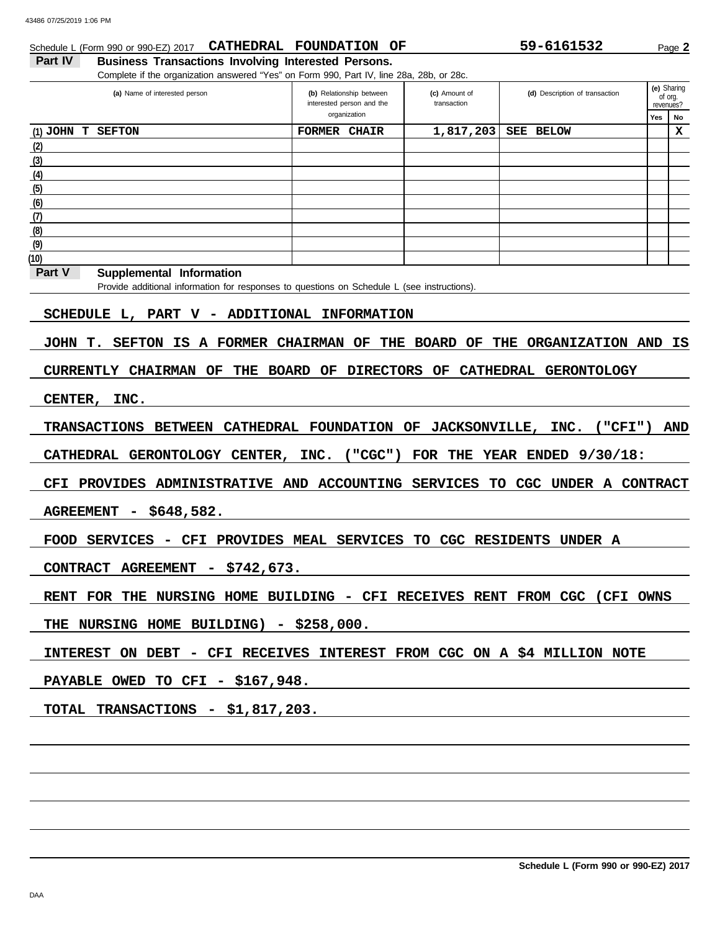## **Schedule L (Form 990 or 990-EZ) 2017 CATHEDRAL FOUNDATION OF** 59-6161532 Page 2

Part IV Business Transactions Involving Interested Persons.

┰

**(e)** Sharing

| Complete if the organization answered "Yes" on Form 990, Part IV, line 28a, 28b, or 28c. |                          |               |
|------------------------------------------------------------------------------------------|--------------------------|---------------|
| (a) Name of interested person                                                            | (b) Relationship between | (c) Amount of |

| (a) Name of interested person | (b) Relationship between<br>interested person and the | (c) Amount of<br>transaction | (d) Description of transaction |     | $\mathbf{v}$<br>of org.<br>revenues? |
|-------------------------------|-------------------------------------------------------|------------------------------|--------------------------------|-----|--------------------------------------|
|                               | organization                                          |                              |                                | Yes | No                                   |
| $(1)$ JOHN T<br><b>SEFTON</b> | <b>FORMER</b><br><b>CHAIR</b>                         | 1,817,203                    | SEE BELOW                      |     | х                                    |
| (2)                           |                                                       |                              |                                |     |                                      |
| (3)                           |                                                       |                              |                                |     |                                      |
| (4)                           |                                                       |                              |                                |     |                                      |
| (5)                           |                                                       |                              |                                |     |                                      |
| (6)                           |                                                       |                              |                                |     |                                      |
| (7)                           |                                                       |                              |                                |     |                                      |
| (8)                           |                                                       |                              |                                |     |                                      |
| (9)                           |                                                       |                              |                                |     |                                      |
| (10)                          |                                                       |                              |                                |     |                                      |

#### **Part V** Supplemental Information

Provide additional information for responses to questions on Schedule L (see instructions).

#### **SCHEDULE L, PART V - ADDITIONAL INFORMATION**

**JOHN T. SEFTON IS A FORMER CHAIRMAN OF THE BOARD OF THE ORGANIZATION AND IS**

**CURRENTLY CHAIRMAN OF THE BOARD OF DIRECTORS OF CATHEDRAL GERONTOLOGY**

#### **CENTER, INC.**

**TRANSACTIONS BETWEEN CATHEDRAL FOUNDATION OF JACKSONVILLE, INC. ("CFI") AND**

**CATHEDRAL GERONTOLOGY CENTER, INC. ("CGC") FOR THE YEAR ENDED 9/30/18:**

**CFI PROVIDES ADMINISTRATIVE AND ACCOUNTING SERVICES TO CGC UNDER A CONTRACT**

#### **AGREEMENT - \$648,582.**

**FOOD SERVICES - CFI PROVIDES MEAL SERVICES TO CGC RESIDENTS UNDER A**

**CONTRACT AGREEMENT - \$742,673.**

**RENT FOR THE NURSING HOME BUILDING - CFI RECEIVES RENT FROM CGC (CFI OWNS**

**THE NURSING HOME BUILDING) - \$258,000.**

**INTEREST ON DEBT - CFI RECEIVES INTEREST FROM CGC ON A \$4 MILLION NOTE**

**PAYABLE OWED TO CFI - \$167,948.**

**TOTAL TRANSACTIONS - \$1,817,203.**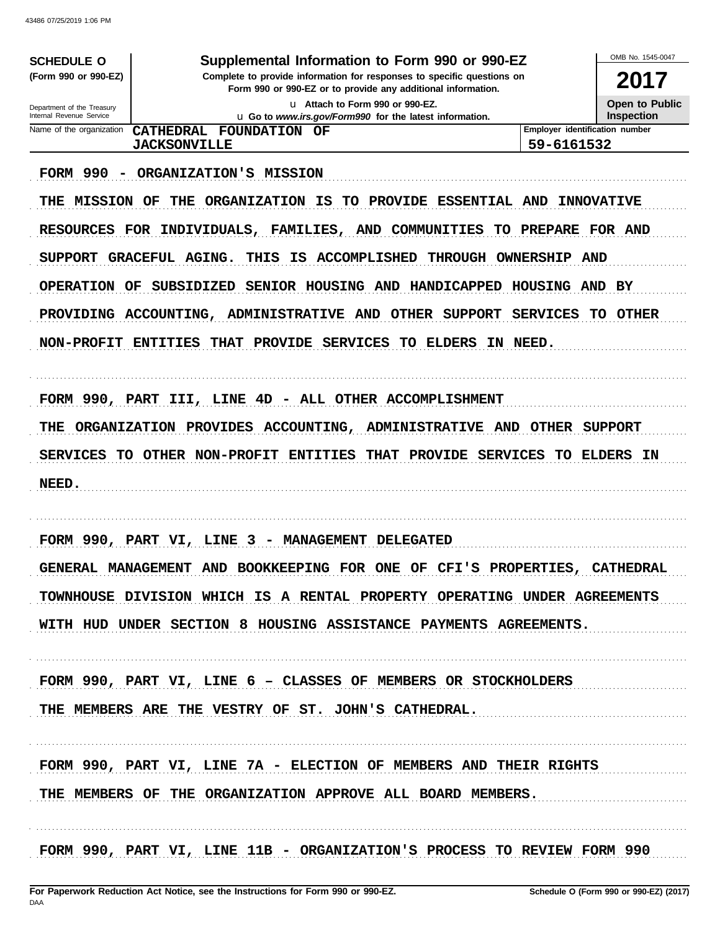| <b>SCHEDULE O</b>                                                                                                                                              | Supplemental Information to Form 990 or 990-EZ                                                                                                                                                                                                                                                                                                                                                                                                                                                                                                                                                                                      |                                                                                                  | OMB No. 1545-0047                                                              |  |  |  |
|----------------------------------------------------------------------------------------------------------------------------------------------------------------|-------------------------------------------------------------------------------------------------------------------------------------------------------------------------------------------------------------------------------------------------------------------------------------------------------------------------------------------------------------------------------------------------------------------------------------------------------------------------------------------------------------------------------------------------------------------------------------------------------------------------------------|--------------------------------------------------------------------------------------------------|--------------------------------------------------------------------------------|--|--|--|
| (Form 990 or 990-EZ)<br>Complete to provide information for responses to specific questions on<br>Form 990 or 990-EZ or to provide any additional information. |                                                                                                                                                                                                                                                                                                                                                                                                                                                                                                                                                                                                                                     |                                                                                                  |                                                                                |  |  |  |
| Department of the Treasury                                                                                                                                     |                                                                                                                                                                                                                                                                                                                                                                                                                                                                                                                                                                                                                                     | <b>Open to Public</b>                                                                            |                                                                                |  |  |  |
| Internal Revenue Service<br>Name of the organization                                                                                                           | <b>u</b> Go to www.irs.gov/Form990 for the latest information.<br>CATHEDRAL<br>FOUNDATION                                                                                                                                                                                                                                                                                                                                                                                                                                                                                                                                           | Employer identification number                                                                   | <b>Inspection</b>                                                              |  |  |  |
|                                                                                                                                                                | OF<br><b>JACKSONVILLE</b>                                                                                                                                                                                                                                                                                                                                                                                                                                                                                                                                                                                                           | 59-6161532                                                                                       |                                                                                |  |  |  |
| <b>FORM 990</b><br><b>MISSION</b><br>THE<br><b>RESOURCES</b><br>SUPPORT<br>OPERATION<br>PROVIDING ACCOUNTING,<br><b>NON-PROFIT</b><br>FORM 990, PART<br>THE    | ORGANIZATION'S MISSION<br>ORGANIZATION<br><b>ESSENTIAL AND</b><br>OF<br>THE<br>IS<br>TО<br><b>PROVIDE</b><br>FOR<br>INDIVIDUALS,<br><b>FAMILIES,</b><br>AND COMMUNITIES<br>TO<br><b>AGING.</b><br><b>ACCOMPLISHED</b><br><b>GRACEFUL</b><br>THIS<br>ΙS<br>THROUGH<br><b>SUBSIDIZED</b><br>SENIOR HOUSING AND<br>HANDICAPPED<br>OF<br>ADMINISTRATIVE AND<br><b>SUPPORT</b><br><b>OTHER</b><br><b>ENTITIES</b><br><b>PROVIDE</b><br><b>SERVICES</b><br><b>ELDERS</b><br><b>THAT</b><br>TO.<br>ΙN<br>- ALL OTHER ACCOMPLISHMENT<br>III,<br><b>LINE</b><br>4D -<br>ORGANIZATION PROVIDES<br>ACCOUNTING,<br><b>ADMINISTRATIVE</b><br>AND | <b>PREPARE</b><br><b>OWNERSHIP</b><br>AND<br>HOUSING<br><b>SERVICES</b><br><b>NEED.</b><br>OTHER | <b>INNOVATIVE</b><br>FOR AND<br>AND BY<br><b>OTHER</b><br>TO<br><b>SUPPORT</b> |  |  |  |
| SERVICES<br>TO.<br>NEED.                                                                                                                                       | OTHER NON-PROFIT<br><b>THAT</b><br><b>SERVICES</b><br><b>ENTITIES</b><br><b>PROVIDE</b>                                                                                                                                                                                                                                                                                                                                                                                                                                                                                                                                             | TО                                                                                               | <b>ELDERS</b><br>ΙN                                                            |  |  |  |
| FORM 990, PART VI,                                                                                                                                             | LINE<br>3<br><b>MANAGEMENT</b><br><b>DELEGATED</b>                                                                                                                                                                                                                                                                                                                                                                                                                                                                                                                                                                                  |                                                                                                  |                                                                                |  |  |  |
|                                                                                                                                                                | GENERAL MANAGEMENT AND BOOKKEEPING FOR ONE OF CFI'S PROPERTIES, CATHEDRAL                                                                                                                                                                                                                                                                                                                                                                                                                                                                                                                                                           |                                                                                                  |                                                                                |  |  |  |
|                                                                                                                                                                | TOWNHOUSE DIVISION WHICH IS A RENTAL PROPERTY OPERATING UNDER AGREEMENTS                                                                                                                                                                                                                                                                                                                                                                                                                                                                                                                                                            |                                                                                                  |                                                                                |  |  |  |
|                                                                                                                                                                | WITH HUD UNDER SECTION 8 HOUSING ASSISTANCE PAYMENTS AGREEMENTS.                                                                                                                                                                                                                                                                                                                                                                                                                                                                                                                                                                    |                                                                                                  |                                                                                |  |  |  |
|                                                                                                                                                                | FORM 990, PART VI, LINE 6 - CLASSES OF MEMBERS OR STOCKHOLDERS                                                                                                                                                                                                                                                                                                                                                                                                                                                                                                                                                                      |                                                                                                  |                                                                                |  |  |  |
|                                                                                                                                                                | THE MEMBERS ARE THE VESTRY OF ST. JOHN'S CATHEDRAL.                                                                                                                                                                                                                                                                                                                                                                                                                                                                                                                                                                                 |                                                                                                  |                                                                                |  |  |  |
|                                                                                                                                                                | FORM 990, PART VI, LINE 7A - ELECTION OF MEMBERS AND THEIR RIGHTS                                                                                                                                                                                                                                                                                                                                                                                                                                                                                                                                                                   |                                                                                                  |                                                                                |  |  |  |
|                                                                                                                                                                | THE MEMBERS OF THE ORGANIZATION APPROVE ALL BOARD MEMBERS.                                                                                                                                                                                                                                                                                                                                                                                                                                                                                                                                                                          |                                                                                                  |                                                                                |  |  |  |
|                                                                                                                                                                | FORM 990, PART VI, LINE 11B - ORGANIZATION'S PROCESS TO REVIEW FORM 990                                                                                                                                                                                                                                                                                                                                                                                                                                                                                                                                                             |                                                                                                  |                                                                                |  |  |  |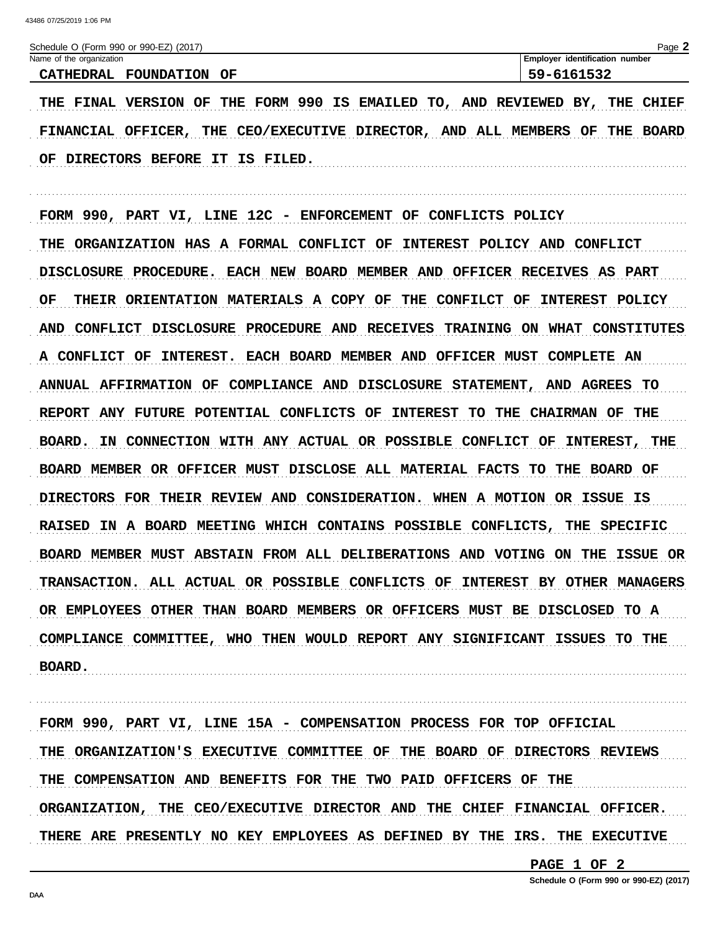| Schedule O (Form 990 or 990-EZ) (2017) |    | Page,                          |
|----------------------------------------|----|--------------------------------|
| Name of the organization               |    | Employer identification number |
| CATHEDRAL FOUNDATION                   | ОF | 59-6161532                     |

THE FINAL VERSION OF THE FORM 990 IS EMAILED TO, AND REVIEWED BY, THE CHIEF FINANCIAL OFFICER, THE CEO/EXECUTIVE DIRECTOR, AND ALL MEMBERS OF THE BOARD OF DIRECTORS BEFORE IT IS FILED.

FORM 990, PART VI, LINE 12C - ENFORCEMENT OF CONFLICTS POLICY THE ORGANIZATION HAS A FORMAL CONFLICT OF INTEREST POLICY AND CONFLICT DISCLOSURE PROCEDURE. EACH NEW BOARD MEMBER AND OFFICER RECEIVES AS PART OF THEIR ORIENTATION MATERIALS A COPY OF THE CONFILCT OF INTEREST POLICY AND CONFLICT DISCLOSURE PROCEDURE AND RECEIVES TRAINING ON WHAT CONSTITUTES A CONFLICT OF INTEREST. EACH BOARD MEMBER AND OFFICER MUST COMPLETE AN ANNUAL AFFIRMATION OF COMPLIANCE AND DISCLOSURE STATEMENT, AND AGREES TO REPORT ANY FUTURE POTENTIAL CONFLICTS OF INTEREST TO THE CHAIRMAN OF THE BOARD. IN CONNECTION WITH ANY ACTUAL OR POSSIBLE CONFLICT OF INTEREST, THE BOARD MEMBER OR OFFICER MUST DISCLOSE ALL MATERIAL FACTS TO THE BOARD OF DIRECTORS FOR THEIR REVIEW AND CONSIDERATION. WHEN A MOTION OR ISSUE IS RAISED IN A BOARD MEETING WHICH CONTAINS POSSIBLE CONFLICTS, THE SPECIFIC BOARD MEMBER MUST ABSTAIN FROM ALL DELIBERATIONS AND VOTING ON THE ISSUE OR TRANSACTION. ALL ACTUAL OR POSSIBLE CONFLICTS OF INTEREST BY OTHER MANAGERS OR EMPLOYEES OTHER THAN BOARD MEMBERS OR OFFICERS MUST BE DISCLOSED TO A COMPLIANCE COMMITTEE, WHO THEN WOULD REPORT ANY SIGNIFICANT ISSUES TO THE **BOARD.** 

FORM 990, PART VI, LINE 15A - COMPENSATION PROCESS FOR TOP OFFICIAL THE ORGANIZATION'S EXECUTIVE COMMITTEE OF THE BOARD OF DIRECTORS REVIEWS THE COMPENSATION AND BENEFITS FOR THE TWO PAID OFFICERS OF THE ORGANIZATION, THE CEO/EXECUTIVE DIRECTOR AND THE CHIEF FINANCIAL OFFICER. THERE ARE PRESENTLY NO KEY EMPLOYEES AS DEFINED BY THE IRS. THE EXECUTIVE

PAGE 1 OF 2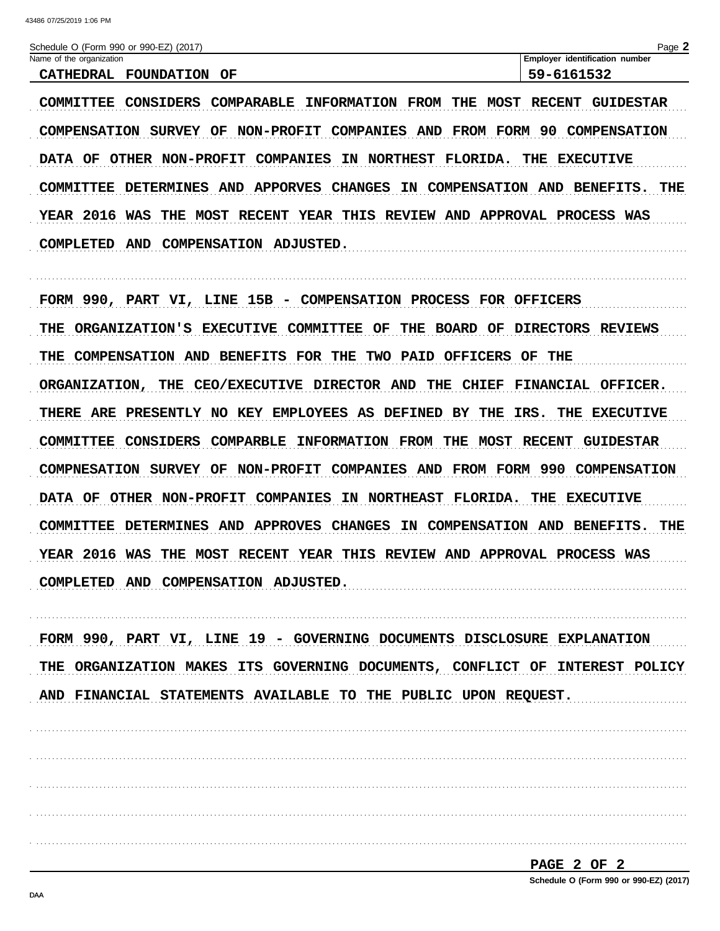| Schedule O (Form 990 or 990-EZ) (2017)                                                                                         | Page 2                                |
|--------------------------------------------------------------------------------------------------------------------------------|---------------------------------------|
| Name of the organization                                                                                                       | Employer identification number        |
| <b>FOUNDATION OF</b><br><b>CATHEDRAL</b>                                                                                       | 59-6161532                            |
| COMPARABLE INFORMATION<br><b>MOST</b><br>CONSIDERS<br>FROM<br>THE<br>COMMITTEE                                                 | <b>RECENT</b><br><b>GUIDESTAR</b>     |
| NON-PROFIT COMPANIES<br><b>SURVEY</b><br><b>COMPENSATION</b><br>OF.                                                            | AND FROM FORM 90 COMPENSATION         |
| OTHER NON-PROFIT COMPANIES IN NORTHEST FLORIDA.<br>DATA OF<br>DETERMINES AND APPORVES CHANGES IN COMPENSATION AND<br>COMMITTEE | THE EXECUTIVE<br><b>BENEFITS. THE</b> |
| YEAR 2016 WAS THE MOST RECENT YEAR THIS REVIEW AND APPROVAL PROCESS WAS                                                        |                                       |
| COMPENSATION<br>COMPLETED<br>AND<br>ADJUSTED.                                                                                  |                                       |
|                                                                                                                                |                                       |
| FORM 990, PART VI, LINE 15B - COMPENSATION PROCESS FOR OFFICERS                                                                |                                       |

THE ORGANIZATION'S EXECUTIVE COMMITTEE OF THE BOARD OF DIRECTORS REVIEWS THE COMPENSATION AND BENEFITS FOR THE TWO PAID OFFICERS OF THE ORGANIZATION, THE CEO/EXECUTIVE DIRECTOR AND THE CHIEF FINANCIAL OFFICER. THERE ARE PRESENTLY NO KEY EMPLOYEES AS DEFINED BY THE IRS. THE EXECUTIVE COMMITTEE CONSIDERS COMPARBLE INFORMATION FROM THE MOST RECENT GUIDESTAR COMPNESATION SURVEY OF NON-PROFIT COMPANIES AND FROM FORM 990 COMPENSATION DATA OF OTHER NON-PROFIT COMPANIES IN NORTHEAST FLORIDA. THE EXECUTIVE COMMITTEE DETERMINES AND APPROVES CHANGES IN COMPENSATION AND BENEFITS. THE YEAR 2016 WAS THE MOST RECENT YEAR THIS REVIEW AND APPROVAL PROCESS WAS COMPLETED AND COMPENSATION ADJUSTED.

FORM 990, PART VI, LINE 19 - GOVERNING DOCUMENTS DISCLOSURE EXPLANATION THE ORGANIZATION MAKES ITS GOVERNING DOCUMENTS, CONFLICT OF INTEREST POLICY AND FINANCIAL STATEMENTS AVAILABLE TO THE PUBLIC UPON REQUEST.

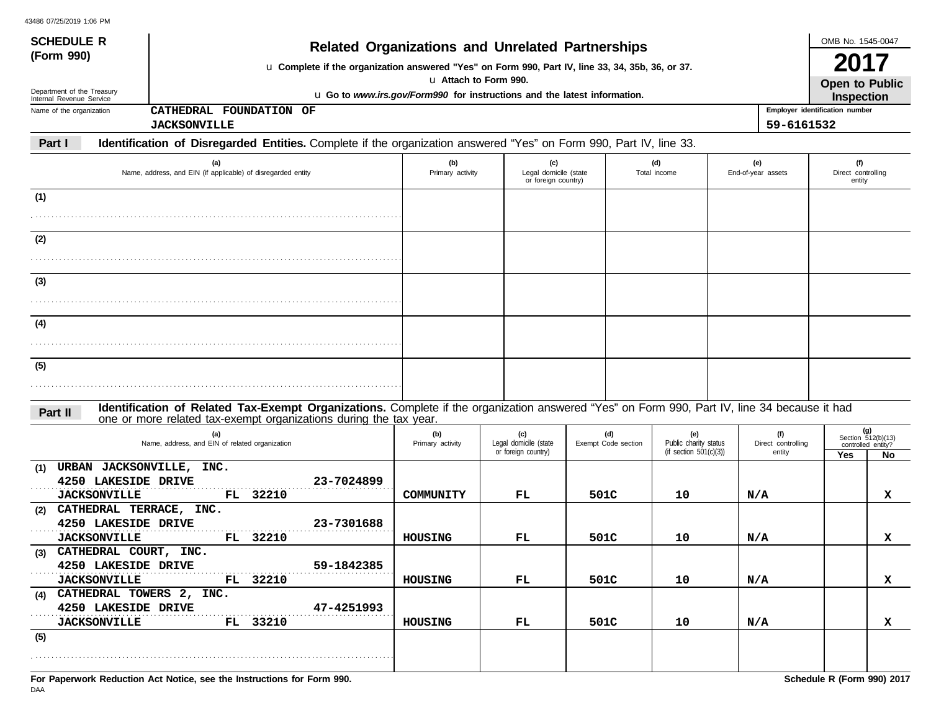| <b>SCHEDULE R</b><br>(Form 990)                                            |                                                                                                                                                                                                                   |                         | <b>Related Organizations and Unrelated Partnerships</b>                                           |                            |                                                           |                                     | OMB No. 1545-0047                                              |
|----------------------------------------------------------------------------|-------------------------------------------------------------------------------------------------------------------------------------------------------------------------------------------------------------------|-------------------------|---------------------------------------------------------------------------------------------------|----------------------------|-----------------------------------------------------------|-------------------------------------|----------------------------------------------------------------|
| Department of the Treasury<br>Internal Revenue Service                     | u Complete if the organization answered "Yes" on Form 990, Part IV, line 33, 34, 35b, 36, or 37.                                                                                                                  |                         | u Attach to Form 990.<br>u Go to www.irs.gov/Form990 for instructions and the latest information. |                            |                                                           |                                     | 2017<br>Open to Public<br><b>Inspection</b>                    |
| Name of the organization                                                   | CATHEDRAL FOUNDATION OF                                                                                                                                                                                           |                         |                                                                                                   |                            |                                                           |                                     | Employer identification number                                 |
|                                                                            | <b>JACKSONVILLE</b>                                                                                                                                                                                               |                         |                                                                                                   |                            |                                                           | 59-6161532                          |                                                                |
| Part I                                                                     | Identification of Disregarded Entities. Complete if the organization answered "Yes" on Form 990, Part IV, line 33.                                                                                                |                         |                                                                                                   |                            |                                                           |                                     |                                                                |
|                                                                            | (a)<br>Name, address, and EIN (if applicable) of disregarded entity                                                                                                                                               | (b)<br>Primary activity | (c)<br>Legal domicile (state<br>or foreign country)                                               |                            | (d)<br>Total income                                       | (e)<br>End-of-year assets           | (f)<br>Direct controlling<br>entity                            |
| (1)                                                                        |                                                                                                                                                                                                                   |                         |                                                                                                   |                            |                                                           |                                     |                                                                |
|                                                                            |                                                                                                                                                                                                                   |                         |                                                                                                   |                            |                                                           |                                     |                                                                |
| (2)                                                                        |                                                                                                                                                                                                                   |                         |                                                                                                   |                            |                                                           |                                     |                                                                |
| (3)                                                                        |                                                                                                                                                                                                                   |                         |                                                                                                   |                            |                                                           |                                     |                                                                |
|                                                                            |                                                                                                                                                                                                                   |                         |                                                                                                   |                            |                                                           |                                     |                                                                |
| (4)                                                                        |                                                                                                                                                                                                                   |                         |                                                                                                   |                            |                                                           |                                     |                                                                |
| (5)                                                                        |                                                                                                                                                                                                                   |                         |                                                                                                   |                            |                                                           |                                     |                                                                |
| Part II                                                                    | Identification of Related Tax-Exempt Organizations. Complete if the organization answered "Yes" on Form 990, Part IV, line 34 because it had<br>one or more related tax-exempt organizations during the tax year. |                         |                                                                                                   |                            |                                                           |                                     |                                                                |
|                                                                            | (a)<br>Name, address, and EIN of related organization                                                                                                                                                             | (b)<br>Primary activity | (c)<br>Legal domicile (state<br>or foreign country)                                               | (d)<br>Exempt Code section | (e)<br>Public charity status<br>(if section $501(c)(3)$ ) | (f)<br>Direct controlling<br>entity | (g)<br>Section $512(b)(13)$<br>controlled entity?<br>Yes<br>No |
| (1)<br>4250 LAKESIDE DRIVE                                                 | URBAN JACKSONVILLE, INC.<br>23-7024899                                                                                                                                                                            |                         |                                                                                                   |                            |                                                           |                                     |                                                                |
| <b>JACKSONVILLE</b><br>CATHEDRAL TERRACE, INC.<br>(2)                      | FL 32210                                                                                                                                                                                                          | COMMUNITY               | FL                                                                                                | 501C                       | 10                                                        | N/A                                 | x                                                              |
| 4250 LAKESIDE DRIVE<br><b>JACKSONVILLE</b>                                 | 23-7301688<br>FL 32210                                                                                                                                                                                            | <b>HOUSING</b>          | FL                                                                                                | 501C                       | 10                                                        | N/A                                 | x                                                              |
| (3) CATHEDRAL COURT, INC.<br>4250 LAKESIDE DRIVE<br><b>JACKSONVILLE</b>    | 59-1842385<br>FL 32210                                                                                                                                                                                            | HOUSING                 | FL.                                                                                               | 501C                       | 10                                                        | N/A                                 | x                                                              |
| (4) CATHEDRAL TOWERS 2, INC.<br>4250 LAKESIDE DRIVE<br><b>JACKSONVILLE</b> | 47-4251993<br>FL 33210                                                                                                                                                                                            | HOUSING                 | FL.                                                                                               | 501C                       | 10                                                        | N/A                                 | x                                                              |
| (5)                                                                        |                                                                                                                                                                                                                   |                         |                                                                                                   |                            |                                                           |                                     |                                                                |

DAA **For Paperwork Reduction Act Notice, see the Instructions for Form 990. Schedule R (Form 990) 2017**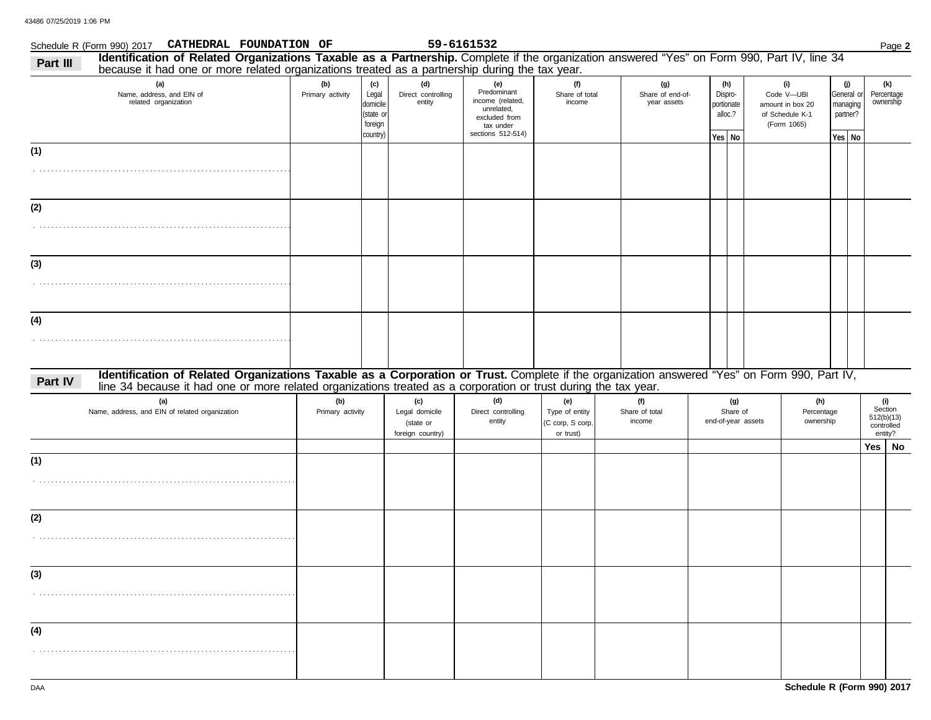#### Schedule R (Form 990) 2017 Page **2 CATHEDRAL FOUNDATION OF 59-6161532 (a) (b) (c) (d) (e) (f)** . . . . . . . . . . . . . . . . . . . . . . . . . . . . . . . . . . . . . . . . . . . . . . . . . . . . . . . . . . . . . . . . . Name, address, and EIN of **Primary activity** Legal domicile (state o foreign country) Direct controlling entity Predominant income (related, unrelated, Share of total portionate alloc.? General or managing partner? **Yes No Yes No (g) (h)** . Share of end-ofyear assets Dispro-**Part III Identification of Related Organizations Taxable as a Partnership.** Complete if the organization answered "Yes" on Form 990, Part IV, line 34 **(i)** of Schedule K-1 Code V—UBI **(j)** . . . . . . . . . . . . . . . . . . . . . . . . . . . . . . . . . . . . . . . . . . . . . . . . . . . . . . . . . . . . . . . . . . . . . . . . . . . . . . . . . . . . . . . . . . . . . . . . . . . . . . . . . . . . . . . . . . . . . . . . . . . . . . . . . . . . . . . . . . . . . . . . . . . . . . . . . . . . . . . . . . . . . . . . . . . . . . . . . . . . . . . . . . . . . . . . . . . **Identification of Related Organizations Taxable as a Corporation or Trust.** Complete if the organization answered "Yes" on Form 990, Part IV, Part IV, line 24 because it had one or more related organizations treated as a **(a) (b) (c) (d) (e) (f) (g) (h)** Name, address, and EIN of related organization **Primary activity** Legal domicile (state or foreign country) Direct controlling entity Type of entity (C corp, S corp, or trust) Share of total Share of end-of-year assets Percentage ownership amount in box 20 (Form 1065) because it had one or more related organizations treated as a partnership during the tax year. excluded from tax under sections 512-514) line 34 because it had one or more related organizations treated as a corporation or trust during the tax year. **(4) (3) (2) (1)** ownership Percentage **(k)** income income related organization 512(b)(13) Section **(i)** entity? controlled 43486 07/25/2019 1:06 PM

**Yes No**

**(1)**

**(2)**

**(3)**

**(4)**

. . . . . . . . . . . . . . . . . . . . . . . . . . . . . . . . . . . . . . . . . . . . . . . . . . . . . . . . . . . . . . . . . .

. . . . . . . . . . . . . . . . . . . . . . . . . . . . . . . . . . . . . . . . . . . . . . . . . . . . . . . . . . . . . . . . . .

. . . . . . . . . . . . . . . . . . . . . . . . . . . . . . . . . . . . . . . . . . . . . . . . . . . . . . . . . . . . . . . . . .

. . . . . . . . . . . . . . . . . . . . . . . . . . . . . . . . . . . . . . . . . . . . . . . . . . . . . . . . . . . . . . . . . .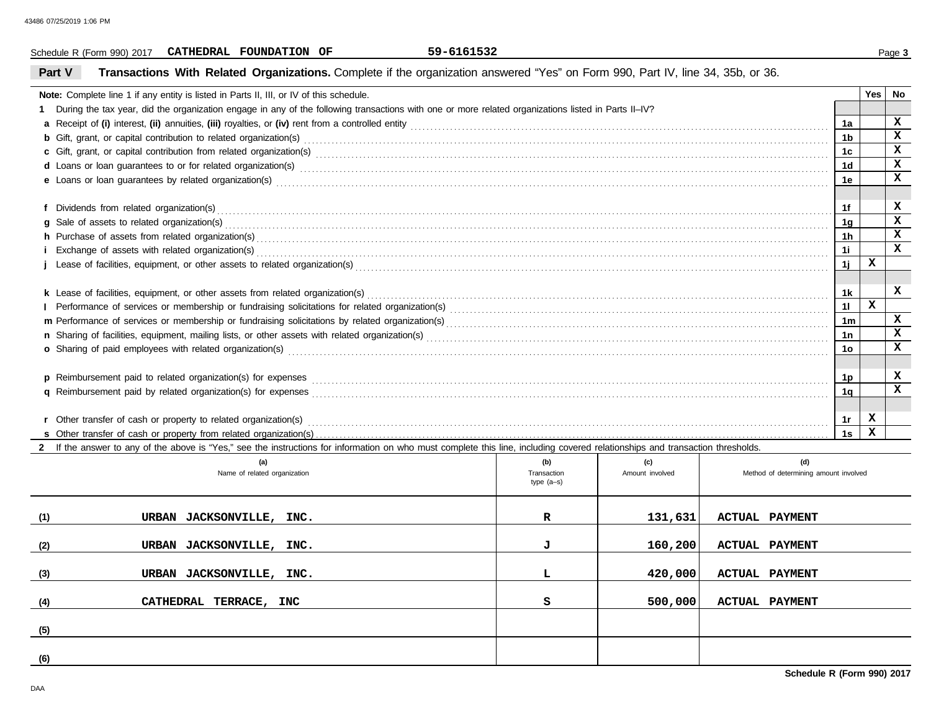#### Schedule R (Form 990) 2017 Page **3 CATHEDRAL FOUNDATION OF 59-6161532**

#### **Part V Transactions With Related Organizations.** Complete if the organization answered "Yes" on Form 990, Part IV, line 34, 35b, or 36.

| Note: Complete line 1 if any entity is listed in Parts II, III, or IV of this schedule.                                                                                                                                        |              |     |     |                | Yes | <b>No</b>    |  |
|--------------------------------------------------------------------------------------------------------------------------------------------------------------------------------------------------------------------------------|--------------|-----|-----|----------------|-----|--------------|--|
| 1 During the tax year, did the organization engage in any of the following transactions with one or more related organizations listed in Parts II-IV?                                                                          |              |     |     |                |     |              |  |
|                                                                                                                                                                                                                                |              |     |     | 1a             |     | $\mathbf{x}$ |  |
|                                                                                                                                                                                                                                |              |     |     | 1b             |     | x            |  |
|                                                                                                                                                                                                                                |              |     |     | 1c             |     | x            |  |
|                                                                                                                                                                                                                                |              |     |     | 1d             |     | x            |  |
| d Loans or loan guarantees to or for related organization(s) encourance contains an account of the container and container and container and container and container and container and container and container and container a |              |     |     | 1e             |     | $\mathbf{x}$ |  |
|                                                                                                                                                                                                                                |              |     |     |                |     |              |  |
|                                                                                                                                                                                                                                |              |     |     | 1f             |     | x            |  |
|                                                                                                                                                                                                                                |              |     |     | 1g             |     | $\mathbf{x}$ |  |
|                                                                                                                                                                                                                                |              |     |     | 1 <sub>h</sub> |     | $\mathbf{x}$ |  |
|                                                                                                                                                                                                                                |              |     |     | 11             |     | $\mathbf{x}$ |  |
| i Exchange of assets with related organization(s) exchange contained as a series and contained and contained and contained and contained and contained and contained and contained and contained and contained and contained a |              |     |     |                |     |              |  |
|                                                                                                                                                                                                                                |              |     |     |                |     |              |  |
|                                                                                                                                                                                                                                |              |     |     | 1 <sup>k</sup> |     | x            |  |
|                                                                                                                                                                                                                                |              |     |     | 11             | X   |              |  |
|                                                                                                                                                                                                                                |              |     |     | 1 <sub>m</sub> |     | $\mathbf{x}$ |  |
|                                                                                                                                                                                                                                |              |     |     | 1n             |     | x            |  |
| o Sharing of paid employees with related organization(s) contact the contract contact the contract contact organization (s) contact the contact contact contact contact contact contact contact contact contact contact contac |              |     |     | 1o             |     | $\mathbf x$  |  |
|                                                                                                                                                                                                                                |              |     |     |                |     |              |  |
|                                                                                                                                                                                                                                |              |     |     | 1p             |     | x            |  |
|                                                                                                                                                                                                                                |              |     |     | 1q             |     | $\mathbf{x}$ |  |
|                                                                                                                                                                                                                                |              |     |     |                |     |              |  |
|                                                                                                                                                                                                                                |              |     |     | 1r             | x   |              |  |
|                                                                                                                                                                                                                                |              |     |     | 1s             | x   |              |  |
| 2 If the answer to any of the above is "Yes," see the instructions for information on who must complete this line, including covered relationships and transaction thresholds.                                                 |              |     |     |                |     |              |  |
| (a)                                                                                                                                                                                                                            | (b)          | (c) | (d) |                |     |              |  |
| Name of related organization<br>Method of determining amount involved<br>Transaction<br>Amount involved                                                                                                                        |              |     |     |                |     |              |  |
|                                                                                                                                                                                                                                | type $(a-s)$ |     |     |                |     |              |  |
|                                                                                                                                                                                                                                |              |     |     |                |     |              |  |

URBAN JACKSONVILLE, INC.  $\begin{vmatrix} R & 131,631 & 201 \end{vmatrix}$  ACTUAL PAYMENT

URBAN JACKSONVILLE, INC.  $J$   $J$   $J$   $160,200$  ACTUAL PAYMENT

| URBAN JACKSONVILLE, INC. |   | 420,000 | <b>ACTUAL PAYMENT</b>      |  |
|--------------------------|---|---------|----------------------------|--|
| CATHEDRAL TERRACE, INC   | s | 500,000 | <b>ACTUAL PAYMENT</b>      |  |
|                          |   |         |                            |  |
|                          |   |         |                            |  |
|                          |   |         | Schedule R (Form 990) 2017 |  |

DAA

**(1)**

**(2)**

**(3)**

**(4)**

**(5)**

**(6)**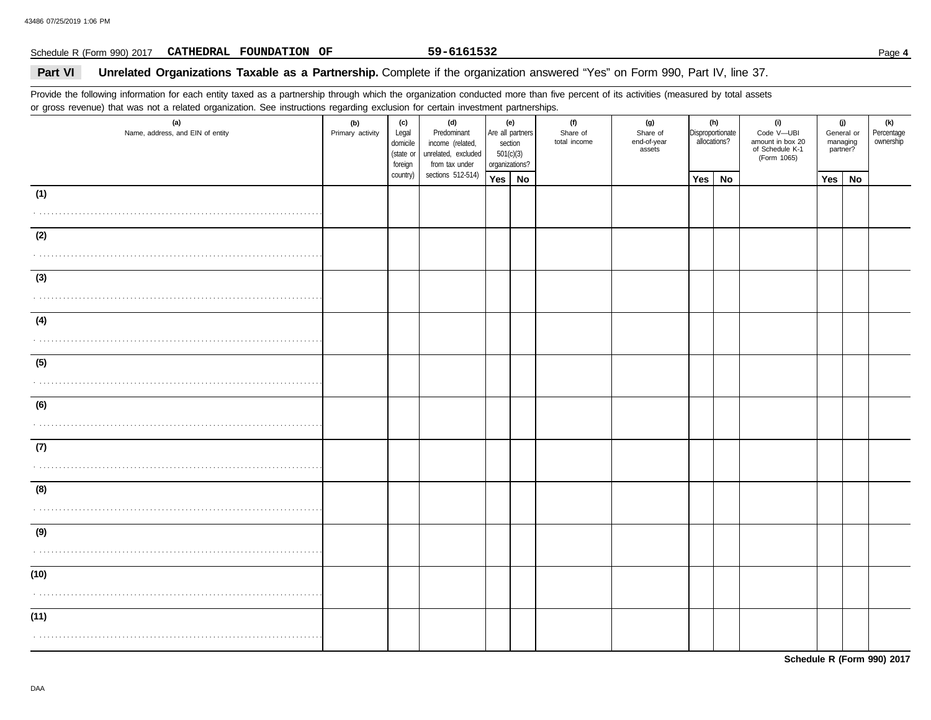#### Schedule R (Form 990) 2017 Page **4 CATHEDRAL FOUNDATION OF 59-6161532**

#### Part VI Unrelated Organizations Taxable as a Partnership. Complete if the organization answered "Yes" on Form 990, Part IV, line 37.

Provide the following information for each entity taxed as a partnership through which the organization conducted more than five percent of its activities (measured by total assets or gross revenue) that was not a related organization. See instructions regarding exclusion for certain investment partnerships.

| $\sim$<br>(a)<br>Name, address, and EIN of entity | ັ<br>(b)<br>Primary activity | (c)<br>Legal<br>domicile<br>(state or<br>foreign | (d)<br>Predominant<br>income (related,<br>unrelated, excluded<br>from tax under | (e)<br>Are all partners<br>section<br>501(c)(3)<br>organizations? |  | (f)<br>Share of<br>total income | (g)<br>Share of<br>end-of-year<br>assets |     | (h)<br>Disproportionate<br>allocations? | (i)<br>Code V-UBI<br>amount in box 20<br>of Schedule K-1<br>(Form 1065) | (j)<br>General or<br>managing<br>partner? |    | (k)<br>Percentage<br>ownership |
|---------------------------------------------------|------------------------------|--------------------------------------------------|---------------------------------------------------------------------------------|-------------------------------------------------------------------|--|---------------------------------|------------------------------------------|-----|-----------------------------------------|-------------------------------------------------------------------------|-------------------------------------------|----|--------------------------------|
|                                                   |                              | country)                                         | sections 512-514)                                                               | Yes   No                                                          |  |                                 |                                          | Yes | No                                      |                                                                         | Yes                                       | No |                                |
| (1)                                               |                              |                                                  |                                                                                 |                                                                   |  |                                 |                                          |     |                                         |                                                                         |                                           |    |                                |
| .                                                 |                              |                                                  |                                                                                 |                                                                   |  |                                 |                                          |     |                                         |                                                                         |                                           |    |                                |
| (2)                                               |                              |                                                  |                                                                                 |                                                                   |  |                                 |                                          |     |                                         |                                                                         |                                           |    |                                |
| .                                                 |                              |                                                  |                                                                                 |                                                                   |  |                                 |                                          |     |                                         |                                                                         |                                           |    |                                |
| (3)                                               |                              |                                                  |                                                                                 |                                                                   |  |                                 |                                          |     |                                         |                                                                         |                                           |    |                                |
|                                                   |                              |                                                  |                                                                                 |                                                                   |  |                                 |                                          |     |                                         |                                                                         |                                           |    |                                |
|                                                   |                              |                                                  |                                                                                 |                                                                   |  |                                 |                                          |     |                                         |                                                                         |                                           |    |                                |
| (4)                                               |                              |                                                  |                                                                                 |                                                                   |  |                                 |                                          |     |                                         |                                                                         |                                           |    |                                |
|                                                   |                              |                                                  |                                                                                 |                                                                   |  |                                 |                                          |     |                                         |                                                                         |                                           |    |                                |
| (5)                                               |                              |                                                  |                                                                                 |                                                                   |  |                                 |                                          |     |                                         |                                                                         |                                           |    |                                |
|                                                   |                              |                                                  |                                                                                 |                                                                   |  |                                 |                                          |     |                                         |                                                                         |                                           |    |                                |
| (6)                                               |                              |                                                  |                                                                                 |                                                                   |  |                                 |                                          |     |                                         |                                                                         |                                           |    |                                |
|                                                   |                              |                                                  |                                                                                 |                                                                   |  |                                 |                                          |     |                                         |                                                                         |                                           |    |                                |
|                                                   |                              |                                                  |                                                                                 |                                                                   |  |                                 |                                          |     |                                         |                                                                         |                                           |    |                                |
| (7)                                               |                              |                                                  |                                                                                 |                                                                   |  |                                 |                                          |     |                                         |                                                                         |                                           |    |                                |
|                                                   |                              |                                                  |                                                                                 |                                                                   |  |                                 |                                          |     |                                         |                                                                         |                                           |    |                                |
| (8)                                               |                              |                                                  |                                                                                 |                                                                   |  |                                 |                                          |     |                                         |                                                                         |                                           |    |                                |
|                                                   |                              |                                                  |                                                                                 |                                                                   |  |                                 |                                          |     |                                         |                                                                         |                                           |    |                                |
|                                                   |                              |                                                  |                                                                                 |                                                                   |  |                                 |                                          |     |                                         |                                                                         |                                           |    |                                |
| (9)                                               |                              |                                                  |                                                                                 |                                                                   |  |                                 |                                          |     |                                         |                                                                         |                                           |    |                                |
|                                                   |                              |                                                  |                                                                                 |                                                                   |  |                                 |                                          |     |                                         |                                                                         |                                           |    |                                |
| (10)                                              |                              |                                                  |                                                                                 |                                                                   |  |                                 |                                          |     |                                         |                                                                         |                                           |    |                                |
|                                                   |                              |                                                  |                                                                                 |                                                                   |  |                                 |                                          |     |                                         |                                                                         |                                           |    |                                |
| (11)                                              |                              |                                                  |                                                                                 |                                                                   |  |                                 |                                          |     |                                         |                                                                         |                                           |    |                                |
|                                                   |                              |                                                  |                                                                                 |                                                                   |  |                                 |                                          |     |                                         |                                                                         |                                           |    |                                |
|                                                   |                              |                                                  |                                                                                 |                                                                   |  |                                 |                                          |     |                                         |                                                                         |                                           |    |                                |

**Schedule R (Form 990) 2017**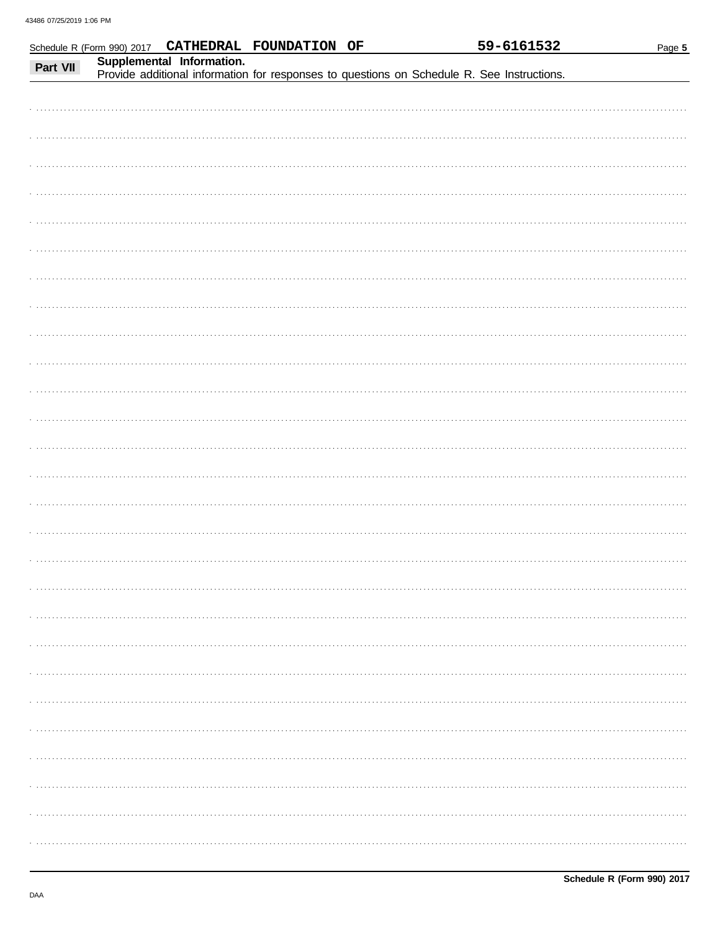|          |                           | Schedule R (Form 990) 2017 CATHEDRAL FOUNDATION OF |  | 59-6161532                                                                                 | Page 5 |
|----------|---------------------------|----------------------------------------------------|--|--------------------------------------------------------------------------------------------|--------|
| Part VII | Supplemental Information. |                                                    |  | Provide additional information for responses to questions on Schedule R. See Instructions. |        |
|          |                           |                                                    |  |                                                                                            |        |
|          |                           |                                                    |  |                                                                                            |        |
|          |                           |                                                    |  |                                                                                            |        |
|          |                           |                                                    |  |                                                                                            |        |
|          |                           |                                                    |  |                                                                                            |        |
|          |                           |                                                    |  |                                                                                            |        |
|          |                           |                                                    |  |                                                                                            |        |
|          |                           |                                                    |  |                                                                                            |        |
|          |                           |                                                    |  |                                                                                            |        |
|          |                           |                                                    |  |                                                                                            |        |
|          |                           |                                                    |  |                                                                                            |        |
|          |                           |                                                    |  |                                                                                            |        |
|          |                           |                                                    |  |                                                                                            |        |
|          |                           |                                                    |  |                                                                                            |        |
|          |                           |                                                    |  |                                                                                            |        |
|          |                           |                                                    |  |                                                                                            |        |
|          |                           |                                                    |  |                                                                                            |        |
|          |                           |                                                    |  |                                                                                            |        |
|          |                           |                                                    |  |                                                                                            |        |
|          |                           |                                                    |  |                                                                                            |        |
|          |                           |                                                    |  |                                                                                            |        |
|          |                           |                                                    |  |                                                                                            |        |
|          |                           |                                                    |  |                                                                                            |        |
|          |                           |                                                    |  |                                                                                            |        |
|          |                           |                                                    |  |                                                                                            |        |
|          |                           |                                                    |  |                                                                                            |        |
|          |                           |                                                    |  |                                                                                            |        |
|          |                           |                                                    |  |                                                                                            |        |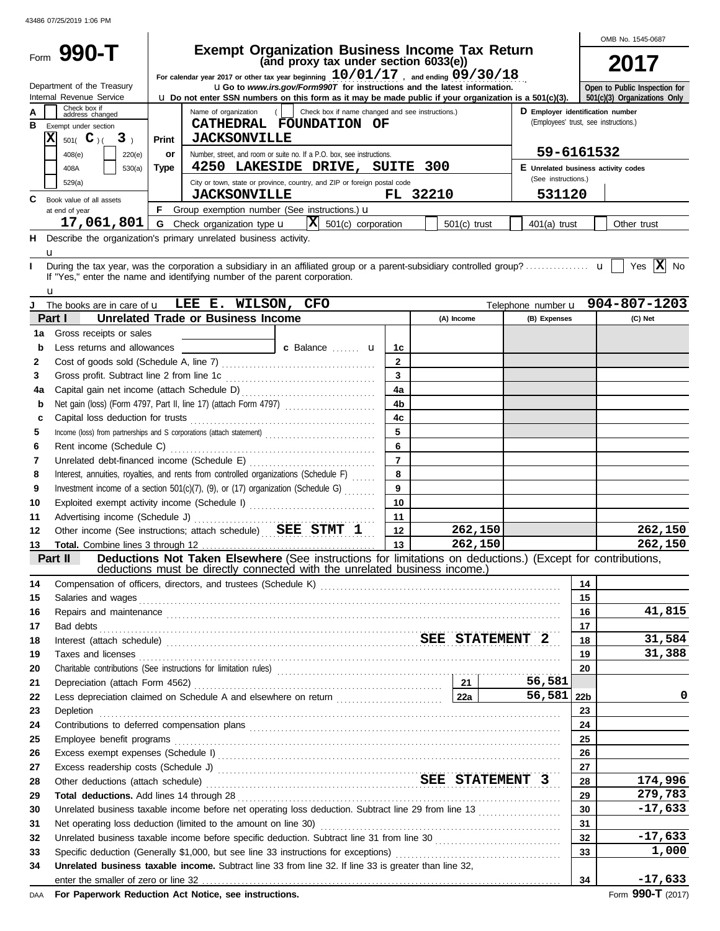|              |                                           |       |                                                                                      |                                                                                                                                                                                               |                               |          |                |                                       |                 | OMB No. 1545-0687               |
|--------------|-------------------------------------------|-------|--------------------------------------------------------------------------------------|-----------------------------------------------------------------------------------------------------------------------------------------------------------------------------------------------|-------------------------------|----------|----------------|---------------------------------------|-----------------|---------------------------------|
|              | Form 990-T                                |       |                                                                                      | <b>Exempt Organization Business Income Tax Return</b><br>(and proxy tax under section 6033(e))                                                                                                |                               |          |                |                                       |                 | 2017                            |
|              | Department of the Treasury                |       |                                                                                      | For calendar year 2017 or other tax year beginning $10/01/17$ , and ending $09/30/18$<br><b>uGo</b> to www.irs.gov/Form990T for instructions and the latest information.                      |                               |          |                |                                       |                 | Open to Public Inspection for   |
|              | Internal Revenue Service                  |       |                                                                                      | $\bf{u}$ Do not enter SSN numbers on this form as it may be made public if your organization is a 501(c)(3).                                                                                  |                               |          |                |                                       |                 | 501(c)(3) Organizations Only    |
|              | Check box if<br>address changed           |       | Name of organization                                                                 | Check box if name changed and see instructions.)                                                                                                                                              |                               |          |                | D Employer identification number      |                 |                                 |
| в            | Exempt under section                      |       |                                                                                      | CATHEDRAL FOUNDATION OF                                                                                                                                                                       |                               |          |                | (Employees' trust, see instructions.) |                 |                                 |
|              | X<br>501( $C$ )(<br>3 <sub>1</sub>        | Print | <b>JACKSONVILLE</b>                                                                  |                                                                                                                                                                                               |                               |          |                |                                       |                 |                                 |
|              | 408(e)<br>220(e)                          | or    |                                                                                      | Number, street, and room or suite no. If a P.O. box, see instructions.                                                                                                                        |                               |          |                | 59-6161532                            |                 |                                 |
|              | 530(a)<br>408A                            | Type  |                                                                                      | 4250 LAKESIDE DRIVE, SUITE 300                                                                                                                                                                |                               |          |                | E Unrelated business activity codes   |                 |                                 |
|              | 529(a)                                    |       |                                                                                      | City or town, state or province, country, and ZIP or foreign postal code                                                                                                                      |                               |          |                | (See instructions.)                   |                 |                                 |
| C            | Book value of all assets                  |       | <b>JACKSONVILLE</b>                                                                  |                                                                                                                                                                                               |                               | FL 32210 |                | 531120                                |                 |                                 |
|              | at end of year                            |       | F Group exemption number (See instructions.) $\mathbf u$                             |                                                                                                                                                                                               |                               |          |                |                                       |                 |                                 |
|              | 17,061,801                                |       | G Check organization type u                                                          | $ \mathbf{X} $ 501(c) corporation                                                                                                                                                             |                               |          | $501(c)$ trust | $401(a)$ trust                        |                 | Other trust                     |
| н.           | u                                         |       | Describe the organization's primary unrelated business activity.                     |                                                                                                                                                                                               |                               |          |                |                                       |                 |                                 |
|              |                                           |       |                                                                                      |                                                                                                                                                                                               |                               |          |                |                                       |                 | $ {\bf x} $<br>Yes<br>No        |
|              |                                           |       | If "Yes," enter the name and identifying number of the parent corporation.           |                                                                                                                                                                                               |                               |          |                |                                       |                 |                                 |
|              | u                                         |       |                                                                                      |                                                                                                                                                                                               |                               |          |                |                                       |                 |                                 |
| J            |                                           |       | The books are in care of <b>u</b> LEE E. WILSON, CFO                                 |                                                                                                                                                                                               |                               |          |                |                                       |                 | Telephone number u 904-807-1203 |
|              | Part I                                    |       | Unrelated Trade or Business Income                                                   |                                                                                                                                                                                               |                               |          | (A) Income     | (B) Expenses                          |                 | (C) Net                         |
| 1a           | Gross receipts or sales                   |       |                                                                                      |                                                                                                                                                                                               |                               |          |                |                                       |                 |                                 |
| b            | Less returns and allowances               |       |                                                                                      | <b>C</b> Balance <b>Example 1 C</b> Balance <b>Example 1</b>                                                                                                                                  | 1c                            |          |                |                                       |                 |                                 |
| $\mathbf{2}$ |                                           |       |                                                                                      |                                                                                                                                                                                               | $\mathbf{2}$                  |          |                |                                       |                 |                                 |
| 3            |                                           |       |                                                                                      |                                                                                                                                                                                               | $\overline{\mathbf{3}}$<br>4a |          |                |                                       |                 |                                 |
| 4a           |                                           |       |                                                                                      |                                                                                                                                                                                               | 4 <sub>b</sub>                |          |                |                                       |                 |                                 |
| b            |                                           |       | Net gain (loss) (Form 4797, Part II, line 17) (attach Form 4797)                     |                                                                                                                                                                                               | 4c                            |          |                |                                       |                 |                                 |
| C<br>5       |                                           |       |                                                                                      |                                                                                                                                                                                               | 5                             |          |                |                                       |                 |                                 |
| 6            |                                           |       |                                                                                      |                                                                                                                                                                                               | 6                             |          |                |                                       |                 |                                 |
| 7            |                                           |       |                                                                                      |                                                                                                                                                                                               | $\overline{7}$                |          |                |                                       |                 |                                 |
| 8            |                                           |       | Interest, annuities, royalties, and rents from controlled organizations (Schedule F) |                                                                                                                                                                                               | 8                             |          |                |                                       |                 |                                 |
| 9            |                                           |       | Investment income of a section 501(c)(7), (9), or (17) organization (Schedule G)     |                                                                                                                                                                                               | 9                             |          |                |                                       |                 |                                 |
| 10           |                                           |       | Exploited exempt activity income (Schedule I)                                        |                                                                                                                                                                                               | 10                            |          |                |                                       |                 |                                 |
| 11           |                                           |       |                                                                                      |                                                                                                                                                                                               | 11                            |          |                |                                       |                 |                                 |
| 12           |                                           |       | Other income (See instructions; attach schedule) SEE STMT 1                          |                                                                                                                                                                                               | 12                            |          | 262,150        |                                       |                 | 262,150                         |
| 13           |                                           |       |                                                                                      |                                                                                                                                                                                               | 13                            |          | 262,150        |                                       |                 | 262,150                         |
|              | Part II                                   |       |                                                                                      | <b>Deductions Not Taken Elsewhere</b> (See instructions for limitations on deductions.) (Except for contributions,                                                                            |                               |          |                |                                       |                 |                                 |
|              |                                           |       |                                                                                      | deductions must be directly connected with the unrelated business income.)                                                                                                                    |                               |          |                |                                       |                 |                                 |
| 14           |                                           |       |                                                                                      |                                                                                                                                                                                               |                               |          |                |                                       | 14              |                                 |
| 15           | Salaries and wages                        |       |                                                                                      |                                                                                                                                                                                               |                               |          |                |                                       | 15              |                                 |
| 16           |                                           |       |                                                                                      | Repairs and maintenance communications are all the main and maintenance and maintenance communications and maintenance                                                                        |                               |          |                |                                       | 16              | 41,815                          |
| 17           | Bad debts                                 |       |                                                                                      |                                                                                                                                                                                               |                               |          |                |                                       | 17<br>18        | 31,584                          |
| 18<br>19     | Taxes and licenses                        |       |                                                                                      | Interest (attach schedule) Material SEE STATEMENT 2                                                                                                                                           |                               |          |                |                                       | 19              | 31,388                          |
| 20           |                                           |       |                                                                                      |                                                                                                                                                                                               |                               |          |                |                                       | 20              |                                 |
| 21           |                                           |       |                                                                                      |                                                                                                                                                                                               |                               |          |                | 56,581                                |                 |                                 |
| 22           |                                           |       |                                                                                      |                                                                                                                                                                                               |                               |          |                | 56,581                                | 22 <sub>b</sub> | 0                               |
| 23           | Depletion                                 |       |                                                                                      |                                                                                                                                                                                               |                               |          |                |                                       | 23              |                                 |
| 24           |                                           |       |                                                                                      |                                                                                                                                                                                               |                               |          |                |                                       | 24              |                                 |
| 25           |                                           |       |                                                                                      |                                                                                                                                                                                               |                               |          |                |                                       | 25              |                                 |
| 26           |                                           |       |                                                                                      |                                                                                                                                                                                               |                               |          |                |                                       | 26              |                                 |
| 27           |                                           |       |                                                                                      |                                                                                                                                                                                               |                               |          |                |                                       | 27              |                                 |
| 28           |                                           |       |                                                                                      | Excess readership costs (Schedule J)<br>Other deductions (attach schedule)<br>SEE STATEMENT 3                                                                                                 |                               |          |                |                                       | 28              | 174,996                         |
| 29           | Total deductions. Add lines 14 through 28 |       |                                                                                      |                                                                                                                                                                                               |                               |          |                |                                       | 29              | 279,783                         |
| 30           |                                           |       |                                                                                      |                                                                                                                                                                                               |                               |          |                |                                       | 30              | $-17,633$                       |
| 31           |                                           |       | Net operating loss deduction (limited to the amount on line 30)                      |                                                                                                                                                                                               |                               |          |                |                                       | 31              |                                 |
| 32           |                                           |       |                                                                                      | Unrelated business taxable income before specific deduction. Subtract line 31 from line 30 [1] [1] Unrelated business taxable income before specific deduction. Subtract line 31 from line 30 |                               |          |                |                                       | 32              | $-17,633$                       |
| 33           |                                           |       |                                                                                      | Specific deduction (Generally \$1,000, but see line 33 instructions for exceptions) [[[[[[[[[[[[[[[[[[[[[[[[[[[                                                                               |                               |          |                |                                       | 33              | 1,000                           |
| 34           |                                           |       |                                                                                      | Unrelated business taxable income. Subtract line 33 from line 32. If line 33 is greater than line 32,                                                                                         |                               |          |                |                                       |                 |                                 |
|              |                                           |       |                                                                                      |                                                                                                                                                                                               |                               |          |                |                                       | 34              | $-17,633$                       |

**For Paperwork Reduction Act Notice, see instructions.** DAA Form **990-T** (2017)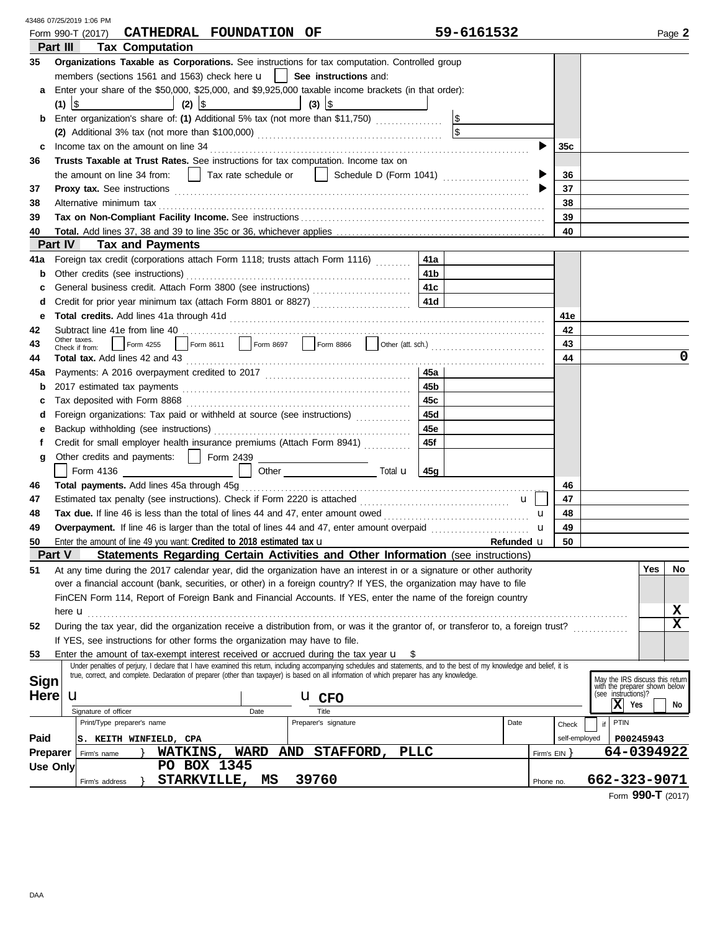| 43486 07/25/2019 1:06 PM |  |  |
|--------------------------|--|--|
|                          |  |  |

|             |                | Form 990-T (2017) CATHEDRAL FOUNDATION OF                                                                                                                                                                                                                                                                                 | 59-6161532      |            |                |                                                                  |           | Page 2      |
|-------------|----------------|---------------------------------------------------------------------------------------------------------------------------------------------------------------------------------------------------------------------------------------------------------------------------------------------------------------------------|-----------------|------------|----------------|------------------------------------------------------------------|-----------|-------------|
|             | Part III       | <b>Tax Computation</b>                                                                                                                                                                                                                                                                                                    |                 |            |                |                                                                  |           |             |
| 35          |                | Organizations Taxable as Corporations. See instructions for tax computation. Controlled group                                                                                                                                                                                                                             |                 |            |                |                                                                  |           |             |
|             |                | members (sections 1561 and 1563) check here $\mathbf{u}$   See instructions and:                                                                                                                                                                                                                                          |                 |            |                |                                                                  |           |             |
|             |                | a Enter your share of the \$50,000, \$25,000, and \$9,925,000 taxable income brackets (in that order):                                                                                                                                                                                                                    |                 |            |                |                                                                  |           |             |
|             | $(1)$ $ $ \$   | $\vert$ (2) $\vert$ \$<br>$\vert$ (3) $\vert$ \$                                                                                                                                                                                                                                                                          |                 |            |                |                                                                  |           |             |
|             |                | <b>b</b> Enter organization's share of: (1) Additional 5% tax (not more than \$11,750)                                                                                                                                                                                                                                    |                 |            |                |                                                                  |           |             |
|             |                |                                                                                                                                                                                                                                                                                                                           |                 |            |                |                                                                  |           |             |
| c           |                |                                                                                                                                                                                                                                                                                                                           |                 |            | 35c            |                                                                  |           |             |
| 36          |                | Trusts Taxable at Trust Rates. See instructions for tax computation. Income tax on                                                                                                                                                                                                                                        |                 |            |                |                                                                  |           |             |
|             |                | the amount on line 34 from: $\begin{vmatrix} 1 \\ 1 \end{vmatrix}$ Tax rate schedule or                                                                                                                                                                                                                                   |                 |            | 36             |                                                                  |           |             |
| 37          |                |                                                                                                                                                                                                                                                                                                                           |                 |            | 37             |                                                                  |           |             |
| 38          |                |                                                                                                                                                                                                                                                                                                                           |                 |            | 38             |                                                                  |           |             |
| 39          |                |                                                                                                                                                                                                                                                                                                                           |                 |            | 39             |                                                                  |           |             |
| 40          |                |                                                                                                                                                                                                                                                                                                                           |                 |            | 40             |                                                                  |           |             |
|             | <b>Part IV</b> | <b>Tax and Payments</b>                                                                                                                                                                                                                                                                                                   |                 |            |                |                                                                  |           |             |
| 41a         |                | Foreign tax credit (corporations attach Form 1118; trusts attach Form 1116)                                                                                                                                                                                                                                               | 41a             |            |                |                                                                  |           |             |
| b           |                |                                                                                                                                                                                                                                                                                                                           | 41 <sub>b</sub> |            |                |                                                                  |           |             |
| c           |                | General business credit. Attach Form 3800 (see instructions)                                                                                                                                                                                                                                                              | 41c             |            |                |                                                                  |           |             |
| d           |                |                                                                                                                                                                                                                                                                                                                           |                 |            |                |                                                                  |           |             |
| е           |                |                                                                                                                                                                                                                                                                                                                           |                 |            | 41e            |                                                                  |           |             |
| 42          |                |                                                                                                                                                                                                                                                                                                                           |                 |            | 42             |                                                                  |           |             |
| 43          |                | Other taxes.<br>Form 8611 Form 8697 Form 8866 Other (att. sch.)<br>Form 4255<br>Check if from:                                                                                                                                                                                                                            |                 |            | 43             |                                                                  |           |             |
| 44          |                |                                                                                                                                                                                                                                                                                                                           |                 |            | 44             |                                                                  |           | 0           |
| 45a         |                |                                                                                                                                                                                                                                                                                                                           | 45a             |            |                |                                                                  |           |             |
| b           |                |                                                                                                                                                                                                                                                                                                                           | 45b             |            |                |                                                                  |           |             |
| c           |                |                                                                                                                                                                                                                                                                                                                           | 45с             |            |                |                                                                  |           |             |
| d           |                | Foreign organizations: Tax paid or withheld at source (see instructions)                                                                                                                                                                                                                                                  | 45d             |            |                |                                                                  |           |             |
| е           |                |                                                                                                                                                                                                                                                                                                                           | 45e             |            |                |                                                                  |           |             |
| f           |                | Credit for small employer health insurance premiums (Attach Form 8941)                                                                                                                                                                                                                                                    | 45f             |            |                |                                                                  |           |             |
| g           |                |                                                                                                                                                                                                                                                                                                                           |                 |            |                |                                                                  |           |             |
|             |                |                                                                                                                                                                                                                                                                                                                           |                 |            |                |                                                                  |           |             |
| 46          |                |                                                                                                                                                                                                                                                                                                                           |                 |            | 46             |                                                                  |           |             |
| 47          |                |                                                                                                                                                                                                                                                                                                                           |                 |            | 47             |                                                                  |           |             |
| 48          |                | Tax due. If line 46 is less than the total of lines 44 and 47, enter amount owed <i></i>                                                                                                                                                                                                                                  |                 | u          | 48             |                                                                  |           |             |
| 49          |                |                                                                                                                                                                                                                                                                                                                           |                 | u          | 49             |                                                                  |           |             |
| 50          |                | Enter the amount of line 49 you want: Credited to 2018 estimated tax $\mathbf u$                                                                                                                                                                                                                                          |                 | Refunded u | 50             |                                                                  |           |             |
|             | Part V         | Statements Regarding Certain Activities and Other Information (see instructions)                                                                                                                                                                                                                                          |                 |            |                |                                                                  |           |             |
| 51          |                | At any time during the 2017 calendar year, did the organization have an interest in or a signature or other authority                                                                                                                                                                                                     |                 |            |                |                                                                  | Yes       | No          |
|             |                | over a financial account (bank, securities, or other) in a foreign country? If YES, the organization may have to file                                                                                                                                                                                                     |                 |            |                |                                                                  |           |             |
|             |                | FinCEN Form 114, Report of Foreign Bank and Financial Accounts. If YES, enter the name of the foreign country                                                                                                                                                                                                             |                 |            |                |                                                                  |           |             |
|             |                |                                                                                                                                                                                                                                                                                                                           |                 |            |                |                                                                  |           | X           |
| 52          |                | During the tax year, did the organization receive a distribution from, or was it the grantor of, or transferor to, a foreign trust?                                                                                                                                                                                       |                 |            |                |                                                                  |           | $\mathbf x$ |
|             |                | If YES, see instructions for other forms the organization may have to file.                                                                                                                                                                                                                                               |                 |            |                |                                                                  |           |             |
| 53          |                | Enter the amount of tax-exempt interest received or accrued during the tax year $\mathbf{u}$ \$                                                                                                                                                                                                                           |                 |            |                |                                                                  |           |             |
|             |                | Under penalties of perjury, I declare that I have examined this return, including accompanying schedules and statements, and to the best of my knowledge and belief, it is<br>true, correct, and complete. Declaration of preparer (other than taxpayer) is based on all information of which preparer has any knowledge. |                 |            |                |                                                                  |           |             |
| <b>Sign</b> |                |                                                                                                                                                                                                                                                                                                                           |                 |            |                | May the IRS discuss this return<br>with the preparer shown below |           |             |
| <b>Here</b> |                | u<br><b>U</b> CFO                                                                                                                                                                                                                                                                                                         |                 |            |                | (see instructions)?<br>$X$ Yes                                   |           | No          |
|             |                | Signature of officer<br>Title<br>Date                                                                                                                                                                                                                                                                                     |                 |            |                |                                                                  |           |             |
|             |                | Preparer's signature<br>Print/Type preparer's name                                                                                                                                                                                                                                                                        | Date            |            | Check          | <b>PTIN</b><br>if                                                |           |             |
| Paid        |                | S. KEITH WINFIELD, CPA                                                                                                                                                                                                                                                                                                    |                 |            | self-employed  |                                                                  | P00245943 |             |
| Preparer    |                | WATKINS, WARD<br>AND STAFFORD,<br>Firm's name                                                                                                                                                                                                                                                                             | PLLC            |            | Firm's $EIN$ } | 64-0394922                                                       |           |             |
| Use Only    |                | PO BOX 1345                                                                                                                                                                                                                                                                                                               |                 |            |                |                                                                  |           |             |
|             |                | 39760<br><b>STARKVILLE,</b><br>MS<br>Firm's address                                                                                                                                                                                                                                                                       |                 | Phone no.  |                | 662-323-9071                                                     |           |             |

Form **990-T** (2017)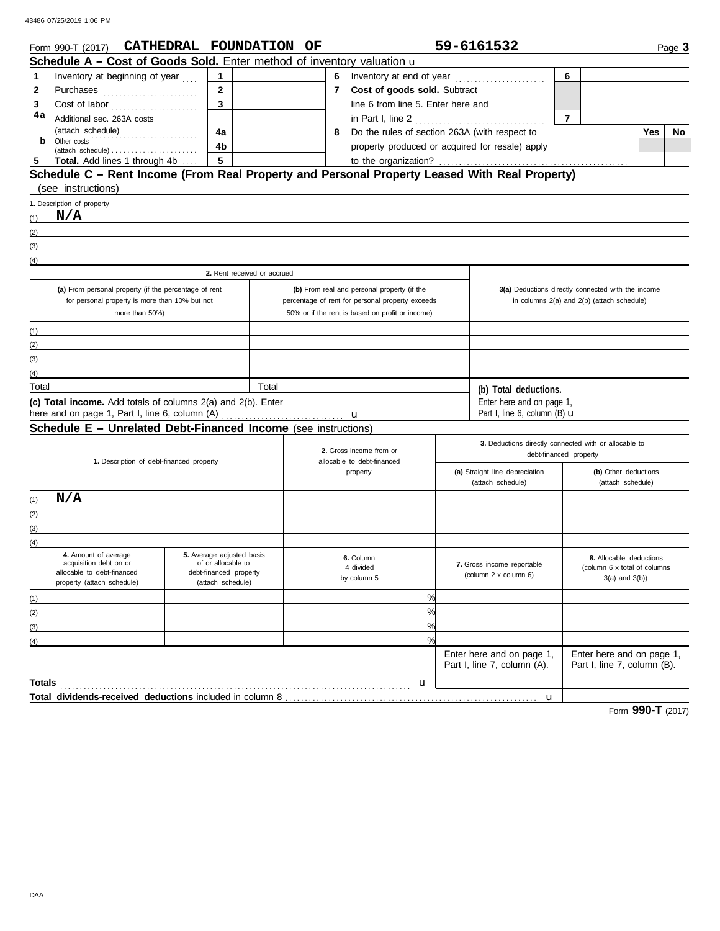|              | Form 990-T (2017) CATHEDRAL FOUNDATION OF                                                                      |                                             |       |                                                                                                 |                                    | 59-6161532                                                          |                        |                                                                                                  | Page 3 |
|--------------|----------------------------------------------------------------------------------------------------------------|---------------------------------------------|-------|-------------------------------------------------------------------------------------------------|------------------------------------|---------------------------------------------------------------------|------------------------|--------------------------------------------------------------------------------------------------|--------|
|              | Schedule A - Cost of Goods Sold. Enter method of inventory valuation u                                         |                                             |       |                                                                                                 |                                    |                                                                     |                        |                                                                                                  |        |
| 1            | Inventory at beginning of year                                                                                 | 1                                           |       | 6                                                                                               |                                    |                                                                     | 6                      |                                                                                                  |        |
| 2            | Purchases                                                                                                      | $\mathbf{2}$                                |       | $\mathbf{7}$                                                                                    | Cost of goods sold. Subtract       |                                                                     |                        |                                                                                                  |        |
| 3            | Cost of labor                                                                                                  | $\overline{\mathbf{3}}$                     |       |                                                                                                 | line 6 from line 5. Enter here and |                                                                     |                        |                                                                                                  |        |
| 4a           | Additional sec. 263A costs                                                                                     |                                             |       |                                                                                                 |                                    |                                                                     | 7                      |                                                                                                  |        |
|              | (attach schedule)                                                                                              | 4a                                          |       | 8                                                                                               |                                    | Do the rules of section 263A (with respect to                       |                        | Yes                                                                                              | No.    |
| b            | Other costs                                                                                                    | 4b                                          |       |                                                                                                 |                                    | property produced or acquired for resale) apply                     |                        |                                                                                                  |        |
| 5            | <b>Total.</b> Add lines 1 through 4b                                                                           | 5                                           |       |                                                                                                 | to the organization?               |                                                                     |                        |                                                                                                  |        |
|              | Schedule C - Rent Income (From Real Property and Personal Property Leased With Real Property)                  |                                             |       |                                                                                                 |                                    |                                                                     |                        |                                                                                                  |        |
|              | (see instructions)                                                                                             |                                             |       |                                                                                                 |                                    |                                                                     |                        |                                                                                                  |        |
|              | 1. Description of property                                                                                     |                                             |       |                                                                                                 |                                    |                                                                     |                        |                                                                                                  |        |
| (1)          | N/A                                                                                                            |                                             |       |                                                                                                 |                                    |                                                                     |                        |                                                                                                  |        |
| (2)          |                                                                                                                |                                             |       |                                                                                                 |                                    |                                                                     |                        |                                                                                                  |        |
| (3)          |                                                                                                                |                                             |       |                                                                                                 |                                    |                                                                     |                        |                                                                                                  |        |
| (4)          |                                                                                                                |                                             |       |                                                                                                 |                                    |                                                                     |                        |                                                                                                  |        |
|              |                                                                                                                | 2. Rent received or accrued                 |       |                                                                                                 |                                    |                                                                     |                        |                                                                                                  |        |
|              |                                                                                                                |                                             |       |                                                                                                 |                                    |                                                                     |                        |                                                                                                  |        |
|              | (a) From personal property (if the percentage of rent<br>for personal property is more than 10% but not        |                                             |       | (b) From real and personal property (if the<br>percentage of rent for personal property exceeds |                                    |                                                                     |                        | 3(a) Deductions directly connected with the income<br>in columns 2(a) and 2(b) (attach schedule) |        |
|              | more than 50%)                                                                                                 |                                             |       | 50% or if the rent is based on profit or income)                                                |                                    |                                                                     |                        |                                                                                                  |        |
|              |                                                                                                                |                                             |       |                                                                                                 |                                    |                                                                     |                        |                                                                                                  |        |
| (1)          |                                                                                                                |                                             |       |                                                                                                 |                                    |                                                                     |                        |                                                                                                  |        |
| (2)          |                                                                                                                |                                             |       |                                                                                                 |                                    |                                                                     |                        |                                                                                                  |        |
| (3)          |                                                                                                                |                                             |       |                                                                                                 |                                    |                                                                     |                        |                                                                                                  |        |
| (4)<br>Total |                                                                                                                |                                             | Total |                                                                                                 |                                    |                                                                     |                        |                                                                                                  |        |
|              |                                                                                                                |                                             |       |                                                                                                 |                                    | (b) Total deductions.                                               |                        |                                                                                                  |        |
|              | (c) Total income. Add totals of columns 2(a) and 2(b). Enter<br>here and on page 1, Part I, line 6, column (A) |                                             |       |                                                                                                 |                                    | Enter here and on page 1,<br>Part I, line 6, column (B) $\mathbf u$ |                        |                                                                                                  |        |
|              | Schedule E - Unrelated Debt-Financed Income (see instructions)                                                 |                                             |       |                                                                                                 |                                    |                                                                     |                        |                                                                                                  |        |
|              |                                                                                                                |                                             |       |                                                                                                 |                                    |                                                                     |                        |                                                                                                  |        |
|              |                                                                                                                |                                             |       | 2. Gross income from or                                                                         |                                    | 3. Deductions directly connected with or allocable to               | debt-financed property |                                                                                                  |        |
|              | 1. Description of debt-financed property                                                                       |                                             |       | allocable to debt-financed                                                                      |                                    |                                                                     |                        |                                                                                                  |        |
|              |                                                                                                                |                                             |       | property                                                                                        |                                    | (a) Straight line depreciation<br>(attach schedule)                 |                        | (b) Other deductions<br>(attach schedule)                                                        |        |
|              | N/A                                                                                                            |                                             |       |                                                                                                 |                                    |                                                                     |                        |                                                                                                  |        |
| (1)          |                                                                                                                |                                             |       |                                                                                                 |                                    |                                                                     |                        |                                                                                                  |        |
| (2)          |                                                                                                                |                                             |       |                                                                                                 |                                    |                                                                     |                        |                                                                                                  |        |
| (3)          |                                                                                                                |                                             |       |                                                                                                 |                                    |                                                                     |                        |                                                                                                  |        |
| (4)          | 4. Amount of average                                                                                           | 5. Average adjusted basis                   |       |                                                                                                 |                                    |                                                                     |                        |                                                                                                  |        |
|              | acquisition debt on or                                                                                         | of or allocable to                          |       | 6. Column<br>4 divided                                                                          |                                    | 7. Gross income reportable                                          |                        | 8. Allocable deductions<br>(column 6 x total of columns                                          |        |
|              | allocable to debt-financed<br>property (attach schedule)                                                       | debt-financed property<br>(attach schedule) |       | by column 5                                                                                     |                                    | (column 2 x column 6)                                               |                        | $3(a)$ and $3(b)$ )                                                                              |        |
|              |                                                                                                                |                                             |       |                                                                                                 |                                    |                                                                     |                        |                                                                                                  |        |
| (1)          |                                                                                                                |                                             |       |                                                                                                 | %                                  |                                                                     |                        |                                                                                                  |        |
| (2)          |                                                                                                                |                                             |       |                                                                                                 | %                                  |                                                                     |                        |                                                                                                  |        |
| (3)          |                                                                                                                |                                             |       |                                                                                                 | %                                  |                                                                     |                        |                                                                                                  |        |
| (4)          |                                                                                                                |                                             |       |                                                                                                 | %                                  |                                                                     |                        |                                                                                                  |        |
|              |                                                                                                                |                                             |       |                                                                                                 |                                    | Enter here and on page 1,<br>Part I, line 7, column (A).            |                        | Enter here and on page 1,<br>Part I, line 7, column (B).                                         |        |
|              |                                                                                                                |                                             |       |                                                                                                 |                                    |                                                                     |                        |                                                                                                  |        |
| Totals       |                                                                                                                |                                             |       |                                                                                                 | u                                  |                                                                     |                        |                                                                                                  |        |
|              |                                                                                                                |                                             |       |                                                                                                 |                                    | u                                                                   |                        |                                                                                                  |        |

Form **990-T** (2017)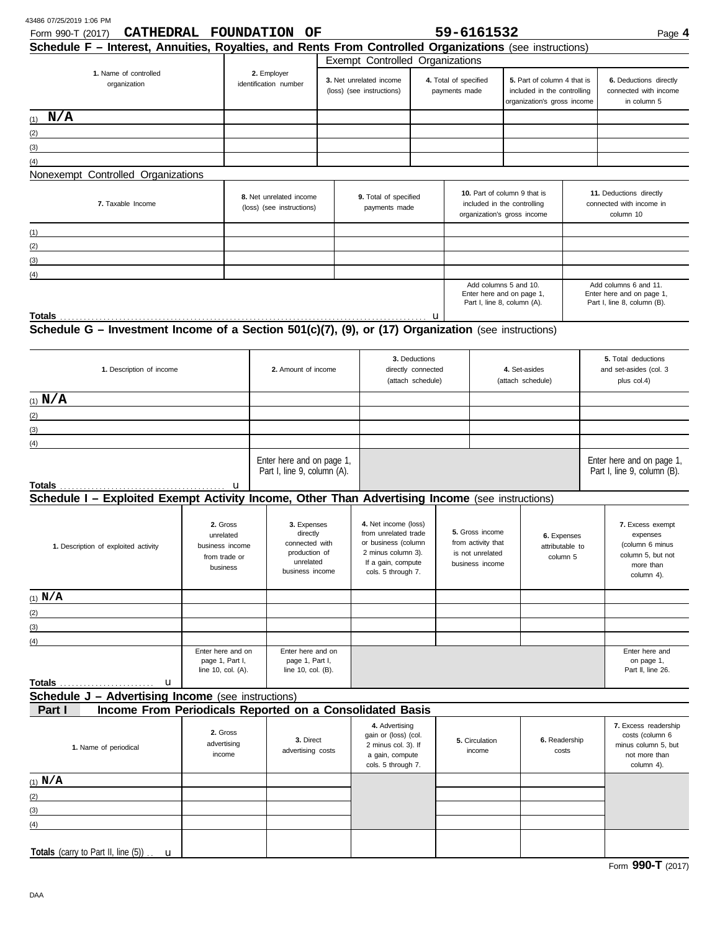| 43486 07/25/2019 1:06 PM |  |
|--------------------------|--|
|--------------------------|--|

| Form 990-T (2017)                                                                                       |                                                                       | CATHEDRAL FOUNDATION OF                                                                    |                                        |                                                                                                                                       |                                                                                                | 59-6161532                                                                                 |                                                                                   |                                                                                           |                                                                                                 | Page 4                                                                            |
|---------------------------------------------------------------------------------------------------------|-----------------------------------------------------------------------|--------------------------------------------------------------------------------------------|----------------------------------------|---------------------------------------------------------------------------------------------------------------------------------------|------------------------------------------------------------------------------------------------|--------------------------------------------------------------------------------------------|-----------------------------------------------------------------------------------|-------------------------------------------------------------------------------------------|-------------------------------------------------------------------------------------------------|-----------------------------------------------------------------------------------|
| Schedule F - Interest, Annuities, Royalties, and Rents From Controlled Organizations (see instructions) |                                                                       |                                                                                            |                                        |                                                                                                                                       |                                                                                                |                                                                                            |                                                                                   |                                                                                           |                                                                                                 |                                                                                   |
| 1. Name of controlled<br>organization                                                                   |                                                                       | 2. Employer<br>identification number                                                       |                                        | Exempt Controlled Organizations<br>3. Net unrelated income<br>(loss) (see instructions)                                               |                                                                                                | 4. Total of specified<br>payments made                                                     |                                                                                   | 5. Part of column 4 that is<br>included in the controlling<br>organization's gross income |                                                                                                 | 6. Deductions directly<br>connected with income<br>in column 5                    |
| $(1)$ N/A                                                                                               |                                                                       |                                                                                            |                                        |                                                                                                                                       |                                                                                                |                                                                                            |                                                                                   |                                                                                           |                                                                                                 |                                                                                   |
|                                                                                                         |                                                                       |                                                                                            |                                        |                                                                                                                                       |                                                                                                |                                                                                            |                                                                                   |                                                                                           |                                                                                                 |                                                                                   |
| (2)                                                                                                     |                                                                       |                                                                                            |                                        |                                                                                                                                       |                                                                                                |                                                                                            |                                                                                   |                                                                                           |                                                                                                 |                                                                                   |
| (3)                                                                                                     |                                                                       |                                                                                            |                                        |                                                                                                                                       |                                                                                                |                                                                                            |                                                                                   |                                                                                           |                                                                                                 |                                                                                   |
| (4)                                                                                                     |                                                                       |                                                                                            |                                        |                                                                                                                                       |                                                                                                |                                                                                            |                                                                                   |                                                                                           |                                                                                                 |                                                                                   |
| Nonexempt Controlled Organizations                                                                      |                                                                       |                                                                                            |                                        |                                                                                                                                       |                                                                                                |                                                                                            |                                                                                   |                                                                                           |                                                                                                 |                                                                                   |
| 7. Taxable Income                                                                                       |                                                                       | 8. Net unrelated income<br>(loss) (see instructions)                                       | 9. Total of specified<br>payments made |                                                                                                                                       |                                                                                                | 10. Part of column 9 that is<br>included in the controlling<br>organization's gross income |                                                                                   |                                                                                           | 11. Deductions directly<br>connected with income in<br>column 10                                |                                                                                   |
| (1)<br>the control of the control of the control of the control of the control of the control of        |                                                                       |                                                                                            |                                        |                                                                                                                                       |                                                                                                |                                                                                            |                                                                                   |                                                                                           |                                                                                                 |                                                                                   |
| (2)                                                                                                     |                                                                       |                                                                                            |                                        |                                                                                                                                       |                                                                                                |                                                                                            |                                                                                   |                                                                                           |                                                                                                 |                                                                                   |
| (3)                                                                                                     |                                                                       |                                                                                            |                                        |                                                                                                                                       |                                                                                                |                                                                                            |                                                                                   |                                                                                           |                                                                                                 |                                                                                   |
| (4)                                                                                                     |                                                                       |                                                                                            |                                        |                                                                                                                                       |                                                                                                |                                                                                            |                                                                                   |                                                                                           |                                                                                                 |                                                                                   |
|                                                                                                         |                                                                       |                                                                                            |                                        |                                                                                                                                       |                                                                                                |                                                                                            | Add columns 5 and 10.<br>Enter here and on page 1,<br>Part I, line 8, column (A). |                                                                                           |                                                                                                 | Add columns 6 and 11.<br>Enter here and on page 1,<br>Part I, line 8, column (B). |
|                                                                                                         |                                                                       |                                                                                            |                                        |                                                                                                                                       |                                                                                                |                                                                                            |                                                                                   |                                                                                           |                                                                                                 |                                                                                   |
| 1. Description of income                                                                                |                                                                       | 2. Amount of income                                                                        |                                        |                                                                                                                                       | 3. Deductions<br>4. Set-asides<br>directly connected<br>(attach schedule)<br>(attach schedule) |                                                                                            |                                                                                   |                                                                                           |                                                                                                 | 5. Total deductions<br>and set-asides (col. 3<br>plus col.4)                      |
| (1) $N/A$                                                                                               |                                                                       |                                                                                            |                                        |                                                                                                                                       |                                                                                                |                                                                                            |                                                                                   |                                                                                           |                                                                                                 |                                                                                   |
| (2)                                                                                                     |                                                                       |                                                                                            |                                        |                                                                                                                                       |                                                                                                |                                                                                            |                                                                                   |                                                                                           |                                                                                                 |                                                                                   |
| (3)                                                                                                     |                                                                       |                                                                                            |                                        |                                                                                                                                       |                                                                                                |                                                                                            |                                                                                   |                                                                                           |                                                                                                 |                                                                                   |
| (4)                                                                                                     |                                                                       |                                                                                            |                                        |                                                                                                                                       |                                                                                                |                                                                                            |                                                                                   |                                                                                           |                                                                                                 |                                                                                   |
|                                                                                                         |                                                                       | Enter here and on page 1,<br>Part I, line 9, column (A).                                   |                                        |                                                                                                                                       |                                                                                                |                                                                                            |                                                                                   |                                                                                           |                                                                                                 | Enter here and on page 1,<br>Part I, line 9, column (B).                          |
|                                                                                                         |                                                                       |                                                                                            |                                        |                                                                                                                                       |                                                                                                |                                                                                            |                                                                                   |                                                                                           |                                                                                                 |                                                                                   |
| Schedule I - Exploited Exempt Activity Income, Other Than Advertising Income (see instructions)         |                                                                       |                                                                                            |                                        |                                                                                                                                       |                                                                                                |                                                                                            |                                                                                   |                                                                                           |                                                                                                 |                                                                                   |
| 1. Description of exploited activity                                                                    | 2. Gross<br>unrelated<br>business income<br>from trade or<br>business | 3. Expenses<br>directly<br>connected with<br>production of<br>unrelated<br>business income |                                        | 4. Net income (loss)<br>from unrelated trade<br>or business (column<br>2 minus column 3).<br>If a gain, compute<br>cols. 5 through 7. |                                                                                                | 5. Gross income<br>from activity that<br>is not unrelated<br>business income               | 6. Expenses<br>attributable to<br>column 5                                        |                                                                                           | 7. Excess exempt<br>expenses<br>(column 6 minus<br>column 5, but not<br>more than<br>column 4). |                                                                                   |
| $(1)$ N/A                                                                                               |                                                                       |                                                                                            |                                        |                                                                                                                                       |                                                                                                |                                                                                            |                                                                                   |                                                                                           |                                                                                                 |                                                                                   |
| (2)                                                                                                     |                                                                       |                                                                                            |                                        |                                                                                                                                       |                                                                                                |                                                                                            |                                                                                   |                                                                                           |                                                                                                 |                                                                                   |
| (3)                                                                                                     |                                                                       |                                                                                            |                                        |                                                                                                                                       |                                                                                                |                                                                                            |                                                                                   |                                                                                           |                                                                                                 |                                                                                   |
| (4)                                                                                                     |                                                                       |                                                                                            |                                        |                                                                                                                                       |                                                                                                |                                                                                            |                                                                                   |                                                                                           |                                                                                                 |                                                                                   |
|                                                                                                         | Enter here and on<br>page 1, Part I,<br>line 10, col. (A).            | Enter here and on<br>page 1, Part I,<br>line 10, col. (B).                                 |                                        |                                                                                                                                       |                                                                                                |                                                                                            |                                                                                   |                                                                                           |                                                                                                 | Enter here and<br>on page 1,<br>Part II, line 26.                                 |
| Schedule J - Advertising Income (see instructions)                                                      |                                                                       |                                                                                            |                                        |                                                                                                                                       |                                                                                                |                                                                                            |                                                                                   |                                                                                           |                                                                                                 |                                                                                   |
| Income From Periodicals Reported on a Consolidated Basis<br>Part I                                      |                                                                       |                                                                                            |                                        |                                                                                                                                       |                                                                                                |                                                                                            |                                                                                   |                                                                                           |                                                                                                 |                                                                                   |
| 1. Name of periodical                                                                                   | 2. Gross<br>advertising<br>income                                     | 3. Direct<br>advertising costs                                                             |                                        | 4. Advertising<br>gain or (loss) (col.<br>2 minus col. 3). If<br>a gain, compute                                                      |                                                                                                | 5. Circulation<br>income                                                                   |                                                                                   | 6. Readership<br>costs                                                                    |                                                                                                 | 7. Excess readership<br>costs (column 6<br>minus column 5, but<br>not more than   |
|                                                                                                         |                                                                       |                                                                                            |                                        | cols. 5 through 7.                                                                                                                    |                                                                                                |                                                                                            |                                                                                   |                                                                                           |                                                                                                 | column 4).                                                                        |
| $(1)$ N/A                                                                                               |                                                                       |                                                                                            |                                        |                                                                                                                                       |                                                                                                |                                                                                            |                                                                                   |                                                                                           |                                                                                                 |                                                                                   |
| (2)                                                                                                     |                                                                       |                                                                                            |                                        |                                                                                                                                       |                                                                                                |                                                                                            |                                                                                   |                                                                                           |                                                                                                 |                                                                                   |
| (3)                                                                                                     |                                                                       |                                                                                            |                                        |                                                                                                                                       |                                                                                                |                                                                                            |                                                                                   |                                                                                           |                                                                                                 |                                                                                   |
| (4)                                                                                                     |                                                                       |                                                                                            |                                        |                                                                                                                                       |                                                                                                |                                                                                            |                                                                                   |                                                                                           |                                                                                                 |                                                                                   |
| Totals (carry to Part II, line $(5)$ ) . $\mathbf u$                                                    |                                                                       |                                                                                            |                                        |                                                                                                                                       |                                                                                                |                                                                                            |                                                                                   |                                                                                           |                                                                                                 |                                                                                   |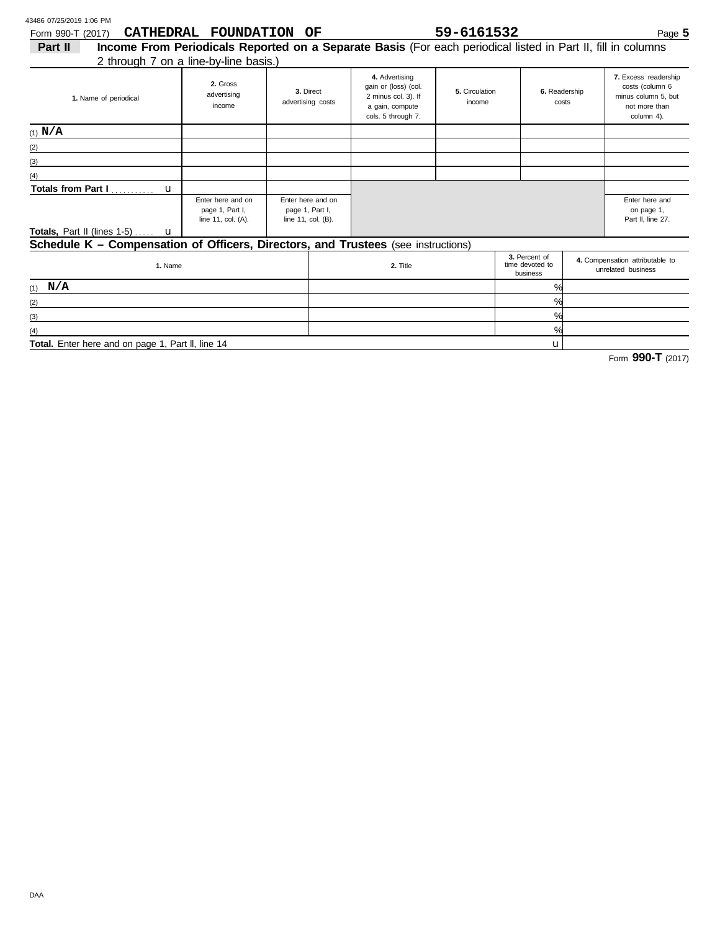(1) **N/A** (2)  $(3)$  $(4)$ 

**Totals, Part II (lines 1-5).** 

u

**Schedule K – Compensation of Officers, Directors, and Trustees** (see instructions)

**Total.** Enter here and on page 1, Part ll, line 14

page 1, Part I, page 1, Part I, on page 1,

line 11, col. (A). line 11, col. (B). Part ll, line 27. Enter here and on Enter here and on Enter here and on Enter here and on Enter here and on Enter here and on Enter here and on Enter here and on Enter here and on Enter here and on Enter here and on Enter here and on Enter

business unrelated business **1.** Name **2.** Title time devoted to **4.** Compensation attributable to **3.** Percent of

| <b>CATHEDRAL</b><br>Form 990-T (2017)                                                                                   | <b>FOUNDATION OF</b>              |                                |                                                                                                        | 59-6161532               |                        | Page 5                                                                                        |  |
|-------------------------------------------------------------------------------------------------------------------------|-----------------------------------|--------------------------------|--------------------------------------------------------------------------------------------------------|--------------------------|------------------------|-----------------------------------------------------------------------------------------------|--|
| Part II<br>Income From Periodicals Reported on a Separate Basis (For each periodical listed in Part II, fill in columns |                                   |                                |                                                                                                        |                          |                        |                                                                                               |  |
| 2 through 7 on a line-by-line basis.)                                                                                   |                                   |                                |                                                                                                        |                          |                        |                                                                                               |  |
| 1. Name of periodical                                                                                                   | 2. Gross<br>advertising<br>income | 3. Direct<br>advertising costs | 4. Advertising<br>gain or (loss) (col.<br>2 minus col. 3). If<br>a gain, compute<br>cols. 5 through 7. | 5. Circulation<br>income | 6. Readership<br>costs | 7. Excess readership<br>costs (column 6<br>minus column 5, but<br>not more than<br>column 4). |  |
| (1) $N/A$                                                                                                               |                                   |                                |                                                                                                        |                          |                        |                                                                                               |  |
| (2)                                                                                                                     |                                   |                                |                                                                                                        |                          |                        |                                                                                               |  |
| (3)                                                                                                                     |                                   |                                |                                                                                                        |                          |                        |                                                                                               |  |
| (4)                                                                                                                     |                                   |                                |                                                                                                        |                          |                        |                                                                                               |  |
| Totals from Part I.<br>u                                                                                                |                                   |                                |                                                                                                        |                          |                        |                                                                                               |  |

Form **990-T** (2017)

u

% % % %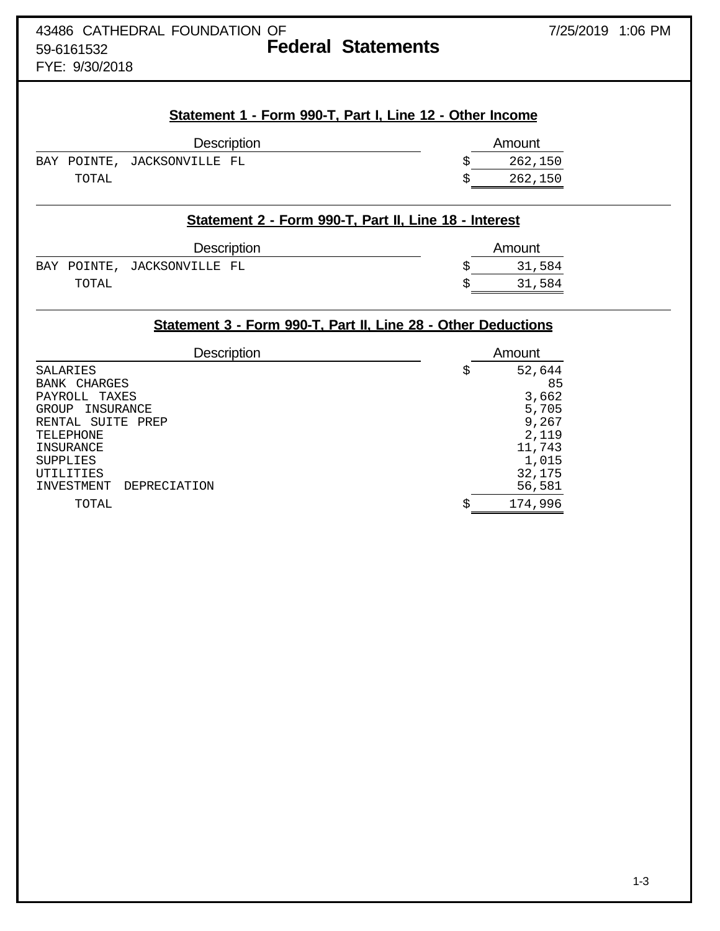FYE: 9/30/2018

# **Statement 1 - Form 990-T, Part I, Line 12 - Other Income**

| Description |       | Amount                      |  |  |         |
|-------------|-------|-----------------------------|--|--|---------|
|             |       | BAY POINTE, JACKSONVILLE FL |  |  | 262,150 |
|             | TOTAL |                             |  |  | 262,150 |

# **Statement 2 - Form 990-T, Part II, Line 18 - Interest**

| <b>Description</b> |       |                             | Amount |        |
|--------------------|-------|-----------------------------|--------|--------|
|                    |       | BAY POINTE, JACKSONVILLE FL |        | 31,584 |
|                    | TOTAL |                             |        | 31,584 |

# **Statement 3 - Form 990-T, Part II, Line 28 - Other Deductions**

| <b>Description</b>         | Amount        |
|----------------------------|---------------|
| SALARIES                   | \$<br>52,644  |
| CHARGES<br>BANK            | 85            |
| PAYROLL<br>TAXES           | 3,662         |
| INSURANCE<br><b>GROUP</b>  | 5,705         |
| RENTAL SUITE PREP          | 9,267         |
| TELEPHONE                  | 2,119         |
| INSURANCE                  | 11,743        |
| <b>SUPPLIES</b>            | 1,015         |
| UTILITIES                  | 32,175        |
| DEPRECIATION<br>INVESTMENT | 56,581        |
| TOTAL                      | \$<br>174,996 |